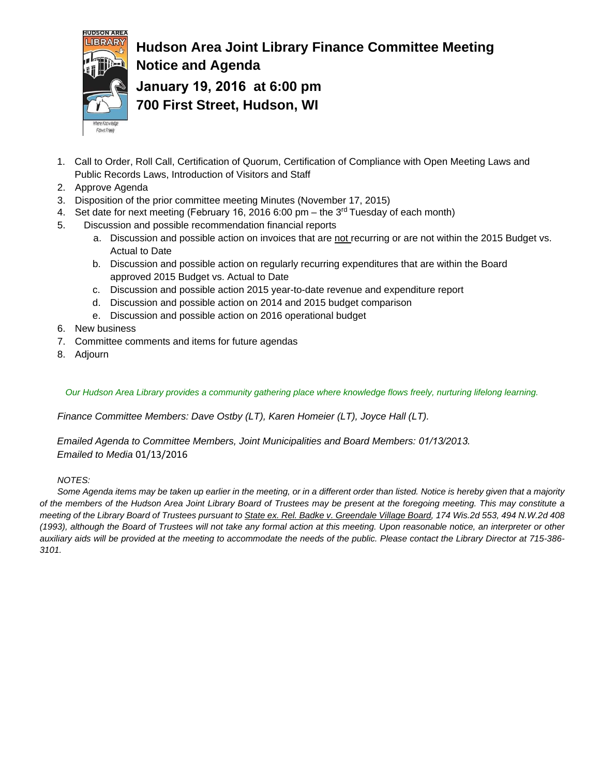

### **Hudson Area Joint Library Finance Committee Meeting Notice and Agenda January 19, 2016 at 6:00 pm 700 First Street, Hudson, WI**

- 1. Call to Order, Roll Call, Certification of Quorum, Certification of Compliance with Open Meeting Laws and Public Records Laws, Introduction of Visitors and Staff
- 2. Approve Agenda
- 3. Disposition of the prior committee meeting Minutes (November 17, 2015)
- 4. Set date for next meeting (February 16, 2016 6:00 pm the  $3<sup>rd</sup>$  Tuesday of each month)
- 5. Discussion and possible recommendation financial reports
	- a. Discussion and possible action on invoices that are not recurring or are not within the 2015 Budget vs. Actual to Date
	- b. Discussion and possible action on regularly recurring expenditures that are within the Board approved 2015 Budget vs. Actual to Date
	- c. Discussion and possible action 2015 year-to-date revenue and expenditure report
	- d. Discussion and possible action on 2014 and 2015 budget comparison
	- e. Discussion and possible action on 2016 operational budget
- 6. New business
- 7. Committee comments and items for future agendas
- 8. Adjourn

*Our Hudson Area Library provides a community gathering place where knowledge flows freely, nurturing lifelong learning.*

*Finance Committee Members: Dave Ostby (LT), Karen Homeier (LT), Joyce Hall (LT).*

*Emailed Agenda to Committee Members, Joint Municipalities and Board Members: 01/13/2013. Emailed to Media* 01/13/2016

### *NOTES:*

*Some Agenda items may be taken up earlier in the meeting, or in a different order than listed. Notice is hereby given that a majority of the members of the Hudson Area Joint Library Board of Trustees may be present at the foregoing meeting. This may constitute a meeting of the Library Board of Trustees pursuant to State ex. Rel. Badke v. Greendale Village Board, 174 Wis.2d 553, 494 N.W.2d 408 (1993), although the Board of Trustees will not take any formal action at this meeting. Upon reasonable notice, an interpreter or other auxiliary aids will be provided at the meeting to accommodate the needs of the public. Please contact the Library Director at 715-386- 3101.*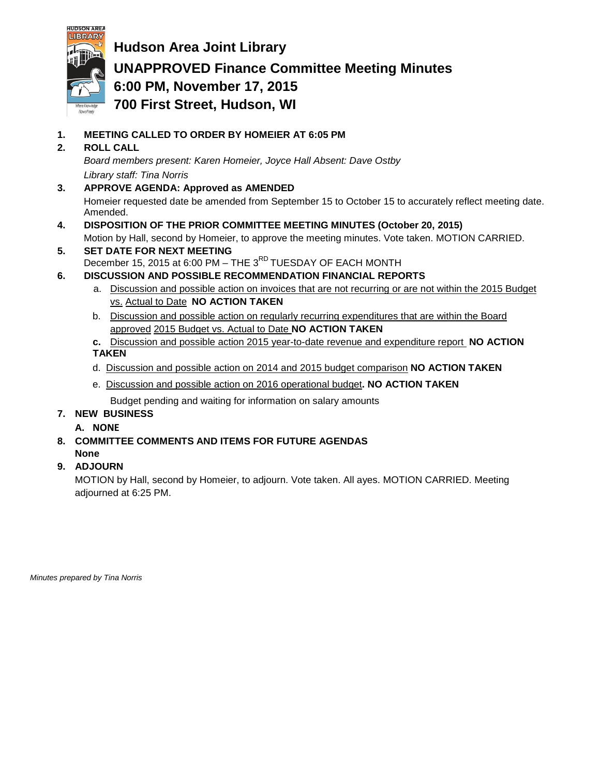

**Hudson Area Joint Library UNAPPROVED Finance Committee Meeting Minutes 6:00 PM, November 17, 2015 700 First Street, Hudson, WI**

- **1. MEETING CALLED TO ORDER BY HOMEIER AT 6:05 PM**
- **2. ROLL CALL**

*Board members present: Karen Homeier, Joyce Hall Absent: Dave Ostby Library staff: Tina Norris*

- **3. APPROVE AGENDA: Approved as AMENDED** Homeier requested date be amended from September 15 to October 15 to accurately reflect meeting date. Amended.
- **4. DISPOSITION OF THE PRIOR COMMITTEE MEETING MINUTES (October 20, 2015)** Motion by Hall, second by Homeier, to approve the meeting minutes. Vote taken. MOTION CARRIED.
- **5. SET DATE FOR NEXT MEETING** December 15, 2015 at 6:00 PM – THE 3<sup>RD</sup> TUESDAY OF EACH MONTH
- **6. DISCUSSION AND POSSIBLE RECOMMENDATION FINANCIAL REPORTS**
	- a. Discussion and possible action on invoices that are not recurring or are not within the 2015 Budget vs. Actual to Date **NO ACTION TAKEN**
	- b. Discussion and possible action on regularly recurring expenditures that are within the Board approved 2015 Budget vs. Actual to Date **NO ACTION TAKEN**
	- **c.** Discussion and possible action 2015 year-to-date revenue and expenditure report **NO ACTION TAKEN**
	- d. Discussion and possible action on 2014 and 2015 budget comparison **NO ACTION TAKEN**
	- e. Discussion and possible action on 2016 operational budget**. NO ACTION TAKEN**

Budget pending and waiting for information on salary amounts

- **7. NEW BUSINESS**
	- **A. NONE**
- **8. COMMITTEE COMMENTS AND ITEMS FOR FUTURE AGENDAS None**
- **9. ADJOURN**

MOTION by Hall, second by Homeier, to adjourn. Vote taken. All ayes. MOTION CARRIED. Meeting adjourned at 6:25 PM.

*Minutes prepared by Tina Norris*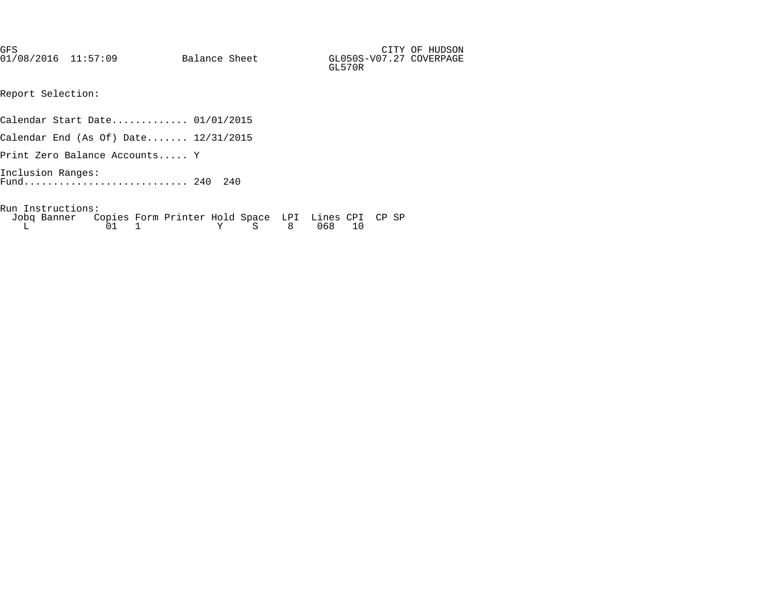GFS CITY OF HUDSON 01/08/2016 11:57:09 Balance Sheet GL050S-GL570R

Report Selection:

Calendar Start Date............. 01/01/2015

Calendar End (As Of) Date....... 12/31/2015

Print Zero Balance Accounts..... Y

Inclusion Ranges: Fund............................ 240 240

Run Instructions:

| Jobq Banner Copies Form Printer Hold Space LPI Lines CPI CP SP |  |  |  |              |  |  |
|----------------------------------------------------------------|--|--|--|--------------|--|--|
|                                                                |  |  |  | Y S 8 068 10 |  |  |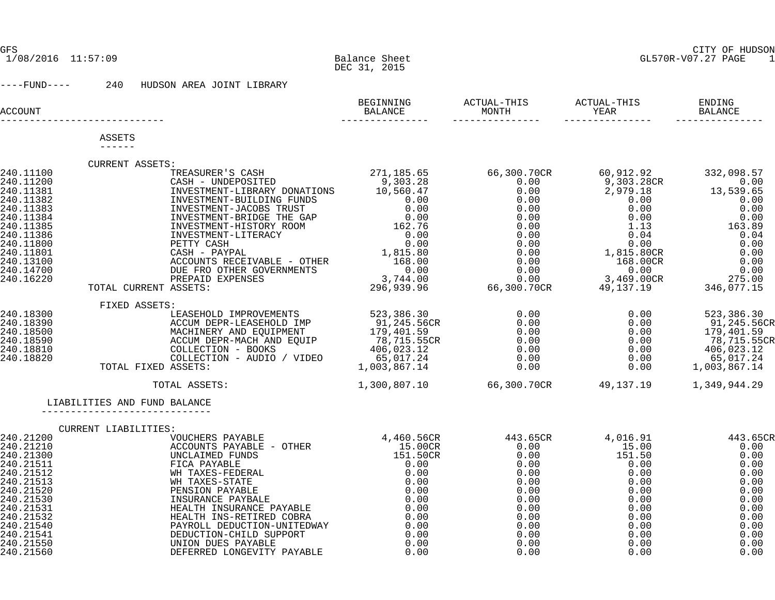#### GFS CITY OF HUDSON GL570R-V07.27 PAGE 1

----FUND---- 240 HUDSON AREA JOINT LIBRARY

| LIABILITIES AND FUND BALANCE |  | $\begin{tabular}{l c c c c c} \hline \texttt{CURENT} \texttt{ASSETS}: & \texttt{STRASURER'S CASH} & \texttt{711,185.65} & \texttt{66,300.70CR} & \texttt{60,912.92} & \texttt{332,098.57} \\ \texttt{CASH - UNDEROSTTE} & \texttt{QNSF-ILBRARY} & \texttt{ONNFTIONS} & \texttt{10,560} & \texttt{66,300.70CR} & \texttt{60,912.92} & \texttt{332,098.57} \\ \texttt{INWENTMENT-BUL$<br>FIXED ASSETS:<br>LEASEHOLD IMPROVEMENTS<br>ACCUM DEPR-LEASEHOLD IMP<br>MACHINERY AND EQUIPMENT<br>MACHINERY AND EQUIPMENT<br>MACHINERY AND EQUIPMENT<br>COLLECTION - BOOKS<br>COLLECTION - AUDIO / VIDEO<br>TOTAL FIXED ASSETS:<br>COLLECTION -<br>TOTAL ASSETS: 1,300,807.10 66,300.70CR 49,137.19 1,349,944.29 |
|------------------------------|--|---------------------------------------------------------------------------------------------------------------------------------------------------------------------------------------------------------------------------------------------------------------------------------------------------------------------------------------------------------------------------------------------------------------------------------------------------------------------------------------------------------------------------------------------------------------------------------------------------------------------------------------------------------------------------------------------------------|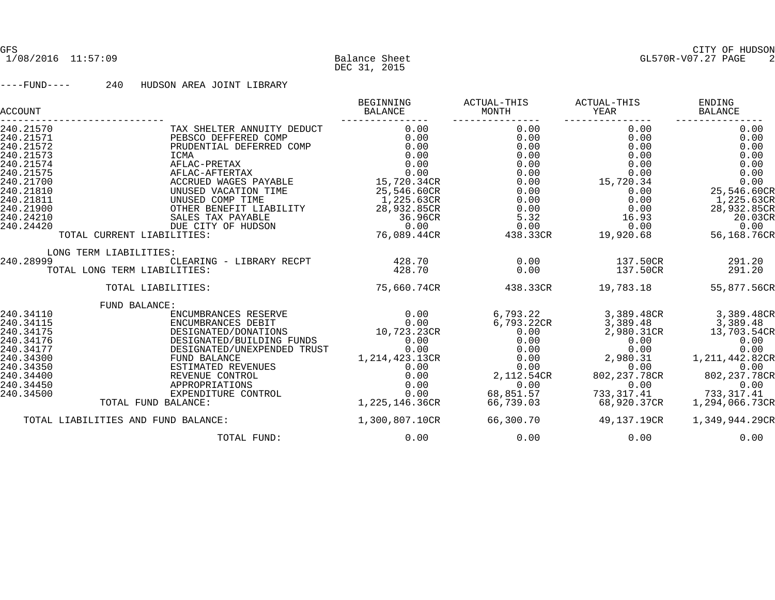#### ----FUND---- 240 HUDSON AREA JOINT LIBRARY

| BEGINNING<br>BALANCE | ACTUAL-THIS<br>MONTH                                                                                                                                                                             | ACTUAL-THIS<br>YEAR                                                                                          | ENDING<br>BALANCE                                                                                                                                 |
|----------------------|--------------------------------------------------------------------------------------------------------------------------------------------------------------------------------------------------|--------------------------------------------------------------------------------------------------------------|---------------------------------------------------------------------------------------------------------------------------------------------------|
| 0.00                 | 0.00                                                                                                                                                                                             | 0.00                                                                                                         | 0.00                                                                                                                                              |
| 0.00                 | 0.00                                                                                                                                                                                             | 0.00                                                                                                         | 0.00                                                                                                                                              |
| 0.00                 | 0.00                                                                                                                                                                                             | 0.00                                                                                                         | 0.00                                                                                                                                              |
| 0.00                 | 0.00                                                                                                                                                                                             | 0.00                                                                                                         | 0.00                                                                                                                                              |
| 0.00                 | 0.00                                                                                                                                                                                             | 0.00                                                                                                         | 0.00                                                                                                                                              |
|                      | 0.00                                                                                                                                                                                             |                                                                                                              | 0.00                                                                                                                                              |
| 15,720.34CR          | 0.00                                                                                                                                                                                             |                                                                                                              | 0.00                                                                                                                                              |
|                      |                                                                                                                                                                                                  | 0.00                                                                                                         | 25,546.60CR                                                                                                                                       |
| 1,225.63CR           | 0.00                                                                                                                                                                                             | 0.00                                                                                                         | 1,225.63CR                                                                                                                                        |
|                      |                                                                                                                                                                                                  | 0.00                                                                                                         | 28,932.85CR                                                                                                                                       |
| 36.96CR              |                                                                                                                                                                                                  | 16.93                                                                                                        | 20.03CR                                                                                                                                           |
|                      | 0.00                                                                                                                                                                                             |                                                                                                              | 0.00                                                                                                                                              |
| 76,089.44CR          | 438.33CR                                                                                                                                                                                         | 19,920.68                                                                                                    | 56,168.76CR                                                                                                                                       |
|                      |                                                                                                                                                                                                  |                                                                                                              |                                                                                                                                                   |
|                      |                                                                                                                                                                                                  |                                                                                                              | 291.20                                                                                                                                            |
|                      |                                                                                                                                                                                                  |                                                                                                              | 291.20                                                                                                                                            |
| 75,660.74CR          | 438.33CR                                                                                                                                                                                         | 19,783.18                                                                                                    | 55,877.56CR                                                                                                                                       |
|                      |                                                                                                                                                                                                  |                                                                                                              |                                                                                                                                                   |
|                      | 6,793.22                                                                                                                                                                                         | 3,389.48CR                                                                                                   | 3,389.48CR                                                                                                                                        |
|                      | 6,793.22CR                                                                                                                                                                                       | 3,389.48                                                                                                     | 3,389.48                                                                                                                                          |
|                      | 0.00                                                                                                                                                                                             |                                                                                                              | 13,703.54CR                                                                                                                                       |
| 0.00                 | 0.00                                                                                                                                                                                             | 0.00                                                                                                         | 0.00                                                                                                                                              |
|                      |                                                                                                                                                                                                  |                                                                                                              | 0.00                                                                                                                                              |
|                      |                                                                                                                                                                                                  |                                                                                                              | 1, 211, 442.82CR                                                                                                                                  |
| 0.00                 |                                                                                                                                                                                                  |                                                                                                              | 0.00                                                                                                                                              |
|                      |                                                                                                                                                                                                  |                                                                                                              | 802, 237.78CR                                                                                                                                     |
|                      |                                                                                                                                                                                                  |                                                                                                              | 0.00                                                                                                                                              |
|                      |                                                                                                                                                                                                  |                                                                                                              | 733,317.41                                                                                                                                        |
|                      |                                                                                                                                                                                                  |                                                                                                              | 1,294,066.73CR                                                                                                                                    |
| 1,300,807.10CR       | 66,300.70                                                                                                                                                                                        | 49,137.19CR                                                                                                  | 1,349,944.29CR                                                                                                                                    |
| 0.00                 | 0.00                                                                                                                                                                                             | 0.00                                                                                                         | 0.00                                                                                                                                              |
|                      | 0.00<br>25,546.60CR<br>28,932.85CR<br>0.00<br>428.70<br>428.70<br>0.00<br>0.00<br>10,723.23CR<br>0.00<br>DESIGNATED/UNEXPENDED TRUST<br>1,214,423.13CR<br>0.00<br>0.00<br>0.00<br>1,225,146.36CR | 0.00<br>0.00<br>5.32<br>0.00<br>0.00<br>0.00<br>0.00<br>0.00<br>2,112.54CR<br>0.00<br>68,851.57<br>66,739.03 | 0.00<br>15,720.34<br>0.00<br>137.50CR<br>137.50CR<br>2,980.31CR<br>0.00<br>2,980.31<br>0.00<br>802, 237.78CR<br>0.00<br>733,317.41<br>68,920.37CR |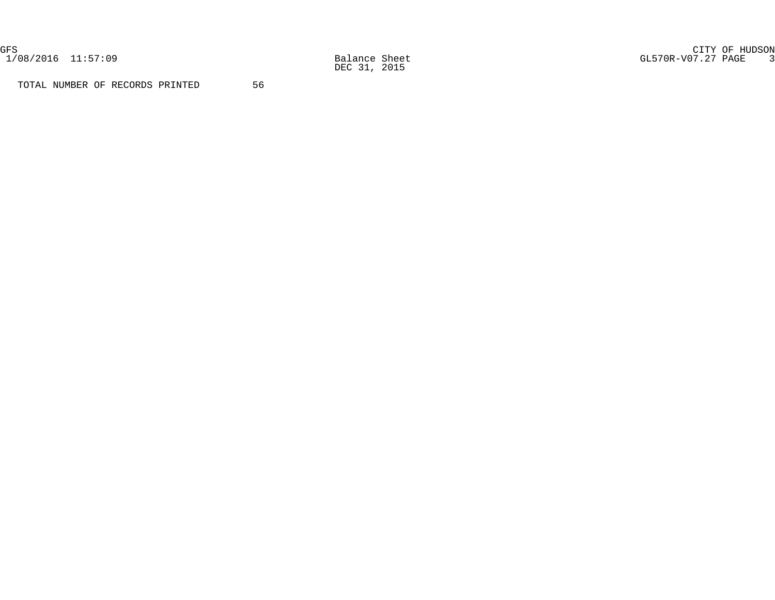1/08/2016 11:57:09 Balance Sheet<br>DEC 31, 2015

GFS CITY OF HUDSON 1/08/2016 11:57:09 Balance Sheet GL570R-V07.27 PAGE 3

TOTAL NUMBER OF RECORDS PRINTED 56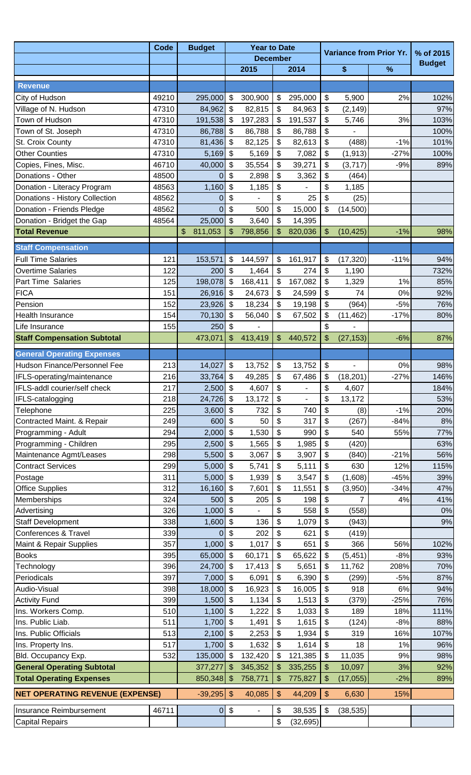|                                                          | <b>Budget</b> | <b>Year to Date</b>   |                            |                    |                                 |                    |                           |                  |                                |               |
|----------------------------------------------------------|---------------|-----------------------|----------------------------|--------------------|---------------------------------|--------------------|---------------------------|------------------|--------------------------------|---------------|
|                                                          | <b>Code</b>   |                       |                            | <b>December</b>    |                                 |                    |                           |                  | <b>Variance from Prior Yr.</b> | % of 2015     |
|                                                          |               |                       |                            | 2015               |                                 | 2014               |                           | \$               | %                              | <b>Budget</b> |
| <b>Revenue</b>                                           |               |                       |                            |                    |                                 |                    |                           |                  |                                |               |
| City of Hudson                                           | 49210         | 295,000               | \$                         | 300,900            | \$                              | 295,000            | $\frac{1}{2}$             | 5,900            | 2%                             | 102%          |
| Village of N. Hudson                                     | 47310         | 84,962 \$             |                            | 82,815             | \$                              | 84,963             | $\boldsymbol{\mathsf{S}}$ | (2, 149)         |                                | 97%           |
| Town of Hudson                                           | 47310         | 191,538 \$            |                            | 197,283            | \$                              | 191,537            | \$                        | 5,746            | 3%                             | 103%          |
| Town of St. Joseph                                       | 47310         | 86,788 \$             |                            | 86,788             | \$                              | 86,788             | \$                        |                  |                                | 100%          |
| St. Croix County                                         | 47310         | $81,436$ \$           |                            | 82,125             | \$                              | 82,613             | \$                        | (488)            | $-1%$                          | 101%          |
| <b>Other Counties</b>                                    | 47310         | 5,169                 | \$                         | 5,169              | \$                              | 7,082              | \$                        | (1, 913)         | $-27%$                         | 100%          |
| Copies, Fines, Misc.                                     | 46710         | 40,000                | \$                         | 35,554             | \$                              | 39,271             | \$                        | (3,717)          | $-9%$                          | 89%           |
| Donations - Other                                        | 48500         | 0                     | $\boldsymbol{\mathsf{S}}$  | 2,898              | \$                              | 3,362              | \$                        | (464)            |                                |               |
| Donation - Literacy Program                              | 48563         | 1,160                 | $\sqrt[6]{3}$              | 1,185              | \$                              |                    | \$                        | 1,185            |                                |               |
| Donations - History Collection                           | 48562         | 0                     | \$                         |                    | \$                              | 25                 | \$                        | (25)             |                                |               |
| Donation - Friends Pledge                                | 48562         | 0                     | $\boldsymbol{\mathsf{S}}$  | 500                | \$                              | 15,000             | \$                        | (14,500)         |                                |               |
| Donation - Bridget the Gap                               | 48564         | 25,000                | \$                         | 3,640              | \$                              | 14,395             |                           |                  |                                |               |
| <b>Total Revenue</b>                                     |               | \$<br>811,053         | \$                         | 798,856            | \$                              | 820,036            | \$                        | (10, 425)        | $-1%$                          | 98%           |
| <b>Staff Compensation</b>                                |               |                       |                            |                    |                                 |                    |                           |                  |                                |               |
| <b>Full Time Salaries</b>                                | 121           | 153,571               | \$                         | 144,597            | \$                              | 161,917            | \$                        | (17, 320)        | $-11%$                         | 94%           |
| <b>Overtime Salaries</b>                                 | 122           | 200                   | \$                         | 1,464              | \$                              | 274                | $\boldsymbol{\mathsf{S}}$ | 1,190            |                                | 732%          |
| <b>Part Time Salaries</b>                                | 125           | 198,078 \$            |                            | 168,411            | \$                              | 167,082            | \$                        | 1,329            | 1%                             | 85%           |
| <b>FICA</b>                                              | 151           | $26,916$ \$           |                            | 24,673             | \$                              | 24,599             | \$                        | 74               | 0%                             | 92%           |
| Pension                                                  | 152           | $23,926$ \$           |                            | 18,234             | \$                              | 19,198             | \$                        | (964)            | $-5%$                          | 76%           |
| <b>Health Insurance</b>                                  | 154           | 70,130                | \$                         | 56,040             | \$                              | 67,502             | \$                        | (11, 462)        | $-17%$                         | 80%           |
| Life Insurance                                           | 155           | 250                   | \$                         |                    |                                 |                    | \$                        |                  |                                |               |
| <b>Staff Compensation Subtotal</b>                       |               | 473,071               | \$                         | 413,419            | \$                              | 440,572            | \$                        | (27, 153)        | $-6%$                          | 87%           |
| <b>General Operating Expenses</b>                        |               |                       |                            |                    |                                 |                    |                           |                  |                                |               |
| Hudson Finance/Personnel Fee                             | 213           | 14,027                | \$                         | 13,752             | \$                              | 13,752             | $\boldsymbol{\theta}$     |                  | 0%                             | 98%           |
| IFLS-operating/maintenance                               | 216           | 33,764 \$             |                            | 49,285             | $\boldsymbol{\mathsf{S}}$       | 67,486             | $\boldsymbol{\mathsf{S}}$ | (18, 201)        | $-27%$                         | 146%          |
| IFLS-addl courier/self check                             | 217           | $2,500$ \$            |                            | 4,607              | \$                              |                    | \$                        | 4,607            |                                | 184%          |
| IFLS-catalogging                                         | 218           | $24,726$ \$           |                            | 13,172             | \$                              |                    | \$                        | 13,172           |                                | 53%           |
| Telephone                                                | 225           | $3,600$ \$            |                            | 732                | \$                              | 740                | \$                        | (8)              | $-1%$                          | 20%           |
| Contracted Maint. & Repair                               | 249           | 600                   | \$                         | 50                 | \$                              | 317                | \$                        | (267)            | $-84%$                         | 8%            |
| Programming - Adult                                      | 294           | 2,000                 | \$                         | 1,530              | \$                              | 990                | \$                        | 540              | 55%                            | 77%           |
| Programming - Children                                   | 295           | $2,500$ \$            |                            | 1,565              | \$                              | 1,985              | \$                        | (420)            |                                | 63%           |
| Maintenance Agmt/Leases                                  | 298           | $5,500$ \$            |                            | 3,067              | \$                              | 3,907              | $\boldsymbol{\mathsf{S}}$ | (840)            | $-21%$                         | 56%           |
| <b>Contract Services</b>                                 | 299           | $5,000$ \$            |                            | 5,741              | \$                              | 5,111              | $\boldsymbol{\mathsf{S}}$ | 630              | 12%                            | 115%          |
| Postage                                                  | 311           | $5,000$ \$            |                            | 1,939              | \$                              | 3,547              | \$                        | (1,608)          | $-45%$                         | 39%           |
| <b>Office Supplies</b>                                   | 312           | 16,160                | \$                         | 7,601              | \$                              | 11,551             | \$                        | (3,950)          | $-34%$                         | 47%           |
| Memberships                                              | 324           | 500                   | \$                         | 205                | \$                              | 198                | \$                        | $\overline{7}$   | 4%                             | 41%           |
| Advertising                                              | 326           | $1,000$ \$            |                            |                    | \$                              | 558                | \$                        | (558)            |                                | 0%            |
| <b>Staff Development</b>                                 | 338           | $1,600$ \$            |                            | 136                | \$                              | 1,079              | \$                        | (943)            |                                | 9%            |
| Conferences & Travel                                     | 339           |                       | \$                         | 202                | \$                              | 621                | \$                        | (419)            |                                |               |
| Maint & Repair Supplies                                  | 357           | $1,000$ \$            |                            | 1,017              | \$                              | 651                | \$                        | 366              | 56%                            | 102%          |
| <b>Books</b>                                             | 395           | 65,000 \$             |                            | 60,171             | \$                              | 65,622             | \$                        | (5, 451)         | $-8%$                          | 93%           |
| Technology                                               | 396           | 24,700 \$             |                            | 17,413             | \$                              | 5,651              | \$                        | 11,762           | 208%                           | 70%           |
| Periodicals                                              | 397           | $7,000$ \$            |                            | 6,091              | \$                              | 6,390              | $\boldsymbol{\mathsf{S}}$ | (299)            | $-5%$                          | 87%           |
| Audio-Visual                                             | 398           | 18,000 \$             |                            | 16,923             | \$                              | 16,005             | $\boldsymbol{\mathsf{S}}$ | 918              | 6%                             | 94%           |
| <b>Activity Fund</b>                                     | 399           | $1,500$ \$            |                            | 1,134              | \$                              | 1,513              | \$                        | (379)            | $-25%$                         | 76%           |
| Ins. Workers Comp.                                       | 510           | $1,100$ \$            |                            | 1,222              | \$                              | 1,033              | $\boldsymbol{\mathsf{S}}$ | 189              | 18%                            | 111%          |
| Ins. Public Liab.                                        | 511           | $1,700$ \$            |                            | 1,491              | \$                              | 1,615              | \$                        | (124)            | $-8%$                          | 88%           |
| Ins. Public Officials                                    | 513           | 2,100                 | \$                         | 2,253              | \$                              | 1,934              | \$                        | 319              | 16%                            | 107%          |
| Ins. Property Ins.                                       | 517           | $1,700$ \$            |                            | 1,632              | \$                              | 1,614              | \$                        | 18               | 1%<br>9%                       | 96%           |
| Bld. Occupancy Exp.<br><b>General Operating Subtotal</b> | 532           | 135,000 \$<br>377,277 | \$                         | 132,420<br>345,352 | \$                              | 121,385<br>335,255 | $\boldsymbol{\mathsf{S}}$ | 11,035<br>10,097 | 3%                             | 98%<br>92%    |
| <b>Total Operating Expenses</b>                          |               | 850,348 \$            |                            | 758,771            | \$<br>$\boldsymbol{\mathsf{S}}$ | 775,827            | \$<br>$\frac{1}{2}$       | (17, 055)        | $-2%$                          | 89%           |
|                                                          |               |                       |                            |                    |                                 |                    |                           |                  |                                |               |
| <b>NET OPERATING REVENUE (EXPENSE)</b>                   |               | $-39,295$             | $\sqrt[6]{3}$              | 40,085             | $\frac{1}{2}$                   | 44,209             | $\sqrt[6]{\frac{1}{2}}$   | 6,630            | 15%                            |               |
| Insurance Reimbursement                                  | 46711         | $\overline{0}$        | $\boldsymbol{\mathsf{\$}}$ |                    | \$                              | 38,535             | \$                        | (38, 535)        |                                |               |
| <b>Capital Repairs</b>                                   |               |                       |                            |                    | \$                              | (32, 695)          |                           |                  |                                |               |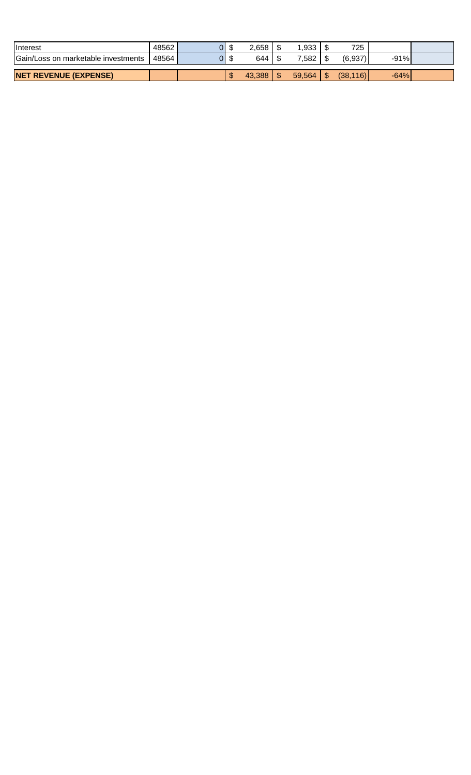| <b>I</b> Interest                   | 48562 | 01 |   | 2,658  | ,933   | 725             |        |  |
|-------------------------------------|-------|----|---|--------|--------|-----------------|--------|--|
| Gain/Loss on marketable investments | 48564 | וכ |   | 644    | .582   | (6,937)         | $-91%$ |  |
|                                     |       |    |   |        |        |                 |        |  |
| <b>NET REVENUE (EXPENSE)</b>        |       |    | w | 43.388 | 59.564 | \$<br>(38, 116) | $-64%$ |  |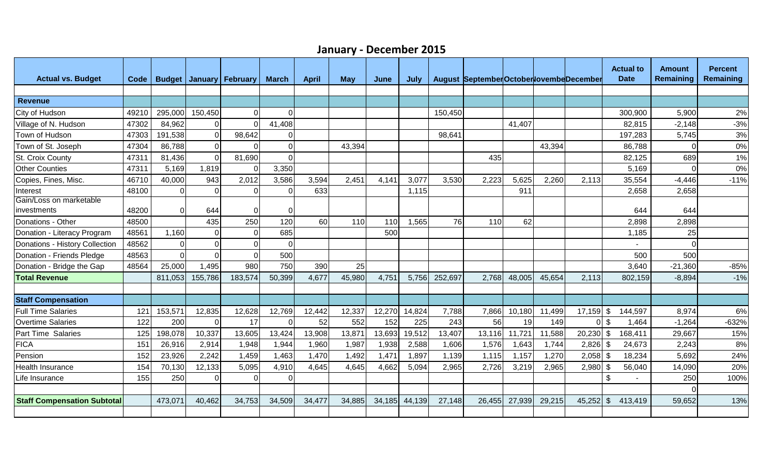| <b>Actual vs. Budget</b>               | Code  |          |                | <b>Budget January February</b> | <b>March</b> | <b>April</b> | <b>May</b> | June   | July   |         | August SeptemberOctoberlovembeDecember |        |        |             | <b>Actual to</b><br><b>Date</b> | <b>Amount</b><br>Remaining | <b>Percent</b><br>Remaining |
|----------------------------------------|-------|----------|----------------|--------------------------------|--------------|--------------|------------|--------|--------|---------|----------------------------------------|--------|--------|-------------|---------------------------------|----------------------------|-----------------------------|
|                                        |       |          |                |                                |              |              |            |        |        |         |                                        |        |        |             |                                 |                            |                             |
| <b>Revenue</b>                         |       |          |                |                                |              |              |            |        |        |         |                                        |        |        |             |                                 |                            |                             |
| City of Hudson                         | 49210 | 295,000  | 150,450        | $\Omega$                       | <sup>0</sup> |              |            |        |        | 150,450 |                                        |        |        |             | 300,900                         | 5,900                      | 2%                          |
| Village of N. Hudson                   | 47302 | 84,962   | $\Omega$       | $\Omega$                       | 41,408       |              |            |        |        |         |                                        | 41,407 |        |             | 82,815                          | $-2,148$                   | $-3%$                       |
| Town of Hudson                         | 47303 | 191,538  | $\Omega$       | 98,642                         | 0            |              |            |        |        | 98,641  |                                        |        |        |             | 197,283                         | 5,745                      | 3%                          |
| Town of St. Joseph                     | 47304 | 86,788   | $\Omega$       |                                | <sup>0</sup> |              | 43,394     |        |        |         |                                        |        | 43,394 |             | 86,788                          |                            | 0%                          |
| St. Croix County                       | 47311 | 81,436   | $\overline{0}$ | 81,690                         | $\Omega$     |              |            |        |        |         | 435                                    |        |        |             | 82,125                          | 689                        | 1%                          |
| <b>Other Counties</b>                  | 47311 | 5,169    | 1,819          | $\Omega$                       | 3,350        |              |            |        |        |         |                                        |        |        |             | 5,169                           |                            | 0%                          |
| Copies, Fines, Misc.                   | 46710 | 40,000   | 943            | 2,012                          | 3,586        | 3,594        | 2,451      | 4,141  | 3,077  | 3,530   | 2,223                                  | 5,625  | 2,260  | 2,113       | 35,554                          | $-4,446$                   | $-11%$                      |
| Interest                               | 48100 | 0        | $\Omega$       | 0                              | 0            | 633          |            |        | 1,115  |         |                                        | 911    |        |             | 2,658                           | 2,658                      |                             |
| Gain/Loss on marketable<br>investments | 48200 | 0        | 644            | O                              |              |              |            |        |        |         |                                        |        |        |             | 644                             | 644                        |                             |
| Donations - Other                      | 48500 |          | 435            | 250                            | 120          | 60           | 110        | 110    | 1,565  | 76      | 110                                    | 62     |        |             | 2,898                           | 2,898                      |                             |
| Donation - Literacy Program            | 48561 | 1,160    | $\Omega$       | $\Omega$                       | 685          |              |            | 500    |        |         |                                        |        |        |             | 1,185                           | 25                         |                             |
| Donations - History Collection         | 48562 | 0        | $\mathbf 0$    | $\Omega$                       | $\Omega$     |              |            |        |        |         |                                        |        |        |             |                                 | $\Omega$                   |                             |
| Donation - Friends Pledge              | 48563 | $\Omega$ | $\Omega$       | $\Omega$                       | 500          |              |            |        |        |         |                                        |        |        |             | 500                             | 500                        |                             |
| Donation - Bridge the Gap              | 48564 | 25,000   | 1,495          | 980                            | 750          | 390          | 25         |        |        |         |                                        |        |        |             | 3,640                           | $-21,360$                  | $-85%$                      |
| <b>Total Revenue</b>                   |       | 811,053  | 155,786        | 183,574                        | 50,399       | 4,677        | 45,980     | 4,751  | 5,756  | 252,697 | 2,768                                  | 48,005 | 45,654 | 2,113       | 802,159                         | $-8,894$                   | $-1%$                       |
|                                        |       |          |                |                                |              |              |            |        |        |         |                                        |        |        |             |                                 |                            |                             |
| <b>Staff Compensation</b>              |       |          |                |                                |              |              |            |        |        |         |                                        |        |        |             |                                 |                            |                             |
| <b>Full Time Salaries</b>              | 121   | 153,57   | 12,835         | 12,628                         | 12,769       | 12,442       | 12,337     | 12,270 | 14,824 | 7,788   | 7,866                                  | 10,180 | 11,499 | 17,159      | \$<br>144,597                   | 8,974                      | 6%                          |
| <b>Overtime Salaries</b>               | 122   | 200      | $\Omega$       | 17                             | U            | 52           | 552        | 152    | 225    | 243     | 56                                     | 19     | 149    |             | -\$<br>1,464                    | $-1,264$                   | $-632%$                     |
| <b>Part Time Salaries</b>              | 125   | 198,078  | 10,337         | 13,605                         | 13,424       | 13,908       | 13,871     | 13,693 | 19,512 | 13,407  | 13,116                                 | 11,721 | 11,588 | $20,230$ \$ | 168,411                         | 29,667                     | 15%                         |
| <b>FICA</b>                            | 151   | 26,916   | 2,914          | 1,948                          | 1,944        | 1,960        | 1,987      | 1,938  | 2,588  | 1,606   | 1,576                                  | 1,643  | 1,744  | $2,826$ \$  | 24,673                          | 2,243                      | 8%                          |
| Pension                                | 152   | 23,926   | 2,242          | 1,459                          | 1,463        | 1,470        | 1,492      | 1,471  | 1,897  | 1,139   | 1,115                                  | 1,157  | 1,270  | $2,058$ \$  | 18,234                          | 5,692                      | 24%                         |
| Health Insurance                       | 154   | 70,130   | 12,133         | 5,095                          | 4,910        | 4,645        | 4,645      | 4,662  | 5,094  | 2,965   | 2,726                                  | 3,219  | 2,965  | 2,980       | 56,040<br>-\$                   | 14,090                     | 20%                         |
| Life Insurance                         | 155   | 250      | 0              | O                              | $\Omega$     |              |            |        |        |         |                                        |        |        |             | \$                              | 250                        | 100%                        |
|                                        |       |          |                |                                |              |              |            |        |        |         |                                        |        |        |             |                                 |                            |                             |
| <b>Staff Compensation Subtotal</b>     |       | 473,07   | 40,462         | 34,753                         | 34,509       | 34,477       | 34,885     | 34,185 | 44,139 | 27,148  | 26,455                                 | 27,939 | 29,215 | 45,252      | $\sqrt{3}$<br>413,419           | 59,652                     | 13%                         |
|                                        |       |          |                |                                |              |              |            |        |        |         |                                        |        |        |             |                                 |                            |                             |

## **January - December 2015**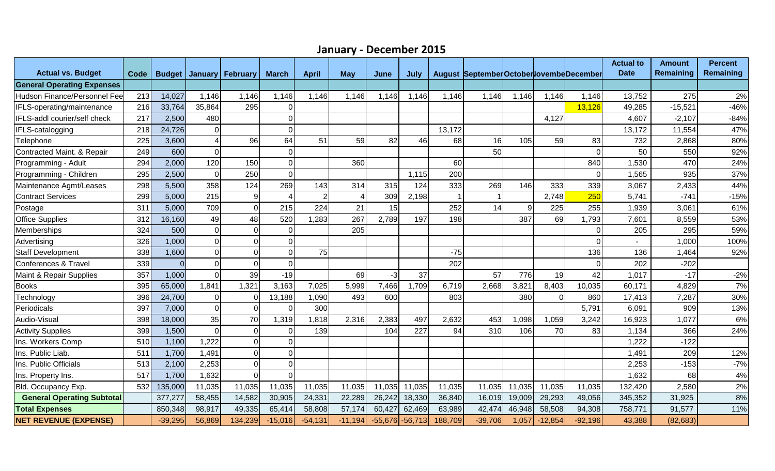| January - December 2015 |  |  |
|-------------------------|--|--|
|-------------------------|--|--|

| <b>Actual vs. Budget</b>          | Code | <b>Budget</b> | January        | February       | <b>March</b>   | <b>April</b>   | <b>May</b> | June      | July      |         | August SeptemberOctoberlovembeDecember |        |           |           | <b>Actual to</b><br><b>Date</b> | <b>Amount</b><br><b>Remaining</b> | <b>Percent</b><br><b>Remaining</b> |
|-----------------------------------|------|---------------|----------------|----------------|----------------|----------------|------------|-----------|-----------|---------|----------------------------------------|--------|-----------|-----------|---------------------------------|-----------------------------------|------------------------------------|
| <b>General Operating Expenses</b> |      |               |                |                |                |                |            |           |           |         |                                        |        |           |           |                                 |                                   |                                    |
| Hudson Finance/Personnel Fee      | 213  | 14,027        | 1,146          | 1,146          | 1,146          | 1,146          | 1,146      | 1,146     | 1,146     | 1,146   | 1,146                                  | 1,146  | 1,146     | 1,146     | 13,752                          | 275                               | 2%                                 |
| IFLS-operating/maintenance        | 216  | 33,764        | 35,864         | 295            | $\Omega$       |                |            |           |           |         |                                        |        |           | 13,126    | 49,285                          | $-15,521$                         | $-46%$                             |
| IFLS-addl courier/self check      | 217  | 2,500         | 480            |                | $\Omega$       |                |            |           |           |         |                                        |        | 4,127     |           | 4,607                           | $-2,107$                          | $-84%$                             |
| IFLS-catalogging                  | 218  | 24,726        | $\mathbf 0$    |                | $\Omega$       |                |            |           |           | 13,172  |                                        |        |           |           | 13,172                          | 11,554                            | 47%                                |
| Telephone                         | 225  | 3,600         | 4              | 96             | 64             | 51             | 59         | 82        | 46        | 68      | 16                                     | 105    | 59        | 83        | 732                             | 2,868                             | 80%                                |
| Contracted Maint. & Repair        | 249  | 600           | $\overline{0}$ |                | $\Omega$       |                |            |           |           |         | 50                                     |        |           | $\Omega$  | 50                              | 550                               | 92%                                |
| Programming - Adult               | 294  | 2,000         | 120            | 150            | 0              |                | 360        |           |           | 60      |                                        |        |           | 840       | 1,530                           | 470                               | 24%                                |
| Programming - Children            | 295  | 2,500         | $\overline{O}$ | 250            | $\Omega$       |                |            |           | 1,115     | 200     |                                        |        |           | 0         | 1,565                           | 935                               | 37%                                |
| Maintenance Agmt/Leases           | 298  | 5,500         | 358            | 124            | 269            | 143            | 314        | 315       | 124       | 333     | 269                                    | 146    | 333       | 339       | 3,067                           | 2,433                             | 44%                                |
| <b>Contract Services</b>          | 299  | 5,000         | 215            | 9              |                | $\overline{2}$ |            | 309       | 2,198     |         |                                        |        | 2,748     | 250       | 5,741                           | $-741$                            | $-15%$                             |
| Postage                           | 311  | 5,000         | 709            | $\Omega$       | 215            | 224            | 21         | 15        |           | 252     | 14                                     | 9      | 225       | 255       | 1,939                           | 3,061                             | 61%                                |
| <b>Office Supplies</b>            | 312  | 16,160        | 49             | 48             | 520            | ,283           | 267        | 2,789     | 197       | 198     |                                        | 387    | 69        | 1,793     | 7,601                           | 8,559                             | 53%                                |
| Memberships                       | 324  | 500           | $\overline{O}$ | $\Omega$       | $\Omega$       |                | 205        |           |           |         |                                        |        |           |           | 205                             | 295                               | 59%                                |
| Advertising                       | 326  | 1,000         | $\overline{0}$ | $\overline{0}$ | $\overline{O}$ |                |            |           |           |         |                                        |        |           | $\Omega$  |                                 | 1,000                             | 100%                               |
| <b>Staff Development</b>          | 338  | 1,600         | $\overline{0}$ | $\Omega$       | $\Omega$       | 75             |            |           |           | $-75$   |                                        |        |           | 136       | 136                             | 1,464                             | 92%                                |
| Conferences & Travel              | 339  | $\Omega$      | $\overline{O}$ | $\Omega$       | ΩI             |                |            |           |           | 202     |                                        |        |           | 0         | 202                             | $-202$                            |                                    |
| Maint & Repair Supplies           | 357  | 1,000         | $\Omega$       | 39             | $-19$          |                | 69         | $-3$      | 37        |         | 57                                     | 776    | 19        | 42        | 1,017                           | $-17$                             | $-2%$                              |
| <b>Books</b>                      | 395  | 65,000        | 1,841          | 1,321          | 3,163          | 7,025          | 5,999      | 7,466     | 1,709     | 6,719   | 2,668                                  | 3,821  | 8,403     | 10,035    | 60,171                          | 4,829                             | 7%                                 |
| Technology                        | 396  | 24,700        | $\overline{O}$ | $\Omega$       | 13,188         | 1,090          | 493        | 600       |           | 803     |                                        | 380    | $\Omega$  | 860       | 17,413                          | 7,287                             | 30%                                |
| Periodicals                       | 397  | 7,000         | $\overline{O}$ | $\Omega$       | ΩI             | 300            |            |           |           |         |                                        |        |           | 5,791     | 6,091                           | 909                               | 13%                                |
| Audio-Visual                      | 398  | 18,000        | 35             | 70             | 1,319          | ,818           | 2,316      | 2,383     | 497       | 2,632   | 453                                    | 1,098  | 1,059     | 3,242     | 16,923                          | 1,077                             | 6%                                 |
| <b>Activity Supplies</b>          | 399  | 1,500         | $\overline{0}$ | $\overline{0}$ | $\Omega$       | 139            |            | 104       | 227       | 94      | 310                                    | 106    | 70        | 83        | 1,134                           | 366                               | 24%                                |
| Ins. Workers Comp                 | 510  | 1,100         | 1,222          | $\overline{0}$ | Οl             |                |            |           |           |         |                                        |        |           |           | 1,222                           | $-122$                            |                                    |
| Ins. Public Liab.                 | 511  | 1,700         | 1,491          | $\Omega$       | Οl             |                |            |           |           |         |                                        |        |           |           | 1,491                           | 209                               | 12%                                |
| Ins. Public Officials             | 513  | 2,100         | 2,253          | $\Omega$       | 0              |                |            |           |           |         |                                        |        |           |           | 2,253                           | $-153$                            | $-7%$                              |
| Ins. Property Ins.                | 517  | 1,700         | 1,632          | $\Omega$       | $\Omega$       |                |            |           |           |         |                                        |        |           |           | 1,632                           | 68                                | 4%                                 |
| Bld. Occupancy Exp.               | 532  | 135,000       | 11,035         | 11,035         | 11,035         | 11,035         | 11,035     | 11,035    | 11,035    | 11,035  | 11,035                                 | 11,035 | 11,035    | 11,035    | 132,420                         | 2,580                             | 2%                                 |
| <b>General Operating Subtotal</b> |      | 377,277       | 58,455         | 14,582         | 30,905         | 24,331         | 22,289     | 26,242    | 18,330    | 36,840  | 16,019                                 | 19,009 | 29,293    | 49,056    | 345,352                         | 31,925                            | 8%                                 |
| <b>Total Expenses</b>             |      | 850,348       | 98,917         | 49,335         | 65,414         | 58,808         | 57,174     | 60,427    | 62,469    | 63,989  | 42,474                                 | 46,948 | 58,508    | 94,308    | 758,771                         | 91,577                            | 11%                                |
| <b>NET REVENUE (EXPENSE)</b>      |      | $-39,295$     | 56,869         | 134,239        | $-15,016$      | $-54,131$      | $-11,194$  | $-55,676$ | $-56,713$ | 188,709 | $-39,706$                              | 1,057  | $-12,854$ | $-92,196$ | 43,388                          | (82, 683)                         |                                    |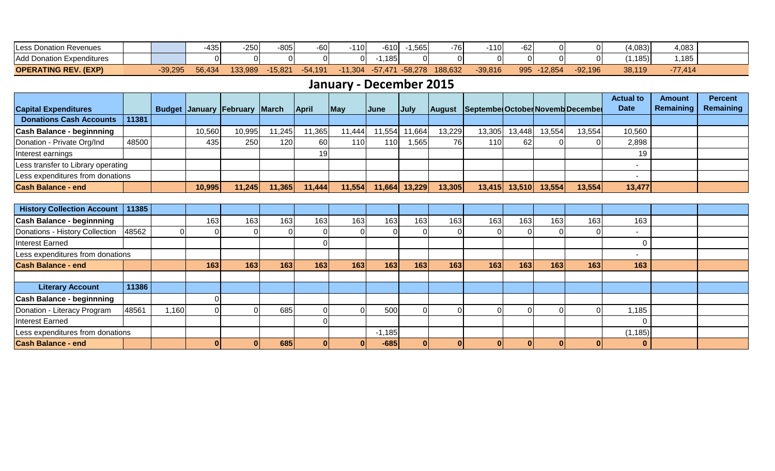| <b>ILess Donation Revenues</b> |           | -435   | $-250$  | 20E <sub>1</sub><br>∙໐∪ພ | -60       | 1 4 O<br>ப | $-610$           | ,565      | -761    | 110       | $-62$ |           |           | (4,083)        | 4,083     |  |
|--------------------------------|-----------|--------|---------|--------------------------|-----------|------------|------------------|-----------|---------|-----------|-------|-----------|-----------|----------------|-----------|--|
| Add Donation Expenditures      |           |        |         |                          |           |            | 185 <sub>1</sub> | 0         |         |           |       |           |           | $.185$ )       | 1.185     |  |
| <b>OPERATING REV. (EXP)</b>    | $-39,295$ | 56,434 | 133,989 | 15.82                    | $-54.19'$ | $-11,304$  | $-51.471$        | $-58,278$ | 188,632 | $-39,816$ | 995   | $-12,854$ | $-92,196$ | 38,119<br>י טי | $-77,414$ |  |

# **January - December 2015**

|                                    |       |        |                                      |       |              |                |              |               |        |                                         |        |        |        | <b>Actual to</b> | <b>Amount</b> | <b>Percent</b> |
|------------------------------------|-------|--------|--------------------------------------|-------|--------------|----------------|--------------|---------------|--------|-----------------------------------------|--------|--------|--------|------------------|---------------|----------------|
| <b>Capital Expenditures</b>        |       |        | <b>Budget January February March</b> |       | <b>April</b> | $\blacksquare$ | <b>IJune</b> | <b>July</b>   |        | August Septembe October Novemb December |        |        |        | <b>Date</b>      | Remaining     | Remaining      |
| <b>Donations Cash Accounts</b>     | 11381 |        |                                      |       |              |                |              |               |        |                                         |        |        |        |                  |               |                |
| <b>Cash Balance - beginnning</b>   |       | 10,560 | 10,995                               | 1,245 | 1,365        | 11,444         |              | 11,554 11,664 | 13,229 | 13,305                                  | 13,448 | 13,554 | 13,554 | 10,560           |               |                |
| Donation - Private Org/Ind         | 48500 | 435    | 250                                  | 120   | 60           | 1101           | 110          | 1,565         | 76I    | 110                                     | 62     |        |        | 2,898            |               |                |
| Interest earnings                  |       |        |                                      |       | 19           |                |              |               |        |                                         |        |        |        | 19               |               |                |
| Less transfer to Library operating |       |        |                                      |       |              |                |              |               |        |                                         |        |        |        |                  |               |                |
| Less expenditures from donations   |       |        |                                      |       |              |                |              |               |        |                                         |        |        |        |                  |               |                |
| <b>Cash Balance - end</b>          |       | 10,995 | 11,245                               | 1,365 | 11,444       | 11,554         | 11,664       | 13,229        | 13,305 | 13,415                                  | 13,510 | 13,554 | 13,554 | 13,477           |               |                |

| <b>History Collection Account</b> | 11385 |       |     |     |     |     |                  |          |     |      |                  |      |     |     |          |  |
|-----------------------------------|-------|-------|-----|-----|-----|-----|------------------|----------|-----|------|------------------|------|-----|-----|----------|--|
| <b>Cash Balance - beginnning</b>  |       |       | 163 | 163 | 163 | 163 | 163              | 163      | 163 | 163  | 163 <sub>1</sub> | 163. | 163 | 163 | 163      |  |
| Donations - History Collection    | 48562 |       |     |     |     |     |                  |          |     |      |                  |      |     |     |          |  |
| Interest Earned                   |       |       |     |     |     |     |                  |          |     |      |                  |      |     |     |          |  |
| Less expenditures from donations  |       |       |     |     |     |     |                  |          |     |      |                  |      |     |     |          |  |
| <b>Cash Balance - end</b>         |       |       | 163 | 163 | 163 | 163 | 163 <sub>1</sub> | 163      | 163 | 163l | 163              | 163  | 163 | 163 | 163      |  |
|                                   |       |       |     |     |     |     |                  |          |     |      |                  |      |     |     |          |  |
| <b>Literary Account</b>           | 11386 |       |     |     |     |     |                  |          |     |      |                  |      |     |     |          |  |
| <b>Cash Balance - beginnning</b>  |       |       |     |     |     |     |                  |          |     |      |                  |      |     |     |          |  |
| Donation - Literacy Program       | 48561 | 1,160 |     |     | 685 |     |                  | 500      |     |      |                  |      |     |     | 185, ا   |  |
| Interest Earned                   |       |       |     |     |     |     |                  |          |     |      |                  |      |     |     |          |  |
| Less expenditures from donations  |       |       |     |     |     |     |                  | $-1,185$ |     |      |                  |      |     |     | (1, 185) |  |
| <b>Cash Balance - end</b>         |       |       |     |     | 685 |     |                  | $-685$   |     |      |                  |      |     |     | $\bf{0}$ |  |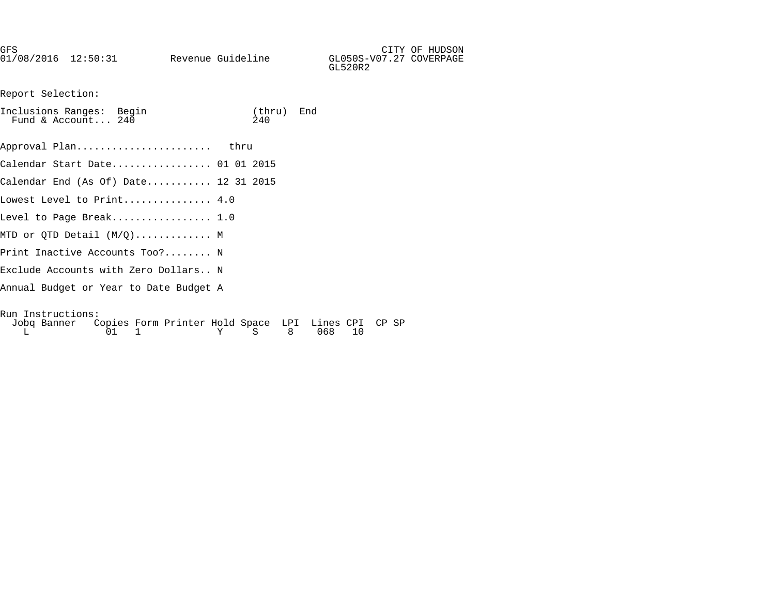| GFS<br>$01/08/2016$ $12:50:31$                 | Revenue Guideline |               |     | GL050S-V07.27 COVERPAGE<br>GL520R2 | CITY OF HUDSON |
|------------------------------------------------|-------------------|---------------|-----|------------------------------------|----------------|
| Report Selection:                              |                   |               |     |                                    |                |
| Inclusions Ranges: Begin<br>Fund & Account 240 |                   | (thru)<br>240 | End |                                    |                |

| Approval Plan                        | thru |  |
|--------------------------------------|------|--|
| Calendar Start Date 01 01 2015       |      |  |
| Calendar End (As Of) Date 12 31 2015 |      |  |
| Lowest Level to Print 4.0            |      |  |
| Level to Page Break 1.0              |      |  |
| MTD or QTD Detail $(M/Q)$ M          |      |  |
| Print Inactive Accounts Too? N       |      |  |
| Exclude Accounts with Zero Dollars N |      |  |
|                                      |      |  |

Annual Budget or Year to Date Budget A

Run Instructions: Jobq Banner Copies Form Printer Hold Space LPI Lines CPI CP SP L 01 1 Y S 8 068 10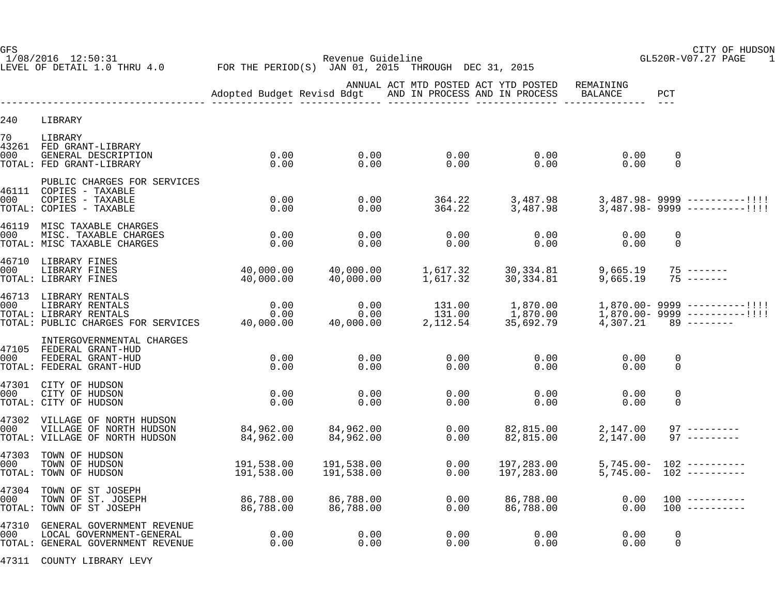1/08/2016 12:50:31 Revenue Guideline GL520R-V07.27 PAGE 1 LEVEL OF DETAIL 1.0 THRU 4.0 FOR THE PERIOD(S) JAN 01, 2015 THROUGH DEC 31, 2015

GFS CITY OF HUDSON

|           |                                                                                                                                                                | Adopted Budget Revisd Bdgt |                           |                  | ANNUAL ACT MTD POSTED ACT YTD POSTED<br>AND IN PROCESS AND IN PROCESS | REMAINING<br>BALANCE   | PCT                     |                                                                      |
|-----------|----------------------------------------------------------------------------------------------------------------------------------------------------------------|----------------------------|---------------------------|------------------|-----------------------------------------------------------------------|------------------------|-------------------------|----------------------------------------------------------------------|
| 240       | LIBRARY                                                                                                                                                        |                            |                           |                  |                                                                       |                        |                         |                                                                      |
| 70<br>000 | LIBRARY<br>43261 FED GRANT-LIBRARY<br>GENERAL DESCRIPTION<br>TOTAL: FED GRANT-LIBRARY                                                                          | 0.00<br>0.00               | 0.00<br>0.00              | 0.00<br>0.00     | 0.00<br>0.00                                                          | 0.00<br>0.00           | $\mathbf 0$<br>$\Omega$ |                                                                      |
| 000       | PUBLIC CHARGES FOR SERVICES<br>46111 COPIES - TAXABLE<br>COPIES - TAXABLE<br>TOTAL: COPIES - TAXABLE                                                           | 0.00<br>0.00               | 0.00<br>0.00              | 364.22<br>364.22 | 3,487.98<br>3,487.98                                                  |                        |                         | $3,487.98 - 9999$ ----------!!!!<br>$3,487.98 - 9999$ ----------!!!! |
| 000       | 46119 MISC TAXABLE CHARGES<br>MISC. TAXABLE CHARGES<br>TOTAL: MISC TAXABLE CHARGES                                                                             | 0.00<br>0.00               | 0.00<br>0.00              | 0.00<br>0.00     | 0.00<br>0.00                                                          | 0.00<br>0.00           | $\Omega$<br>$\mathbf 0$ |                                                                      |
| 000       | 46710 LIBRARY FINES<br>LIBRARY FINES<br>TOTAL: LIBRARY FINES                                                                                                   | 40,000.00<br>40,000.00     | 40,000.00<br>40,000.00    |                  | 1,617.32 30,334.81<br>1,617.32 30,334.81                              | 9,665.19<br>9,665.19   |                         | $75$ -------<br>$75$ -------                                         |
| 000       | 46713 LIBRARY RENTALS<br>LIBRARY RENTALS<br>USON USING THE SERVICES 1999.000.00<br>TOTAL: LIBRARY RENTALS 0.00<br>TOTAL: PUBLIC CHARGES FOR SERVICES 40,000.00 | 0.00                       | 0.00<br>0.00<br>40,000.00 | 131.00           | 1,870.00<br>$131.00$ $1,870.00$<br>2,112.54 35,692.79                 | $4,307.21$ 89 -------- |                         | $1,870.00 - 9999$ ----------!!!!<br>$1,870.00 - 9999$ ----------!!!! |
| 000       | INTERGOVERNMENTAL CHARGES<br>47105 FEDERAL GRANT-HUD<br>FEDERAL GRANT-HUD<br>TOTAL: FEDERAL GRANT-HUD                                                          | 0.00<br>0.00               | 0.00<br>0.00              | 0.00<br>0.00     | 0.00<br>0.00                                                          | 0.00<br>0.00           | $\mathbf 0$<br>0        |                                                                      |
| 000       | 47301 CITY OF HUDSON<br>CITY OF HUDSON<br>TOTAL: CITY OF HUDSON                                                                                                | 0.00<br>0.00               | 0.00<br>0.00              | 0.00<br>0.00     | 0.00<br>0.00                                                          | 0.00<br>0.00           | $\Omega$<br>$\Omega$    |                                                                      |
| 000       | 47302 VILLAGE OF NORTH HUDSON<br>VILLAGE OF NORTH HUDSON<br>TOTAL: VILLAGE OF NORTH HUDSON                                                                     | 84,962.00<br>84,962.00     | 84,962.00<br>84,962.00    | 0.00<br>0.00     | 82,815.00<br>82,815.00                                                | 2,147.00<br>2,147.00   |                         | $97$ ---------<br>$97$ ---------                                     |
| 000       | 47303 TOWN OF HUDSON<br>TOWN OF HUDSON<br>TOTAL: TOWN OF HUDSON                                                                                                | 191,538.00<br>191,538.00   | 191,538.00<br>191,538.00  | 0.00<br>0.00     | 197,283.00<br>197,283.00                                              |                        |                         | $5,745.00 - 102$ ----------<br>$5,745.00 - 102$ ----------           |
| 000       | 47304 TOWN OF ST JOSEPH<br>TOWN OF ST. JOSEPH<br>TOTAL: TOWN OF ST JOSEPH                                                                                      | 86,788.00<br>86,788.00     | 86,788.00<br>86,788.00    | 0.00<br>0.00     | 86,788.00<br>86,788.00                                                | 0.00<br>0.00           |                         | $100$ ----------<br>$100$ ----------                                 |
| 000       | 47310 GENERAL GOVERNMENT REVENUE<br>LOCAL GOVERNMENT-GENERAL<br>TOTAL: GENERAL GOVERNMENT REVENUE                                                              | 0.00<br>0.00               | 0.00<br>0.00              | 0.00<br>0.00     | 0.00<br>0.00                                                          | 0.00<br>0.00           | $\mathbf 0$<br>0        |                                                                      |

47311 COUNTY LIBRARY LEVY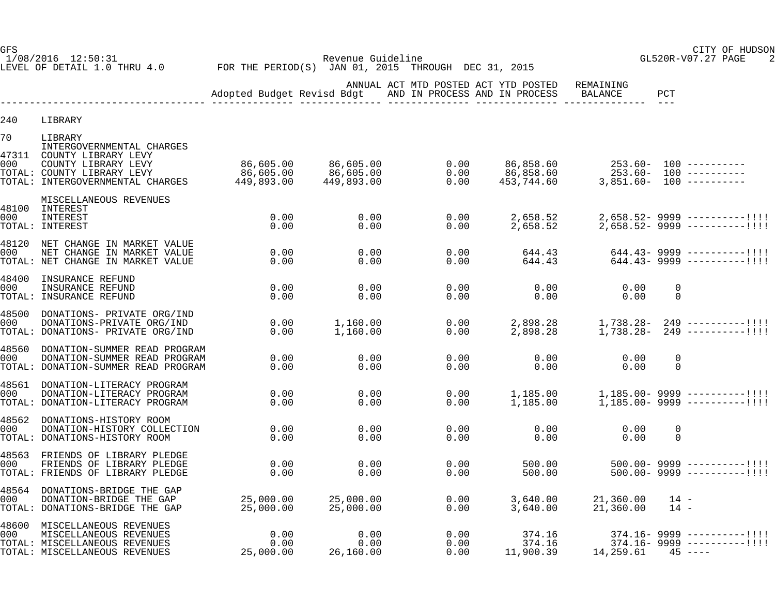1/08/2016 12:50:31 Revenue Guideline GL520R-V07.27 PAGE 2 LEVEL OF DETAIL 1.0 THRU 4.0 FOR THE PERIOD(S) JAN 01, 2015 THROUGH DEC 31, 2015

GFS CITY OF HUDSON

|                    |                                                                                                                                                      | Adopted Budget Revisd Bdgt           |                                      | ANNUAL ACT MTD POSTED ACT YTD POSTED<br>AND IN PROCESS AND IN PROCESS |                                      | REMAINING<br>BALANCE          | PCT<br>$- - -$          |                                                                                 |
|--------------------|------------------------------------------------------------------------------------------------------------------------------------------------------|--------------------------------------|--------------------------------------|-----------------------------------------------------------------------|--------------------------------------|-------------------------------|-------------------------|---------------------------------------------------------------------------------|
| 240                | LIBRARY                                                                                                                                              |                                      |                                      |                                                                       |                                      |                               |                         |                                                                                 |
| 70<br>47311<br>000 | LIBRARY<br>INTERGOVERNMENTAL CHARGES<br>COUNTY LIBRARY LEVY<br>COUNTY LIBRARY LEVY<br>TOTAL: COUNTY LIBRARY LEVY<br>TOTAL: INTERGOVERNMENTAL CHARGES | 86,605.00<br>86,605.00<br>449,893.00 | 86,605.00<br>86,605.00<br>449,893.00 | $\begin{array}{c} 0.00 \\ 0.00 \end{array}$<br>0.00<br>0.00           | 86,858.60<br>86,858.60<br>453,744.60 |                               |                         | 253.60- 100 ----------<br>253.60- 100 ----------<br>$3,851.60 - 100$ ---------- |
| 48100<br>000       | MISCELLANEOUS REVENUES<br>INTEREST<br>INTEREST<br>TOTAL: INTEREST                                                                                    | 0.00<br>0.00                         | 0.00<br>0.00                         | 0.00<br>0.00                                                          | 2,658.52<br>2,658.52                 |                               |                         | $2,658.52 - 9999$ ----------!!!!<br>$2,658.52 - 9999$ ----------!!!!            |
| 000                | 48120 NET CHANGE IN MARKET VALUE<br>NET CHANGE IN MARKET VALUE<br>TOTAL: NET CHANGE IN MARKET VALUE                                                  | 0.00<br>0.00                         | 0.00<br>0.00                         | 0.00<br>0.00                                                          | 644.43<br>644.43                     |                               |                         | $644.43 - 9999$ ----------!!!!<br>$644.43 - 9999$ ----------!!!!                |
| 48400<br>000       | INSURANCE REFUND<br>INSURANCE REFUND<br>TOTAL: INSURANCE REFUND                                                                                      | 0.00<br>0.00                         | 0.00<br>0.00                         | 0.00<br>0.00                                                          | 0.00<br>0.00                         | 0.00<br>0.00                  | $\mathbf 0$<br>$\Omega$ |                                                                                 |
| 48500<br>000       | DONATIONS- PRIVATE ORG/IND<br>DONATIONS-PRIVATE ORG/IND<br>TOTAL: DONATIONS- PRIVATE ORG/IND                                                         | 0.00<br>0.00                         | 1,160.00<br>1,160.00                 | 0.00<br>0.00                                                          | 2,898.28<br>2,898.28                 |                               |                         | $1,738.28 - 249$ ----------!!!!<br>$1,738.28 - 249$ ----------!!!!              |
| 48560<br>000       | DONATION-SUMMER READ PROGRAM<br>DONATION-SUMMER READ PROGRAM<br>TOTAL: DONATION-SUMMER READ PROGRAM                                                  | 0.00<br>0.00                         | 0.00<br>0.00                         | 0.00<br>0.00                                                          | 0.00<br>0.00                         | 0.00<br>0.00                  | $\mathbf 0$<br>$\Omega$ |                                                                                 |
| 48561<br>000       | DONATION-LITERACY PROGRAM<br>DONATION-LITERACY PROGRAM<br>TOTAL: DONATION-LITERACY PROGRAM                                                           | 0.00<br>0.00                         | 0.00<br>0.00                         | 0.00<br>0.00                                                          | 1,185.00<br>1,185.00                 |                               |                         | $1.185.00 - 9999$ ----------!!!!<br>$1,185.00 - 9999$ ----------!!!!            |
| 48562<br>000       | DONATIONS-HISTORY ROOM<br>DONATION-HISTORY COLLECTION<br>TOTAL: DONATIONS-HISTORY ROOM                                                               | 0.00<br>0.00                         | 0.00<br>0.00                         | 0.00<br>0.00                                                          | 0.00<br>0.00                         | 0.00<br>0.00                  | $\mathbf 0$<br>$\Omega$ |                                                                                 |
| 000                | 48563 FRIENDS OF LIBRARY PLEDGE<br>FRIENDS OF LIBRARY PLEDGE<br>TOTAL: FRIENDS OF LIBRARY PLEDGE                                                     | 0.00<br>0.00                         | 0.00<br>0.00                         | 0.00<br>0.00                                                          | 500.00<br>500.00                     |                               |                         | $500.00 - 9999$ ----------!!!!<br>$500.00 - 9999$ ----------!!!!                |
| 48564<br>000       | DONATIONS-BRIDGE THE GAP<br>DONATION-BRIDGE THE GAP<br>TOTAL: DONATIONS-BRIDGE THE GAP                                                               | 25,000.00<br>25,000.00               | 25,000.00<br>25,000.00               | 0.00<br>0.00                                                          | 3,640.00<br>3,640.00                 | $21,360.00$ 14 -<br>21,360.00 | $14 -$                  |                                                                                 |
| 000                | 48600 MISCELLANEOUS REVENUES<br>MISCELLANEOUS REVENUES<br>TOTAL: MISCELLANEOUS REVENUES<br>TOTAL: MISCELLANEOUS REVENUES                             | 0.00<br>0.00<br>25,000.00            | 0.00<br>0.00<br>26,160.00            | 0.00<br>0.00<br>0.00                                                  | 374.16<br>374.16<br>11,900.39        | $14, 259.61$ $45$ ----        |                         | $374.16 - 9999$ ----------!!!!<br>$374.16 - 9999$ ----------!!!!                |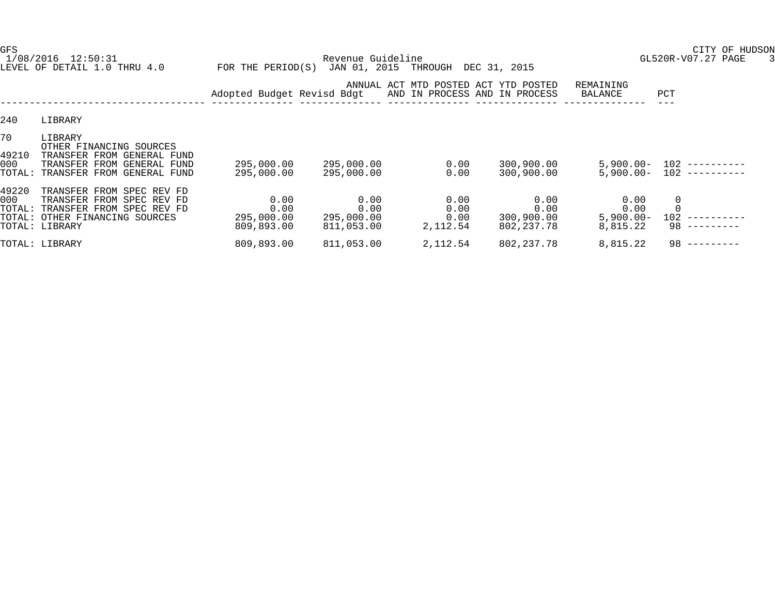LEVEL OF DETAIL 1.0 THRU 4.0 FOR THE PERIOD(S) JAN 01, 2015 THROUGH DEC 31, 2015

GFS CITY OF HUDSON

1/08/2016 12:50:31 Revenue Guideline GL520R-V07.27 PAGE 3

|                    |                                                                                                                                                | Adopted Budget Revisd Bdgt               |                                          |                                  | ANNUAL ACT MTD POSTED ACT YTD POSTED<br>AND IN PROCESS AND IN PROCESS | REMAINING<br>BALANCE                     | PCT                      |
|--------------------|------------------------------------------------------------------------------------------------------------------------------------------------|------------------------------------------|------------------------------------------|----------------------------------|-----------------------------------------------------------------------|------------------------------------------|--------------------------|
| 240                | LIBRARY                                                                                                                                        |                                          |                                          |                                  |                                                                       |                                          |                          |
| 70<br>49210<br>000 | LIBRARY<br>OTHER FINANCING SOURCES<br>TRANSFER FROM GENERAL FUND<br>GENERAL FUND<br>TRANSFER<br>FROM<br>TOTAL: TRANSFER FROM GENERAL FUND      | 295,000.00<br>295,000.00                 | 295,000.00<br>295,000.00                 | 0.00<br>0.00                     | 300,900.00<br>300,900.00                                              | $5,900.00 -$<br>$5,900.00 -$             | 102<br>102               |
| 49220<br>000       | TRANSFER FROM SPEC REV FD<br>TRANSFER FROM SPEC REV FD<br>TOTAL: TRANSFER FROM SPEC REV FD<br>TOTAL: OTHER FINANCING SOURCES<br>TOTAL: LIBRARY | 0.00<br>0.00<br>295,000.00<br>809,893.00 | 0.00<br>0.00<br>295,000.00<br>811,053.00 | 0.00<br>0.00<br>0.00<br>2,112.54 | 0.00<br>0.00<br>300,900.00<br>802,237.78                              | 0.00<br>0.00<br>$5,900.00 -$<br>8,815.22 | $\mathbf 0$<br>102<br>98 |
|                    | TOTAL: LIBRARY                                                                                                                                 | 809,893.00                               | 811,053.00                               | 2,112.54                         | 802, 237. 78                                                          | 8,815.22                                 | 98                       |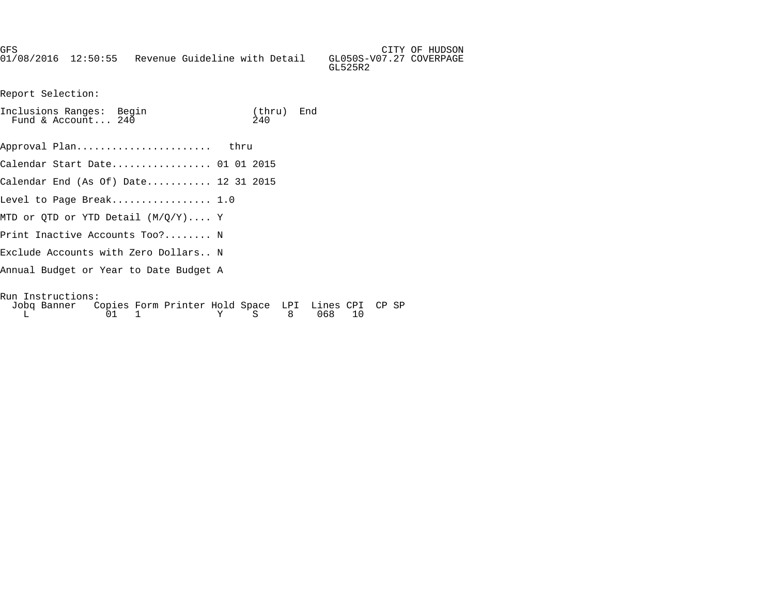GFS CITY OF HUDSON 01/08/2016 12:50:55 Revenue Guideline with Detail GL050S-V07.27 COVERPAGE

Report Selection:

| Inclusions Ranges: Begin<br>Fund & Account 240                                      | (thru) End<br>2.40 |  |
|-------------------------------------------------------------------------------------|--------------------|--|
| Approval Plan thru                                                                  |                    |  |
| Calendar Start Date 01 01 2015                                                      |                    |  |
| Calendar End (As Of) Date 12 31 2015                                                |                    |  |
| Level to Page Break $1.0$                                                           |                    |  |
| MTD or OTD or YTD Detail $(M/O/Y) \ldots$ . Y                                       |                    |  |
| Print Inactive Accounts Too? N                                                      |                    |  |
| Exclude Accounts with Zero Dollars N                                                |                    |  |
| Annual Budget or Year to Date Budget A                                              |                    |  |
| Run Instructions:<br>Jobg Banner Copies Form Printer Hold Space LPI Lines CPI CP SP |                    |  |

L 01 1 Y S 8 068 10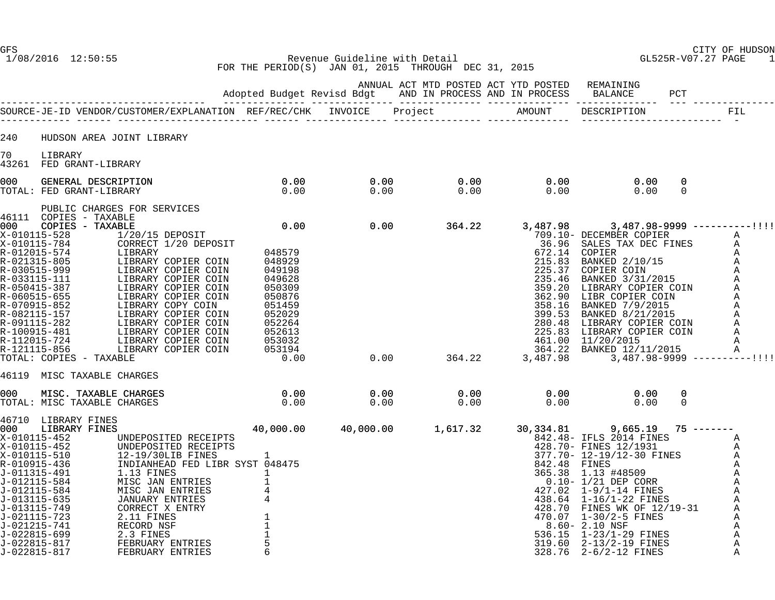1/08/2016 12:50:55 Revenue Guideline with Detail GL525R-V07.27 PAGE 1 FOR THE PERIOD(S) JAN 01, 2015 THROUGH DEC 31, 2015

|         |                                                                                                                                                                                                                                                                                                                         |                                                                                           | ANNUAL ACT MTD POSTED ACT YTD POSTED REMAINING |                                                                                                                                                                                                                                                   |               |  |
|---------|-------------------------------------------------------------------------------------------------------------------------------------------------------------------------------------------------------------------------------------------------------------------------------------------------------------------------|-------------------------------------------------------------------------------------------|------------------------------------------------|---------------------------------------------------------------------------------------------------------------------------------------------------------------------------------------------------------------------------------------------------|---------------|--|
|         |                                                                                                                                                                                                                                                                                                                         |                                                                                           |                                                |                                                                                                                                                                                                                                                   |               |  |
| 240     | HUDSON AREA JOINT LIBRARY                                                                                                                                                                                                                                                                                               |                                                                                           |                                                |                                                                                                                                                                                                                                                   |               |  |
| 70 — 20 | LIBRARY<br>43261 FED GRANT-LIBRARY                                                                                                                                                                                                                                                                                      |                                                                                           |                                                |                                                                                                                                                                                                                                                   |               |  |
|         |                                                                                                                                                                                                                                                                                                                         |                                                                                           |                                                |                                                                                                                                                                                                                                                   | 0<br>$\Omega$ |  |
|         | PUBLIC CHARGES FOR SERVICES<br>46111 COPIES - TAXABLE<br>46111 COPIES - TAXABLE<br>2001 COPIES - TAXABLE<br>2010115-528<br>2010115-528<br>2010115-528<br>2010115-528<br>2010115-528<br>2010115-724<br>2010115-724<br>2010115-724<br>2010115-724<br>2010115-852<br>2010115-852<br>2010115-<br>46119 MISC TAXABLE CHARGES |                                                                                           |                                                |                                                                                                                                                                                                                                                   |               |  |
|         |                                                                                                                                                                                                                                                                                                                         |                                                                                           | $0.00$ $0.00$ $0.00$ $0.00$ $0.00$             |                                                                                                                                                                                                                                                   | 0<br>$\Omega$ |  |
|         | 46710 LIBRARY FINES<br>000 LIBRARY FINES<br>000 LIBRARY FINES<br>X-010115-452 UNDEPOSITED RECEIPTS<br>X-010115-452 UNDEPOSITED RECEIPTS<br>X-010115-510 12-19/30LIB FINES<br>R-010915-436 INDIANHEAD FED LIBR SYST 048475<br>J-011315-491 1.13 FINES<br>J-012115-584 MISC JAN ENTRIES<br>                               | 40,000.00  40,000.00  1,617.32  30,334.81  9,665.19  75 ------<br>342.48- TFLS 2014 FINES | $40,000.00$ $1,617.32$ $30,$                   | ),334.81 9,665.19 75 -------<br>842.48- IFLS 2014 FINES<br>428.70- FINES 12/1931 A<br>377.70- 12-19/12-30 FINES A<br>842.48 FINES 12/1931 A<br>377.70- 12-19/12-30 FINES A<br>842.48 FINES A<br>845.38 1.13 #48509 A<br>0.10- 1/21 DEP CORR A<br> |               |  |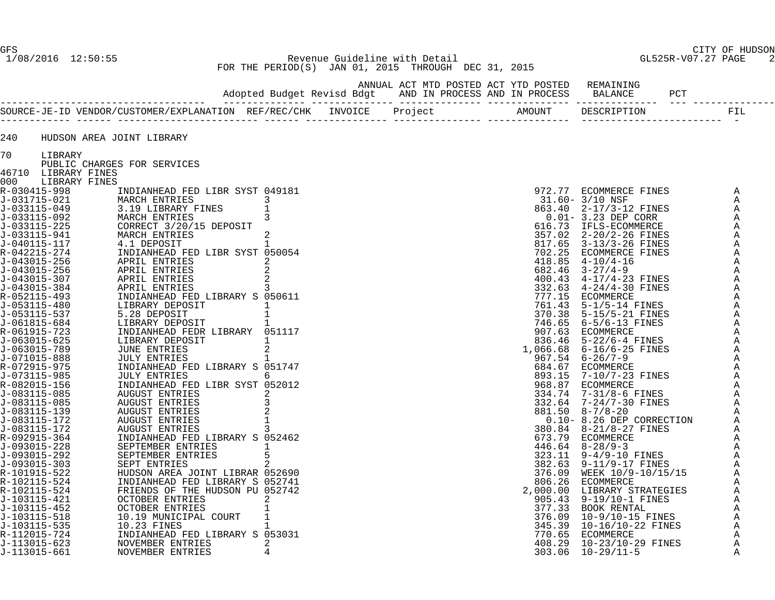GFS CITY OF HUDSON 1/08/2016 12:50:55 Revenue Guideline with Detail GL525R-V07.27 PAGE 2 FOR THE PERIOD(S) JAN 01, 2015 THROUGH DEC 31, 2015

ANNUAL ACT MTD POSTED ACT YTD POSTED REMAINING

|              |                     |                                 | Adopted Budget Revisd Bdgt |  | AND IN PROCESS AND IN PROCESS | <b>BALANCE</b><br>PCT        |             |
|--------------|---------------------|---------------------------------|----------------------------|--|-------------------------------|------------------------------|-------------|
|              |                     |                                 |                            |  |                               | -------------<br>DESCRIPTION | FIL         |
| 240          |                     | HUDSON AREA JOINT LIBRARY       |                            |  |                               |                              |             |
| 70           | LIBRARY             |                                 |                            |  |                               |                              |             |
|              |                     | PUBLIC CHARGES FOR SERVICES     |                            |  |                               |                              |             |
|              | 46710 LIBRARY FINES |                                 |                            |  |                               |                              |             |
| 000          | LIBRARY FINES       |                                 |                            |  |                               |                              |             |
| R-030415-998 |                     | INDIANHEAD FED LIBR SYST 049181 |                            |  |                               | 972.77 ECOMMERCE FINES       | Α           |
| J-031715-021 |                     | MARCH ENTRIES                   | 3                          |  |                               | 31.60- 3/10 NSF              | Α           |
| J-033115-049 |                     | 3.19 LIBRARY FINES              |                            |  |                               | 863.40 2-17/3-12 FINES       |             |
| J-033115-092 |                     | MARCH ENTRIES                   | 3                          |  |                               | $0.01-3.23$ DEP CORR         |             |
| J-033115-225 |                     | CORRECT 3/20/15 DEPOSIT         |                            |  |                               | 616.73 IFLS-ECOMMERCE        |             |
| J-033115-941 |                     | MARCH ENTRIES                   | 2                          |  |                               | 357.02 2-20/2-26 FINES       |             |
| J-040115-117 |                     | 4.1 DEPOSIT                     | $\mathbf{1}$               |  |                               | 817.65 3-13/3-26 FINES       |             |
| R-042215-274 |                     | INDIANHEAD FED LIBR SYST 050054 |                            |  | 702.25                        | ECOMMERCE FINES              |             |
| J-043015-256 |                     | APRIL ENTRIES                   | 2                          |  |                               | $418.85$ $4-10/4-16$         |             |
| J-043015-256 |                     | APRIL ENTRIES                   |                            |  |                               | $682.46$ $3-27/4-9$          |             |
| J-043015-307 |                     | APRIL ENTRIES                   |                            |  |                               | 400.43 4-17/4-23 FINES       |             |
| J-043015-384 |                     | APRIL ENTRIES                   | 3                          |  |                               | 332.63 4-24/4-30 FINES       |             |
| R-052115-493 |                     | INDIANHEAD FED LIBRARY S 050611 |                            |  | 777.15                        | ECOMMERCE                    |             |
| J-053115-480 |                     | LIBRARY DEPOSIT                 |                            |  | 761.43                        | $5-1/5-14$ FINES             |             |
| J-053115-537 |                     | 5.28 DEPOSIT                    |                            |  | 370.38                        | $5 - 15 / 5 - 21$ FINES      |             |
| J-061815-684 |                     | LIBRARY DEPOSIT                 |                            |  |                               | 746.65 6-5/6-13 FINES        |             |
| R-061915-723 |                     | INDIANHEAD FEDR LIBRARY 051117  |                            |  |                               | 907.63 ECOMMERCE             |             |
| J-063015-625 |                     | LIBRARY DEPOSIT                 | $\mathbf{1}$               |  |                               | 836.46 5-22/6-4 FINES        |             |
| J-063015-789 |                     | JUNE ENTRIES                    |                            |  |                               | 1,066.68 6-16/6-25 FINES     |             |
| J-071015-888 |                     | <b>JULY ENTRIES</b>             |                            |  |                               | $967.54$ $6-26/7-9$          |             |
| R-072915-975 |                     | INDIANHEAD FED LIBRARY S 051747 |                            |  |                               | 684.67 ECOMMERCE             |             |
| J-073115-985 |                     | <b>JULY ENTRIES</b>             | ნ —                        |  | 893.15                        | 7-10/7-23 FINES              |             |
| R-082015-156 |                     | INDIANHEAD FED LIBR SYST 052012 |                            |  | 968.87                        | ECOMMERCE                    |             |
| J-083115-085 |                     | <b>AUGUST ENTRIES</b>           |                            |  | 334.74                        | 7-31/8-6 FINES               |             |
| J-083115-085 |                     | <b>AUGUST ENTRIES</b>           |                            |  | 332.64                        | 7-24/7-30 FINES              |             |
| J-083115-139 |                     | <b>AUGUST ENTRIES</b>           |                            |  |                               | $881.50$ $8-7/8-20$          |             |
| J-083115-172 |                     | AUGUST ENTRIES                  |                            |  |                               | 0.10-8.26 DEP CORRECTION     |             |
| J-083115-172 |                     | <b>AUGUST ENTRIES</b>           |                            |  |                               | 380.84 8-21/8-27 FINES       |             |
| R-092915-364 |                     | INDIANHEAD FED LIBRARY S 052462 |                            |  |                               | 673.79 ECOMMERCE             |             |
| J-093015-228 |                     | SEPTEMBER ENTRIES               | $\mathbf{1}$               |  |                               | $446.64$ $8-28/9-3$          |             |
| J-093015-292 |                     | SEPTEMBER ENTRIES               |                            |  | 323.11                        | 9-4/9-10 FINES               |             |
| J-093015-303 |                     | SEPT ENTRIES                    |                            |  | 382.63                        | 9-11/9-17 FINES              |             |
| R-101915-522 |                     | HUDSON AREA JOINT LIBRAR 052690 |                            |  |                               | 376.09 WEEK 10/9-10/15/15    |             |
| R-102115-524 |                     | INDIANHEAD FED LIBRARY S 052741 |                            |  |                               | 806.26 ECOMMERCE             |             |
| R-102115-524 |                     | FRIENDS OF THE HUDSON PU 052742 |                            |  | 2,000.00                      | LIBRARY STRATEGIES           |             |
| J-103115-421 |                     | <b>OCTOBER ENTRIES</b>          | 2                          |  |                               | 905.43 9-19/10-1 FINES       |             |
| J-103115-452 |                     | <b>OCTOBER ENTRIES</b>          |                            |  | 377.33                        | BOOK RENTAL                  |             |
| J-103115-518 |                     | 10.19 MUNICIPAL COURT           |                            |  | 376.09                        | 10-9/10-15 FINES             |             |
| J-103115-535 |                     | 10.23 FINES                     | $\mathbf{1}$               |  |                               | 345.39 10-16/10-22 FINES     |             |
| R-112015-724 |                     | INDIANHEAD FED LIBRARY S 053031 |                            |  | 770.65                        | ECOMMERCE                    |             |
| J-113015-623 |                     | NOVEMBER ENTRIES                | 2                          |  | 408.29                        | 10-23/10-29 FINES            |             |
| J-113015-661 |                     | NOVEMBER ENTRIES                |                            |  | 303.06                        | $10 - 29/11 - 5$             | $\mathbb A$ |
|              |                     |                                 |                            |  |                               |                              |             |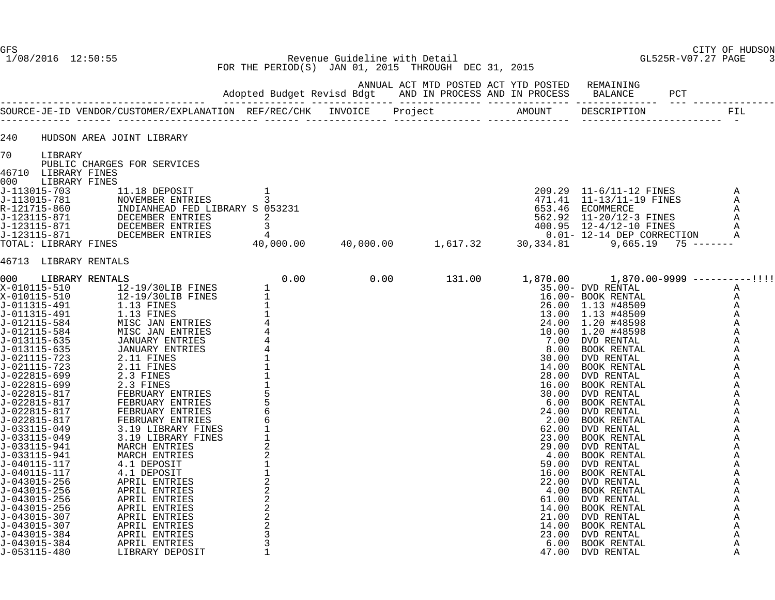Revenue Guideline with Detail FOR THE PERIOD(S) JAN 01, 2015 THROUGH DEC 31, 2015

ANNUAL ACT MTD POSTED ACT YTD POSTED REMAINING

|                              |                                 |                                                 |      | Adopted Budget Revisd Bdgt AND IN PROCESS AND IN PROCESS                                        |               | <b>BALANCE</b>                   |              |
|------------------------------|---------------------------------|-------------------------------------------------|------|-------------------------------------------------------------------------------------------------|---------------|----------------------------------|--------------|
|                              |                                 |                                                 |      |                                                                                                 |               |                                  | FIL          |
| 240                          | HUDSON AREA JOINT LIBRARY       |                                                 |      |                                                                                                 |               |                                  |              |
| 70<br>LIBRARY                |                                 |                                                 |      |                                                                                                 |               |                                  |              |
|                              | PUBLIC CHARGES FOR SERVICES     |                                                 |      |                                                                                                 |               |                                  |              |
| 46710 LIBRARY FINES<br>000   | LIBRARY FINES                   |                                                 |      |                                                                                                 |               |                                  |              |
| J-113015-703                 | 11.18 DEPOSIT                   |                                                 |      |                                                                                                 |               | 209.29 11-6/11-12 FINES          | Α            |
| J-113015-781                 | NOVEMBER ENTRIES                | 3                                               |      |                                                                                                 |               | 471.41  11-13/11-19 FINES        | Α            |
| R-121715-860                 | INDIANHEAD FED LIBRARY S 053231 |                                                 |      |                                                                                                 |               | 653.46 ECOMMERCE                 | Α            |
| J-123115-871                 | DECEMBER ENTRIES                | 2                                               |      |                                                                                                 |               | 562.92 11-20/12-3 FINES          | A            |
| J-123115-871                 | DECEMBER ENTRIES                | 3                                               |      |                                                                                                 |               | 400.95 12-4/12-10 FINES          | Α            |
| J-123115-871                 | DECEMBER ENTRIES                | 4                                               |      |                                                                                                 |               | 0.01- 12-14 DEP CORRECTION       | Α            |
| TOTAL: LIBRARY FINES         |                                 | 40,000.00                                       |      | $\begin{array}{c} 209.29 \\ 471.41 \\ 653.46 \\ 562.92 \\ 40,000.00 \\ 1,617.32 \\ \end{array}$ |               | 9,665.19                         | $75$ ------- |
| 46713 LIBRARY RENTALS        |                                 |                                                 |      |                                                                                                 |               |                                  |              |
| l000 l                       | LIBRARY RENTALS                 | 0.00                                            | 0.00 | 131.00                                                                                          | 1,870.00      | $1,870.00 - 9999$ ----------!!!! |              |
| X-010115-510                 | 12-19/30LIB FINES               |                                                 |      |                                                                                                 |               | 35.00- DVD RENTAL                | Α            |
| X-010115-510                 | 12-19/30LIB FINES               |                                                 |      |                                                                                                 |               | 16.00- BOOK RENTAL               | A            |
| J-011315-491                 | 1.13 FINES                      |                                                 |      |                                                                                                 |               | 26.00 1.13 #48509                | Α            |
| J-011315-491                 | 1.13 FINES                      | $\begin{array}{c} 1 \\ 1 \\ 1 \\ 4 \end{array}$ |      |                                                                                                 | 13.00         | 1.13 #48509                      | A            |
| J-012115-584                 | MISC JAN ENTRIES                |                                                 |      |                                                                                                 | 24.00         | 1.20 #48598                      | Α            |
| J-012115-584                 | MISC JAN ENTRIES                |                                                 |      |                                                                                                 | 10.00         | 1.20 #48598                      | Α            |
| J-013115-635                 | JANUARY ENTRIES                 |                                                 |      |                                                                                                 | 7.00          | DVD RENTAL                       | Α            |
| J-013115-635<br>J-021115-723 | JANUARY ENTRIES<br>2.11 FINES   |                                                 |      |                                                                                                 | 8.00<br>30.00 | BOOK RENTAL<br>DVD RENTAL        | Α<br>Α       |
| J-021115-723                 | 2.11 FINES                      |                                                 |      |                                                                                                 | 14.00         | BOOK RENTAL                      | A            |
| J-022815-699                 | 2.3 FINES                       |                                                 |      |                                                                                                 | 28.00         | DVD RENTAL                       | Α            |
| J-022815-699                 | 2.3 FINES                       |                                                 |      |                                                                                                 | 16.00         | BOOK RENTAL                      | Α            |
| J-022815-817                 | FEBRUARY ENTRIES                |                                                 |      |                                                                                                 | 30.00         | DVD RENTAL                       | Α            |
| J-022815-817                 | FEBRUARY ENTRIES                | $\frac{5}{6}$                                   |      |                                                                                                 | 6.00          | BOOK RENTAL                      | Α            |
| J-022815-817                 | FEBRUARY ENTRIES                |                                                 |      |                                                                                                 | 24.00         | DVD RENTAL                       | Α            |
| J-022815-817                 | FEBRUARY ENTRIES                |                                                 |      |                                                                                                 | 2.00          | BOOK RENTAL                      | Α            |
| J-033115-049                 | 3.19 LIBRARY FINES              |                                                 |      |                                                                                                 | 62.00         | DVD RENTAL                       | Α            |
| J-033115-049                 | 3.19 LIBRARY FINES              |                                                 |      |                                                                                                 | 23.00         | BOOK RENTAL                      | Α            |
| J-033115-941                 | MARCH ENTRIES                   | $\frac{2}{2}$                                   |      |                                                                                                 | 29.00         | DVD RENTAL                       | Α            |
| J-033115-941<br>J-040115-117 | MARCH ENTRIES<br>4.1 DEPOSIT    | $1\,$                                           |      |                                                                                                 | 4.00<br>59.00 | BOOK RENTAL<br>DVD RENTAL        | Α<br>Α       |
| J-040115-117                 | 4.1 DEPOSIT                     |                                                 |      |                                                                                                 | 16.00         | BOOK RENTAL                      | Α            |
| J-043015-256                 | APRIL ENTRIES                   |                                                 |      |                                                                                                 | 22.00         | DVD RENTAL                       | Α            |
| J-043015-256                 | APRIL ENTRIES                   |                                                 |      |                                                                                                 | 4.00          | BOOK RENTAL                      | Α            |
| J-043015-256                 | APRIL ENTRIES                   | $\frac{2}{2}$                                   |      |                                                                                                 | 61.00         | DVD RENTAL                       | Α            |
| J-043015-256                 | APRIL ENTRIES                   | $\overline{a}$                                  |      |                                                                                                 | 14.00         | BOOK RENTAL                      | Α            |
| J-043015-307                 | APRIL ENTRIES                   | $\sqrt{2}$                                      |      |                                                                                                 | 21.00         | DVD RENTAL                       | Α            |
| J-043015-307                 | APRIL ENTRIES                   | $\overline{c}$                                  |      |                                                                                                 | 14.00         | BOOK RENTAL                      | Α            |
| J-043015-384                 | APRIL ENTRIES                   | $\mathbf{3}$                                    |      |                                                                                                 | 23.00         | DVD RENTAL                       | Α            |
| J-043015-384                 | APRIL ENTRIES                   | 3                                               |      |                                                                                                 | 6.00          | BOOK RENTAL                      | Α            |
| J-053115-480                 | LIBRARY DEPOSIT                 | $\mathbf{1}$                                    |      |                                                                                                 | 47.00         | DVD RENTAL                       | Α            |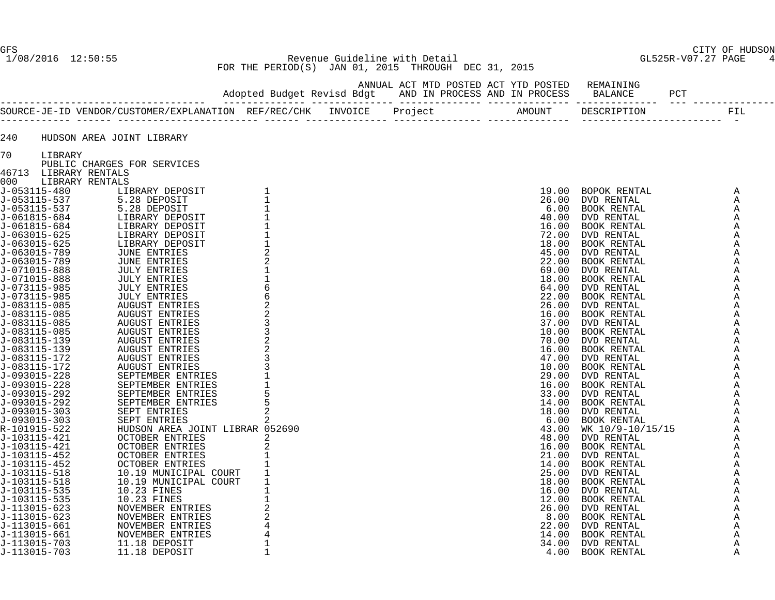1/08/2016 12:50:55 Revenue Guideline with Detail GL525R-V07.27 PAGE 4 FOR THE PERIOD(S) JAN 01, 2015 THROUGH DEC 31, 2015

| 240 |                       | HUDSON AREA JOINT LIBRARY                                                                                                                                                                                                     |               |   |  |                                        |   |  |
|-----|-----------------------|-------------------------------------------------------------------------------------------------------------------------------------------------------------------------------------------------------------------------------|---------------|---|--|----------------------------------------|---|--|
| 70  | LIBRARY               |                                                                                                                                                                                                                               |               |   |  |                                        |   |  |
|     |                       | PUBLIC CHARGES FOR SERVICES                                                                                                                                                                                                   |               |   |  |                                        |   |  |
|     | 46713 LIBRARY RENTALS |                                                                                                                                                                                                                               |               |   |  |                                        |   |  |
|     | 000 LIBRARY RENTALS   |                                                                                                                                                                                                                               |               |   |  |                                        |   |  |
|     |                       |                                                                                                                                                                                                                               |               |   |  | 19.00 BOPOK RENTAL<br>26.00 DVD RENTAL | A |  |
|     |                       |                                                                                                                                                                                                                               |               |   |  |                                        | Α |  |
|     |                       |                                                                                                                                                                                                                               |               |   |  |                                        |   |  |
|     |                       |                                                                                                                                                                                                                               |               |   |  |                                        |   |  |
|     |                       |                                                                                                                                                                                                                               |               |   |  |                                        |   |  |
|     |                       |                                                                                                                                                                                                                               |               |   |  |                                        |   |  |
|     |                       |                                                                                                                                                                                                                               |               |   |  |                                        |   |  |
|     |                       |                                                                                                                                                                                                                               |               |   |  |                                        |   |  |
|     |                       |                                                                                                                                                                                                                               |               |   |  |                                        |   |  |
|     |                       |                                                                                                                                                                                                                               |               |   |  |                                        |   |  |
|     |                       |                                                                                                                                                                                                                               | $\frac{1}{6}$ |   |  |                                        |   |  |
|     |                       |                                                                                                                                                                                                                               |               |   |  |                                        |   |  |
|     |                       |                                                                                                                                                                                                                               |               |   |  |                                        |   |  |
|     |                       |                                                                                                                                                                                                                               |               |   |  |                                        |   |  |
|     |                       |                                                                                                                                                                                                                               |               |   |  |                                        |   |  |
|     |                       |                                                                                                                                                                                                                               | 3             |   |  |                                        |   |  |
|     |                       |                                                                                                                                                                                                                               |               |   |  |                                        |   |  |
|     |                       |                                                                                                                                                                                                                               |               |   |  |                                        |   |  |
|     |                       |                                                                                                                                                                                                                               | 3             |   |  |                                        |   |  |
|     |                       |                                                                                                                                                                                                                               |               |   |  |                                        |   |  |
|     |                       |                                                                                                                                                                                                                               |               |   |  |                                        |   |  |
|     |                       |                                                                                                                                                                                                                               |               |   |  |                                        |   |  |
|     |                       |                                                                                                                                                                                                                               |               |   |  |                                        |   |  |
|     |                       |                                                                                                                                                                                                                               | 5             |   |  |                                        |   |  |
|     |                       |                                                                                                                                                                                                                               |               |   |  |                                        |   |  |
|     |                       |                                                                                                                                                                                                                               | 2             |   |  |                                        |   |  |
|     |                       | HUDSON AREA JOINT LIBRAR 052690                                                                                                                                                                                               |               |   |  |                                        |   |  |
|     |                       |                                                                                                                                                                                                                               |               | 2 |  |                                        |   |  |
|     |                       |                                                                                                                                                                                                                               |               |   |  |                                        |   |  |
|     |                       |                                                                                                                                                                                                                               |               |   |  |                                        |   |  |
|     |                       |                                                                                                                                                                                                                               |               |   |  |                                        |   |  |
|     |                       |                                                                                                                                                                                                                               | $\mathbf{1}$  |   |  |                                        |   |  |
|     |                       |                                                                                                                                                                                                                               | $\mathbf{1}$  |   |  |                                        |   |  |
|     |                       | 46713 LIBRARY RENTALS FOR SERVICES FOR SERVICES (1000 LIBRARY DEPOSIT J-053115-537 5.28 DEPOSIT T-053115-537 5.28 DEPOSIT T-063015-625 LIBRARY DEPOSIT T-063015-625 LIBRARY DEPOSIT T-063015-625 LIBRARY DEPOSIT T-063015-625 |               |   |  |                                        |   |  |
|     |                       |                                                                                                                                                                                                                               | $\mathbf{1}$  |   |  |                                        |   |  |
|     |                       |                                                                                                                                                                                                                               |               |   |  |                                        |   |  |
|     |                       |                                                                                                                                                                                                                               |               |   |  |                                        |   |  |
|     |                       |                                                                                                                                                                                                                               |               |   |  |                                        |   |  |
|     |                       |                                                                                                                                                                                                                               |               |   |  |                                        |   |  |
|     |                       |                                                                                                                                                                                                                               | 1             |   |  |                                        |   |  |
|     |                       |                                                                                                                                                                                                                               | $\mathbf{1}$  |   |  |                                        |   |  |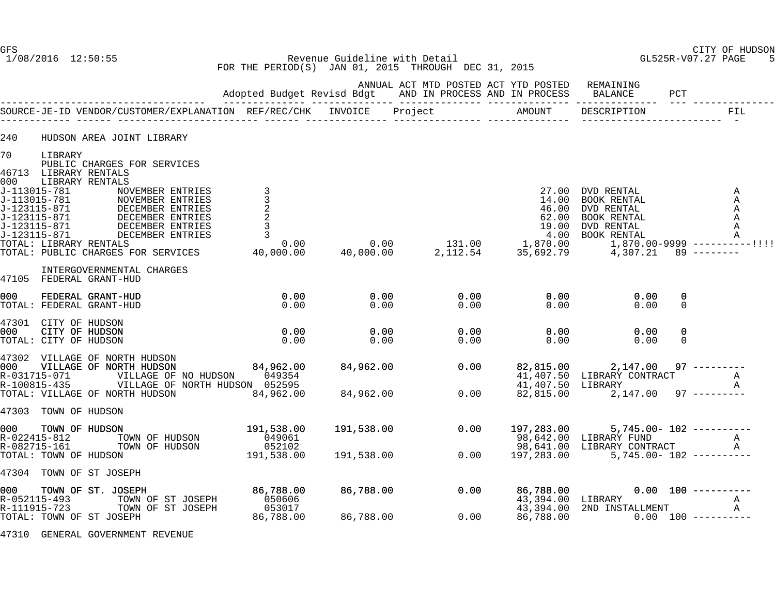1/08/2016 12:50:55 Revenue Guideline with Detail GL525R-V07.27 PAGE 5 FOR THE PERIOD(S) JAN 01, 2015 THROUGH DEC 31, 2015

|                                                                            |  | ANNUAL ACT MTD POSTED ACT YTD POSTED REMAINING<br>Adopted Budget Revisd Bdgt AND IN PROCESS AND IN PROCESS |        | BALANCE     | PCT |  |
|----------------------------------------------------------------------------|--|------------------------------------------------------------------------------------------------------------|--------|-------------|-----|--|
| SOURCE-JE-ID VENDOR/CUSTOMER/EXPLANATION  REF/REC/CHK   INVOICE    Project |  |                                                                                                            | AMOUNT | DESCRIPTION |     |  |

| 240       |                                                                                                                                                            | HUDSON AREA JOINT LIBRARY                                                                                                                                                                                    |                                                                        |                          |                                       |                                                   |                                                                                                 |                                                                                           |
|-----------|------------------------------------------------------------------------------------------------------------------------------------------------------------|--------------------------------------------------------------------------------------------------------------------------------------------------------------------------------------------------------------|------------------------------------------------------------------------|--------------------------|---------------------------------------|---------------------------------------------------|-------------------------------------------------------------------------------------------------|-------------------------------------------------------------------------------------------|
| 70<br>000 | LIBRARY<br>46713 LIBRARY RENTALS<br>J-113015-781<br>J-113015-781<br>J-123115-871<br>J-123115-871<br>J-123115-871<br>J-123115-871<br>TOTAL: LIBRARY RENTALS | PUBLIC CHARGES FOR SERVICES<br>LIBRARY RENTALS<br>NOVEMBER ENTRIES<br>NOVEMBER ENTRIES<br>DECEMBER ENTRIES<br>DECEMBER ENTRIES<br>DECEMBER ENTRIES<br>DECEMBER ENTRIES<br>TOTAL: PUBLIC CHARGES FOR SERVICES | $\begin{array}{c}\n3 \\ 3 \\ 2 \\ 3\n\end{array}$<br>0.00<br>40,000.00 | 0.00<br>40,000.00        | 131.00 1,870.00<br>2,112.54 35,692.79 | 27.00<br>14.00<br>46.00<br>62.00<br>19.00<br>4.00 | DVD RENTAL<br>BOOK RENTAL<br>DVD RENTAL<br>BOOK RENTAL<br>DVD RENTAL<br>BOOK RENTAL<br>4,307.21 | Α<br>Α<br>Α<br>Α<br>Α<br>$\mathbb A$<br>$1,870.00 - 9999$ ----------!!!!<br>$89$ -------- |
|           |                                                                                                                                                            | INTERGOVERNMENTAL CHARGES<br>47105 FEDERAL GRANT-HUD                                                                                                                                                         |                                                                        |                          |                                       |                                                   |                                                                                                 |                                                                                           |
| 000       |                                                                                                                                                            | FEDERAL GRANT-HUD<br>TOTAL: FEDERAL GRANT-HUD                                                                                                                                                                | 0.00<br>0.00                                                           | 0.00<br>0.00             | 0.00<br>0.00                          | 0.00<br>0.00                                      | 0.00<br>0.00                                                                                    | 0<br>$\mathbf 0$                                                                          |
| 000       | 47301 CITY OF HUDSON<br>CITY OF HUDSON<br>TOTAL: CITY OF HUDSON                                                                                            |                                                                                                                                                                                                              | 0.00<br>0.00                                                           | 0.00<br>0.00             | 0.00<br>0.00                          | 0.00<br>0.00                                      | 0.00<br>0.00                                                                                    | 0<br>$\mathbf 0$                                                                          |
| 000 -     | R-031715-071<br>R-100815-435                                                                                                                               | 47302 VILLAGE OF NORTH HUDSON<br>VILLAGE OF NORTH HUDSON<br>VILLAGE OF NO HUDSON 049354<br>VILLAGE OF NORTH HUDSON 052595<br>TOTAL: VILLAGE OF NORTH HUDSON                                                  | 84,962.00<br>84,962.00                                                 | 84,962.00<br>84,962.00   | 0.00<br>0.00                          | 82,815.00<br>41,407.50 LIBRARY<br>82,815.00       | 2,147.00<br>41,407.50 LIBRARY CONTRACT<br>2,147.00                                              | $97$ ---------<br>Α<br>Α<br>$97 - - - - - - - - -$                                        |
|           | 47303 TOWN OF HUDSON                                                                                                                                       |                                                                                                                                                                                                              |                                                                        |                          |                                       |                                                   |                                                                                                 |                                                                                           |
| 000       | TOWN OF HUDSON<br>R-022415-812<br>R-082715-161<br>TOTAL: TOWN OF HUDSON                                                                                    | TOWN OF HUDSON<br>TOWN OF HUDSON                                                                                                                                                                             | 191,538.00<br>049061<br>052102<br>191,538.00                           | 191,538.00<br>191,538.00 | 0.00<br>0.00                          | 197,283.00<br>197,283.00                          | 98,642.00 LIBRARY FUND<br>98,641.00 LIBRARY CONTRACT                                            | $5,745.00 - 102$ ----------<br>A<br>$\mathbb A$<br>$5,745.00 - 102$ ----------            |
|           |                                                                                                                                                            | 47304 TOWN OF ST JOSEPH                                                                                                                                                                                      |                                                                        |                          |                                       |                                                   |                                                                                                 |                                                                                           |
| 000       | R-052115-493<br>R-111915-723                                                                                                                               | TOWN OF ST. JOSEPH<br>TOWN OF ST JOSEPH<br>TOWN OF ST JOSEPH                                                                                                                                                 | 86,788.00<br>050606<br>053017                                          | 86,788.00                | 0.00                                  | 86,788.00<br>43,394.00 LIBRARY<br>43,394.00       | 2ND INSTALLMENT                                                                                 | $0.00$ 100 ----------<br>Α<br>A                                                           |
|           |                                                                                                                                                            | TOTAL: TOWN OF ST JOSEPH                                                                                                                                                                                     | 86,788.00                                                              | 86,788.00                | 0.00                                  | 86,788.00                                         |                                                                                                 | $0.00$ 100 ----------                                                                     |

47310 GENERAL GOVERNMENT REVENUE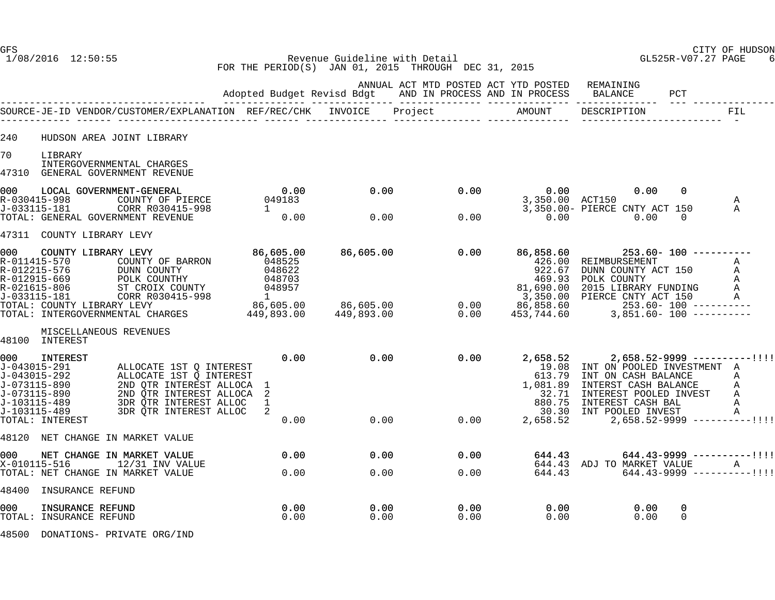1/08/2016 12:50:55 Revenue Guideline with Detail GL525R-V07.27 PAGE 6 FOR THE PERIOD(S) JAN 01, 2015 THROUGH DEC 31, 2015

|                     |                                                                                                                                                                                                                                                                          |                               |                                        | ANNUAL ACT MTD POSTED ACT YTD POSTED REMAINING |                                                                 |                                                                                                                                                                                                                                                                                                 |                |                                                                                |
|---------------------|--------------------------------------------------------------------------------------------------------------------------------------------------------------------------------------------------------------------------------------------------------------------------|-------------------------------|----------------------------------------|------------------------------------------------|-----------------------------------------------------------------|-------------------------------------------------------------------------------------------------------------------------------------------------------------------------------------------------------------------------------------------------------------------------------------------------|----------------|--------------------------------------------------------------------------------|
|                     |                                                                                                                                                                                                                                                                          |                               |                                        |                                                |                                                                 |                                                                                                                                                                                                                                                                                                 |                | <b>FIL</b>                                                                     |
| 240                 | HUDSON AREA JOINT LIBRARY                                                                                                                                                                                                                                                |                               |                                        |                                                |                                                                 |                                                                                                                                                                                                                                                                                                 |                |                                                                                |
| 70                  | LIBRARY<br>INTERGOVERNMENTAL CHARGES<br>47310 GENERAL GOVERNMENT REVENUE                                                                                                                                                                                                 |                               |                                        |                                                |                                                                 |                                                                                                                                                                                                                                                                                                 |                |                                                                                |
|                     | 0.00 LOCAL GOVERNMENT-GENERAL 0.00<br>R-030415-998 COUNTY OF PIERCE 049183<br>J-033115-181 CORR R030415-998 1<br>TOTAL: GENERAL GOVERNMENT REVENUE 0.00                                                                                                                  |                               | $0.00$ $0.00$<br>$0.00$ $0.00$<br>0.00 | 0.00                                           |                                                                 | $0.00$ 0.00<br>3,350.00 ACT150<br>3,350.00- PIERCE CNTY ACT 150                                                                                                                                                                                                                                 | $\overline{0}$ | A<br>$\mathsf{A}$                                                              |
|                     |                                                                                                                                                                                                                                                                          |                               |                                        | 0.00                                           | 0.00                                                            | 0.00                                                                                                                                                                                                                                                                                            | $\Omega$       |                                                                                |
| 000                 | 47311 COUNTY LIBRARY LEVY<br>COUNTY LIBRARY LEVY                                                                                                                                                                                                                         | 86,605.00<br>048525 OF BARRON |                                        |                                                |                                                                 |                                                                                                                                                                                                                                                                                                 |                |                                                                                |
|                     |                                                                                                                                                                                                                                                                          |                               |                                        |                                                |                                                                 |                                                                                                                                                                                                                                                                                                 |                |                                                                                |
|                     | MISCELLANEOUS REVENUES<br>48100 INTEREST                                                                                                                                                                                                                                 |                               |                                        |                                                |                                                                 |                                                                                                                                                                                                                                                                                                 |                |                                                                                |
| 000 000             | INTEREST<br>000 INTEREST<br>J-043015-291 ALLOCATE 1ST Q INTEREST<br>J-043015-292 ALLOCATE 1ST Q INTEREST<br>J-073115-890 2ND QTR INTEREST ALLOCA 1<br>J-073115-489 3DR QTR INTEREST ALLOCA 2<br>J-103115-489 3DR QTR INTEREST ALLOC 1<br>J-103115-489<br>TOTAL: INTEREST | 0.00                          | $0.00$ $0.00$<br>$0.00000000$          |                                                | 1,081.89                                                        | $0.00$ 2,658.52 2,658.52-9999 ----------!!!!<br>19.08 INT ON POOLED INVESTMENT A<br>613.79 INT ON CASH BALANCE A<br>INTERST CASH BALANCE A<br>32.71 INTEREST POOLED INVEST A<br>880.75 INTEREST CASH BAL A<br>30.30 INT POOLED INVEST A<br>0.00 2,658.52 2,658.52 2,658.52-9999 -----------!!!! |                |                                                                                |
|                     | 48120 NET CHANGE IN MARKET VALUE                                                                                                                                                                                                                                         |                               |                                        |                                                |                                                                 |                                                                                                                                                                                                                                                                                                 |                |                                                                                |
| 000<br>X-010115-516 | NET CHANGE IN MARKET VALUE<br>$12/31$ INV VALUE<br>TOTAL: NET CHANGE IN MARKET VALUE                                                                                                                                                                                     | $\overline{0.00}$<br>0.00     | 0.00<br>0.00                           | 0.00<br>0.00                                   | 644.43<br>644.43                                                | 644.43 ADJ TO MARKET VALUE                                                                                                                                                                                                                                                                      |                | $644.43 - 9999$ ----------!!!!<br>MARKET VALUE A<br>644.43-9999 ----------!!!! |
|                     | 48400 INSURANCE REFUND                                                                                                                                                                                                                                                   |                               |                                        |                                                |                                                                 |                                                                                                                                                                                                                                                                                                 |                |                                                                                |
| 000                 | INSURANCE REFUND<br>TOTAL: INSURANCE REFUND                                                                                                                                                                                                                              | 0.00<br>0.00                  | 0.00<br>0.00                           | 0.00<br>0.00                                   | $\begin{array}{c} 0\, .\, 0\, 0\, \\ 0\, .\, 0\, 0 \end{array}$ | 0.00<br>0.00                                                                                                                                                                                                                                                                                    | 0<br>$\Omega$  |                                                                                |
|                     |                                                                                                                                                                                                                                                                          |                               |                                        |                                                |                                                                 |                                                                                                                                                                                                                                                                                                 |                |                                                                                |

48500 DONATIONS- PRIVATE ORG/IND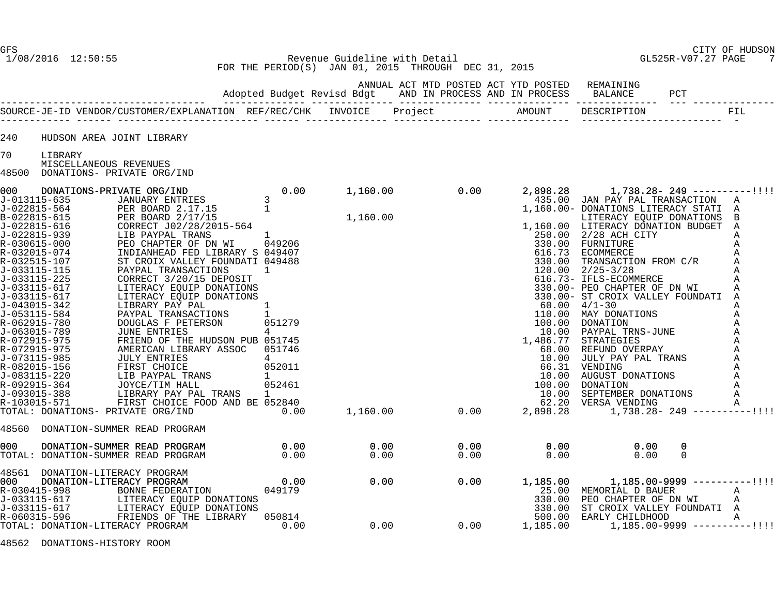#### GFS CITY OF HUDSON 1/08/2016 12:50:55 Revenue Guideline with Detail GL525R-V07.27 PAGE 7 FOR THE PERIOD(S) JAN 01, 2015 THROUGH DEC 31, 2015

|                                                                                                                                                                                                                                                                                                                                                                                                     |                                                                                                                                                                                                                                                                                                                                                                                                                                                                                                                                                                                                                                                                                                                                                           |                                                                                             |              |                                                                                                                                                                                                                                                                                             |                              |                                                                                                                                                                                                                                                                                                                                                                                                                                                                                                                                                                                                                            |                                 | ${\tt FIL}$                                                                                                                     |
|-----------------------------------------------------------------------------------------------------------------------------------------------------------------------------------------------------------------------------------------------------------------------------------------------------------------------------------------------------------------------------------------------------|-----------------------------------------------------------------------------------------------------------------------------------------------------------------------------------------------------------------------------------------------------------------------------------------------------------------------------------------------------------------------------------------------------------------------------------------------------------------------------------------------------------------------------------------------------------------------------------------------------------------------------------------------------------------------------------------------------------------------------------------------------------|---------------------------------------------------------------------------------------------|--------------|---------------------------------------------------------------------------------------------------------------------------------------------------------------------------------------------------------------------------------------------------------------------------------------------|------------------------------|----------------------------------------------------------------------------------------------------------------------------------------------------------------------------------------------------------------------------------------------------------------------------------------------------------------------------------------------------------------------------------------------------------------------------------------------------------------------------------------------------------------------------------------------------------------------------------------------------------------------------|---------------------------------|---------------------------------------------------------------------------------------------------------------------------------|
| 240                                                                                                                                                                                                                                                                                                                                                                                                 | HUDSON AREA JOINT LIBRARY                                                                                                                                                                                                                                                                                                                                                                                                                                                                                                                                                                                                                                                                                                                                 |                                                                                             |              |                                                                                                                                                                                                                                                                                             |                              |                                                                                                                                                                                                                                                                                                                                                                                                                                                                                                                                                                                                                            |                                 |                                                                                                                                 |
| 70                                                                                                                                                                                                                                                                                                                                                                                                  | LIBRARY                                                                                                                                                                                                                                                                                                                                                                                                                                                                                                                                                                                                                                                                                                                                                   |                                                                                             |              |                                                                                                                                                                                                                                                                                             |                              |                                                                                                                                                                                                                                                                                                                                                                                                                                                                                                                                                                                                                            |                                 |                                                                                                                                 |
| 48500                                                                                                                                                                                                                                                                                                                                                                                               | MISCELLANEOUS REVENUES<br>DONATIONS- PRIVATE ORG/IND                                                                                                                                                                                                                                                                                                                                                                                                                                                                                                                                                                                                                                                                                                      |                                                                                             |              |                                                                                                                                                                                                                                                                                             |                              |                                                                                                                                                                                                                                                                                                                                                                                                                                                                                                                                                                                                                            |                                 |                                                                                                                                 |
| 000<br>J-013115-635<br>J-022815-564<br>B-022815-615<br>J-022815-616<br>J-022815-939<br>R-030615-000<br>R-032015-074<br>R-032515-107<br>J-033115-115<br>J-033115-225<br>J-033115-617<br>J-033115-617<br>J-043015-342<br>J-053115-584<br>R-062915-780<br>J-063015-789<br>R-072915-975<br>R-072915-975<br>J-073115-985<br>R-082015-156<br>J-083115-220<br>R-092915-364<br>J-093015-388<br>R-103015-571 | DONATIONS-PRIVATE ORG/IND<br>15-635            JANUARY ENTRIES<br>PER BOARD 2.17.15<br>PER BOARD 2.17.15<br>PER BOARD 2/17/15<br>CORRECT J02/28/2015-564<br>LIB PAYPAL TRANS<br>PEO CHAPTER OF DN WI 049206<br>PEO CHAPTER OF DN WI 049206<br>ST CROIX VALLEY FOUNDATI 049488<br>PAYPAL TRANSACTIONS 1<br>CORRECT<br>CORRECT 3/20/15 DEPOSIT<br>LITERACY EQUIP DONATIONS<br>LITERACY EQUIP DONATIONS<br>LIBRARY PAY PAL<br>PAYPAL TRANSACTIONS<br>DOUGLAS F PETERSON<br>JUNE ENTRIES<br>FRIEND OF THE HUDSON PUB 051745<br>AMERICAN LIBRARY ASSOC<br>JULY ENTRIES<br>FIRST CHOICE<br>LIB PAYPAL TF<br>JOYCE/TV HAI<br>LIB PAYPAL TRANS<br>JOYCE/TIM HALL<br>LIBRARY PAY PAL TRANS<br>FIRST CHOICE FOOD AND BE 052840<br>TOTAL: DONATIONS- PRIVATE ORG/IND | 0.00<br>$\mathbf{1}$<br>051279<br>4<br>051746<br>$\overline{4}$<br>052011<br>052461<br>0.00 | 1,160.00     | 0.00<br>1,160.00<br>1,160.00<br>1,160.00<br>1,160.00<br>1,160.00<br>250.00<br>330.00<br>330.00<br>120.00<br>330.00<br>330.00<br>330.00<br>330.00<br>100.00<br>10.00<br>10.00<br>1,486.77<br>66.00<br>10.00<br>1,486.77<br>66.00<br>10.00<br>10.00<br>10.00<br>10.00<br>10.00<br>10.00<br>10 | 2,898.28                     | 435.00 JAN PAY PAL TRANSACTION<br>1,160.00- DONATIONS LITERACY STATI A<br>LITERACY EQUIP DONATIONS<br>1,160.00 LITERACY DONATION BUDGET A<br>250.00 2/28 ACH CITY<br>FURNITURE<br>ECOMMERCE<br>TRANSACTION FROM C/R<br>$120.00 \quad 2/25 - 3/28$<br>616.73- IFLS-ECOMMERCE<br>330.00- PEO CHAPTER OF DN WI<br>330.00- ST CROIX VALLEY FOUNDATI A<br>$60.00 \quad 4/1-30$<br>110.00 MAY DONATIONS<br>10.00 PAYPAL IRNS SONG<br>186.77 STRATEGIES<br>68.00 REFUND OVERPAY<br>10.00 JULY PAY PAL TRANS<br>VENDING<br>AUGUST DONATIONS<br>DONATION<br>SEPTEMBER DONATIONS<br>VERSA VENDING<br>$1,738.28 - 249$ ----------!!!! | $1,738.28 - 249$ ----------!!!! | A<br>B<br>Α<br>Α<br>Α<br>Α<br>Α<br>Α<br>Α<br>Α<br>$\mathbb A$<br>Α<br>$\mathbb A$<br>Α<br>Α<br>A<br>Α<br>$\mathbb{A}$<br>A<br>Α |
| 48560                                                                                                                                                                                                                                                                                                                                                                                               | DONATION-SUMMER READ PROGRAM                                                                                                                                                                                                                                                                                                                                                                                                                                                                                                                                                                                                                                                                                                                              |                                                                                             |              |                                                                                                                                                                                                                                                                                             |                              |                                                                                                                                                                                                                                                                                                                                                                                                                                                                                                                                                                                                                            |                                 |                                                                                                                                 |
| 000                                                                                                                                                                                                                                                                                                                                                                                                 | DONATION-SUMMER READ PROGRAM<br>TOTAL: DONATION-SUMMER READ PROGRAM                                                                                                                                                                                                                                                                                                                                                                                                                                                                                                                                                                                                                                                                                       | 0.00<br>0.00                                                                                | 0.00<br>0.00 | 0.00<br>0.00                                                                                                                                                                                                                                                                                | 0.00<br>0.00                 | 0.00<br>0.00                                                                                                                                                                                                                                                                                                                                                                                                                                                                                                                                                                                                               | $\Omega$<br>$\Omega$            |                                                                                                                                 |
| 000<br>R-030415-998<br>J-033115-617<br>J-033115-617                                                                                                                                                                                                                                                                                                                                                 | 48561 DONATION-LITERACY PROGRAM<br>DONATION-LITERACY PROGRAM<br>BONNE FEDERATION<br>LITERACY EQUIP DONATIONS<br>LITERACY EQUIP DONATIONS                                                                                                                                                                                                                                                                                                                                                                                                                                                                                                                                                                                                                  | 0.00<br>049179                                                                              | 0.00         | 0.00                                                                                                                                                                                                                                                                                        | 1,185.00<br>330.00<br>330.00 | 25.00 MEMORIAL D BAUER<br>MEMORIAL D BAUER<br>PEO CHAPTER OF DN WI<br>ST CROIX VALLEY FOUNDATI A                                                                                                                                                                                                                                                                                                                                                                                                                                                                                                                           | $1,185.00-9999$ -----------!!!! | Α<br>A                                                                                                                          |
| R-060315-596                                                                                                                                                                                                                                                                                                                                                                                        | FRIENDS OF THE LIBRARY<br>TOTAL: DONATION-LITERACY PROGRAM                                                                                                                                                                                                                                                                                                                                                                                                                                                                                                                                                                                                                                                                                                | 050814<br>0.00                                                                              | 0.00         | 0.00                                                                                                                                                                                                                                                                                        | 500.00<br>1,185.00           | EARLY CHILDHOOD                                                                                                                                                                                                                                                                                                                                                                                                                                                                                                                                                                                                            | $1,185.00-9999$ ----------!!!!  | Α                                                                                                                               |

48562 DONATIONS-HISTORY ROOM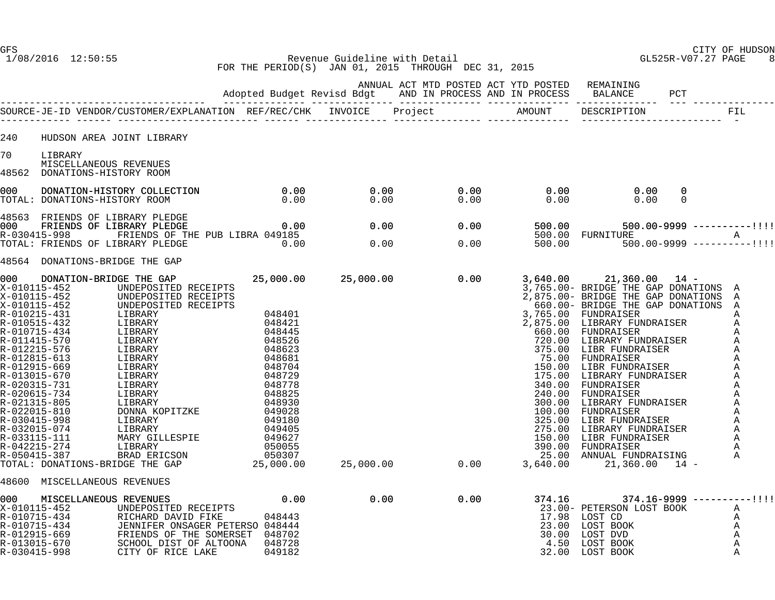1/08/2016 12:50:55 Revenue Guideline with Detail GL525R-V07.27 PAGE 8 FOR THE PERIOD(S) JAN 01, 2015 THROUGH DEC 31, 2015

|       |                                                                                                                                                                                                                                                                                                                              |  |      | ANNUAL ACT MTD POSTED ACT YTD POSTED REMAINING                                                                |                                                                                                                                                                                                                                                                                                                                    |               |   |
|-------|------------------------------------------------------------------------------------------------------------------------------------------------------------------------------------------------------------------------------------------------------------------------------------------------------------------------------|--|------|---------------------------------------------------------------------------------------------------------------|------------------------------------------------------------------------------------------------------------------------------------------------------------------------------------------------------------------------------------------------------------------------------------------------------------------------------------|---------------|---|
|       |                                                                                                                                                                                                                                                                                                                              |  |      |                                                                                                               |                                                                                                                                                                                                                                                                                                                                    |               |   |
| 240   | HUDSON AREA JOINT LIBRARY                                                                                                                                                                                                                                                                                                    |  |      |                                                                                                               |                                                                                                                                                                                                                                                                                                                                    |               |   |
| 70    | LIBRARY                                                                                                                                                                                                                                                                                                                      |  |      |                                                                                                               |                                                                                                                                                                                                                                                                                                                                    |               |   |
| 48562 | MISCELLANEOUS REVENUES<br>DONATIONS-HISTORY ROOM                                                                                                                                                                                                                                                                             |  |      |                                                                                                               |                                                                                                                                                                                                                                                                                                                                    |               |   |
|       |                                                                                                                                                                                                                                                                                                                              |  |      | $\begin{array}{ccc} 0.00 & 0.00 \ 0.00 & 0.00 \end{array}$                                                    |                                                                                                                                                                                                                                                                                                                                    | 0<br>$\Omega$ |   |
|       |                                                                                                                                                                                                                                                                                                                              |  |      |                                                                                                               |                                                                                                                                                                                                                                                                                                                                    |               |   |
|       |                                                                                                                                                                                                                                                                                                                              |  |      | 0.00 500.00 500.00 500.00-9999 ----------!!!!<br>500.00 FURNITURE A<br>0.00 500.00 500.00-9999 ----------!!!! |                                                                                                                                                                                                                                                                                                                                    |               |   |
|       |                                                                                                                                                                                                                                                                                                                              |  |      |                                                                                                               |                                                                                                                                                                                                                                                                                                                                    |               |   |
|       | 48564 DONATIONS-BRIDGE THE GAP                                                                                                                                                                                                                                                                                               |  |      |                                                                                                               |                                                                                                                                                                                                                                                                                                                                    |               |   |
| 000   | DONATION-BRIDGE THE GAP<br>X-010115-452 UNDEPOSITED RECEIPTS<br>V. 010115-452<br>X. 010115-452<br>X. 010115-452<br>X. 010115-452<br>X. 010115-452<br>X. 010215-431<br>I.IBRARY<br>R. 010215-431<br>I.IBRARY<br>CONFIDENCEIPTS<br>CONFIDENCEIPTS<br>CONFIDENCEIPTS<br>CONFIDENCEIPTS<br>CONFIDENCEIPTS<br>CONFIDENTS<br>CONFI |  |      |                                                                                                               |                                                                                                                                                                                                                                                                                                                                    |               |   |
|       | 48600 MISCELLANEOUS REVENUES<br>0.00 MISCELLANEOUS REVENUES 0.00<br>X-010115-452 UNDEPOSITED RECEIPTS<br>R-010715-434 RICHARD DAVID FIKE 048443<br>R-010715-434 JENNIFER ONSAGER PETERSO 048444<br>R-012915-669 FRIENDS OF THE SOMERSET 048702<br>R-013015-670 SCHOOL DI                                                     |  | 0.00 | 0.00                                                                                                          | $374.16$ $374.16-9999$ ----------!!!!<br>23.00- PETERSON LOST BOOK<br>17.98 LOST CD<br>$\begin{tabular}{lllllllllll} 17.98 & \text{LOST CD} & \text{A} \\ 23.00 & \text{LOST BOOK} & \text{A} \\ 30.00 & \text{LOST DVD} & \text{A} \\ 4.50 & \text{LOST BOOK} & \text{A} \\ 32.00 & \text{LOST BOOK} & \text{A} \\ \end{tabular}$ |               | A |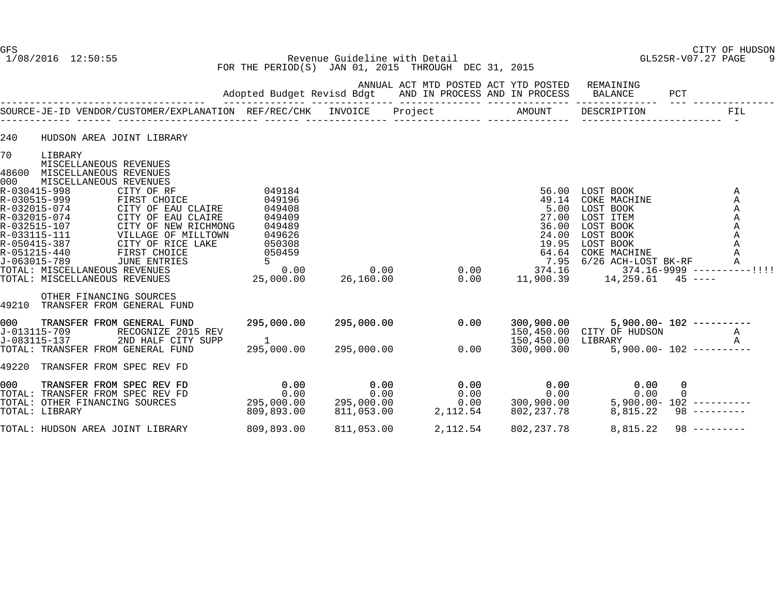GFS CITY OF HUDSON 1/08/2016 12:50:55 Revenue Guideline with Detail GL525R-V07.27 PAGE 9 FOR THE PERIOD(S) JAN 01, 2015 THROUGH DEC 31, 2015

|                    |                                                                                                                                                                                                                                                                                                         |                                                                                                                                                                                                    | Adopted Budget Revisd Bdgt                                                                                       |                                          |         |                                  | ANNUAL ACT MTD POSTED ACT YTD POSTED<br>AND IN PROCESS AND IN PROCESS                 | REMAINING<br><b>BALANCE</b>                                                                                                                                 | PCT           |                                                                                           |
|--------------------|---------------------------------------------------------------------------------------------------------------------------------------------------------------------------------------------------------------------------------------------------------------------------------------------------------|----------------------------------------------------------------------------------------------------------------------------------------------------------------------------------------------------|------------------------------------------------------------------------------------------------------------------|------------------------------------------|---------|----------------------------------|---------------------------------------------------------------------------------------|-------------------------------------------------------------------------------------------------------------------------------------------------------------|---------------|-------------------------------------------------------------------------------------------|
|                    |                                                                                                                                                                                                                                                                                                         | SOURCE-JE-ID VENDOR/CUSTOMER/EXPLANATION REF/REC/CHK INVOICE                                                                                                                                       |                                                                                                                  |                                          | Project |                                  | ---------- --------------- --<br>AMOUNT                                               | DESCRIPTION                                                                                                                                                 |               | FIL<br>$\sim$                                                                             |
| 240                |                                                                                                                                                                                                                                                                                                         | HUDSON AREA JOINT LIBRARY                                                                                                                                                                          |                                                                                                                  |                                          |         |                                  |                                                                                       |                                                                                                                                                             |               |                                                                                           |
| 70<br>48600<br>000 | LIBRARY<br>MISCELLANEOUS REVENUES<br>MISCELLANEOUS REVENUES<br>MISCELLANEOUS REVENUES<br>R-030415-998<br>R-030515-999<br>R-032015-074<br>R-032015-074<br>R-032515-107<br>R-033115-111<br>R-050415-387<br>R-051215-440<br>J-063015-789<br>TOTAL: MISCELLANEOUS REVENUES<br>TOTAL: MISCELLANEOUS REVENUES | CITY OF RF<br>FIRST CHOICE<br>CITY OF EAU CLAIRE<br>CITY OF EAU CLAIRE<br>CITY OF NEW RICHMONG<br>CITY OF NEW RICHMONG<br>VILLAGE OF MILLTOWN<br>CITY OF RICE LAKE<br>FIRST CHOICE<br>JUNE ENTRIES | 049184<br>049196<br>049408<br>049409<br>049489<br>049626<br>050308<br>050459<br>$5^{\circ}$<br>0.00<br>25,000.00 | 0.00<br>26,160.00                        |         | 0.00<br>0.00                     | 56.00<br>49.14<br>5.00<br>27.00<br>36.00<br>24.00<br>19.95<br>64.64<br>7.95<br>374.16 | LOST BOOK<br>COKE MACHINE<br>LOST BOOK<br>LOST ITEM<br>LOST BOOK<br>LOST BOOK<br>LOST BOOK<br>COKE MACHINE<br>6/26 ACH-LOST BK-RF<br>11,900.39    14,259.61 |               | Α<br>Α<br>A<br>Α<br>Α<br>Α<br>Α<br>Α<br>A<br>$374.16 - 9999$ ----------!!!!<br>$45 - - -$ |
| 49210              | OTHER FINANCING SOURCES                                                                                                                                                                                                                                                                                 | TRANSFER FROM GENERAL FUND                                                                                                                                                                         |                                                                                                                  |                                          |         |                                  |                                                                                       |                                                                                                                                                             |               |                                                                                           |
| 000                | J-013115-709<br>J-083115-137                                                                                                                                                                                                                                                                            | TRANSFER FROM GENERAL FUND<br>RECOGNIZE 2015 REV<br>2ND HALF CITY SUPP<br>TOTAL: TRANSFER FROM GENERAL FUND                                                                                        | 295,000.00<br>295,000.00                                                                                         | 295,000.00<br>295,000.00                 |         | 0.00<br>0.00                     | 300,900.00<br>150,450.00<br>300,900.00                                                | 150,450.00 CITY OF HUDSON<br>LIBRARY                                                                                                                        |               | $5,900.00 - 102$ ----------<br>Α<br>$\mathsf{A}$<br>$5,900.00 - 102$ ----------           |
| 49220              |                                                                                                                                                                                                                                                                                                         | TRANSFER FROM SPEC REV FD                                                                                                                                                                          |                                                                                                                  |                                          |         |                                  |                                                                                       |                                                                                                                                                             |               |                                                                                           |
| 000<br>TOTAL:      | TOTAL: OTHER FINANCING SOURCES<br>TOTAL: LIBRARY                                                                                                                                                                                                                                                        | TRANSFER FROM SPEC REV FD<br>TRANSFER FROM SPEC REV FD                                                                                                                                             | 0.00<br>0.00<br>295,000.00<br>809,893.00                                                                         | 0.00<br>0.00<br>295,000.00<br>811,053.00 |         | 0.00<br>0.00<br>0.00<br>2,112.54 | 0.00<br>0.00<br>300,900.00<br>802, 237.78                                             | 0.00<br>0.00<br>8,815.22                                                                                                                                    | 0<br>$\Omega$ | $5,900.00 - 102$ ----------<br>$98$ ---------                                             |
|                    | TOTAL: HUDSON AREA JOINT LIBRARY                                                                                                                                                                                                                                                                        |                                                                                                                                                                                                    | 809,893.00                                                                                                       | 811,053.00                               |         | 2,112.54                         | 802, 237. 78                                                                          | 8,815.22                                                                                                                                                    |               | $98$ ---------                                                                            |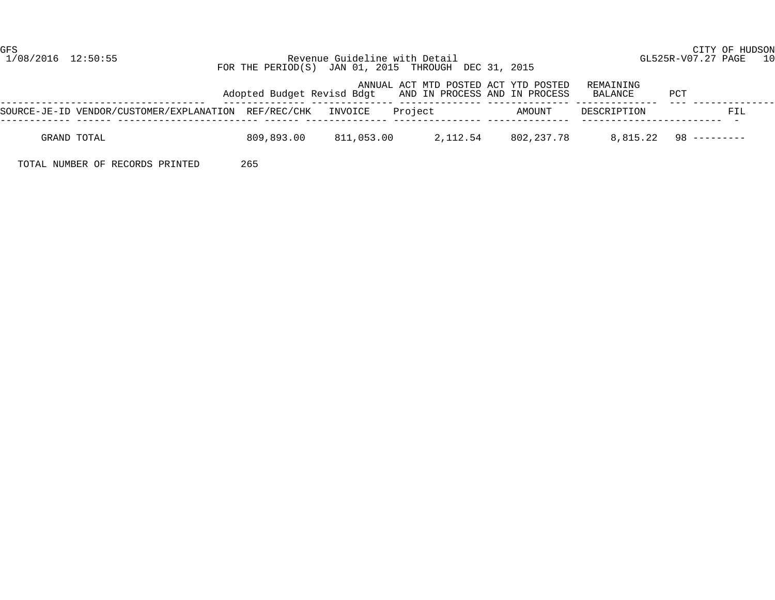#### 1/08/2016 12:50:55 Revenue Guideline with Detail GL525R-V07.27 PAGE 10 FOR THE PERIOD(S) JAN 01, 2015 THROUGH DEC 31, 2015

|                                                              |            |            | ANNUAL ACT MTD POSTED ACT YTD POSTED<br>Adopted Budget Revisd Bdgt AND IN PROCESS AND IN PROCESS |                         | REMAINING<br>BALANCE | PCT                     |
|--------------------------------------------------------------|------------|------------|--------------------------------------------------------------------------------------------------|-------------------------|----------------------|-------------------------|
| SOURCE-JE-ID VENDOR/CUSTOMER/EXPLANATION REF/REC/CHK INVOICE |            |            | Project                                                                                          | AMOUNT                  | DESCRIPTION          | FIL                     |
| GRAND TOTAL                                                  | 809,893.00 | 811,053.00 |                                                                                                  | 2, 112, 54 802, 237, 78 |                      | $8.815.22$ 98 --------- |

TOTAL NUMBER OF RECORDS PRINTED 265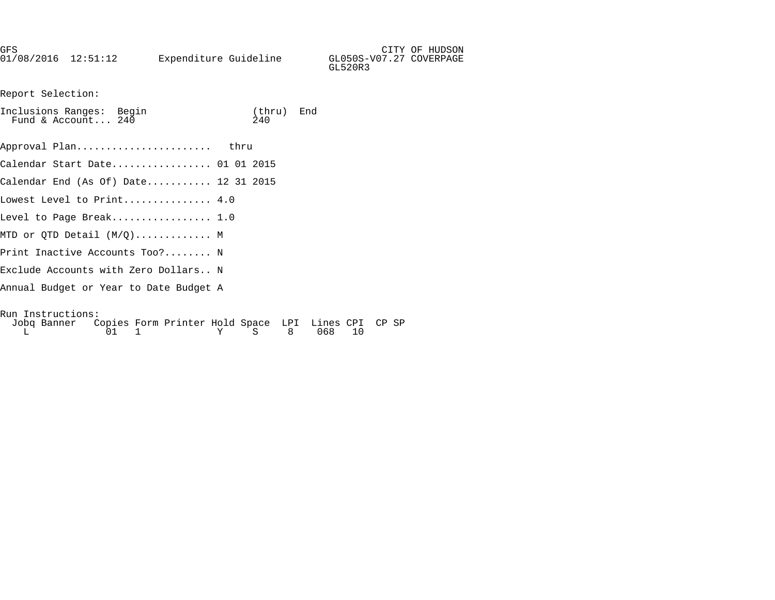| GFS                 |                       |                                    | CITY OF HUDSON |
|---------------------|-----------------------|------------------------------------|----------------|
| 01/08/2016 12:51:12 | Expenditure Guideline | GL050S-V07.27 COVERPAGE<br>GL520R3 |                |
|                     |                       |                                    |                |

Report Selection:

| Inclusions Ranges: Begin<br>Fund & Account $240$                               | (thru) End<br>240 |  |
|--------------------------------------------------------------------------------|-------------------|--|
| Approval Plan thru                                                             |                   |  |
| Calendar Start Date 01 01 2015                                                 |                   |  |
| Calendar End (As Of) Date 12 31 2015                                           |                   |  |
| Lowest Level to Print $4.0$                                                    |                   |  |
| Level to Page Break 1.0 $\,$                                                   |                   |  |
| MTD or QTD Detail $(M/Q) \ldots \ldots \ldots \ldots$ M                        |                   |  |
| Print Inactive Accounts Too? N                                                 |                   |  |
| Exclude Accounts with Zero Dollars N                                           |                   |  |
| Annual Budget or Year to Date Budget A                                         |                   |  |
| Run Instructions:<br>Lobe Banner, Conice Form Drinter Hold Chase, IDI, Lines O |                   |  |

| Jobq Banner Copies Form Printer Hold Space LPI Lines CPI CP SP |  |  |              |  |  |  |
|----------------------------------------------------------------|--|--|--------------|--|--|--|
|                                                                |  |  | Y S 8 068 10 |  |  |  |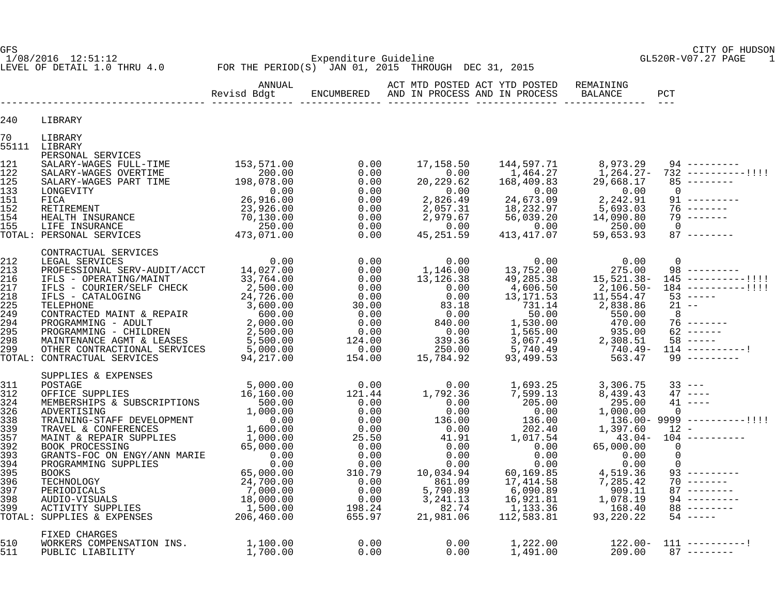LEVEL OF DETAIL 1.0 THRU 4.0 FOR THE PERIOD(S) JAN 01, 2015 THROUGH DEC 31, 2015

GFS CITY OF HUDSON

1/08/2016 12:51:12 Expenditure Guideline GL520R-V07.27 PAGE 1

|                                                                           |                                                                                                                                                                                                                                                                                                                                                                                            | ANNUAL |  | ACT MTD POSTED ACT YTD POSTED REMAINING | PCT |
|---------------------------------------------------------------------------|--------------------------------------------------------------------------------------------------------------------------------------------------------------------------------------------------------------------------------------------------------------------------------------------------------------------------------------------------------------------------------------------|--------|--|-----------------------------------------|-----|
| 240                                                                       | LIBRARY                                                                                                                                                                                                                                                                                                                                                                                    |        |  |                                         |     |
| 70                                                                        | LIBRARY<br>55111 LIBRARY                                                                                                                                                                                                                                                                                                                                                                   |        |  |                                         |     |
|                                                                           | PERSONAL SERVICES                                                                                                                                                                                                                                                                                                                                                                          |        |  |                                         |     |
| 212<br>213<br>216<br>217<br>218<br>225<br>249<br>294<br>295<br>298<br>299 | CONTRACTUAL SERVICES<br>LEGAL SERVICES<br>$\begin{tabular}{l c c c c c} \multicolumn{4}{c}{\textbf{CONTRACTUAL SERVICES}} \multicolumn{4}{c}{\textbf{CER}} & 0.00 & 0.00 & 0.00 & 0.00 & 0.00 & 0.00 & 0.00 & 0.00 & 0.00 & 0.00 & 0.00 & 0.00 & 0.00 & 0.00 & 0.00 & 0.00 & 0.00 & 0.00 & 0.00 & 0.00 & 0.00 & 0.00 & 0.00 & 0.00 & 0.00 & 0.00 & 0.00 & $<br>TOTAL: CONTRACTUAL SERVICES |        |  |                                         |     |
|                                                                           |                                                                                                                                                                                                                                                                                                                                                                                            |        |  |                                         |     |
| 510<br>511                                                                | FIXED CHARGES                                                                                                                                                                                                                                                                                                                                                                              |        |  |                                         |     |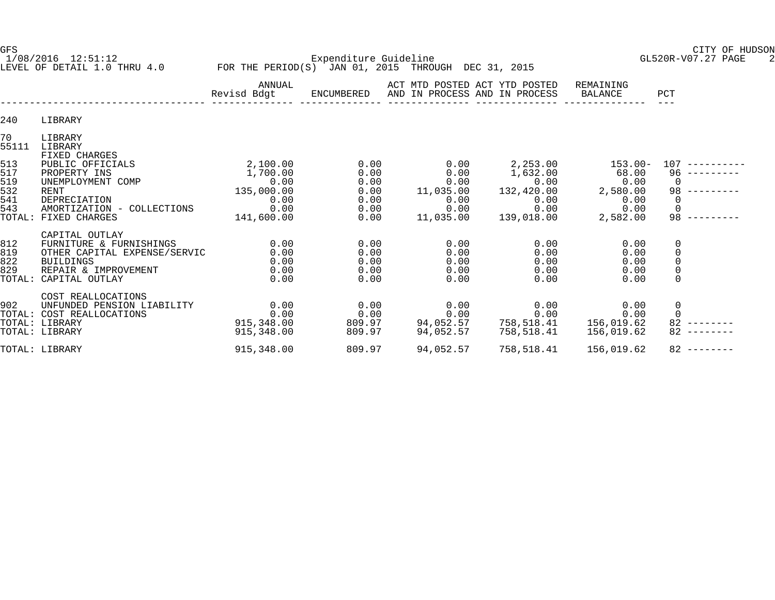1/08/2016 12:51:12 Expenditure Guideline GL520R-V07.27 PAGE 2 LEVEL OF DETAIL 1.0 THRU 4.0 FOR THE PERIOD(S) JAN 01, 2015 THROUGH DEC 31, 2015

GFS CITY OF HUDSON

|                                    |                                                                                                                       | ANNUAL<br>Revisd Bdgt                    | ENCUMBERED                           | ACT MTD POSTED ACT YTD POSTED<br>AND IN PROCESS AND IN PROCESS |                                          | REMAINING<br>BALANCE                     | PCT                       |
|------------------------------------|-----------------------------------------------------------------------------------------------------------------------|------------------------------------------|--------------------------------------|----------------------------------------------------------------|------------------------------------------|------------------------------------------|---------------------------|
| 240                                | LIBRARY                                                                                                               |                                          |                                      |                                                                |                                          |                                          |                           |
| 70<br>55111                        | LIBRARY<br>LIBRARY                                                                                                    |                                          |                                      |                                                                |                                          |                                          |                           |
| 513<br>517<br>519                  | FIXED CHARGES<br>PUBLIC OFFICIALS<br>PROPERTY INS<br>UNEMPLOYMENT COMP                                                | 2,100.00<br>1,700.00<br>0.00             | 0.00<br>0.00<br>0.00                 | 0.00<br>0.00<br>0.00                                           | 2,253.00<br>1,632.00<br>0.00             | $153.00-$<br>68.00<br>0.00               | 107<br>96<br>$\mathbf 0$  |
| 532<br>541<br>543                  | RENT<br>DEPRECIATION<br>AMORTIZATION - COLLECTIONS                                                                    | 135,000.00<br>0.00<br>0.00               | 0.00<br>0.00<br>0.00                 | 11,035.00<br>0.00<br>0.00                                      | 132,420.00<br>0.00<br>0.00               | 2,580.00<br>0.00<br>0.00                 | 98<br>0<br>$\mathbf 0$    |
| TOTAL:                             | FIXED CHARGES<br>CAPITAL OUTLAY                                                                                       | 141,600.00                               | 0.00                                 | 11,035.00                                                      | 139,018.00                               | 2,582.00                                 | 98                        |
| 812<br>819<br>822<br>829<br>TOTAL: | FURNITURE & FURNISHINGS<br>OTHER CAPITAL EXPENSE/SERVIC<br><b>BUILDINGS</b><br>REPAIR & IMPROVEMENT<br>CAPITAL OUTLAY | 0.00<br>0.00<br>0.00<br>0.00<br>0.00     | 0.00<br>0.00<br>0.00<br>0.00<br>0.00 | 0.00<br>0.00<br>0.00<br>0.00<br>0.00                           | 0.00<br>0.00<br>0.00<br>0.00<br>0.00     | 0.00<br>0.00<br>0.00<br>0.00<br>0.00     | 0<br>0<br>0<br>0<br>0     |
| 902                                | COST REALLOCATIONS<br>UNFUNDED PENSION LIABILITY<br>TOTAL: COST REALLOCATIONS<br>TOTAL: LIBRARY<br>TOTAL: LIBRARY     | 0.00<br>0.00<br>915,348.00<br>915,348.00 | 0.00<br>0.00<br>809.97<br>809.97     | 0.00<br>0.00<br>94,052.57<br>94,052.57                         | 0.00<br>0.00<br>758,518.41<br>758,518.41 | 0.00<br>0.00<br>156,019.62<br>156,019.62 | 0<br>$\Omega$<br>82<br>82 |
|                                    | TOTAL: LIBRARY                                                                                                        | 915,348.00                               | 809.97                               | 94,052.57                                                      | 758,518.41                               | 156,019.62                               | 82                        |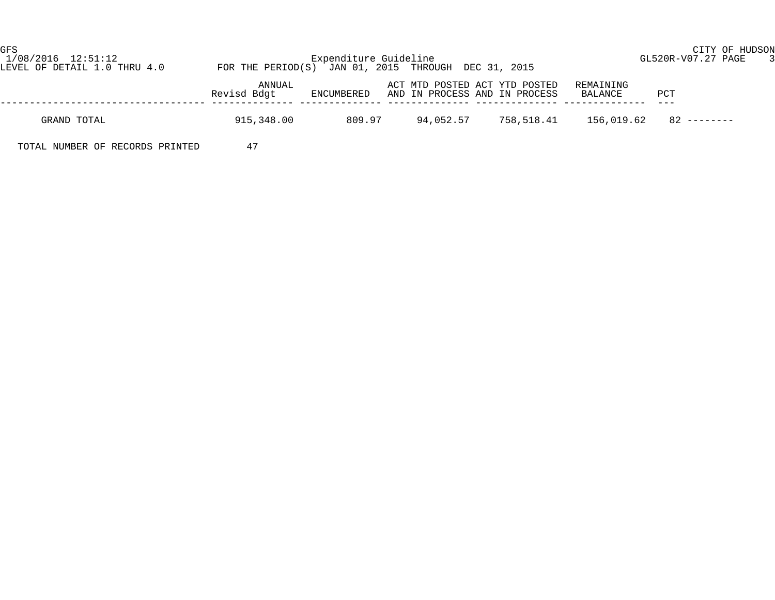| GFS<br>1/08/2016 12:51:12<br>LEVEL OF DETAIL 1.0 THRU 4.0 | FOR THE PERIOD(S) JAN 01, 2015 THROUGH DEC 31, 2015 | Expenditure Guideline | CITY OF HUDSON<br>GL520R-V07.27 PAGE 3                         |            |                      |               |  |
|-----------------------------------------------------------|-----------------------------------------------------|-----------------------|----------------------------------------------------------------|------------|----------------------|---------------|--|
|                                                           | ANNUAL<br>Revisd Bdgt                               | ENCUMBERED            | ACT MTD POSTED ACT YTD POSTED<br>AND IN PROCESS AND IN PROCESS |            | REMAINING<br>BALANCE | PCT           |  |
| GRAND TOTAL                                               | 915,348.00                                          | 809.97                | 94,052.57                                                      | 758,518.41 | 156,019.62           | $82$ -------- |  |
| TOTAL NUMBER OF RECORDS PRINTED                           | 47                                                  |                       |                                                                |            |                      |               |  |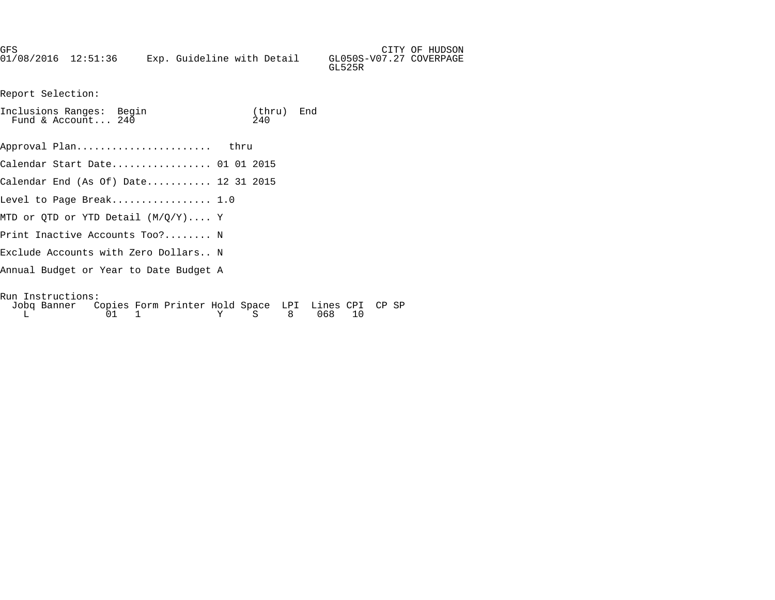| GFS                 |  |                            |  |                         | CITY OF HUDSON |
|---------------------|--|----------------------------|--|-------------------------|----------------|
| 01/08/2016 12:51:36 |  | Exp. Guideline with Detail |  | GL050S-V07.27 COVERPAGE |                |
|                     |  |                            |  | GL525R                  |                |

Report Selection:

| Inclusions Ranges: Begin<br>Fund & Account 240                                                                            | (thru) End<br>2.40 |     |    |  |
|---------------------------------------------------------------------------------------------------------------------------|--------------------|-----|----|--|
| Approval Plan<br>thru                                                                                                     |                    |     |    |  |
|                                                                                                                           |                    |     |    |  |
| Calendar End (As Of) Date 12 31 2015                                                                                      |                    |     |    |  |
| Level to Page Break $1.0$                                                                                                 |                    |     |    |  |
| MTD or OTD or YTD Detail (M/O/Y) Y                                                                                        |                    |     |    |  |
| Print Inactive Accounts Too? N                                                                                            |                    |     |    |  |
| Exclude Accounts with Zero Dollars N                                                                                      |                    |     |    |  |
| Annual Budget or Year to Date Budget A                                                                                    |                    |     |    |  |
| Run Instructions:<br>Jobg Banner Copies Form Printer Hold Space LPI Lines CPI CP SP<br>01<br>1<br>$\mathbf{S}$<br>Y<br>L. | 8 <sup>8</sup>     | 068 | 10 |  |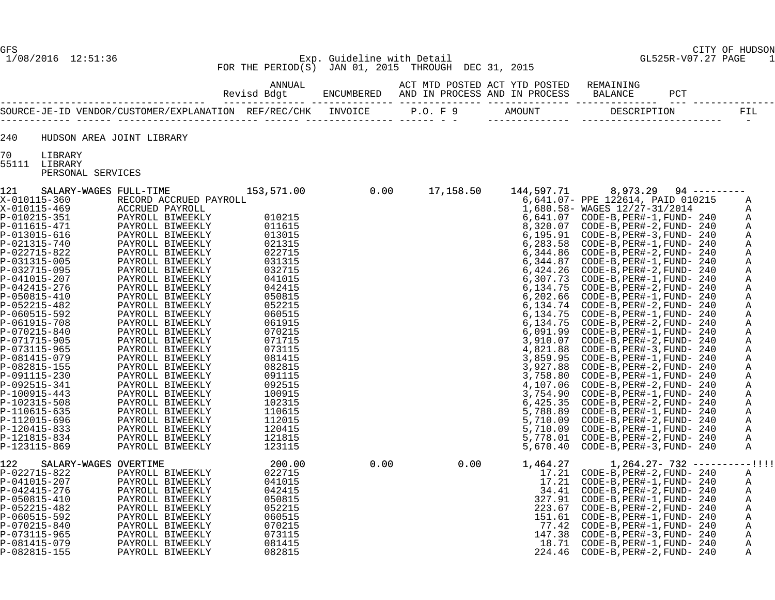#### 1/08/2016 12:51:36 Exp. Guideline with Detail GL525R-V07.27 PAGE 1 FOR THE PERIOD(S) JAN 01, 2015 THROUGH DEC 31, 2015

ANNUAL THE SET OF THE POSTED ACT AND POSTED ACT AND POSTED REMAINING

|                                                      |         | AND IN<br>. PRAMFSS . | AND IN PROCESS   | <b>BALANCE</b> |                          |
|------------------------------------------------------|---------|-----------------------|------------------|----------------|--------------------------|
| SOURCE-JE-ID VENDOR/CUSTOMER/EXPLANATION REF/REC/CHK | INVOICE |                       | <b>I MOTINIT</b> |                |                          |
|                                                      |         |                       |                  |                | $\overline{\phantom{0}}$ |

240 HUDSON AREA JOINT LIBRARY

70 LIBRARY

55111 LIBRARY

PERSONAL SERVICES

| 121            | SALARY-WAGES FULL-TIME |                                                                                                                                                                                                                                                                                                                                                                                                                                                  | 0.00<br>153,571.00 |      | 17,158.50          | 144,597.71 | 8,973.29<br>0.00 17,158.50 144,597.11 8,973.29 94<br>16.641.07 PPE 1225014, PAID 010215<br>16.641.07 PPE 1225014, PAID 010215<br>16.641.07 CODE-B, PER#-1, PUND-240<br>6,730.07 CODE-B, PER#-2, PUND-240<br>6,731.000 = A, PER#-2, PUND-240<br>6,444. | $94$ --------- |             |
|----------------|------------------------|--------------------------------------------------------------------------------------------------------------------------------------------------------------------------------------------------------------------------------------------------------------------------------------------------------------------------------------------------------------------------------------------------------------------------------------------------|--------------------|------|--------------------|------------|-------------------------------------------------------------------------------------------------------------------------------------------------------------------------------------------------------------------------------------------------------|----------------|-------------|
| X-010115-360   |                        | RECORD ACCRUED PAYROLL                                                                                                                                                                                                                                                                                                                                                                                                                           |                    |      |                    |            |                                                                                                                                                                                                                                                       |                | Α           |
| X-010115-469   |                        | ACCRUED PAYROLL                                                                                                                                                                                                                                                                                                                                                                                                                                  |                    |      |                    |            |                                                                                                                                                                                                                                                       |                | Α           |
| P-010215-351   |                        | PAYROLL BIWEEKLY                                                                                                                                                                                                                                                                                                                                                                                                                                 | 010215             |      |                    |            |                                                                                                                                                                                                                                                       |                | Α           |
| P-011615-471   |                        | PAYROLL BIWEEKLY                                                                                                                                                                                                                                                                                                                                                                                                                                 | 011615             |      |                    |            |                                                                                                                                                                                                                                                       |                | Α           |
| P-013015-616   |                        | PAYROLL BIWEEKLY                                                                                                                                                                                                                                                                                                                                                                                                                                 | 013015             |      |                    |            |                                                                                                                                                                                                                                                       |                | Α           |
| P-021315-740   |                        | PAYROLL BIWEEKLY                                                                                                                                                                                                                                                                                                                                                                                                                                 | 021315             |      |                    |            |                                                                                                                                                                                                                                                       |                | Α           |
| P-022715-822   |                        | PAYROLL BIWEEKLY                                                                                                                                                                                                                                                                                                                                                                                                                                 | 022715             |      |                    |            |                                                                                                                                                                                                                                                       |                | Α           |
| P-031315-005   |                        | PAYROLL BIWEEKLY                                                                                                                                                                                                                                                                                                                                                                                                                                 | 031315             |      |                    |            |                                                                                                                                                                                                                                                       |                | Α           |
| P-032715-095   |                        | PAYROLL BIWEEKLY                                                                                                                                                                                                                                                                                                                                                                                                                                 | 032715             |      |                    |            |                                                                                                                                                                                                                                                       |                | Α           |
| P-041015-207   |                        | PAYROLL BIWEEKLY                                                                                                                                                                                                                                                                                                                                                                                                                                 | 041015             |      |                    |            |                                                                                                                                                                                                                                                       |                | Α           |
| P-042415-276   |                        | PAYROLL BIWEEKLY                                                                                                                                                                                                                                                                                                                                                                                                                                 | 042415             |      |                    |            |                                                                                                                                                                                                                                                       |                | Α           |
| $P-050815-410$ |                        | PAYROLL BIWEEKLY                                                                                                                                                                                                                                                                                                                                                                                                                                 | 050815             |      |                    |            |                                                                                                                                                                                                                                                       |                | Α           |
| P-052215-482   |                        | PAYROLL BIWEEKLY                                                                                                                                                                                                                                                                                                                                                                                                                                 | 052215             |      |                    |            |                                                                                                                                                                                                                                                       |                | Α           |
| P-060515-592   |                        | PAYROLL BIWEEKLY                                                                                                                                                                                                                                                                                                                                                                                                                                 | 060515             |      |                    |            |                                                                                                                                                                                                                                                       |                | Α           |
| P-061915-708   |                        | PAYROLL BIWEEKLY                                                                                                                                                                                                                                                                                                                                                                                                                                 | 061915             |      |                    |            |                                                                                                                                                                                                                                                       |                | Α           |
| P-070215-840   |                        | PAYROLL BIWEEKLY                                                                                                                                                                                                                                                                                                                                                                                                                                 | 070215             |      |                    |            |                                                                                                                                                                                                                                                       |                | Α           |
| P-071715-905   |                        | PAYROLL BIWEEKLY                                                                                                                                                                                                                                                                                                                                                                                                                                 | 071715             |      |                    |            |                                                                                                                                                                                                                                                       |                | Α           |
| P-073115-965   |                        | PAYROLL BIWEEKLY                                                                                                                                                                                                                                                                                                                                                                                                                                 | 073115             |      |                    |            |                                                                                                                                                                                                                                                       |                | Α           |
| P-081415-079   |                        | PAYROLL BIWEEKLY                                                                                                                                                                                                                                                                                                                                                                                                                                 | 081415             |      |                    |            |                                                                                                                                                                                                                                                       |                | Α           |
| P-082815-155   |                        | PAYROLL BIWEEKLY                                                                                                                                                                                                                                                                                                                                                                                                                                 | 082815             |      |                    |            |                                                                                                                                                                                                                                                       |                | Α           |
| P-091115-230   |                        | PAYROLL BIWEEKLY                                                                                                                                                                                                                                                                                                                                                                                                                                 | 091115             |      |                    |            |                                                                                                                                                                                                                                                       |                | Α           |
| P-092515-341   |                        | PAYROLL BIWEEKLY                                                                                                                                                                                                                                                                                                                                                                                                                                 | 092515             |      |                    |            |                                                                                                                                                                                                                                                       |                | Α           |
| P-100915-443   |                        | PAYROLL BIWEEKLY                                                                                                                                                                                                                                                                                                                                                                                                                                 | 100915             |      |                    |            |                                                                                                                                                                                                                                                       |                | Α           |
| P-102315-508   |                        | PAYROLL BIWEEKLY                                                                                                                                                                                                                                                                                                                                                                                                                                 | 102315             |      |                    |            |                                                                                                                                                                                                                                                       |                | Α           |
| P-110615-635   |                        | PAYROLL BIWEEKLY                                                                                                                                                                                                                                                                                                                                                                                                                                 | 110615             |      |                    |            |                                                                                                                                                                                                                                                       |                | Α           |
| P-112015-696   |                        | PAYROLL BIWEEKLY                                                                                                                                                                                                                                                                                                                                                                                                                                 | 112015             |      |                    |            |                                                                                                                                                                                                                                                       |                | Α           |
| P-120415-833   |                        | PAYROLL BIWEEKLY                                                                                                                                                                                                                                                                                                                                                                                                                                 | 120415             |      |                    |            |                                                                                                                                                                                                                                                       |                | Α           |
| P-121815-834   |                        | PAYROLL BIWEEKLY                                                                                                                                                                                                                                                                                                                                                                                                                                 | 121815             |      |                    |            |                                                                                                                                                                                                                                                       |                | Α           |
| P-123115-869   |                        | PAYROLL BIWEEKLY                                                                                                                                                                                                                                                                                                                                                                                                                                 | 123115             |      |                    |            |                                                                                                                                                                                                                                                       |                | $\mathbb A$ |
|                |                        |                                                                                                                                                                                                                                                                                                                                                                                                                                                  |                    |      |                    |            |                                                                                                                                                                                                                                                       |                |             |
| 122            | SALARY-WAGES OVERTIME  |                                                                                                                                                                                                                                                                                                                                                                                                                                                  | 200.00             | 0.00 | 0.00               | 1,464.27   | $1,264.27 - 732$ ----------!!!!                                                                                                                                                                                                                       |                |             |
| P-022715-822   |                        |                                                                                                                                                                                                                                                                                                                                                                                                                                                  | 022715             |      |                    |            | $17.21$ CODE-B, PER#-2, FUND- 240                                                                                                                                                                                                                     |                | A           |
| P-041015-207   |                        |                                                                                                                                                                                                                                                                                                                                                                                                                                                  | 041015             |      |                    |            | 17.21 CODE-B, PER#-1, FUND- 240                                                                                                                                                                                                                       |                | Α           |
| P-042415-276   |                        |                                                                                                                                                                                                                                                                                                                                                                                                                                                  | 042415             |      |                    |            |                                                                                                                                                                                                                                                       |                | Α           |
| P-050815-410   |                        |                                                                                                                                                                                                                                                                                                                                                                                                                                                  | 050815             |      |                    |            |                                                                                                                                                                                                                                                       |                | Α           |
| P-052215-482   |                        |                                                                                                                                                                                                                                                                                                                                                                                                                                                  | 052215             |      |                    | 223.67     | CODE-B,PER#-2,FUND- 240                                                                                                                                                                                                                               |                | Α           |
| P-060515-592   |                        | $\begin{tabular}{c c} \multicolumn{1}{c}{\textbf{07}} & \multicolumn{1}{c}{PA} \multicolumn{1}{c}{\textbf{PA15}}\\ \multicolumn{1}{c}{\textbf{207}} & \multicolumn{1}{c}{\textbf{PA16}}\\ \multicolumn{1}{c}{\textbf{0815--410}} & \multicolumn{1}{c}{\textbf{PAYRC}}\\ \multicolumn{1}{c}{\textbf{0815--410}} & \multicolumn{1}{c}{\textbf{PAYROLL}}\\ \multicolumn{1}{c}{\textbf{0815--410}} & \multicolumn{1}{c}{\textbf{PAYROLL}}\\ \multic$ | 060515             |      | $0.00$ $0.00$ $1,$ |            |                                                                                                                                                                                                                                                       |                | Α           |
| P-070215-840   |                        |                                                                                                                                                                                                                                                                                                                                                                                                                                                  | 070215             |      |                    |            | 77.42 CODE-B, PER#-1, FUND- 240                                                                                                                                                                                                                       |                | Α           |
| P-073115-965   |                        |                                                                                                                                                                                                                                                                                                                                                                                                                                                  | 073115             |      |                    | 147.38     | CODE-B,PER#-3,FUND- 240                                                                                                                                                                                                                               |                | Α           |
| P-081415-079   |                        |                                                                                                                                                                                                                                                                                                                                                                                                                                                  | 081415             |      |                    | 18.71      | CODE-B, PER#-1, FUND- 240                                                                                                                                                                                                                             |                | Α           |
| P-082815-155   |                        |                                                                                                                                                                                                                                                                                                                                                                                                                                                  | 082815             |      |                    | 224.46     | CODE-B, PER#-2, FUND- 240                                                                                                                                                                                                                             |                | Α           |
|                |                        |                                                                                                                                                                                                                                                                                                                                                                                                                                                  |                    |      |                    |            |                                                                                                                                                                                                                                                       |                |             |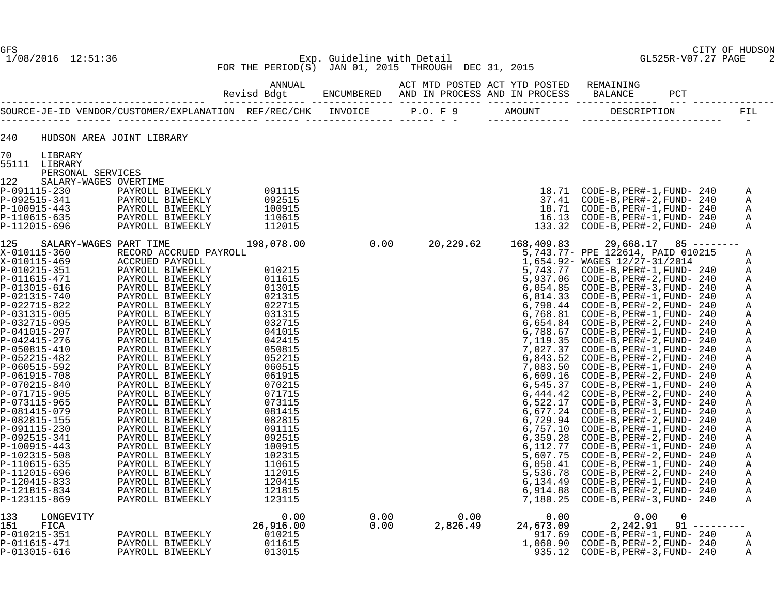#### 1/08/2016 12:51:36 Exp. Guideline with Detail GL525R-V07.27 PAGE 2 FOR THE PERIOD(S) JAN 01, 2015 THROUGH DEC 31, 2015

P-013015-616 PAYROLL BIWEEKLY 013015 935.12 CODE-B,PER#-3,FUND- 240 A

 ANNUAL ACT MTD POSTED ACT YTD POSTED REMAINING Revisd Bdgt ENCUMBERED AND IN PROCESS AND IN PROCESS BALANCE PCT ----------------------------------- -------------- -------------- -------------- -------------- -------------- --- -------------- SOURCE-JE-ID VENDOR/CUSTOMER/EXPLANATION REF/REC/CHK INVOICE P.O. F 9 AMOUNT DESCRIPTION FIL ------------ ------ ------------------------ ------ --------------- ------ - - -------------- ------------------------ -

240 HUDSON AREA JOINT LIBRARY

70 LIBRARY

55111 LIBRARY

PERSONAL SERVICES

| 122                           | SALARY-WAGES OVERTIME  |            |
|-------------------------------|------------------------|------------|
| P-091115-230                  | PAYROLL BIWEEKLY       | 091115     |
| P-092515-341                  | PAYROLL BIWEEKLY       | 092515     |
| $P-100915-443$                | PAYROLL BIWEEKLY       | 100915     |
| P-110615-635                  | PAYROLL BIWEEKLY       | 110615     |
| P-112015-696                  | PAYROLL BIWEEKLY       | 112015     |
| 125<br>SALARY-WAGES PART TIME |                        | 198,078.00 |
| X-010115-360                  | RECORD ACCRUED PAYROLL |            |
| X-010115-469                  | ACCRUED PAYROLL        |            |
| P-010215-351                  | PAYROLL BIWEEKLY       | 010215     |
| P-011615-471                  | PAYROLL BIWEEKLY       | 011615     |
| P-013015-616                  | PAYROLL BIWEEKLY       | 013015     |
| $P - 021315 - 740$            | PAYROLL BIWEEKLY       | 021315     |
| P-022715-822                  | PAYROLL BIWEEKLY       | 022715     |
| 5. 83131F 88F                 |                        | 00101F     |

| 122 | SALARY-WAGES OVERTIME |                                                                                                                      |            |                   |                                  |            |                                          |              |
|-----|-----------------------|----------------------------------------------------------------------------------------------------------------------|------------|-------------------|----------------------------------|------------|------------------------------------------|--------------|
|     | P-091115-230          | PAYROLL BIWEEKLY                                                                                                     | 091115     |                   |                                  |            | 18.71 CODE-B, PER#-1, FUND- 240          | A            |
|     | P-092515-341          | PAYROLL BIWEEKLY                                                                                                     | 092515     |                   |                                  |            | 37.41 CODE-B, PER#-2, FUND- 240          | A            |
|     | P-100915-443          | PAYROLL BIWEEKLY                                                                                                     | 100915     |                   |                                  |            |                                          |              |
|     |                       |                                                                                                                      |            |                   |                                  |            |                                          | A            |
|     | P-110615-635          | PAYROLL BIWEEKLY                                                                                                     | 110615     |                   |                                  |            | 16.13 CODE-B, PER#-1, FUND- 240          | A            |
|     | P-112015-696          | PAYROLL BIWEEKLY                                                                                                     | 112015     |                   |                                  |            | 133.32 CODE-B, PER#-2, FUND- 240         | Α            |
| 125 |                       | SALARY-WAGES PART TIME                                                                                               | 198,078.00 | $\overline{0.00}$ | 20,229.62                        | 168,409.83 | $29,668.17$ 85 -------                   |              |
|     | X-010115-360          | RECORD ACCRUED PAYROLL                                                                                               |            |                   |                                  |            | 5,743.77- PPE 122614, PAID 010215        | Α            |
|     | X-010115-469          | ACCRUED PAYROLL                                                                                                      |            |                   |                                  |            | 1,654.92- WAGES 12/27-31/2014            | A            |
|     | P-010215-351          | PAYROLL BIWEEKLY                                                                                                     | 010215     |                   |                                  |            | 5,743.77 CODE-B, PER#-1, FUND- 240       | $\mathbb{A}$ |
|     | P-011615-471          | PAYROLL BIWEEKLY                                                                                                     | 011615     |                   |                                  |            | 5,937.06 CODE-B, PER#-2, FUND- 240       | $\mathbb{A}$ |
|     | P-013015-616          |                                                                                                                      | 013015     |                   |                                  |            | 6,054.85 CODE-B, PER#-3, FUND- 240       | A            |
|     | P-021315-740          |                                                                                                                      | 021315     |                   |                                  |            |                                          | A            |
|     | P-022715-822          |                                                                                                                      | 022715     |                   |                                  |            | $6,790.44$ CODE-B, PER#-2, FUND- 240     | A            |
|     | P-031315-005          | PAYROLL BIWEEKLY<br>PAYROLL BIWEEKLY<br>PAYROLL BIWEEKLY<br>PAYROLL BIWEEKLY<br>PAYROLL BIWEEKLY<br>PAYROLL BIWEEKLY | 031315     |                   |                                  |            |                                          | $\mathbb A$  |
|     | P-032715-095          |                                                                                                                      | 032715     |                   |                                  |            |                                          | A            |
|     | P-041015-207          | PAYROLL BIWEEKLY                                                                                                     | 041015     |                   |                                  |            | 6,788.67 CODE-B, PER#-1, FUND- 240       |              |
|     | P-042415-276          | PAYROLL BIWEEKLY                                                                                                     | 042415     |                   |                                  |            |                                          | Α            |
|     | P-050815-410          |                                                                                                                      |            |                   |                                  |            | 7, 119.35 CODE-B, PER#-2, FUND- 240      | $\, {\bf A}$ |
|     |                       | PAYROLL BIWEEKLY                                                                                                     | 050815     |                   |                                  |            | 7,027.37 CODE-B, PER#-1, FUND- 240       | $\tt A$      |
|     | P-052215-482          | PAYROLL BIWEEKLY                                                                                                     | 052215     |                   |                                  |            | 6,843.52 CODE-B, PER#-2, FUND- 240       | $\mathbb A$  |
|     | P-060515-592          | PAYROLL BIWEEKLY                                                                                                     | 060515     |                   |                                  |            |                                          | Α            |
|     | P-061915-708          | PAYROLL BIWEEKLY                                                                                                     | 061915     |                   |                                  |            | 6,609.16 CODE-B, PER#-2, FUND- 240       | A            |
|     | P-070215-840          | PAYROLL BIWEEKLY                                                                                                     | 070215     |                   |                                  |            | 6,545.37 CODE-B, PER#-1, FUND- 240       | $\mathbb A$  |
|     | P-071715-905          | PAYROLL BIWEEKLY                                                                                                     | 071715     |                   |                                  |            | 6, 444.42 CODE-B, PER#-2, FUND- 240      | A            |
|     | P-073115-965          | PAYROLL BIWEEKLY                                                                                                     | 073115     |                   |                                  |            | 6,522.17 CODE-B, PER#-3, FUND- 240       | $\mathbb{A}$ |
|     | P-081415-079          | PAYROLL BIWEEKLY                                                                                                     | 081415     |                   |                                  |            | 6,677.24 CODE-B, PER#-1, FUND- 240       | Α            |
|     | P-082815-155          | PAYROLL BIWEEKLY                                                                                                     | 082815     |                   |                                  |            | 6,729.94 CODE-B, PER#-2, FUND- 240       | Α            |
|     | P-091115-230          | PAYROLL BIWEEKLY                                                                                                     | 091115     |                   |                                  |            | 6,757.10 CODE-B, PER#-1, FUND- 240       | Α            |
|     | P-092515-341          | PAYROLL BIWEEKLY                                                                                                     | 092515     |                   |                                  |            | 6,359.28 CODE-B, PER#-2, FUND- 240       | Α            |
|     | P-100915-443          | PAYROLL BIWEEKLY                                                                                                     | 100915     |                   |                                  |            | 6, 112.77 CODE-B, PER#-1, FUND- 240      | A            |
|     | P-102315-508          | PAYROLL BIWEEKLY                                                                                                     | 102315     |                   |                                  |            | $5,607.75$ CODE-B, PER#-2, FUND- 240     | А            |
|     | P-110615-635          | PAYROLL BIWEEKLY                                                                                                     | 110615     |                   |                                  |            |                                          | $\mathtt{A}$ |
|     | P-112015-696          | PAYROLL BIWEEKLY                                                                                                     | 112015     |                   |                                  |            |                                          | A            |
|     | P-120415-833          | PAYROLL BIWEEKLY                                                                                                     | 120415     |                   |                                  |            | $6, 134.49$ CODE-B, PER#-1, FUND- 240    | $\mathbb{A}$ |
|     | P-121815-834          | PAYROLL BIWEEKLY                                                                                                     | 121815     |                   |                                  |            | 6,914.88 CODE-B, PER#-2, FUND- 240       | A            |
|     | P-123115-869          | PAYROLL BIWEEKLY                                                                                                     | 123115     |                   |                                  |            | 7,180.25 CODE-B, PER#-3, FUND- 240       | $\mathbf{A}$ |
| 133 | LONGEVITY             |                                                                                                                      | 0.00       | 0.00              |                                  | 0.00       | $\mathbf 0$<br>0.00                      |              |
| 151 | FICA                  |                                                                                                                      |            | 0.00              | $0.00$<br>26.49   24<br>2,826.49 | 24,673.09  | 2,242.91<br>91                           |              |
|     |                       |                                                                                                                      | 26,916.00  |                   |                                  |            |                                          | ---------    |
|     | P-010215-351          | PAYROLL BIWEEKLY                                                                                                     | 010215     |                   |                                  |            | $917.69$ CODE-B, PER#-1, FUND- 240       | A            |
|     | P-011615-471          | PAYROLL BIWEEKLY                                                                                                     | 011615     |                   |                                  |            | $1,060.90$ CODE-B, $PER#-2$ , $FUND-240$ | Α            |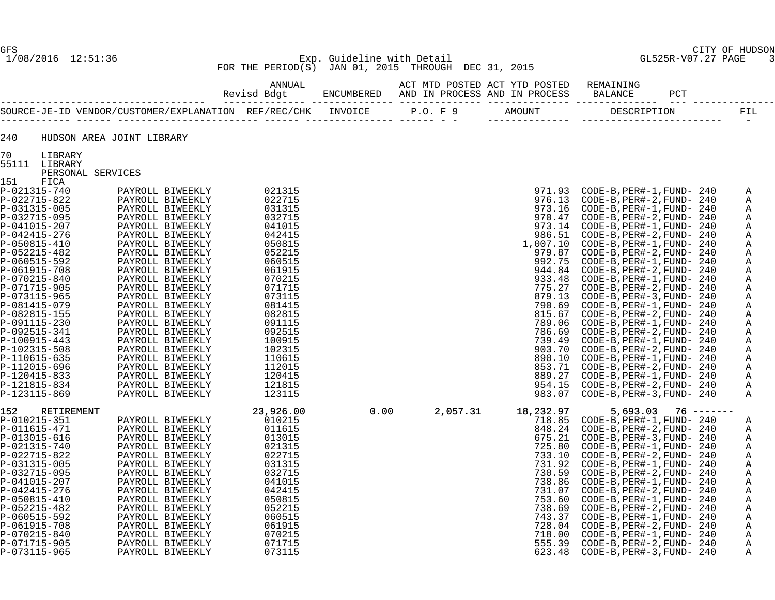#### 1/08/2016 12:51:36 Exp. Guideline with Detail GL525R-V07.27 PAGE 3 FOR THE PERIOD(S) JAN 01, 2015 THROUGH DEC 31, 2015

| 240                          |                   | HUDSON AREA JOINT LIBRARY                                                                                                                                                                                                                                 |                                                                                    |                                                                                                                                                                                                                                                                                                                                                                                                              |                                  |                       |              |
|------------------------------|-------------------|-----------------------------------------------------------------------------------------------------------------------------------------------------------------------------------------------------------------------------------------------------------|------------------------------------------------------------------------------------|--------------------------------------------------------------------------------------------------------------------------------------------------------------------------------------------------------------------------------------------------------------------------------------------------------------------------------------------------------------------------------------------------------------|----------------------------------|-----------------------|--------------|
| 70                           | LIBRARY           |                                                                                                                                                                                                                                                           |                                                                                    |                                                                                                                                                                                                                                                                                                                                                                                                              |                                  |                       |              |
|                              | 55111 LIBRARY     |                                                                                                                                                                                                                                                           |                                                                                    |                                                                                                                                                                                                                                                                                                                                                                                                              |                                  |                       |              |
|                              | PERSONAL SERVICES |                                                                                                                                                                                                                                                           |                                                                                    |                                                                                                                                                                                                                                                                                                                                                                                                              |                                  |                       |              |
| 151<br>P-021315-740          | FICA              |                                                                                                                                                                                                                                                           |                                                                                    |                                                                                                                                                                                                                                                                                                                                                                                                              |                                  |                       |              |
| P-022715-822                 |                   |                                                                                                                                                                                                                                                           |                                                                                    |                                                                                                                                                                                                                                                                                                                                                                                                              |                                  |                       | Α<br>Α       |
| P-031315-005                 |                   |                                                                                                                                                                                                                                                           |                                                                                    |                                                                                                                                                                                                                                                                                                                                                                                                              |                                  |                       | Α            |
| P-032715-095                 |                   |                                                                                                                                                                                                                                                           |                                                                                    |                                                                                                                                                                                                                                                                                                                                                                                                              |                                  |                       | Α            |
| P-041015-207                 |                   |                                                                                                                                                                                                                                                           |                                                                                    |                                                                                                                                                                                                                                                                                                                                                                                                              |                                  |                       | Α            |
| P-042415-276                 |                   |                                                                                                                                                                                                                                                           |                                                                                    |                                                                                                                                                                                                                                                                                                                                                                                                              |                                  |                       | Α            |
| P-050815-410                 |                   |                                                                                                                                                                                                                                                           |                                                                                    |                                                                                                                                                                                                                                                                                                                                                                                                              |                                  |                       | Α            |
| P-052215-482                 |                   |                                                                                                                                                                                                                                                           |                                                                                    |                                                                                                                                                                                                                                                                                                                                                                                                              |                                  |                       | Α            |
| P-060515-592                 |                   |                                                                                                                                                                                                                                                           |                                                                                    |                                                                                                                                                                                                                                                                                                                                                                                                              |                                  |                       | Α            |
| P-061915-708                 |                   |                                                                                                                                                                                                                                                           |                                                                                    |                                                                                                                                                                                                                                                                                                                                                                                                              |                                  |                       | Α            |
| P-070215-840                 |                   |                                                                                                                                                                                                                                                           |                                                                                    |                                                                                                                                                                                                                                                                                                                                                                                                              |                                  |                       | Α            |
| P-071715-905                 |                   |                                                                                                                                                                                                                                                           |                                                                                    |                                                                                                                                                                                                                                                                                                                                                                                                              |                                  |                       | Α            |
| P-073115-965                 |                   |                                                                                                                                                                                                                                                           |                                                                                    |                                                                                                                                                                                                                                                                                                                                                                                                              |                                  |                       | Α            |
| P-081415-079                 |                   |                                                                                                                                                                                                                                                           |                                                                                    |                                                                                                                                                                                                                                                                                                                                                                                                              |                                  |                       | Α            |
| P-082815-155                 |                   |                                                                                                                                                                                                                                                           |                                                                                    |                                                                                                                                                                                                                                                                                                                                                                                                              |                                  |                       | Α            |
| P-091115-230<br>P-092515-341 |                   |                                                                                                                                                                                                                                                           |                                                                                    |                                                                                                                                                                                                                                                                                                                                                                                                              |                                  |                       | Α            |
| P-100915-443                 |                   |                                                                                                                                                                                                                                                           |                                                                                    |                                                                                                                                                                                                                                                                                                                                                                                                              |                                  |                       | Α<br>Α       |
| P-102315-508                 |                   |                                                                                                                                                                                                                                                           |                                                                                    |                                                                                                                                                                                                                                                                                                                                                                                                              |                                  |                       | Α            |
| P-110615-635                 |                   |                                                                                                                                                                                                                                                           |                                                                                    |                                                                                                                                                                                                                                                                                                                                                                                                              |                                  |                       | Α            |
| P-112015-696                 |                   |                                                                                                                                                                                                                                                           |                                                                                    |                                                                                                                                                                                                                                                                                                                                                                                                              |                                  |                       | Α            |
| P-120415-833                 |                   |                                                                                                                                                                                                                                                           |                                                                                    |                                                                                                                                                                                                                                                                                                                                                                                                              |                                  |                       | Α            |
| P-121815-834                 |                   |                                                                                                                                                                                                                                                           |                                                                                    |                                                                                                                                                                                                                                                                                                                                                                                                              |                                  |                       | Α            |
| P-123115-869                 |                   | WAL SERVICES<br>PAYROLL BIWEEKLY 021315<br>PAYROLL BIWEEKLY 022715<br>PAYROLL BIWEEKLY 032715<br>PAYROLL BIWEEKLY 033715<br>PAYROLL BIWEEKLY 041015<br>PAYROLL BIWEEKLY 041015<br>PAYROLL BIWEEKLY 050815<br>PAYROLL BIWEEKLY 050815<br>PAYROLL           |                                                                                    | 971.93 CODE-B, PER#-1, FUND-240<br>976.13 CODE-B, PER#-2, FUND-240<br>973.16 CODE-B, PER#-1, FUND-240<br>973.14 CODE-B, PER#-1, FUND-240<br>973.14 CODE-B, PER#-1, FUND-240<br>973.14 CODE-B, PER#-1, FUND-240<br>979.97 CODE-B, PER#-1,                                                                                                                                                                     |                                  |                       | $\mathsf{A}$ |
| 152                          | RETIREMENT        |                                                                                                                                                                                                                                                           | 23,926.00<br>010215<br>011615<br>013015<br>022715<br>032715<br>032715<br>23,926.00 | $\begin{array}{r} \text{{\small 983.07}} \ \text{{\small 983.07}} \ \text{{\small 983.07}} \ \text{{\small 983.085}} \ \text{{\small 983.085}} \ \text{{\small 9848.24}} \ \text{{\small 675.21}} \ \text{{\small 718.85}} \ \text{{\small 848.24}} \ \text{{\small 675.21}} \ \text{{\small 725.80}} \ \text{{\small 733.10}} \ \text{{\small 731.92}} \ \text{{\small 730.59}} \ \text{{\small 731.92}} \$ |                                  | $5,693.03$ 76 ------- |              |
| P-010215-351                 |                   |                                                                                                                                                                                                                                                           |                                                                                    |                                                                                                                                                                                                                                                                                                                                                                                                              |                                  |                       | A            |
| P-011615-471                 |                   |                                                                                                                                                                                                                                                           |                                                                                    |                                                                                                                                                                                                                                                                                                                                                                                                              | 848.24 CODE-B, PER#-2, FUND- 240 |                       | Α            |
| P-013015-616                 |                   |                                                                                                                                                                                                                                                           |                                                                                    |                                                                                                                                                                                                                                                                                                                                                                                                              |                                  |                       | Α            |
| P-021315-740                 |                   |                                                                                                                                                                                                                                                           |                                                                                    |                                                                                                                                                                                                                                                                                                                                                                                                              | 725.80 CODE-B, PER#-1, FUND- 240 |                       | Α            |
| P-022715-822                 |                   |                                                                                                                                                                                                                                                           |                                                                                    |                                                                                                                                                                                                                                                                                                                                                                                                              | 733.10 CODE-B, PER#-2, FUND- 240 |                       | Α            |
| P-031315-005                 |                   |                                                                                                                                                                                                                                                           |                                                                                    |                                                                                                                                                                                                                                                                                                                                                                                                              | 730.59 CODE-B, PER#-2, FUND- 240 |                       | Α            |
| P-032715-095<br>P-041015-207 |                   |                                                                                                                                                                                                                                                           | 041015                                                                             |                                                                                                                                                                                                                                                                                                                                                                                                              | 738.86 CODE-B, PER#-1, FUND- 240 |                       | Α<br>Α       |
| P-042415-276                 |                   |                                                                                                                                                                                                                                                           | 042415                                                                             |                                                                                                                                                                                                                                                                                                                                                                                                              |                                  |                       | A            |
| P-050815-410                 |                   | EMENT<br>PAYROLL BIWEEKLY<br>PAYROLL BIWEEKLY<br>PAYROLL BIWEEKLY<br>PAYROLL BIWEEKLY<br>PAYROLL BIWEEKLY<br>PAYROLL BIWEEKLY<br>PAYROLL BIWEEKLY<br>PAYROLL BIWEEKLY<br>PAYROLL BIWEEKLY<br>PAYROLL BIWEEKLY<br>PAYROLL BIWEEKLY<br>PAYROLL BIWEEKLY<br> | 050815                                                                             |                                                                                                                                                                                                                                                                                                                                                                                                              | 753.60 CODE-B, PER#-1, FUND- 240 |                       | Α            |
| P-052215-482                 |                   |                                                                                                                                                                                                                                                           | 052215                                                                             |                                                                                                                                                                                                                                                                                                                                                                                                              | 738.69 CODE-B, PER#-2, FUND- 240 |                       | Α            |
| P-060515-592                 |                   |                                                                                                                                                                                                                                                           | 060515                                                                             |                                                                                                                                                                                                                                                                                                                                                                                                              |                                  |                       | Α            |
| P-061915-708                 |                   |                                                                                                                                                                                                                                                           | 061915                                                                             |                                                                                                                                                                                                                                                                                                                                                                                                              |                                  |                       | A            |
| P-070215-840                 |                   |                                                                                                                                                                                                                                                           | 070215                                                                             |                                                                                                                                                                                                                                                                                                                                                                                                              | 718.00 CODE-B, PER#-1, FUND- 240 |                       | $\mathbb{A}$ |
| P-071715-905                 |                   |                                                                                                                                                                                                                                                           | 071715                                                                             |                                                                                                                                                                                                                                                                                                                                                                                                              | 555.39 CODE-B, PER#-2, FUND- 240 |                       | A            |
| P-073115-965                 |                   |                                                                                                                                                                                                                                                           | 073115                                                                             |                                                                                                                                                                                                                                                                                                                                                                                                              | CODE-B, PER#-3, FUND- 240        |                       | A            |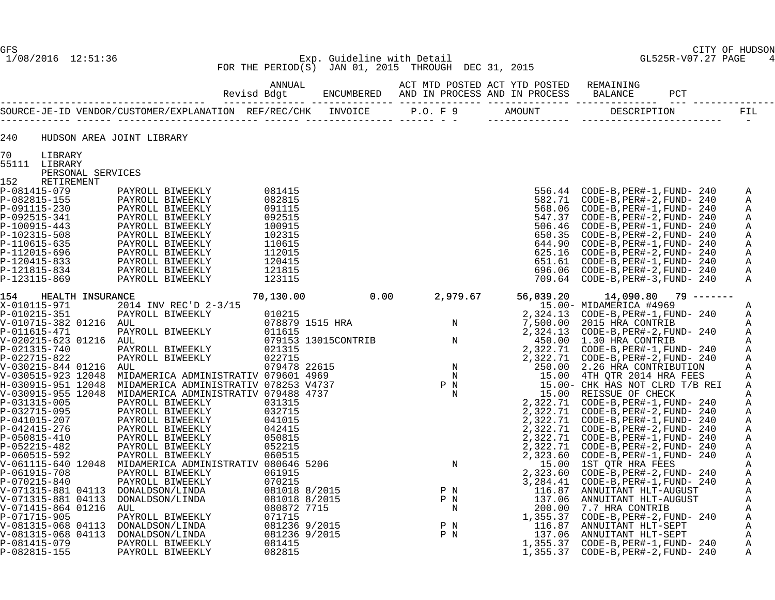#### 1/08/2016 12:51:36 Exp. Guideline with Detail GL525R-V07.27 PAGE 4 FOR THE PERIOD(S) JAN 01, 2015 THROUGH DEC 31, 2015

| 240                          |                                    | HUDSON AREA JOINT LIBRARY                                                                                                                                                                                                                                                                                                                                                                                                                                                                                                                                                                                                                               |           |  |                                                                                                                                                     |                                                                      |                        |             |
|------------------------------|------------------------------------|---------------------------------------------------------------------------------------------------------------------------------------------------------------------------------------------------------------------------------------------------------------------------------------------------------------------------------------------------------------------------------------------------------------------------------------------------------------------------------------------------------------------------------------------------------------------------------------------------------------------------------------------------------|-----------|--|-----------------------------------------------------------------------------------------------------------------------------------------------------|----------------------------------------------------------------------|------------------------|-------------|
| 70                           | LIBRARY                            |                                                                                                                                                                                                                                                                                                                                                                                                                                                                                                                                                                                                                                                         |           |  |                                                                                                                                                     |                                                                      |                        |             |
|                              | 55111 LIBRARY<br>PERSONAL SERVICES |                                                                                                                                                                                                                                                                                                                                                                                                                                                                                                                                                                                                                                                         |           |  |                                                                                                                                                     |                                                                      |                        |             |
| 152                          | RETIREMENT                         |                                                                                                                                                                                                                                                                                                                                                                                                                                                                                                                                                                                                                                                         |           |  |                                                                                                                                                     |                                                                      |                        |             |
| P-081415-079                 |                                    |                                                                                                                                                                                                                                                                                                                                                                                                                                                                                                                                                                                                                                                         |           |  |                                                                                                                                                     | 556.44 CODE-B, PER#-1, FUND- 240                                     |                        | Α           |
| P-082815-155                 |                                    |                                                                                                                                                                                                                                                                                                                                                                                                                                                                                                                                                                                                                                                         |           |  |                                                                                                                                                     | 582.71 CODE-B, PER#-2, FUND- 240                                     |                        | Α           |
| P-091115-230                 |                                    |                                                                                                                                                                                                                                                                                                                                                                                                                                                                                                                                                                                                                                                         |           |  |                                                                                                                                                     | 568.06 CODE-B, PER#-1, FUND- 240                                     |                        | Α           |
| P-092515-341                 |                                    |                                                                                                                                                                                                                                                                                                                                                                                                                                                                                                                                                                                                                                                         |           |  |                                                                                                                                                     | 547.37 CODE-B, PER#-2, FUND- 240                                     |                        | Α           |
| P-100915-443                 |                                    |                                                                                                                                                                                                                                                                                                                                                                                                                                                                                                                                                                                                                                                         |           |  |                                                                                                                                                     | 506.46 CODE-B, PER#-1, FUND- 240                                     |                        | Α           |
| P-102315-508                 |                                    |                                                                                                                                                                                                                                                                                                                                                                                                                                                                                                                                                                                                                                                         |           |  |                                                                                                                                                     | 650.35 CODE-B, PER#-2, FUND- 240                                     |                        | Α           |
| P-110615-635<br>P-112015-696 |                                    |                                                                                                                                                                                                                                                                                                                                                                                                                                                                                                                                                                                                                                                         |           |  |                                                                                                                                                     | 644.90 CODE-B, PER#-1, FUND- 240<br>625.16 CODE-B, PER#-2, FUND- 240 |                        | Α<br>Α      |
| P-120415-833                 |                                    |                                                                                                                                                                                                                                                                                                                                                                                                                                                                                                                                                                                                                                                         |           |  |                                                                                                                                                     |                                                                      |                        | Α           |
| P-121815-834                 |                                    |                                                                                                                                                                                                                                                                                                                                                                                                                                                                                                                                                                                                                                                         |           |  |                                                                                                                                                     | 696.06 CODE-B, PER#-2, FUND- 240                                     |                        | Α           |
| P-123115-869                 |                                    | $\begin{tabular}{l l l} \multicolumn{1}{c}{\textbf{PAYROLL BIWEEKLY}} & 081415\\ \textbf{PAYROLL BIWEEKLY} & 082815\\ \textbf{PAYROLL BIWEEKLY} & 091115\\ \textbf{PAYROLL BIWEEKLY} & 092515\\ \textbf{PAYROLL BIWEEKLY} & 100915\\ \textbf{PAYROLL BIWEEKLY} & 102315\\ \textbf{PAYROLL BIWEEKLY} & 112015\\ \textbf{PAYROLL BIWEEKLY} & 120415\\ \textbf{PAYROLL BIWEEKLY} & 12$<br>PAYROLL BIWEEKLY<br>PAYROLL BIWEEKLY<br>PAYROLL BIWEEKLY<br>PAYROLL BIWEEKLY<br>PAYROLL BIWEEKLY<br>PAYROLL BIWEEKLY<br>PAYROLL BIWEEKLY<br>PAYROLL BIWEEKLY<br>PAYROLL BIWEEKLY<br>PAYROLL BIWEEKLY<br>PAYROLL BIWEEKLY<br>PAYROLL BIWEEKLY<br>PAYROLL BIWEEKLY |           |  | $\begin{array}{r} 556.44 \\ 582.71 \\ 568.06 \\ 547.37 \\ 566.46 \\ 506.46 \\ 650.35 \\ 644.90 \\ 625.16 \\ 651.61 \\ 696.06 \\ 709.64 \end{array}$ | 709.64 CODE-B, PER#-3, FUND- 240                                     |                        | Α           |
| 154                          | HEALTH INSURANCE                   |                                                                                                                                                                                                                                                                                                                                                                                                                                                                                                                                                                                                                                                         | 70,130.00 |  |                                                                                                                                                     |                                                                      | $14,090.80$ 79 ------- |             |
|                              |                                    |                                                                                                                                                                                                                                                                                                                                                                                                                                                                                                                                                                                                                                                         |           |  |                                                                                                                                                     |                                                                      |                        | Α           |
|                              |                                    |                                                                                                                                                                                                                                                                                                                                                                                                                                                                                                                                                                                                                                                         |           |  |                                                                                                                                                     |                                                                      |                        | Α           |
|                              |                                    |                                                                                                                                                                                                                                                                                                                                                                                                                                                                                                                                                                                                                                                         |           |  |                                                                                                                                                     |                                                                      |                        | $\mathbb A$ |
|                              |                                    |                                                                                                                                                                                                                                                                                                                                                                                                                                                                                                                                                                                                                                                         |           |  |                                                                                                                                                     |                                                                      |                        | A           |
|                              |                                    |                                                                                                                                                                                                                                                                                                                                                                                                                                                                                                                                                                                                                                                         |           |  |                                                                                                                                                     |                                                                      |                        | Α           |
|                              |                                    |                                                                                                                                                                                                                                                                                                                                                                                                                                                                                                                                                                                                                                                         |           |  |                                                                                                                                                     |                                                                      |                        | Α           |
|                              |                                    |                                                                                                                                                                                                                                                                                                                                                                                                                                                                                                                                                                                                                                                         |           |  |                                                                                                                                                     |                                                                      |                        | Α<br>Α      |
|                              |                                    |                                                                                                                                                                                                                                                                                                                                                                                                                                                                                                                                                                                                                                                         |           |  |                                                                                                                                                     |                                                                      |                        | Α           |
|                              |                                    |                                                                                                                                                                                                                                                                                                                                                                                                                                                                                                                                                                                                                                                         |           |  |                                                                                                                                                     |                                                                      |                        | Α           |
|                              |                                    |                                                                                                                                                                                                                                                                                                                                                                                                                                                                                                                                                                                                                                                         |           |  |                                                                                                                                                     |                                                                      |                        | Α           |
|                              |                                    |                                                                                                                                                                                                                                                                                                                                                                                                                                                                                                                                                                                                                                                         |           |  |                                                                                                                                                     |                                                                      |                        | Α           |
|                              |                                    |                                                                                                                                                                                                                                                                                                                                                                                                                                                                                                                                                                                                                                                         |           |  |                                                                                                                                                     |                                                                      |                        | Α           |
|                              |                                    |                                                                                                                                                                                                                                                                                                                                                                                                                                                                                                                                                                                                                                                         |           |  |                                                                                                                                                     |                                                                      |                        | Α           |
|                              |                                    |                                                                                                                                                                                                                                                                                                                                                                                                                                                                                                                                                                                                                                                         |           |  |                                                                                                                                                     |                                                                      |                        | Α           |
|                              |                                    |                                                                                                                                                                                                                                                                                                                                                                                                                                                                                                                                                                                                                                                         |           |  |                                                                                                                                                     |                                                                      |                        | Α           |
|                              |                                    |                                                                                                                                                                                                                                                                                                                                                                                                                                                                                                                                                                                                                                                         |           |  |                                                                                                                                                     |                                                                      |                        | Α           |
|                              |                                    |                                                                                                                                                                                                                                                                                                                                                                                                                                                                                                                                                                                                                                                         |           |  |                                                                                                                                                     |                                                                      |                        | Α           |
|                              |                                    |                                                                                                                                                                                                                                                                                                                                                                                                                                                                                                                                                                                                                                                         |           |  |                                                                                                                                                     |                                                                      |                        | Α<br>Α      |
|                              |                                    |                                                                                                                                                                                                                                                                                                                                                                                                                                                                                                                                                                                                                                                         |           |  |                                                                                                                                                     |                                                                      |                        | Α           |
|                              |                                    |                                                                                                                                                                                                                                                                                                                                                                                                                                                                                                                                                                                                                                                         |           |  |                                                                                                                                                     |                                                                      |                        | Α           |
|                              |                                    |                                                                                                                                                                                                                                                                                                                                                                                                                                                                                                                                                                                                                                                         |           |  |                                                                                                                                                     |                                                                      |                        | Α           |
|                              |                                    |                                                                                                                                                                                                                                                                                                                                                                                                                                                                                                                                                                                                                                                         |           |  |                                                                                                                                                     |                                                                      |                        | Α           |
|                              |                                    |                                                                                                                                                                                                                                                                                                                                                                                                                                                                                                                                                                                                                                                         |           |  |                                                                                                                                                     |                                                                      |                        | Α           |
|                              |                                    |                                                                                                                                                                                                                                                                                                                                                                                                                                                                                                                                                                                                                                                         |           |  |                                                                                                                                                     |                                                                      |                        | Α           |
|                              |                                    |                                                                                                                                                                                                                                                                                                                                                                                                                                                                                                                                                                                                                                                         |           |  |                                                                                                                                                     |                                                                      |                        | Α           |
|                              |                                    |                                                                                                                                                                                                                                                                                                                                                                                                                                                                                                                                                                                                                                                         |           |  |                                                                                                                                                     |                                                                      |                        | Α           |
|                              |                                    |                                                                                                                                                                                                                                                                                                                                                                                                                                                                                                                                                                                                                                                         |           |  |                                                                                                                                                     |                                                                      |                        | Α           |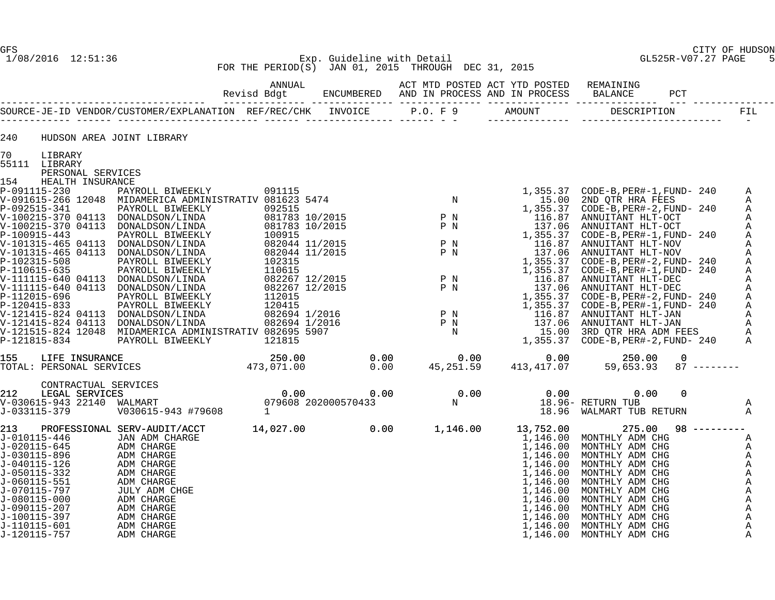#### GFS CITY OF HUDSON 1/08/2016 12:51:36 Exp. Guideline with Detail GL525R-V07.27 PAGE 5 FOR THE PERIOD(S) JAN 01, 2015 THROUGH DEC 31, 2015

| 240<br>HUDSON AREA JOINT LIBRARY<br>70<br>LIBRARY<br>PERSONAL SERVICES<br>Α<br>Α<br>Α<br>Α<br>Α<br>Α<br>Α<br>Α<br>Α<br>Α<br>Α<br>Α<br>Α<br>Α<br>Α<br>Α<br>Α<br>155 LIFE INSURANCE 250.00 250.00 0.00 0.00 0.00 0.00 250.00<br>173,071.00 0.00 45,251.59 413,417.07 59,653.93<br>$87$ --------<br>Α<br>18.96 WALMART TUB RETURN<br>$\mathbb A$<br>PROFESSIONAL SERV-AUDIT/ACCT 14,027.00 0.00 1,146.00<br>$98$ ---------<br>13,752.00<br>${\small \begin{array}{ll} \text{275.00} & 98 & \text{---} \text{---} \text{---} \text{---} \text{MONTHLY ADM CHG} \text{MONTHLY ADM CHG} \text{MONTHLY ADM CHG} \text{MONTHLY ADM CHG} \text{MONTHLY ADM CHG} \text{MONTHLY ADM CHG} \text{MONTHLY ADM CHG} \text{MONTHLY ADM CHG} \text{MONTHLY ADM CHG} \text{MONTHLY ADM CHG} \text{MONTHLY ADM CHG} \text{MONTHLY ADM CHG} \text{MONTHLY ADM CHG} \text{MONTHLY ADM CHG} \text{MONTHLY ADM CHG} \end{array}}$<br>SIONAL SERV-AUDIT/ACCI<br>JAN ADM CHARGE<br>ADM CHARGE<br>ADM CHARGE<br>ADM CHARGE<br>ADM CHARGE<br>ADM CHARGE<br>JULY ADM CHARGE<br>ADM CHARGE<br>ADM CHARGE<br>ADM CHARGE<br>ADM CHARGE<br>ADM CHARGE<br>ADM CHARGE<br>ADM CHARGE<br>ADM CHARGE<br>ADM CHARG<br>1,146.00 MONTHLY ADM CHG<br>J-010115-446<br>Α<br>J-020115-645<br>1,146.00 MONTHLY ADM CHG<br>Α<br>J-030115-896<br>1,146.00<br>Α<br>1,146.00<br>J-040115-126<br>Α<br>1,146.00<br>J-050115-332<br>Α<br>1,146.00<br>J-060115-551<br>Α<br>1,146.00<br>A<br>A<br>1,146.00<br>1,146.00<br>Α<br>J-100115-397<br>Α<br>1,146.00<br>J-110115-601<br>1,146.00<br>Α<br>J-120115-757<br>ADM CHARGE<br>1,146.00<br>$\mathbb{A}$ |               |  |  |  |  |
|---------------------------------------------------------------------------------------------------------------------------------------------------------------------------------------------------------------------------------------------------------------------------------------------------------------------------------------------------------------------------------------------------------------------------------------------------------------------------------------------------------------------------------------------------------------------------------------------------------------------------------------------------------------------------------------------------------------------------------------------------------------------------------------------------------------------------------------------------------------------------------------------------------------------------------------------------------------------------------------------------------------------------------------------------------------------------------------------------------------------------------------------------------------------------------------------------------------------------------------------------------------------------------------------------------------------------------------------------------------------------------------------------------------------------------------------------------------------------------------------------------------------------------------------------------------------------------------------------|---------------|--|--|--|--|
|                                                                                                                                                                                                                                                                                                                                                                                                                                                                                                                                                                                                                                                                                                                                                                                                                                                                                                                                                                                                                                                                                                                                                                                                                                                                                                                                                                                                                                                                                                                                                                                                   |               |  |  |  |  |
|                                                                                                                                                                                                                                                                                                                                                                                                                                                                                                                                                                                                                                                                                                                                                                                                                                                                                                                                                                                                                                                                                                                                                                                                                                                                                                                                                                                                                                                                                                                                                                                                   |               |  |  |  |  |
|                                                                                                                                                                                                                                                                                                                                                                                                                                                                                                                                                                                                                                                                                                                                                                                                                                                                                                                                                                                                                                                                                                                                                                                                                                                                                                                                                                                                                                                                                                                                                                                                   |               |  |  |  |  |
|                                                                                                                                                                                                                                                                                                                                                                                                                                                                                                                                                                                                                                                                                                                                                                                                                                                                                                                                                                                                                                                                                                                                                                                                                                                                                                                                                                                                                                                                                                                                                                                                   | 55111 LIBRARY |  |  |  |  |
|                                                                                                                                                                                                                                                                                                                                                                                                                                                                                                                                                                                                                                                                                                                                                                                                                                                                                                                                                                                                                                                                                                                                                                                                                                                                                                                                                                                                                                                                                                                                                                                                   |               |  |  |  |  |
|                                                                                                                                                                                                                                                                                                                                                                                                                                                                                                                                                                                                                                                                                                                                                                                                                                                                                                                                                                                                                                                                                                                                                                                                                                                                                                                                                                                                                                                                                                                                                                                                   |               |  |  |  |  |
|                                                                                                                                                                                                                                                                                                                                                                                                                                                                                                                                                                                                                                                                                                                                                                                                                                                                                                                                                                                                                                                                                                                                                                                                                                                                                                                                                                                                                                                                                                                                                                                                   |               |  |  |  |  |
|                                                                                                                                                                                                                                                                                                                                                                                                                                                                                                                                                                                                                                                                                                                                                                                                                                                                                                                                                                                                                                                                                                                                                                                                                                                                                                                                                                                                                                                                                                                                                                                                   |               |  |  |  |  |
|                                                                                                                                                                                                                                                                                                                                                                                                                                                                                                                                                                                                                                                                                                                                                                                                                                                                                                                                                                                                                                                                                                                                                                                                                                                                                                                                                                                                                                                                                                                                                                                                   |               |  |  |  |  |
|                                                                                                                                                                                                                                                                                                                                                                                                                                                                                                                                                                                                                                                                                                                                                                                                                                                                                                                                                                                                                                                                                                                                                                                                                                                                                                                                                                                                                                                                                                                                                                                                   |               |  |  |  |  |
|                                                                                                                                                                                                                                                                                                                                                                                                                                                                                                                                                                                                                                                                                                                                                                                                                                                                                                                                                                                                                                                                                                                                                                                                                                                                                                                                                                                                                                                                                                                                                                                                   |               |  |  |  |  |
|                                                                                                                                                                                                                                                                                                                                                                                                                                                                                                                                                                                                                                                                                                                                                                                                                                                                                                                                                                                                                                                                                                                                                                                                                                                                                                                                                                                                                                                                                                                                                                                                   |               |  |  |  |  |
|                                                                                                                                                                                                                                                                                                                                                                                                                                                                                                                                                                                                                                                                                                                                                                                                                                                                                                                                                                                                                                                                                                                                                                                                                                                                                                                                                                                                                                                                                                                                                                                                   |               |  |  |  |  |
|                                                                                                                                                                                                                                                                                                                                                                                                                                                                                                                                                                                                                                                                                                                                                                                                                                                                                                                                                                                                                                                                                                                                                                                                                                                                                                                                                                                                                                                                                                                                                                                                   |               |  |  |  |  |
|                                                                                                                                                                                                                                                                                                                                                                                                                                                                                                                                                                                                                                                                                                                                                                                                                                                                                                                                                                                                                                                                                                                                                                                                                                                                                                                                                                                                                                                                                                                                                                                                   |               |  |  |  |  |
|                                                                                                                                                                                                                                                                                                                                                                                                                                                                                                                                                                                                                                                                                                                                                                                                                                                                                                                                                                                                                                                                                                                                                                                                                                                                                                                                                                                                                                                                                                                                                                                                   |               |  |  |  |  |
|                                                                                                                                                                                                                                                                                                                                                                                                                                                                                                                                                                                                                                                                                                                                                                                                                                                                                                                                                                                                                                                                                                                                                                                                                                                                                                                                                                                                                                                                                                                                                                                                   |               |  |  |  |  |
|                                                                                                                                                                                                                                                                                                                                                                                                                                                                                                                                                                                                                                                                                                                                                                                                                                                                                                                                                                                                                                                                                                                                                                                                                                                                                                                                                                                                                                                                                                                                                                                                   |               |  |  |  |  |
|                                                                                                                                                                                                                                                                                                                                                                                                                                                                                                                                                                                                                                                                                                                                                                                                                                                                                                                                                                                                                                                                                                                                                                                                                                                                                                                                                                                                                                                                                                                                                                                                   |               |  |  |  |  |
|                                                                                                                                                                                                                                                                                                                                                                                                                                                                                                                                                                                                                                                                                                                                                                                                                                                                                                                                                                                                                                                                                                                                                                                                                                                                                                                                                                                                                                                                                                                                                                                                   |               |  |  |  |  |
|                                                                                                                                                                                                                                                                                                                                                                                                                                                                                                                                                                                                                                                                                                                                                                                                                                                                                                                                                                                                                                                                                                                                                                                                                                                                                                                                                                                                                                                                                                                                                                                                   |               |  |  |  |  |
|                                                                                                                                                                                                                                                                                                                                                                                                                                                                                                                                                                                                                                                                                                                                                                                                                                                                                                                                                                                                                                                                                                                                                                                                                                                                                                                                                                                                                                                                                                                                                                                                   |               |  |  |  |  |
|                                                                                                                                                                                                                                                                                                                                                                                                                                                                                                                                                                                                                                                                                                                                                                                                                                                                                                                                                                                                                                                                                                                                                                                                                                                                                                                                                                                                                                                                                                                                                                                                   |               |  |  |  |  |
|                                                                                                                                                                                                                                                                                                                                                                                                                                                                                                                                                                                                                                                                                                                                                                                                                                                                                                                                                                                                                                                                                                                                                                                                                                                                                                                                                                                                                                                                                                                                                                                                   |               |  |  |  |  |
|                                                                                                                                                                                                                                                                                                                                                                                                                                                                                                                                                                                                                                                                                                                                                                                                                                                                                                                                                                                                                                                                                                                                                                                                                                                                                                                                                                                                                                                                                                                                                                                                   |               |  |  |  |  |
|                                                                                                                                                                                                                                                                                                                                                                                                                                                                                                                                                                                                                                                                                                                                                                                                                                                                                                                                                                                                                                                                                                                                                                                                                                                                                                                                                                                                                                                                                                                                                                                                   |               |  |  |  |  |
|                                                                                                                                                                                                                                                                                                                                                                                                                                                                                                                                                                                                                                                                                                                                                                                                                                                                                                                                                                                                                                                                                                                                                                                                                                                                                                                                                                                                                                                                                                                                                                                                   |               |  |  |  |  |
|                                                                                                                                                                                                                                                                                                                                                                                                                                                                                                                                                                                                                                                                                                                                                                                                                                                                                                                                                                                                                                                                                                                                                                                                                                                                                                                                                                                                                                                                                                                                                                                                   |               |  |  |  |  |
|                                                                                                                                                                                                                                                                                                                                                                                                                                                                                                                                                                                                                                                                                                                                                                                                                                                                                                                                                                                                                                                                                                                                                                                                                                                                                                                                                                                                                                                                                                                                                                                                   | 213           |  |  |  |  |
|                                                                                                                                                                                                                                                                                                                                                                                                                                                                                                                                                                                                                                                                                                                                                                                                                                                                                                                                                                                                                                                                                                                                                                                                                                                                                                                                                                                                                                                                                                                                                                                                   |               |  |  |  |  |
|                                                                                                                                                                                                                                                                                                                                                                                                                                                                                                                                                                                                                                                                                                                                                                                                                                                                                                                                                                                                                                                                                                                                                                                                                                                                                                                                                                                                                                                                                                                                                                                                   |               |  |  |  |  |
|                                                                                                                                                                                                                                                                                                                                                                                                                                                                                                                                                                                                                                                                                                                                                                                                                                                                                                                                                                                                                                                                                                                                                                                                                                                                                                                                                                                                                                                                                                                                                                                                   |               |  |  |  |  |
|                                                                                                                                                                                                                                                                                                                                                                                                                                                                                                                                                                                                                                                                                                                                                                                                                                                                                                                                                                                                                                                                                                                                                                                                                                                                                                                                                                                                                                                                                                                                                                                                   |               |  |  |  |  |
|                                                                                                                                                                                                                                                                                                                                                                                                                                                                                                                                                                                                                                                                                                                                                                                                                                                                                                                                                                                                                                                                                                                                                                                                                                                                                                                                                                                                                                                                                                                                                                                                   |               |  |  |  |  |
|                                                                                                                                                                                                                                                                                                                                                                                                                                                                                                                                                                                                                                                                                                                                                                                                                                                                                                                                                                                                                                                                                                                                                                                                                                                                                                                                                                                                                                                                                                                                                                                                   | J-070115-797  |  |  |  |  |
|                                                                                                                                                                                                                                                                                                                                                                                                                                                                                                                                                                                                                                                                                                                                                                                                                                                                                                                                                                                                                                                                                                                                                                                                                                                                                                                                                                                                                                                                                                                                                                                                   | J-080115-000  |  |  |  |  |
|                                                                                                                                                                                                                                                                                                                                                                                                                                                                                                                                                                                                                                                                                                                                                                                                                                                                                                                                                                                                                                                                                                                                                                                                                                                                                                                                                                                                                                                                                                                                                                                                   | J-090115-207  |  |  |  |  |
|                                                                                                                                                                                                                                                                                                                                                                                                                                                                                                                                                                                                                                                                                                                                                                                                                                                                                                                                                                                                                                                                                                                                                                                                                                                                                                                                                                                                                                                                                                                                                                                                   |               |  |  |  |  |
|                                                                                                                                                                                                                                                                                                                                                                                                                                                                                                                                                                                                                                                                                                                                                                                                                                                                                                                                                                                                                                                                                                                                                                                                                                                                                                                                                                                                                                                                                                                                                                                                   |               |  |  |  |  |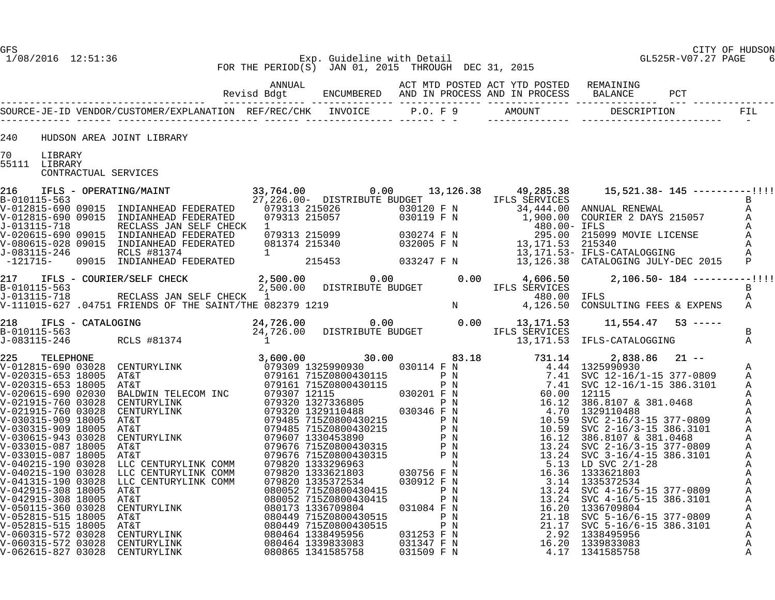# GFS CITY OF HUDSON 1/08/2016 12:51:36 Exp. Guideline with Detail GL525R-V07.27 PAGE 6 FOR THE PERIOD(S) JAN 01, 2015 THROUGH DEC 31, 2015

| 240           |         | HUDSON AREA JOINT LIBRARY                                                                                                                                                                                                                                                                                                                                         |  |  |  |  |                   |
|---------------|---------|-------------------------------------------------------------------------------------------------------------------------------------------------------------------------------------------------------------------------------------------------------------------------------------------------------------------------------------------------------------------|--|--|--|--|-------------------|
| 70            |         |                                                                                                                                                                                                                                                                                                                                                                   |  |  |  |  |                   |
| 55111 LIBRARY | LIBRARY | CONTRACTUAL SERVICES                                                                                                                                                                                                                                                                                                                                              |  |  |  |  |                   |
|               |         |                                                                                                                                                                                                                                                                                                                                                                   |  |  |  |  |                   |
|               |         |                                                                                                                                                                                                                                                                                                                                                                   |  |  |  |  |                   |
|               |         |                                                                                                                                                                                                                                                                                                                                                                   |  |  |  |  |                   |
|               |         |                                                                                                                                                                                                                                                                                                                                                                   |  |  |  |  |                   |
|               |         |                                                                                                                                                                                                                                                                                                                                                                   |  |  |  |  |                   |
|               |         |                                                                                                                                                                                                                                                                                                                                                                   |  |  |  |  |                   |
|               |         |                                                                                                                                                                                                                                                                                                                                                                   |  |  |  |  |                   |
|               |         | $\begin{tabular}{lllllllllll} 217 & IFLS & - \text{COURIER/SELF } CHECK & 2,500.00 & 0.00 & 4,606.50 & 2,106.50-184--------1!\! ! \\ \text{B}-010115-563 & & 2,500.00 & DISTRIBUTE \text{ BUE} & & 480.00 & IFLS \\ \text{J}-013115-718 & & & 480.00 & IFLS \\ \text{V}-111015-627 & .04751 \text{ FRLENDG OF THE SAINT/THE} & 082379 & 1219 & & & & & & & & & &$ |  |  |  |  |                   |
|               |         |                                                                                                                                                                                                                                                                                                                                                                   |  |  |  |  |                   |
|               |         |                                                                                                                                                                                                                                                                                                                                                                   |  |  |  |  |                   |
|               |         |                                                                                                                                                                                                                                                                                                                                                                   |  |  |  |  |                   |
|               |         |                                                                                                                                                                                                                                                                                                                                                                   |  |  |  |  |                   |
|               |         |                                                                                                                                                                                                                                                                                                                                                                   |  |  |  |  |                   |
|               |         |                                                                                                                                                                                                                                                                                                                                                                   |  |  |  |  |                   |
|               |         |                                                                                                                                                                                                                                                                                                                                                                   |  |  |  |  |                   |
|               |         |                                                                                                                                                                                                                                                                                                                                                                   |  |  |  |  | A<br>Α            |
|               |         |                                                                                                                                                                                                                                                                                                                                                                   |  |  |  |  | Α                 |
|               |         |                                                                                                                                                                                                                                                                                                                                                                   |  |  |  |  | Α                 |
|               |         |                                                                                                                                                                                                                                                                                                                                                                   |  |  |  |  | Α                 |
|               |         |                                                                                                                                                                                                                                                                                                                                                                   |  |  |  |  | Α<br>Α            |
|               |         |                                                                                                                                                                                                                                                                                                                                                                   |  |  |  |  | A                 |
|               |         |                                                                                                                                                                                                                                                                                                                                                                   |  |  |  |  | Α                 |
|               |         |                                                                                                                                                                                                                                                                                                                                                                   |  |  |  |  | Α                 |
|               |         |                                                                                                                                                                                                                                                                                                                                                                   |  |  |  |  | Α<br>Α            |
|               |         |                                                                                                                                                                                                                                                                                                                                                                   |  |  |  |  | Α                 |
|               |         |                                                                                                                                                                                                                                                                                                                                                                   |  |  |  |  | Α                 |
|               |         |                                                                                                                                                                                                                                                                                                                                                                   |  |  |  |  | Α<br>$\mathbf{A}$ |
|               |         |                                                                                                                                                                                                                                                                                                                                                                   |  |  |  |  | $\mathsf{A}$      |
|               |         |                                                                                                                                                                                                                                                                                                                                                                   |  |  |  |  | Α                 |
|               |         |                                                                                                                                                                                                                                                                                                                                                                   |  |  |  |  | Α                 |
|               |         |                                                                                                                                                                                                                                                                                                                                                                   |  |  |  |  | Α                 |
|               |         |                                                                                                                                                                                                                                                                                                                                                                   |  |  |  |  | Α<br>A            |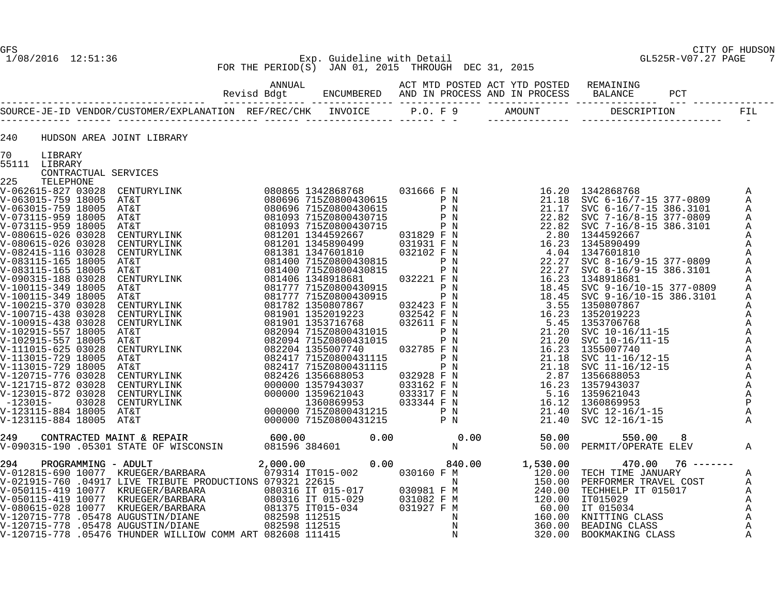# 1/08/2016 12:51:36 Exp. Guideline with Detail GL525R-V07.27 PAGE 7 FOR THE PERIOD(S) JAN 01, 2015 THROUGH DEC 31, 2015

| 240 |                          | HUDSON AREA JOINT LIBRARY |  |  |                                                                                                                                                                                                                                                                                                                                                                                                                                                              |                   |
|-----|--------------------------|---------------------------|--|--|--------------------------------------------------------------------------------------------------------------------------------------------------------------------------------------------------------------------------------------------------------------------------------------------------------------------------------------------------------------------------------------------------------------------------------------------------------------|-------------------|
| 70  | LIBRARY<br>55111 LIBRARY |                           |  |  |                                                                                                                                                                                                                                                                                                                                                                                                                                                              |                   |
|     | CONTRACTUAL SERVICES     |                           |  |  |                                                                                                                                                                                                                                                                                                                                                                                                                                                              |                   |
| 225 | TELEPHONE                |                           |  |  |                                                                                                                                                                                                                                                                                                                                                                                                                                                              |                   |
|     |                          |                           |  |  |                                                                                                                                                                                                                                                                                                                                                                                                                                                              | Α                 |
|     |                          |                           |  |  |                                                                                                                                                                                                                                                                                                                                                                                                                                                              | Α                 |
|     |                          |                           |  |  |                                                                                                                                                                                                                                                                                                                                                                                                                                                              | Α                 |
|     |                          |                           |  |  |                                                                                                                                                                                                                                                                                                                                                                                                                                                              | Α                 |
|     |                          |                           |  |  |                                                                                                                                                                                                                                                                                                                                                                                                                                                              | Α<br>$\mathbf{A}$ |
|     |                          |                           |  |  |                                                                                                                                                                                                                                                                                                                                                                                                                                                              | Α                 |
|     |                          |                           |  |  |                                                                                                                                                                                                                                                                                                                                                                                                                                                              | Α                 |
|     |                          |                           |  |  |                                                                                                                                                                                                                                                                                                                                                                                                                                                              | Α                 |
|     |                          |                           |  |  |                                                                                                                                                                                                                                                                                                                                                                                                                                                              | Α                 |
|     |                          |                           |  |  |                                                                                                                                                                                                                                                                                                                                                                                                                                                              | Α                 |
|     |                          |                           |  |  |                                                                                                                                                                                                                                                                                                                                                                                                                                                              | Α                 |
|     |                          |                           |  |  |                                                                                                                                                                                                                                                                                                                                                                                                                                                              | Α                 |
|     |                          |                           |  |  |                                                                                                                                                                                                                                                                                                                                                                                                                                                              | Α                 |
|     |                          |                           |  |  |                                                                                                                                                                                                                                                                                                                                                                                                                                                              | A                 |
|     |                          |                           |  |  |                                                                                                                                                                                                                                                                                                                                                                                                                                                              | Α                 |
|     |                          |                           |  |  |                                                                                                                                                                                                                                                                                                                                                                                                                                                              | A                 |
|     |                          |                           |  |  |                                                                                                                                                                                                                                                                                                                                                                                                                                                              | Α                 |
|     |                          |                           |  |  |                                                                                                                                                                                                                                                                                                                                                                                                                                                              | Α                 |
|     |                          |                           |  |  |                                                                                                                                                                                                                                                                                                                                                                                                                                                              | Α                 |
|     |                          |                           |  |  |                                                                                                                                                                                                                                                                                                                                                                                                                                                              | A                 |
|     |                          |                           |  |  |                                                                                                                                                                                                                                                                                                                                                                                                                                                              | Α                 |
|     |                          |                           |  |  |                                                                                                                                                                                                                                                                                                                                                                                                                                                              | $\mathbb A$       |
|     |                          |                           |  |  |                                                                                                                                                                                                                                                                                                                                                                                                                                                              | Α<br>$\mathbf P$  |
|     |                          |                           |  |  |                                                                                                                                                                                                                                                                                                                                                                                                                                                              | Α                 |
|     |                          |                           |  |  | $\begin{tabular}{@{}c@{}}\begin{tabular}{@{}c@{}}\begin{tabular}{@{}c@{}}\begin{tabular}{@{}c@{}}\begin{tabular}{@{}c@{}}\begin{tabular}{@{}c@{}}\begin{tabular}{@{}c@{}}\begin{tabular}{@{}c@{}}\begin{tabular}{@{}c@{}}\begin{tabular}{@{}c@{}}\begin{tabular}{@{}c@{}}\begin{tabular}{@{}c@{}}\begin{tabular}{@{}c@{}}\begin{tabular}{@{}c@{}}\begin{tabular}{@{}c@{}}\begin{tabular}{@{}c@{}}\begin{tabular}{@{}c@{}}\begin{tabular}{@{}c@{}}\begin{tab$ |                   |
|     |                          |                           |  |  |                                                                                                                                                                                                                                                                                                                                                                                                                                                              |                   |
|     |                          |                           |  |  |                                                                                                                                                                                                                                                                                                                                                                                                                                                              | Α                 |
|     |                          |                           |  |  |                                                                                                                                                                                                                                                                                                                                                                                                                                                              |                   |
|     |                          |                           |  |  |                                                                                                                                                                                                                                                                                                                                                                                                                                                              | Α                 |
|     |                          |                           |  |  |                                                                                                                                                                                                                                                                                                                                                                                                                                                              | Α                 |
|     |                          |                           |  |  |                                                                                                                                                                                                                                                                                                                                                                                                                                                              | Α                 |
|     |                          |                           |  |  |                                                                                                                                                                                                                                                                                                                                                                                                                                                              | Α                 |
|     |                          |                           |  |  |                                                                                                                                                                                                                                                                                                                                                                                                                                                              | A                 |
|     |                          |                           |  |  |                                                                                                                                                                                                                                                                                                                                                                                                                                                              | A                 |
|     |                          |                           |  |  |                                                                                                                                                                                                                                                                                                                                                                                                                                                              | A                 |
|     |                          |                           |  |  |                                                                                                                                                                                                                                                                                                                                                                                                                                                              | A                 |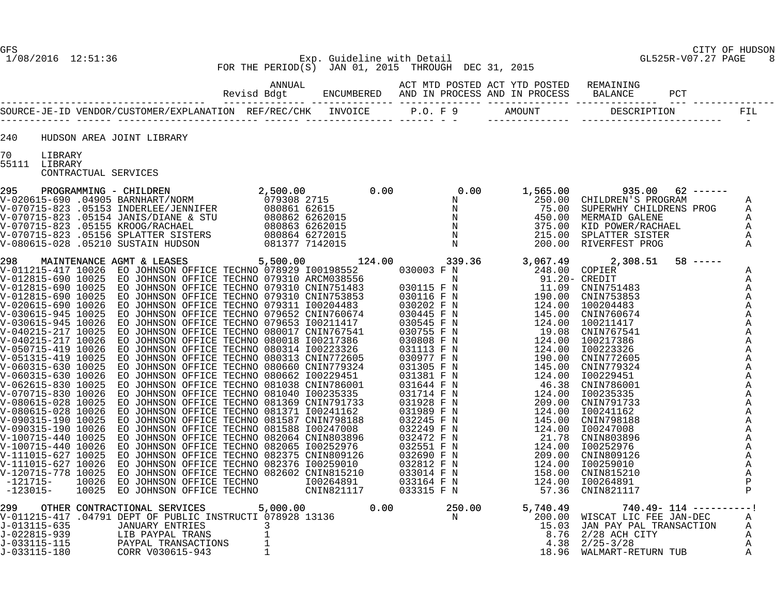GL525R-V07.27 PAGE 8

# GFS CITY OF HUDSON FOR THE PERIOD(S) JAN 01, 2015 THROUGH DEC 31, 2015

|                          | HUDSON AREA JOINT LIBRARY |  |  |  |                                                                                                                                                                                                                                                                      |  |                                                                                                                                                     |  |
|--------------------------|---------------------------|--|--|--|----------------------------------------------------------------------------------------------------------------------------------------------------------------------------------------------------------------------------------------------------------------------|--|-----------------------------------------------------------------------------------------------------------------------------------------------------|--|
| LIBRARY<br>55111 LIBRARY | CONTRACTUAL SERVICES      |  |  |  |                                                                                                                                                                                                                                                                      |  |                                                                                                                                                     |  |
|                          |                           |  |  |  | 295 PROGRAMMING - CHILDREN 2,500.00 0.00 0.00 1,565.00 935.00 62 ------<br>V-020615-690 04905 BARNHART/NORM 079308 2715 0.00 N<br>V-070715-823 05153 INDEREN'S PROGRAM ARTLEVIER (NORMAL PROGRAM CHILDREN'S PROGRAM A<br>V-070715-82                                 |  |                                                                                                                                                     |  |
|                          |                           |  |  |  | $\begin{smallmatrix} 1.466613-0.081 & 0.8140 & 0.8140 & 0.8140 & 0.8140 & 0.8140 & 0.8140 & 0.8140 & 0.8140 & 0.8140 & 0.8140 & 0.8140 & 0.8140 & 0.8140 & 0.8140 & 0.8140 & 0.8140 & 0.8140 & 0.8140 & 0.8140 & 0.8140 & 0.8140 & 0.8140 & 0.8140 & 0.8140 & 0.814$ |  | Α<br>A<br>Α<br>Α<br>Α<br>A<br>A<br>Α<br>A<br>Α<br>A<br>A<br>A<br>A<br>Α<br>A<br>A<br>$\mathbb{A}$<br>A<br>А<br>Α<br>A<br>Α<br>A<br>$\mathbf P$<br>P |  |
|                          |                           |  |  |  | 299 OTHER CONTRACTIONAL SERVICES 5,000.00 0.00 250.00 5,740.49 740.49-114 ---------!<br>V-011215-417 04791 DEPT OF PUBLIC INSTRUCTI 078928 13136 N<br>J-013115-635 JANUARY ENTRIES 3 15.03 JAN PAY PAL TRANSACTION A<br>J-022815-939                                 |  |                                                                                                                                                     |  |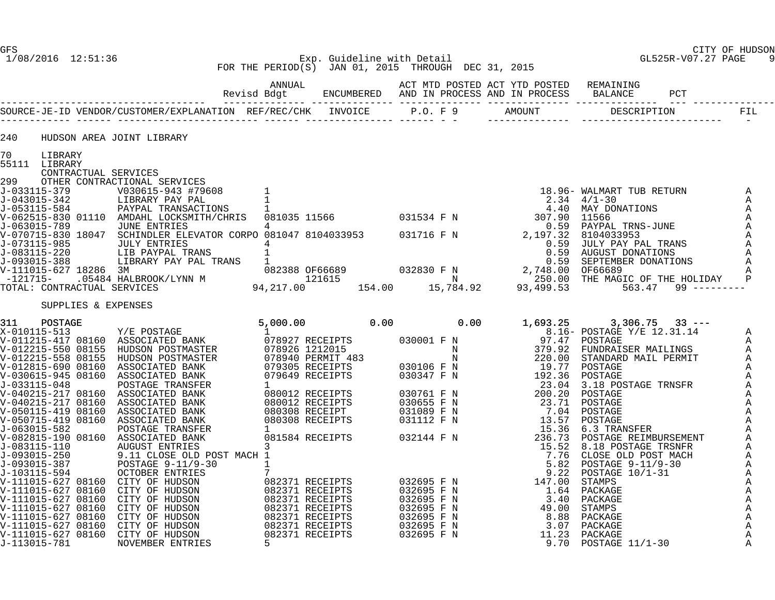# GFS CITY OF HUDSON 1/08/2016 12:51:36 Exp. Guideline with Detail GL525R-V07.27 PAGE 9 FOR THE PERIOD(S) JAN 01, 2015 THROUGH DEC 31, 2015

| 240                  | HUDSON AREA JOINT LIBRARY                                                                                                                   |  |  |  |  |
|----------------------|---------------------------------------------------------------------------------------------------------------------------------------------|--|--|--|--|
| 70 LIBRARY           |                                                                                                                                             |  |  |  |  |
| 55111 LIBRARY        |                                                                                                                                             |  |  |  |  |
| CONTRACTUAL SERVICES |                                                                                                                                             |  |  |  |  |
|                      | 299 OTHER CONTRACTIONAL SERVICES<br>J-033115-379 V030615-943 #79608 1<br>J-043015-342 LIBRARY PAY PAL<br>J-053115-584 PAYPAL TRANSACTIONS 1 |  |  |  |  |
|                      |                                                                                                                                             |  |  |  |  |
|                      |                                                                                                                                             |  |  |  |  |
|                      |                                                                                                                                             |  |  |  |  |
|                      |                                                                                                                                             |  |  |  |  |
|                      |                                                                                                                                             |  |  |  |  |
|                      |                                                                                                                                             |  |  |  |  |
|                      |                                                                                                                                             |  |  |  |  |
|                      |                                                                                                                                             |  |  |  |  |
|                      |                                                                                                                                             |  |  |  |  |
|                      |                                                                                                                                             |  |  |  |  |
| SUPPLIES & EXPENSES  |                                                                                                                                             |  |  |  |  |
|                      |                                                                                                                                             |  |  |  |  |
|                      |                                                                                                                                             |  |  |  |  |
|                      |                                                                                                                                             |  |  |  |  |
|                      |                                                                                                                                             |  |  |  |  |
|                      |                                                                                                                                             |  |  |  |  |
|                      |                                                                                                                                             |  |  |  |  |
|                      |                                                                                                                                             |  |  |  |  |
|                      |                                                                                                                                             |  |  |  |  |
|                      |                                                                                                                                             |  |  |  |  |
|                      |                                                                                                                                             |  |  |  |  |
|                      |                                                                                                                                             |  |  |  |  |
|                      |                                                                                                                                             |  |  |  |  |
|                      |                                                                                                                                             |  |  |  |  |
|                      |                                                                                                                                             |  |  |  |  |
|                      |                                                                                                                                             |  |  |  |  |
|                      |                                                                                                                                             |  |  |  |  |
|                      |                                                                                                                                             |  |  |  |  |
|                      |                                                                                                                                             |  |  |  |  |
|                      |                                                                                                                                             |  |  |  |  |
|                      |                                                                                                                                             |  |  |  |  |
|                      |                                                                                                                                             |  |  |  |  |
|                      |                                                                                                                                             |  |  |  |  |
|                      |                                                                                                                                             |  |  |  |  |
|                      |                                                                                                                                             |  |  |  |  |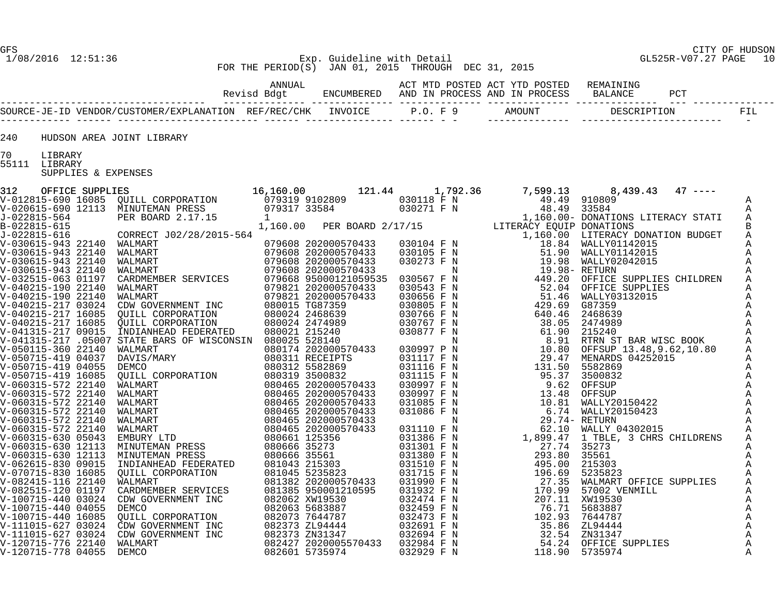#### GFS CITY OF HUDSON 1/08/2016 12:51:36 Exp. Guideline with Detail GL525R-V07.27 PAGE 10 FOR THE PERIOD(S) JAN 01, 2015 THROUGH DEC 31, 2015

| 240 | HUDSON AREA JOINT LIBRARY                       |  |  |  |  |  |
|-----|-------------------------------------------------|--|--|--|--|--|
|     |                                                 |  |  |  |  |  |
| 70  | LIBRARY<br>55111 LIBRARY<br>SUPPLIES & EXPENSES |  |  |  |  |  |
|     |                                                 |  |  |  |  |  |
|     |                                                 |  |  |  |  |  |
|     |                                                 |  |  |  |  |  |
|     |                                                 |  |  |  |  |  |
|     |                                                 |  |  |  |  |  |
|     |                                                 |  |  |  |  |  |
|     |                                                 |  |  |  |  |  |
|     |                                                 |  |  |  |  |  |
|     |                                                 |  |  |  |  |  |
|     |                                                 |  |  |  |  |  |
|     |                                                 |  |  |  |  |  |
|     |                                                 |  |  |  |  |  |
|     |                                                 |  |  |  |  |  |
|     |                                                 |  |  |  |  |  |
|     |                                                 |  |  |  |  |  |
|     |                                                 |  |  |  |  |  |
|     |                                                 |  |  |  |  |  |
|     |                                                 |  |  |  |  |  |
|     |                                                 |  |  |  |  |  |
|     |                                                 |  |  |  |  |  |
|     |                                                 |  |  |  |  |  |
|     |                                                 |  |  |  |  |  |
|     |                                                 |  |  |  |  |  |
|     |                                                 |  |  |  |  |  |
|     |                                                 |  |  |  |  |  |
|     |                                                 |  |  |  |  |  |
|     |                                                 |  |  |  |  |  |
|     |                                                 |  |  |  |  |  |
|     |                                                 |  |  |  |  |  |
|     |                                                 |  |  |  |  |  |
|     |                                                 |  |  |  |  |  |
|     |                                                 |  |  |  |  |  |
|     |                                                 |  |  |  |  |  |
|     |                                                 |  |  |  |  |  |
|     |                                                 |  |  |  |  |  |
|     |                                                 |  |  |  |  |  |
|     |                                                 |  |  |  |  |  |
|     |                                                 |  |  |  |  |  |
|     |                                                 |  |  |  |  |  |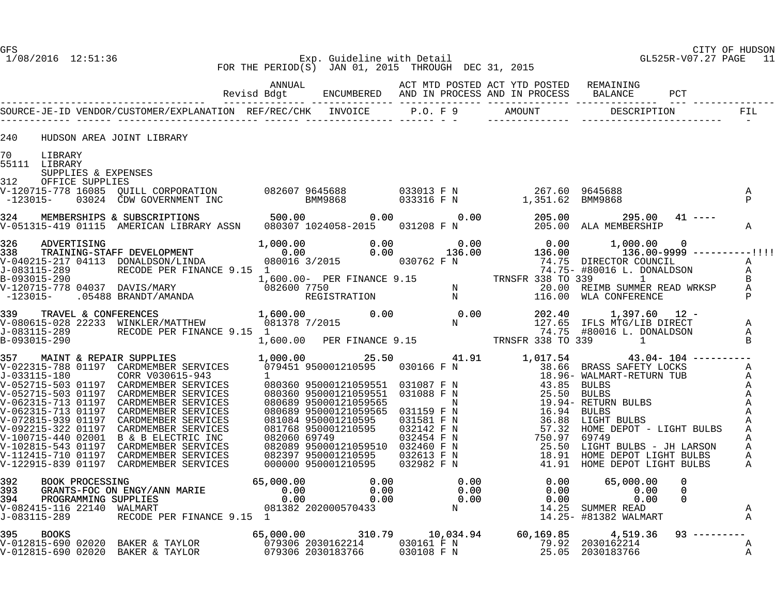#### 1/08/2016 12:51:36 Exp. Guideline with Detail GL525R-V07.27 PAGE 11 FOR THE PERIOD(S) JAN 01, 2015 THROUGH DEC 31, 2015

| 240<br>HUDSON AREA JOINT LIBRARY                                                                                                                                                                                                           |  |  |  |                   |
|--------------------------------------------------------------------------------------------------------------------------------------------------------------------------------------------------------------------------------------------|--|--|--|-------------------|
| 70 LIBRARY<br>55111 LIBRARY<br>SUPPLIES & EXPENSES                                                                                                                                                                                         |  |  |  |                   |
| 312 OFFICE SUPPLIES                                                                                                                                                                                                                        |  |  |  | A<br>$\mathbb{P}$ |
| 324 MEMBERSHIPS & SUBSCRIPTIONS 500.00 0.00 0.00 0.00 0.00 205.00 295.00 41 ----<br>V-051315-419 01115 AMERICAN LIBRARY ASSN 080307 1024058-2015 031208 F N 205.00 ALA MEMBERSHIP                                                          |  |  |  | $\mathbb A$       |
| 338 TRAINING-STAFF DEVELOPMENT<br>338 TRAINING-STAFF DEVELOPMENT<br>338 TRAINING-STAFF DEVELOPMENT<br>338 TRAINING-STAFF DEVELOPMENT<br>339 TRAINING-STAFF DEVELOPMENT<br>339 TRAINING-STAFF DEVELOPMENT<br>34.75- #80016 1.760.00 - DEVEL |  |  |  |                   |
|                                                                                                                                                                                                                                            |  |  |  |                   |
|                                                                                                                                                                                                                                            |  |  |  |                   |
|                                                                                                                                                                                                                                            |  |  |  |                   |
|                                                                                                                                                                                                                                            |  |  |  | A<br>$\mathbb{A}$ |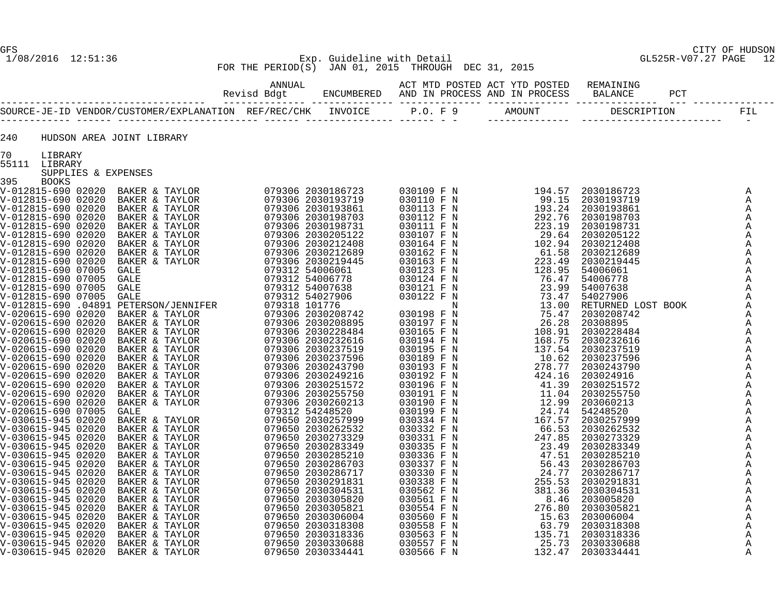# GFS CITY OF HUDSON 1/08/2016 12:51:36 Exp. Guideline with Detail GL525R-V07.27 PAGE 12 FOR THE PERIOD(S) JAN 01, 2015 THROUGH DEC 31, 2015

| 240       |                                      | HUDSON AREA JOINT LIBRARY                                                                                                                                                                                                                                                                                                                                                                                                            |  |  |  |  |
|-----------|--------------------------------------|--------------------------------------------------------------------------------------------------------------------------------------------------------------------------------------------------------------------------------------------------------------------------------------------------------------------------------------------------------------------------------------------------------------------------------------|--|--|--|--|
|           | 70 LIBRARY                           |                                                                                                                                                                                                                                                                                                                                                                                                                                      |  |  |  |  |
|           | 55111 LIBRARY<br>SUPPLIES & EXPENSES | $\begin{smallmatrix} \textbf{11} & \textbf{0} & \textbf{0} & \textbf{0} & \textbf{0} & \textbf{0} & \textbf{0} & \textbf{0} & \textbf{0} & \textbf{0} & \textbf{0} & \textbf{0} & \textbf{0} & \textbf{0} & \textbf{0} & \textbf{0} & \textbf{0} & \textbf{0} & \textbf{0} & \textbf{0} & \textbf{0} & \textbf{0} & \textbf{0} & \textbf{0} & \textbf{0} & \textbf{0} & \textbf{0} & \textbf{0} & \textbf{0} & \textbf{0} & \textbf$ |  |  |  |  |
| 395 BOOKS |                                      |                                                                                                                                                                                                                                                                                                                                                                                                                                      |  |  |  |  |
|           |                                      |                                                                                                                                                                                                                                                                                                                                                                                                                                      |  |  |  |  |
|           |                                      |                                                                                                                                                                                                                                                                                                                                                                                                                                      |  |  |  |  |
|           |                                      |                                                                                                                                                                                                                                                                                                                                                                                                                                      |  |  |  |  |
|           |                                      |                                                                                                                                                                                                                                                                                                                                                                                                                                      |  |  |  |  |
|           |                                      |                                                                                                                                                                                                                                                                                                                                                                                                                                      |  |  |  |  |
|           |                                      |                                                                                                                                                                                                                                                                                                                                                                                                                                      |  |  |  |  |
|           |                                      |                                                                                                                                                                                                                                                                                                                                                                                                                                      |  |  |  |  |
|           |                                      |                                                                                                                                                                                                                                                                                                                                                                                                                                      |  |  |  |  |
|           |                                      |                                                                                                                                                                                                                                                                                                                                                                                                                                      |  |  |  |  |
|           |                                      |                                                                                                                                                                                                                                                                                                                                                                                                                                      |  |  |  |  |
|           |                                      |                                                                                                                                                                                                                                                                                                                                                                                                                                      |  |  |  |  |
|           |                                      |                                                                                                                                                                                                                                                                                                                                                                                                                                      |  |  |  |  |
|           |                                      |                                                                                                                                                                                                                                                                                                                                                                                                                                      |  |  |  |  |
|           |                                      |                                                                                                                                                                                                                                                                                                                                                                                                                                      |  |  |  |  |
|           |                                      |                                                                                                                                                                                                                                                                                                                                                                                                                                      |  |  |  |  |
|           |                                      |                                                                                                                                                                                                                                                                                                                                                                                                                                      |  |  |  |  |
|           |                                      |                                                                                                                                                                                                                                                                                                                                                                                                                                      |  |  |  |  |
|           |                                      |                                                                                                                                                                                                                                                                                                                                                                                                                                      |  |  |  |  |
|           |                                      |                                                                                                                                                                                                                                                                                                                                                                                                                                      |  |  |  |  |
|           |                                      |                                                                                                                                                                                                                                                                                                                                                                                                                                      |  |  |  |  |
|           |                                      |                                                                                                                                                                                                                                                                                                                                                                                                                                      |  |  |  |  |
|           |                                      |                                                                                                                                                                                                                                                                                                                                                                                                                                      |  |  |  |  |
|           |                                      |                                                                                                                                                                                                                                                                                                                                                                                                                                      |  |  |  |  |
|           |                                      |                                                                                                                                                                                                                                                                                                                                                                                                                                      |  |  |  |  |
|           |                                      |                                                                                                                                                                                                                                                                                                                                                                                                                                      |  |  |  |  |
|           |                                      |                                                                                                                                                                                                                                                                                                                                                                                                                                      |  |  |  |  |
|           |                                      |                                                                                                                                                                                                                                                                                                                                                                                                                                      |  |  |  |  |
|           |                                      |                                                                                                                                                                                                                                                                                                                                                                                                                                      |  |  |  |  |
|           |                                      |                                                                                                                                                                                                                                                                                                                                                                                                                                      |  |  |  |  |
|           |                                      |                                                                                                                                                                                                                                                                                                                                                                                                                                      |  |  |  |  |
|           |                                      |                                                                                                                                                                                                                                                                                                                                                                                                                                      |  |  |  |  |
|           |                                      |                                                                                                                                                                                                                                                                                                                                                                                                                                      |  |  |  |  |
|           |                                      |                                                                                                                                                                                                                                                                                                                                                                                                                                      |  |  |  |  |
|           |                                      |                                                                                                                                                                                                                                                                                                                                                                                                                                      |  |  |  |  |
|           |                                      |                                                                                                                                                                                                                                                                                                                                                                                                                                      |  |  |  |  |
|           |                                      |                                                                                                                                                                                                                                                                                                                                                                                                                                      |  |  |  |  |
|           |                                      |                                                                                                                                                                                                                                                                                                                                                                                                                                      |  |  |  |  |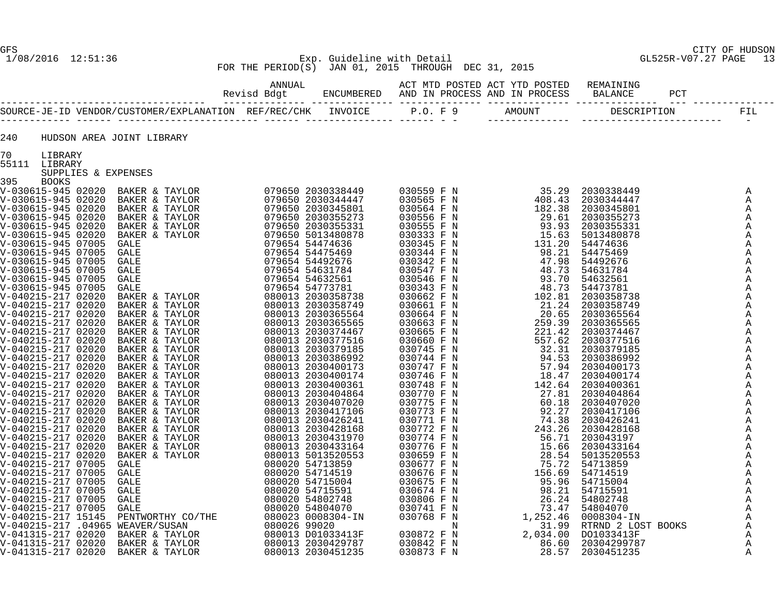# GFS CITY OF HUDSON 1/08/2016 12:51:36 Exp. Guideline with Detail GL525R-V07.27 PAGE 13 FOR THE PERIOD(S) JAN 01, 2015 THROUGH DEC 31, 2015

| 240                            |                     | HUDSON AREA JOINT LIBRARY                                                                                                                                                                                                                                                                                                                                           |  |  |  |                              |
|--------------------------------|---------------------|---------------------------------------------------------------------------------------------------------------------------------------------------------------------------------------------------------------------------------------------------------------------------------------------------------------------------------------------------------------------|--|--|--|------------------------------|
| 70<br>LIBRARY<br>55111 LIBRARY |                     |                                                                                                                                                                                                                                                                                                                                                                     |  |  |  |                              |
|                                | SUPPLIES & EXPENSES | $\begin{smallmatrix} \textbf{0.11} \textbf{0.12} \textbf{0.13} \textbf{0.14} \textbf{0.15} \textbf{0.16} \textbf{0.17} \textbf{0.17} \textbf{0.18} \textbf{0.17} \textbf{0.17} \textbf{0.17} \textbf{0.17} \textbf{0.17} \textbf{0.17} \textbf{0.17} \textbf{0.17} \textbf{0.17} \textbf{0.17} \textbf{0.17} \textbf{0.17} \textbf{0.17} \textbf{0.17} \textbf{0.1$ |  |  |  |                              |
|                                |                     |                                                                                                                                                                                                                                                                                                                                                                     |  |  |  |                              |
|                                |                     |                                                                                                                                                                                                                                                                                                                                                                     |  |  |  | A<br>Α                       |
|                                |                     |                                                                                                                                                                                                                                                                                                                                                                     |  |  |  | A                            |
|                                |                     |                                                                                                                                                                                                                                                                                                                                                                     |  |  |  | Α                            |
|                                |                     |                                                                                                                                                                                                                                                                                                                                                                     |  |  |  | Α                            |
|                                |                     |                                                                                                                                                                                                                                                                                                                                                                     |  |  |  | A                            |
|                                |                     |                                                                                                                                                                                                                                                                                                                                                                     |  |  |  | Α                            |
|                                |                     |                                                                                                                                                                                                                                                                                                                                                                     |  |  |  | A                            |
|                                |                     |                                                                                                                                                                                                                                                                                                                                                                     |  |  |  | Α                            |
|                                |                     |                                                                                                                                                                                                                                                                                                                                                                     |  |  |  | $\mathbb{A}$<br>A            |
|                                |                     |                                                                                                                                                                                                                                                                                                                                                                     |  |  |  | A                            |
|                                |                     |                                                                                                                                                                                                                                                                                                                                                                     |  |  |  | Α                            |
|                                |                     |                                                                                                                                                                                                                                                                                                                                                                     |  |  |  | A                            |
|                                |                     |                                                                                                                                                                                                                                                                                                                                                                     |  |  |  | A                            |
|                                |                     |                                                                                                                                                                                                                                                                                                                                                                     |  |  |  | A                            |
|                                |                     |                                                                                                                                                                                                                                                                                                                                                                     |  |  |  | Α                            |
|                                |                     |                                                                                                                                                                                                                                                                                                                                                                     |  |  |  | Α<br>A                       |
|                                |                     |                                                                                                                                                                                                                                                                                                                                                                     |  |  |  | A                            |
|                                |                     |                                                                                                                                                                                                                                                                                                                                                                     |  |  |  | $\mathbb{A}$                 |
|                                |                     |                                                                                                                                                                                                                                                                                                                                                                     |  |  |  | $\mathbb{A}$                 |
|                                |                     |                                                                                                                                                                                                                                                                                                                                                                     |  |  |  | A                            |
|                                |                     |                                                                                                                                                                                                                                                                                                                                                                     |  |  |  | A                            |
|                                |                     |                                                                                                                                                                                                                                                                                                                                                                     |  |  |  | A                            |
|                                |                     |                                                                                                                                                                                                                                                                                                                                                                     |  |  |  | $\mathbb{A}$<br>$\mathbb{A}$ |
|                                |                     |                                                                                                                                                                                                                                                                                                                                                                     |  |  |  | A                            |
|                                |                     |                                                                                                                                                                                                                                                                                                                                                                     |  |  |  | $\mathbb{A}$                 |
|                                |                     |                                                                                                                                                                                                                                                                                                                                                                     |  |  |  | Α                            |
|                                |                     |                                                                                                                                                                                                                                                                                                                                                                     |  |  |  | A                            |
|                                |                     |                                                                                                                                                                                                                                                                                                                                                                     |  |  |  | $\mathbb{A}$                 |
|                                |                     |                                                                                                                                                                                                                                                                                                                                                                     |  |  |  | A<br>A                       |
|                                |                     |                                                                                                                                                                                                                                                                                                                                                                     |  |  |  | A                            |
|                                |                     |                                                                                                                                                                                                                                                                                                                                                                     |  |  |  | Α                            |
|                                |                     |                                                                                                                                                                                                                                                                                                                                                                     |  |  |  | $\mathbb{A}$                 |
|                                |                     |                                                                                                                                                                                                                                                                                                                                                                     |  |  |  | $\mathbb{A}$                 |
|                                |                     |                                                                                                                                                                                                                                                                                                                                                                     |  |  |  | $\mathbb{A}$                 |
|                                |                     |                                                                                                                                                                                                                                                                                                                                                                     |  |  |  | A                            |
|                                |                     |                                                                                                                                                                                                                                                                                                                                                                     |  |  |  | A<br>A                       |
|                                |                     |                                                                                                                                                                                                                                                                                                                                                                     |  |  |  |                              |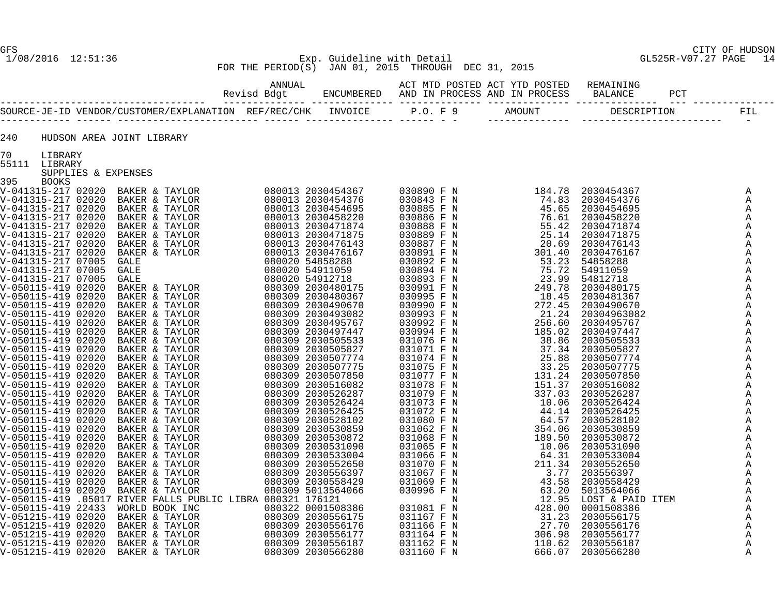# 1/08/2016 12:51:36 Exp. Guideline with Detail GL525R-V07.27 PAGE 14 FOR THE PERIOD(S) JAN 01, 2015 THROUGH DEC 31, 2015

| 240                 | HUDSON AREA JOINT LIBRARY |  |  |  |              |
|---------------------|---------------------------|--|--|--|--------------|
| 70<br>LIBRARY       |                           |  |  |  |              |
| 55111 LIBRARY       | SUPPLIES & EXPENSES       |  |  |  |              |
| 395<br><b>BOOKS</b> |                           |  |  |  |              |
|                     |                           |  |  |  | A            |
|                     |                           |  |  |  | A            |
|                     |                           |  |  |  | Α            |
|                     |                           |  |  |  | Α            |
|                     |                           |  |  |  | Α            |
|                     |                           |  |  |  | Α            |
|                     |                           |  |  |  | A            |
|                     |                           |  |  |  | $\mathbb{A}$ |
|                     |                           |  |  |  | A<br>A       |
|                     |                           |  |  |  | A            |
|                     |                           |  |  |  | $\mathbb{A}$ |
|                     |                           |  |  |  | A            |
|                     |                           |  |  |  | Α            |
|                     |                           |  |  |  | $\mathbb{A}$ |
|                     |                           |  |  |  | Α            |
|                     |                           |  |  |  | A            |
|                     |                           |  |  |  | Α            |
|                     |                           |  |  |  | A            |
|                     |                           |  |  |  | A            |
|                     |                           |  |  |  | Α<br>A       |
|                     |                           |  |  |  | A            |
|                     |                           |  |  |  | A            |
|                     |                           |  |  |  | A            |
|                     |                           |  |  |  | A            |
|                     |                           |  |  |  | Α            |
|                     |                           |  |  |  | A            |
|                     |                           |  |  |  | $\mathbb A$  |
|                     |                           |  |  |  | A            |
|                     |                           |  |  |  | A            |
|                     |                           |  |  |  | Α<br>A       |
|                     |                           |  |  |  | A            |
|                     |                           |  |  |  | A            |
|                     |                           |  |  |  | $\mathbb{A}$ |
|                     |                           |  |  |  | A            |
|                     |                           |  |  |  | Α            |
|                     |                           |  |  |  | Α            |
|                     |                           |  |  |  | A            |
|                     |                           |  |  |  | A            |
|                     |                           |  |  |  | A            |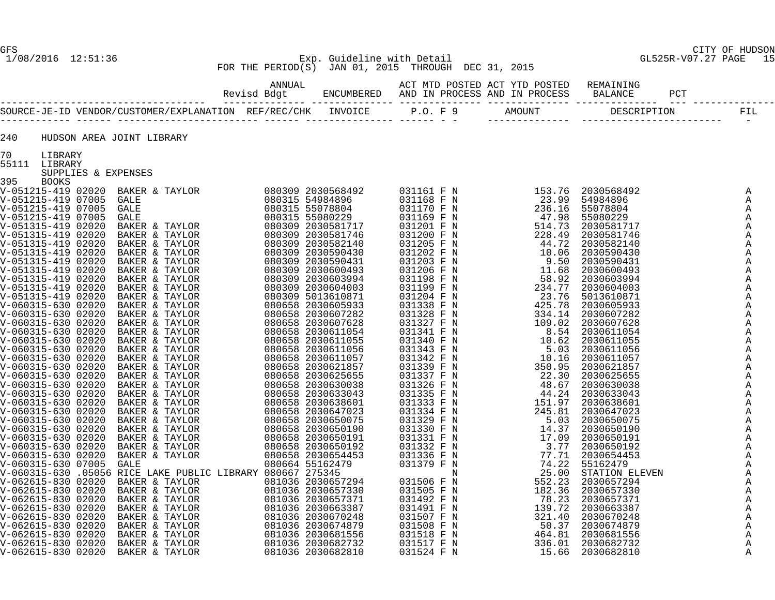# GFS CITY OF HUDSON 1/08/2016 12:51:36 Exp. Guideline with Detail GL525R-V07.27 PAGE 15 FOR THE PERIOD(S) JAN 01, 2015 THROUGH DEC 31, 2015

| 240       |                     | HUDSON AREA JOINT LIBRARY |  |  |  |                   |
|-----------|---------------------|---------------------------|--|--|--|-------------------|
|           | 70 LIBRARY          |                           |  |  |  |                   |
|           | 55111 LIBRARY       |                           |  |  |  |                   |
| 395 BOOKS | SUPPLIES & EXPENSES |                           |  |  |  |                   |
|           |                     |                           |  |  |  | Α                 |
|           |                     |                           |  |  |  | A                 |
|           |                     |                           |  |  |  | A                 |
|           |                     |                           |  |  |  | A                 |
|           |                     |                           |  |  |  | $\mathbb{A}$      |
|           |                     |                           |  |  |  | Α                 |
|           |                     |                           |  |  |  | $\mathbb{A}$      |
|           |                     |                           |  |  |  | $\mathbb{A}$<br>A |
|           |                     |                           |  |  |  | A                 |
|           |                     |                           |  |  |  | A                 |
|           |                     |                           |  |  |  | $\mathbb{A}$      |
|           |                     |                           |  |  |  | A                 |
|           |                     |                           |  |  |  | Α                 |
|           |                     |                           |  |  |  | $\mathbb{A}$      |
|           |                     |                           |  |  |  | A                 |
|           |                     |                           |  |  |  | $\mathbb{A}$      |
|           |                     |                           |  |  |  | A<br>A            |
|           |                     |                           |  |  |  | $\mathbb{A}$      |
|           |                     |                           |  |  |  | A                 |
|           |                     |                           |  |  |  | $\mathbb{A}$      |
|           |                     |                           |  |  |  | A                 |
|           |                     |                           |  |  |  | A                 |
|           |                     |                           |  |  |  | $\mathbb{A}$      |
|           |                     |                           |  |  |  | $\mathbb{A}$      |
|           |                     |                           |  |  |  | $\mathbb{A}$      |
|           |                     |                           |  |  |  | A<br>A            |
|           |                     |                           |  |  |  | A                 |
|           |                     |                           |  |  |  | A                 |
|           |                     |                           |  |  |  | $\mathbb{A}$      |
|           |                     |                           |  |  |  | $\mathbb{A}$      |
|           |                     |                           |  |  |  | A                 |
|           |                     |                           |  |  |  | A                 |
|           |                     |                           |  |  |  | $\mathbb{A}$      |
|           |                     |                           |  |  |  | Α                 |
|           |                     |                           |  |  |  | A<br>$\mathbb{A}$ |
|           |                     |                           |  |  |  | A                 |
|           |                     |                           |  |  |  | A                 |
|           |                     |                           |  |  |  | A                 |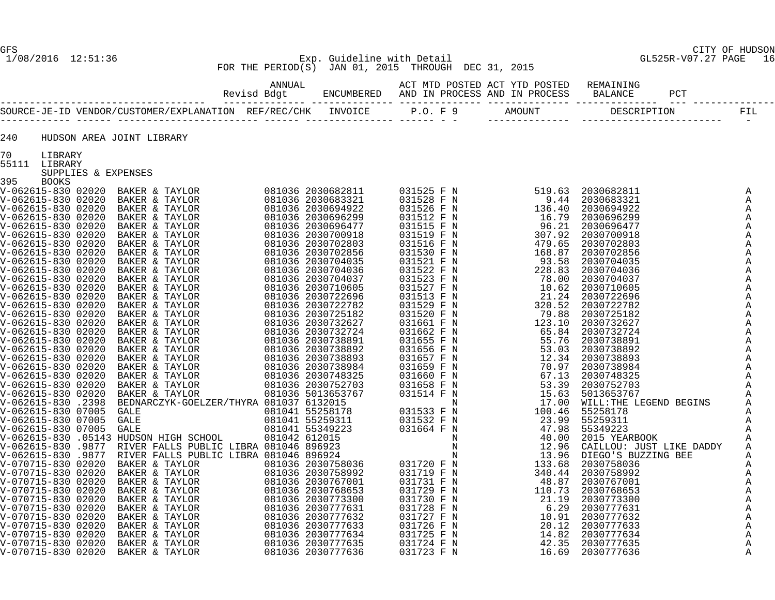240 HUDSON AREA JOINT LIBRARY

GFS CITY OF HUDSON

# 1/08/2016 12:51:36 Exp. Guideline with Detail GL525R-V07.27 PAGE 16 FOR THE PERIOD(S) JAN 01, 2015 THROUGH DEC 31, 2015

 ANNUAL ACT MTD POSTED ACT YTD POSTED REMAINING Revisd Bdgt ENCUMBERED AND IN PROCESS AND IN PROCESS BALANCE PCT ----------------------------------- -------------- -------------- -------------- -------------- -------------- --- -------------- SOURCE-JE-ID VENDOR/CUSTOMER/EXPLANATION REF/REC/CHK INVOICE P.O. F 9 AMOUNT DESCRIPTION FIL ------------ ------ ------------------------ ------ --------------- ------ - - -------------- ------------------------ -

| 70            | LIBRARY      |                                                                                                                                                                                                                                                  |  |  |                                                                                                                                                                                                                                                                                       |  |
|---------------|--------------|--------------------------------------------------------------------------------------------------------------------------------------------------------------------------------------------------------------------------------------------------|--|--|---------------------------------------------------------------------------------------------------------------------------------------------------------------------------------------------------------------------------------------------------------------------------------------|--|
| 55111 LIBRARY |              |                                                                                                                                                                                                                                                  |  |  |                                                                                                                                                                                                                                                                                       |  |
|               |              | SUPPLIES & EXPENSES                                                                                                                                                                                                                              |  |  |                                                                                                                                                                                                                                                                                       |  |
| 395           | <b>BOOKS</b> |                                                                                                                                                                                                                                                  |  |  |                                                                                                                                                                                                                                                                                       |  |
|               |              |                                                                                                                                                                                                                                                  |  |  |                                                                                                                                                                                                                                                                                       |  |
|               |              |                                                                                                                                                                                                                                                  |  |  |                                                                                                                                                                                                                                                                                       |  |
|               |              |                                                                                                                                                                                                                                                  |  |  |                                                                                                                                                                                                                                                                                       |  |
|               |              |                                                                                                                                                                                                                                                  |  |  |                                                                                                                                                                                                                                                                                       |  |
|               |              |                                                                                                                                                                                                                                                  |  |  |                                                                                                                                                                                                                                                                                       |  |
|               |              |                                                                                                                                                                                                                                                  |  |  |                                                                                                                                                                                                                                                                                       |  |
|               |              |                                                                                                                                                                                                                                                  |  |  |                                                                                                                                                                                                                                                                                       |  |
|               |              |                                                                                                                                                                                                                                                  |  |  |                                                                                                                                                                                                                                                                                       |  |
|               |              |                                                                                                                                                                                                                                                  |  |  |                                                                                                                                                                                                                                                                                       |  |
|               |              |                                                                                                                                                                                                                                                  |  |  |                                                                                                                                                                                                                                                                                       |  |
|               |              |                                                                                                                                                                                                                                                  |  |  |                                                                                                                                                                                                                                                                                       |  |
|               |              |                                                                                                                                                                                                                                                  |  |  |                                                                                                                                                                                                                                                                                       |  |
|               |              |                                                                                                                                                                                                                                                  |  |  |                                                                                                                                                                                                                                                                                       |  |
|               |              |                                                                                                                                                                                                                                                  |  |  |                                                                                                                                                                                                                                                                                       |  |
|               |              |                                                                                                                                                                                                                                                  |  |  |                                                                                                                                                                                                                                                                                       |  |
|               |              |                                                                                                                                                                                                                                                  |  |  |                                                                                                                                                                                                                                                                                       |  |
|               |              |                                                                                                                                                                                                                                                  |  |  |                                                                                                                                                                                                                                                                                       |  |
|               |              |                                                                                                                                                                                                                                                  |  |  |                                                                                                                                                                                                                                                                                       |  |
|               |              |                                                                                                                                                                                                                                                  |  |  |                                                                                                                                                                                                                                                                                       |  |
|               |              |                                                                                                                                                                                                                                                  |  |  |                                                                                                                                                                                                                                                                                       |  |
|               |              |                                                                                                                                                                                                                                                  |  |  |                                                                                                                                                                                                                                                                                       |  |
|               |              |                                                                                                                                                                                                                                                  |  |  |                                                                                                                                                                                                                                                                                       |  |
|               |              |                                                                                                                                                                                                                                                  |  |  |                                                                                                                                                                                                                                                                                       |  |
|               |              |                                                                                                                                                                                                                                                  |  |  |                                                                                                                                                                                                                                                                                       |  |
|               |              |                                                                                                                                                                                                                                                  |  |  |                                                                                                                                                                                                                                                                                       |  |
|               |              |                                                                                                                                                                                                                                                  |  |  |                                                                                                                                                                                                                                                                                       |  |
|               |              |                                                                                                                                                                                                                                                  |  |  |                                                                                                                                                                                                                                                                                       |  |
|               |              |                                                                                                                                                                                                                                                  |  |  |                                                                                                                                                                                                                                                                                       |  |
|               |              |                                                                                                                                                                                                                                                  |  |  |                                                                                                                                                                                                                                                                                       |  |
|               |              |                                                                                                                                                                                                                                                  |  |  |                                                                                                                                                                                                                                                                                       |  |
|               |              |                                                                                                                                                                                                                                                  |  |  |                                                                                                                                                                                                                                                                                       |  |
|               |              |                                                                                                                                                                                                                                                  |  |  |                                                                                                                                                                                                                                                                                       |  |
|               |              |                                                                                                                                                                                                                                                  |  |  |                                                                                                                                                                                                                                                                                       |  |
|               |              |                                                                                                                                                                                                                                                  |  |  |                                                                                                                                                                                                                                                                                       |  |
|               |              |                                                                                                                                                                                                                                                  |  |  |                                                                                                                                                                                                                                                                                       |  |
|               |              |                                                                                                                                                                                                                                                  |  |  |                                                                                                                                                                                                                                                                                       |  |
|               |              |                                                                                                                                                                                                                                                  |  |  |                                                                                                                                                                                                                                                                                       |  |
|               |              |                                                                                                                                                                                                                                                  |  |  |                                                                                                                                                                                                                                                                                       |  |
|               |              |                                                                                                                                                                                                                                                  |  |  |                                                                                                                                                                                                                                                                                       |  |
|               |              |                                                                                                                                                                                                                                                  |  |  |                                                                                                                                                                                                                                                                                       |  |
|               |              | V-062615-830 .9877 RIVER FALLS PUBLIC LIBRA<br>V-070715-830 02020 BAKER & TAYLOR<br>V-070715-830 02020 BAKER & TAYLOR<br>V-070715-830 02020 BAKER & TAYLOR<br>V-070715-830 02020 BAKER & TAYLOR<br>V-070715-830 02020 BAKER & TAYLOR<br>V-070715 |  |  | 2009 - A composite matrix $\frac{1}{2}$ and $\frac{1}{2}$ and $\frac{1}{2}$ and $\frac{1}{2}$ and $\frac{1}{2}$ and $\frac{1}{2}$ and $\frac{1}{2}$ and $\frac{1}{2}$ and $\frac{1}{2}$ and $\frac{1}{2}$ and $\frac{1}{2}$ and $\frac{1}{2}$ and $\frac{1}{2}$ and $\frac{1}{2}$ and |  |
|               |              |                                                                                                                                                                                                                                                  |  |  |                                                                                                                                                                                                                                                                                       |  |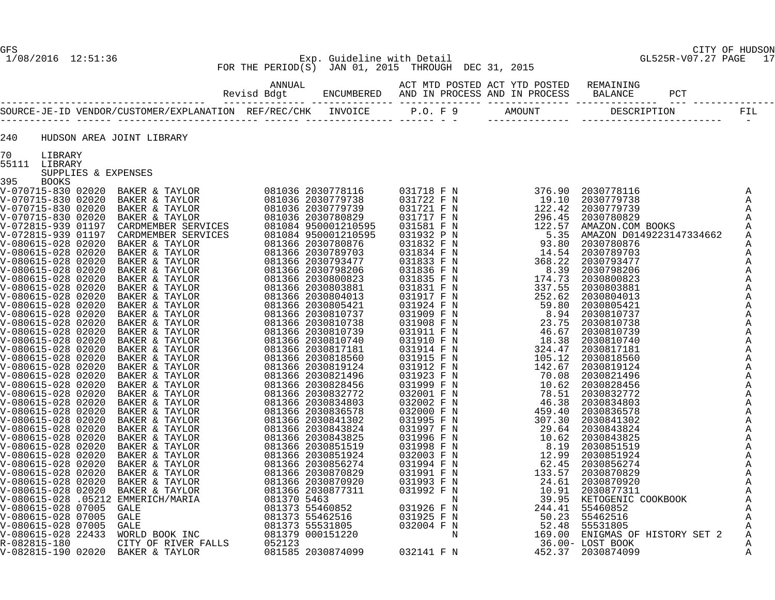# GFS CITY OF HUDSON 1/08/2016 12:51:36 Exp. Guideline with Detail GL525R-V07.27 PAGE 17 FOR THE PERIOD(S) JAN 01, 2015 THROUGH DEC 31, 2015

| 240           |                     | HUDSON AREA JOINT LIBRARY                                                                                                                                                                                                                                                                                                                                                                                                            |  |  |  |  |
|---------------|---------------------|--------------------------------------------------------------------------------------------------------------------------------------------------------------------------------------------------------------------------------------------------------------------------------------------------------------------------------------------------------------------------------------------------------------------------------------|--|--|--|--|
| 70<br>LIBRARY |                     |                                                                                                                                                                                                                                                                                                                                                                                                                                      |  |  |  |  |
| 55111 LIBRARY | SUPPLIES & EXPENSES | $\begin{smallmatrix} \textbf{0} & \textbf{0} & \textbf{0} & \textbf{0} & \textbf{0} & \textbf{0} & \textbf{0} & \textbf{0} & \textbf{0} & \textbf{0} & \textbf{0} & \textbf{0} & \textbf{0} & \textbf{0} & \textbf{0} & \textbf{0} & \textbf{0} & \textbf{0} & \textbf{0} & \textbf{0} & \textbf{0} & \textbf{0} & \textbf{0} & \textbf{0} & \textbf{0} & \textbf{0} & \textbf{0} & \textbf{0} & \textbf{0} & \textbf{0} & \textbf{$ |  |  |  |  |
| 395 BOOKS     |                     |                                                                                                                                                                                                                                                                                                                                                                                                                                      |  |  |  |  |
|               |                     |                                                                                                                                                                                                                                                                                                                                                                                                                                      |  |  |  |  |
|               |                     |                                                                                                                                                                                                                                                                                                                                                                                                                                      |  |  |  |  |
|               |                     |                                                                                                                                                                                                                                                                                                                                                                                                                                      |  |  |  |  |
|               |                     |                                                                                                                                                                                                                                                                                                                                                                                                                                      |  |  |  |  |
|               |                     |                                                                                                                                                                                                                                                                                                                                                                                                                                      |  |  |  |  |
|               |                     |                                                                                                                                                                                                                                                                                                                                                                                                                                      |  |  |  |  |
|               |                     |                                                                                                                                                                                                                                                                                                                                                                                                                                      |  |  |  |  |
|               |                     |                                                                                                                                                                                                                                                                                                                                                                                                                                      |  |  |  |  |
|               |                     |                                                                                                                                                                                                                                                                                                                                                                                                                                      |  |  |  |  |
|               |                     |                                                                                                                                                                                                                                                                                                                                                                                                                                      |  |  |  |  |
|               |                     |                                                                                                                                                                                                                                                                                                                                                                                                                                      |  |  |  |  |
|               |                     |                                                                                                                                                                                                                                                                                                                                                                                                                                      |  |  |  |  |
|               |                     |                                                                                                                                                                                                                                                                                                                                                                                                                                      |  |  |  |  |
|               |                     |                                                                                                                                                                                                                                                                                                                                                                                                                                      |  |  |  |  |
|               |                     |                                                                                                                                                                                                                                                                                                                                                                                                                                      |  |  |  |  |
|               |                     |                                                                                                                                                                                                                                                                                                                                                                                                                                      |  |  |  |  |
|               |                     |                                                                                                                                                                                                                                                                                                                                                                                                                                      |  |  |  |  |
|               |                     |                                                                                                                                                                                                                                                                                                                                                                                                                                      |  |  |  |  |
|               |                     |                                                                                                                                                                                                                                                                                                                                                                                                                                      |  |  |  |  |
|               |                     |                                                                                                                                                                                                                                                                                                                                                                                                                                      |  |  |  |  |
|               |                     |                                                                                                                                                                                                                                                                                                                                                                                                                                      |  |  |  |  |
|               |                     |                                                                                                                                                                                                                                                                                                                                                                                                                                      |  |  |  |  |
|               |                     |                                                                                                                                                                                                                                                                                                                                                                                                                                      |  |  |  |  |
|               |                     |                                                                                                                                                                                                                                                                                                                                                                                                                                      |  |  |  |  |
|               |                     |                                                                                                                                                                                                                                                                                                                                                                                                                                      |  |  |  |  |
|               |                     |                                                                                                                                                                                                                                                                                                                                                                                                                                      |  |  |  |  |
|               |                     |                                                                                                                                                                                                                                                                                                                                                                                                                                      |  |  |  |  |
|               |                     |                                                                                                                                                                                                                                                                                                                                                                                                                                      |  |  |  |  |
|               |                     |                                                                                                                                                                                                                                                                                                                                                                                                                                      |  |  |  |  |
|               |                     |                                                                                                                                                                                                                                                                                                                                                                                                                                      |  |  |  |  |
|               |                     |                                                                                                                                                                                                                                                                                                                                                                                                                                      |  |  |  |  |
|               |                     |                                                                                                                                                                                                                                                                                                                                                                                                                                      |  |  |  |  |
|               |                     |                                                                                                                                                                                                                                                                                                                                                                                                                                      |  |  |  |  |
|               |                     |                                                                                                                                                                                                                                                                                                                                                                                                                                      |  |  |  |  |
|               |                     |                                                                                                                                                                                                                                                                                                                                                                                                                                      |  |  |  |  |
|               |                     |                                                                                                                                                                                                                                                                                                                                                                                                                                      |  |  |  |  |
|               |                     |                                                                                                                                                                                                                                                                                                                                                                                                                                      |  |  |  |  |
|               |                     |                                                                                                                                                                                                                                                                                                                                                                                                                                      |  |  |  |  |
|               |                     |                                                                                                                                                                                                                                                                                                                                                                                                                                      |  |  |  |  |
|               |                     |                                                                                                                                                                                                                                                                                                                                                                                                                                      |  |  |  |  |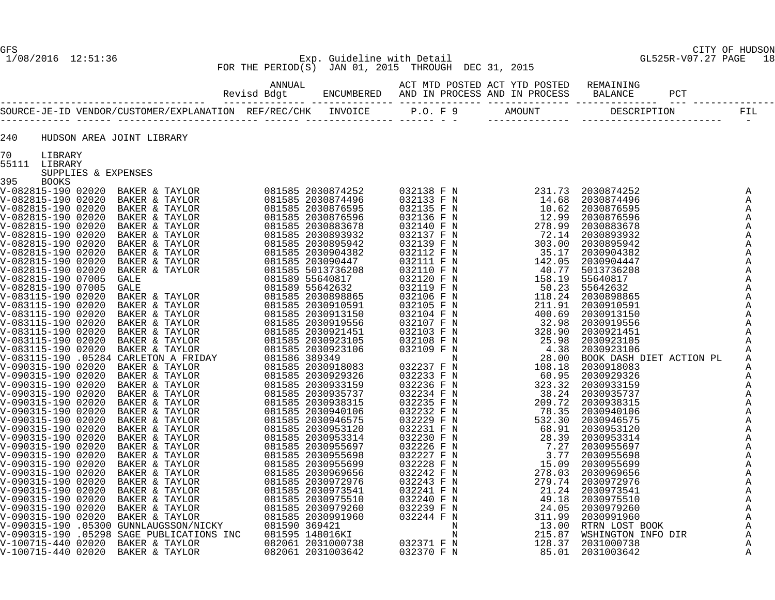#### 1/08/2016 12:51:36 Exp. Guideline with Detail GL525R-V07.27 PAGE 18 FOR THE PERIOD(S) JAN 01, 2015 THROUGH DEC 31, 2015

ANNUAL ACT MTD POSTED ACT WILD POSTED ACT ANNUAL

| 240 |                          | HUDSON AREA JOINT LIBRARY |  |  |  |
|-----|--------------------------|---------------------------|--|--|--|
| 70  | LIBRARY<br>55111 LIBRARY |                           |  |  |  |
| 395 | SUPPLIES & EXPENSES      |                           |  |  |  |
|     |                          |                           |  |  |  |
|     |                          |                           |  |  |  |
|     |                          |                           |  |  |  |
|     |                          |                           |  |  |  |
|     |                          |                           |  |  |  |
|     |                          |                           |  |  |  |
|     |                          |                           |  |  |  |
|     |                          |                           |  |  |  |
|     |                          |                           |  |  |  |
|     |                          |                           |  |  |  |
|     |                          |                           |  |  |  |
|     |                          |                           |  |  |  |
|     |                          |                           |  |  |  |
|     |                          |                           |  |  |  |
|     |                          |                           |  |  |  |
|     |                          |                           |  |  |  |
|     |                          |                           |  |  |  |
|     |                          |                           |  |  |  |
|     |                          |                           |  |  |  |
|     |                          |                           |  |  |  |
|     |                          |                           |  |  |  |
|     |                          |                           |  |  |  |
|     |                          |                           |  |  |  |
|     |                          |                           |  |  |  |
|     |                          |                           |  |  |  |
|     |                          |                           |  |  |  |
|     |                          |                           |  |  |  |
|     |                          |                           |  |  |  |
|     |                          |                           |  |  |  |
|     |                          |                           |  |  |  |
|     |                          |                           |  |  |  |
|     |                          |                           |  |  |  |
|     |                          |                           |  |  |  |
|     |                          |                           |  |  |  |
|     |                          |                           |  |  |  |
|     |                          |                           |  |  |  |
|     |                          |                           |  |  |  |
|     |                          |                           |  |  |  |
|     |                          |                           |  |  |  |
|     |                          |                           |  |  |  |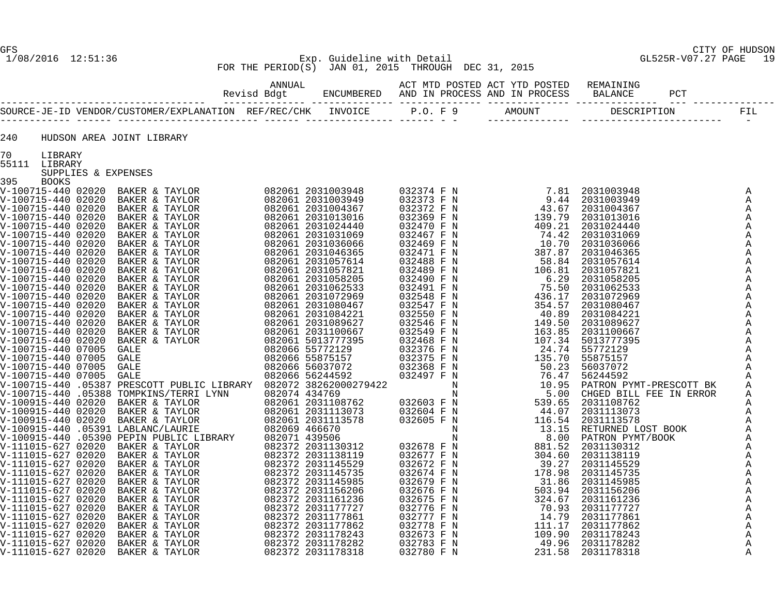#### 1/08/2016 12:51:36 Exp. Guideline with Detail GL525R-V07.27 PAGE 19 FOR THE PERIOD(S) JAN 01, 2015 THROUGH DEC 31, 2015

| 240 |                          | HUDSON AREA JOINT LIBRARY |  |  |  |  |
|-----|--------------------------|---------------------------|--|--|--|--|
| 70  | LIBRARY<br>55111 LIBRARY |                           |  |  |  |  |
|     | SUPPLIES & EXPENSES      |                           |  |  |  |  |
| 395 | BOOKS                    |                           |  |  |  |  |
|     |                          |                           |  |  |  |  |
|     |                          |                           |  |  |  |  |
|     |                          |                           |  |  |  |  |
|     |                          |                           |  |  |  |  |
|     |                          |                           |  |  |  |  |
|     |                          |                           |  |  |  |  |
|     |                          |                           |  |  |  |  |
|     |                          |                           |  |  |  |  |
|     |                          |                           |  |  |  |  |
|     |                          |                           |  |  |  |  |
|     |                          |                           |  |  |  |  |
|     |                          |                           |  |  |  |  |
|     |                          |                           |  |  |  |  |
|     |                          |                           |  |  |  |  |
|     |                          |                           |  |  |  |  |
|     |                          |                           |  |  |  |  |
|     |                          |                           |  |  |  |  |
|     |                          |                           |  |  |  |  |
|     |                          |                           |  |  |  |  |
|     |                          |                           |  |  |  |  |
|     |                          |                           |  |  |  |  |
|     |                          |                           |  |  |  |  |
|     |                          |                           |  |  |  |  |
|     |                          |                           |  |  |  |  |
|     |                          |                           |  |  |  |  |
|     |                          |                           |  |  |  |  |
|     |                          |                           |  |  |  |  |
|     |                          |                           |  |  |  |  |
|     |                          |                           |  |  |  |  |
|     |                          |                           |  |  |  |  |
|     |                          |                           |  |  |  |  |
|     |                          |                           |  |  |  |  |
|     |                          |                           |  |  |  |  |
|     |                          |                           |  |  |  |  |
|     |                          |                           |  |  |  |  |
|     |                          |                           |  |  |  |  |
|     |                          |                           |  |  |  |  |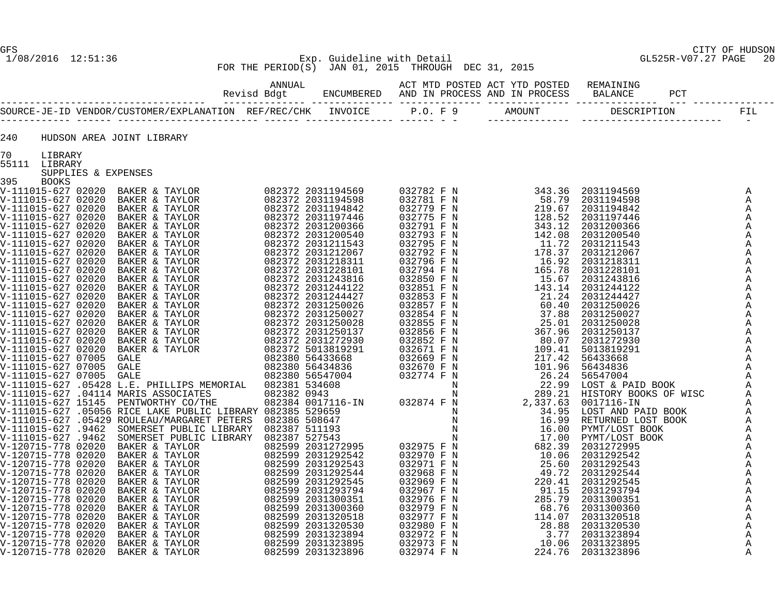# 1/08/2016 12:51:36 Exp. Guideline with Detail GL525R-V07.27 PAGE 20 FOR THE PERIOD(S) JAN 01, 2015 THROUGH DEC 31, 2015

| 240           |                     | HUDSON AREA JOINT LIBRARY                                                                                                                                                                                                                                                                                                                                                                                                            |  |  |  |  |
|---------------|---------------------|--------------------------------------------------------------------------------------------------------------------------------------------------------------------------------------------------------------------------------------------------------------------------------------------------------------------------------------------------------------------------------------------------------------------------------------|--|--|--|--|
| 70            | LIBRARY             |                                                                                                                                                                                                                                                                                                                                                                                                                                      |  |  |  |  |
| 55111 LIBRARY | SUPPLIES & EXPENSES | $\begin{smallmatrix} \textbf{1} & \textbf{0} & \textbf{0} & \textbf{0} & \textbf{0} & \textbf{0} & \textbf{0} & \textbf{0} & \textbf{0} & \textbf{0} & \textbf{0} & \textbf{0} & \textbf{0} & \textbf{0} & \textbf{0} & \textbf{0} & \textbf{0} & \textbf{0} & \textbf{0} & \textbf{0} & \textbf{0} & \textbf{0} & \textbf{0} & \textbf{0} & \textbf{0} & \textbf{0} & \textbf{0} & \textbf{0} & \textbf{0} & \textbf{0} & \textbf{$ |  |  |  |  |
| 395           | BOOKS               |                                                                                                                                                                                                                                                                                                                                                                                                                                      |  |  |  |  |
|               |                     |                                                                                                                                                                                                                                                                                                                                                                                                                                      |  |  |  |  |
|               |                     |                                                                                                                                                                                                                                                                                                                                                                                                                                      |  |  |  |  |
|               |                     |                                                                                                                                                                                                                                                                                                                                                                                                                                      |  |  |  |  |
|               |                     |                                                                                                                                                                                                                                                                                                                                                                                                                                      |  |  |  |  |
|               |                     |                                                                                                                                                                                                                                                                                                                                                                                                                                      |  |  |  |  |
|               |                     |                                                                                                                                                                                                                                                                                                                                                                                                                                      |  |  |  |  |
|               |                     |                                                                                                                                                                                                                                                                                                                                                                                                                                      |  |  |  |  |
|               |                     |                                                                                                                                                                                                                                                                                                                                                                                                                                      |  |  |  |  |
|               |                     |                                                                                                                                                                                                                                                                                                                                                                                                                                      |  |  |  |  |
|               |                     |                                                                                                                                                                                                                                                                                                                                                                                                                                      |  |  |  |  |
|               |                     |                                                                                                                                                                                                                                                                                                                                                                                                                                      |  |  |  |  |
|               |                     |                                                                                                                                                                                                                                                                                                                                                                                                                                      |  |  |  |  |
|               |                     |                                                                                                                                                                                                                                                                                                                                                                                                                                      |  |  |  |  |
|               |                     |                                                                                                                                                                                                                                                                                                                                                                                                                                      |  |  |  |  |
|               |                     |                                                                                                                                                                                                                                                                                                                                                                                                                                      |  |  |  |  |
|               |                     |                                                                                                                                                                                                                                                                                                                                                                                                                                      |  |  |  |  |
|               |                     |                                                                                                                                                                                                                                                                                                                                                                                                                                      |  |  |  |  |
|               |                     |                                                                                                                                                                                                                                                                                                                                                                                                                                      |  |  |  |  |
|               |                     |                                                                                                                                                                                                                                                                                                                                                                                                                                      |  |  |  |  |
|               |                     |                                                                                                                                                                                                                                                                                                                                                                                                                                      |  |  |  |  |
|               |                     |                                                                                                                                                                                                                                                                                                                                                                                                                                      |  |  |  |  |
|               |                     |                                                                                                                                                                                                                                                                                                                                                                                                                                      |  |  |  |  |
|               |                     |                                                                                                                                                                                                                                                                                                                                                                                                                                      |  |  |  |  |
|               |                     |                                                                                                                                                                                                                                                                                                                                                                                                                                      |  |  |  |  |
|               |                     |                                                                                                                                                                                                                                                                                                                                                                                                                                      |  |  |  |  |
|               |                     |                                                                                                                                                                                                                                                                                                                                                                                                                                      |  |  |  |  |
|               |                     |                                                                                                                                                                                                                                                                                                                                                                                                                                      |  |  |  |  |
|               |                     |                                                                                                                                                                                                                                                                                                                                                                                                                                      |  |  |  |  |
|               |                     |                                                                                                                                                                                                                                                                                                                                                                                                                                      |  |  |  |  |
|               |                     |                                                                                                                                                                                                                                                                                                                                                                                                                                      |  |  |  |  |
|               |                     |                                                                                                                                                                                                                                                                                                                                                                                                                                      |  |  |  |  |
|               |                     |                                                                                                                                                                                                                                                                                                                                                                                                                                      |  |  |  |  |
|               |                     |                                                                                                                                                                                                                                                                                                                                                                                                                                      |  |  |  |  |
|               |                     |                                                                                                                                                                                                                                                                                                                                                                                                                                      |  |  |  |  |
|               |                     |                                                                                                                                                                                                                                                                                                                                                                                                                                      |  |  |  |  |
|               |                     |                                                                                                                                                                                                                                                                                                                                                                                                                                      |  |  |  |  |
|               |                     |                                                                                                                                                                                                                                                                                                                                                                                                                                      |  |  |  |  |
|               |                     |                                                                                                                                                                                                                                                                                                                                                                                                                                      |  |  |  |  |
|               |                     |                                                                                                                                                                                                                                                                                                                                                                                                                                      |  |  |  |  |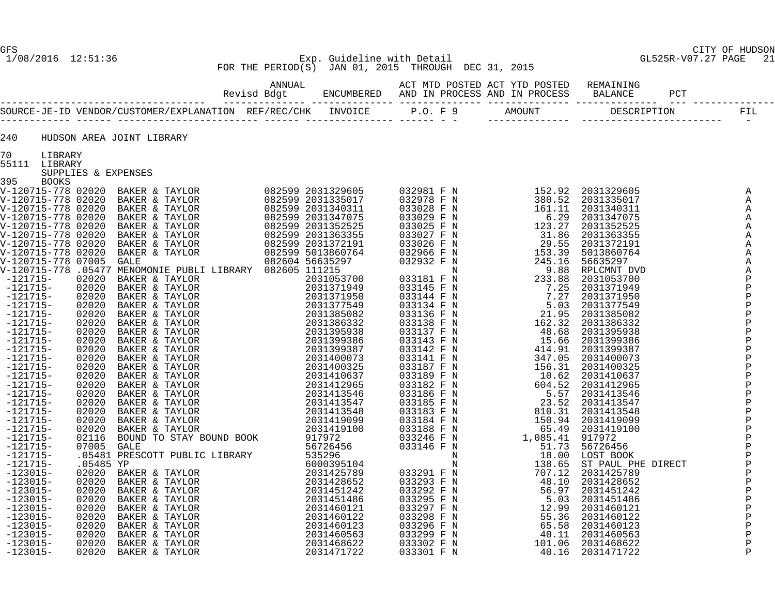# 1/08/2016 12:51:36 Exp. Guideline with Detail GL525R-V07.27 PAGE 21 FOR THE PERIOD(S) JAN 01, 2015 THROUGH DEC 31, 2015

ANNUAL ACT MTD POSTED ACT YTD POSTED REMAINING

 Revisd Bdgt ENCUMBERED AND IN PROCESS AND IN PROCESS BALANCE PCT ----------------------------------- -------------- -------------- -------------- -------------- -------------- --- -------------- SOURCE-JE-ID VENDOR/CUSTOMER/EXPLANATION REF/REC/CHK INVOICE P.O. F 9 AMOUNT DESCRIPTION FIL ------------ ------ ------------------------ ------ --------------- ------ - - -------------- ------------------------ -

| 240 |         |  | HUDSON AREA JOINT LIBRARY |
|-----|---------|--|---------------------------|
| 70  | LIBRARY |  |                           |

| 55111<br><b>LIBRARY</b> |
|-------------------------|
|-------------------------|

| PPITI PIRKAKI      |                     |                                                                                                                                                                                                                                                              |                   |                                                                                                                                                                                                                                                                                                                                |          |                                                                                                                                                                                                                                                                |                          |
|--------------------|---------------------|--------------------------------------------------------------------------------------------------------------------------------------------------------------------------------------------------------------------------------------------------------------|-------------------|--------------------------------------------------------------------------------------------------------------------------------------------------------------------------------------------------------------------------------------------------------------------------------------------------------------------------------|----------|----------------------------------------------------------------------------------------------------------------------------------------------------------------------------------------------------------------------------------------------------------------|--------------------------|
|                    | SUPPLIES & EXPENSES |                                                                                                                                                                                                                                                              |                   |                                                                                                                                                                                                                                                                                                                                |          |                                                                                                                                                                                                                                                                |                          |
| 395                | <b>BOOKS</b>        |                                                                                                                                                                                                                                                              |                   |                                                                                                                                                                                                                                                                                                                                |          |                                                                                                                                                                                                                                                                |                          |
|                    |                     | V-120715-778 02020 BAKER & TAYLOR                                                                                                                                                                                                                            | 082599 2031329605 | 032981 F N                                                                                                                                                                                                                                                                                                                     | 152.92   | 2031329605                                                                                                                                                                                                                                                     | Α                        |
| V-120715-778 02020 |                     | BAKER & TAYLOR                                                                                                                                                                                                                                               | 082599 2031335017 | 032978 F N                                                                                                                                                                                                                                                                                                                     | 380.52   |                                                                                                                                                                                                                                                                | Α                        |
| V-120715-778 02020 |                     | BAKER & TAYLOR                                                                                                                                                                                                                                               | 082599 2031340311 | 033028 F N                                                                                                                                                                                                                                                                                                                     | 161.11   |                                                                                                                                                                                                                                                                | $\, {\bf A}$             |
| V-120715-778 02020 |                     | BAKER & TAYLOR                                                                                                                                                                                                                                               | 082599 2031347075 | 033029 F N                                                                                                                                                                                                                                                                                                                     | 6.29     |                                                                                                                                                                                                                                                                | $\, {\bf A}$             |
| V-120715-778 02020 |                     |                                                                                                                                                                                                                                                              | 082599 2031352525 | 033025 F N                                                                                                                                                                                                                                                                                                                     | 123.27   |                                                                                                                                                                                                                                                                | $\, {\bf A}$             |
| V-120715-778 02020 |                     | BAKER & TAYLOR<br>BAKER & TAYLOR<br>BAKER & TAYLOR<br>BAKER & TAYLOR                                                                                                                                                                                         | 082599 2031363355 | 033027 F N                                                                                                                                                                                                                                                                                                                     | 31.86    |                                                                                                                                                                                                                                                                | $\, {\bf A}$             |
| V-120715-778 02020 |                     |                                                                                                                                                                                                                                                              | 082599 2031372191 | 033026 F N                                                                                                                                                                                                                                                                                                                     | 29.55    |                                                                                                                                                                                                                                                                | $\, {\bf A}$             |
|                    | V-120715-778 02020  |                                                                                                                                                                                                                                                              | 082599 5013860764 | 032966 F N                                                                                                                                                                                                                                                                                                                     | 153.39   |                                                                                                                                                                                                                                                                | $\mathbb A$              |
| V-120715-778 07005 |                     | GALE                                                                                                                                                                                                                                                         | 082604 56635297   | 032932 F N                                                                                                                                                                                                                                                                                                                     | 245.16   |                                                                                                                                                                                                                                                                | $\mathbb A$              |
|                    |                     | V-120715-778 .05477 MENOMONIE PUBLI LIBRARY 082605 111215                                                                                                                                                                                                    |                   | N                                                                                                                                                                                                                                                                                                                              | 9.88     |                                                                                                                                                                                                                                                                | $\, {\bf A}$             |
| $-121715-$         | 02020               |                                                                                                                                                                                                                                                              | 2031053700        |                                                                                                                                                                                                                                                                                                                                |          |                                                                                                                                                                                                                                                                |                          |
| $-121715-$         | 02020               |                                                                                                                                                                                                                                                              | 2031371949        |                                                                                                                                                                                                                                                                                                                                | 7.25     |                                                                                                                                                                                                                                                                |                          |
| $-121715-$         | 02020               |                                                                                                                                                                                                                                                              | 2031371950        |                                                                                                                                                                                                                                                                                                                                |          |                                                                                                                                                                                                                                                                |                          |
| $-121715-$         | 02020               |                                                                                                                                                                                                                                                              | 2031377549        |                                                                                                                                                                                                                                                                                                                                |          |                                                                                                                                                                                                                                                                |                          |
| $-121715-$         | 02020               |                                                                                                                                                                                                                                                              | 2031385082        |                                                                                                                                                                                                                                                                                                                                |          |                                                                                                                                                                                                                                                                |                          |
| $-121715-$         | 02020               |                                                                                                                                                                                                                                                              | 2031386332        |                                                                                                                                                                                                                                                                                                                                | 162.32   |                                                                                                                                                                                                                                                                |                          |
| $-121715-$         | 02020               |                                                                                                                                                                                                                                                              | 2031395938        | $\begin{array}{cccc} 033181 & F & N & & & & 233 \cdot 88 \\ 033145 & F & N & & & 7 \cdot 25 \\ 033144 & F & N & & & 7 \cdot 27 \\ 033134 & F & N & & & 5 \cdot 03 \\ 033136 & F & N & & & 21 \cdot 95 \\ 033138 & F & N & & 162 \cdot 32 \\ 033137 & F & N & & 48 \cdot 68 \\ 033137 & F & N & & & 15 \cdot 66 \\ \end{array}$ |          |                                                                                                                                                                                                                                                                |                          |
| $-121715-$         | 02020               |                                                                                                                                                                                                                                                              | 2031399386        | 033143 F N                                                                                                                                                                                                                                                                                                                     | 15.66    |                                                                                                                                                                                                                                                                |                          |
| $-121715-$         | 02020               |                                                                                                                                                                                                                                                              | 2031399387        |                                                                                                                                                                                                                                                                                                                                | 414.91   |                                                                                                                                                                                                                                                                |                          |
| $-121715-$         | 02020               |                                                                                                                                                                                                                                                              | 2031400073        | 033142 F N<br>033141 F N                                                                                                                                                                                                                                                                                                       | 347.05   |                                                                                                                                                                                                                                                                |                          |
| $-121715-$         | 02020               |                                                                                                                                                                                                                                                              | 2031400325        | 033187 F N                                                                                                                                                                                                                                                                                                                     | 156.31   |                                                                                                                                                                                                                                                                |                          |
| $-121715-$         | 02020               | MENOMONIE PUBLI LIBRARY 082605<br>BAKER & TAYLOR<br>BAKER & TAYLOR<br>BAKER & TAYLOR<br>BAKER & TAYLOR<br>BAKER & TAYLOR<br>BAKER & TAYLOR<br>BAKER & TAYLOR<br>BAKER & TAYLOR<br>BAKER & TAYLOR<br>BAKER & TAYLOR<br>BAKER & TAYLOR<br>BAKER & TAYLOR       | 2031410637        | 033189 F N                                                                                                                                                                                                                                                                                                                     | 10.62    | $\begin{smallmatrix} 20\,31\,3\,29\,6\,0\,5\\ 20\,31\,3\,3\,5\,01\,7\\ 20\,31\,3\,4\,0\,3\,1\,1\\ 20\,31\,3\,4\,7\,0\,75\\ 20\,31\,3\,5\,2\,2\,5\\ 20\,31\,3\,6\,3\,3\,5\,5\\ 20\,31\,3\,8\,6\,0\,7\,6\,4\\ 5\,6\,3\,5\,29\,7\\ \text{RLCMNT DVD}\ 20\,31\,3\$ |                          |
| $-121715-$         | 02020               |                                                                                                                                                                                                                                                              | 2031412965        | 033182 F N<br>033186 F N<br>033185 F N                                                                                                                                                                                                                                                                                         | 604.52   |                                                                                                                                                                                                                                                                |                          |
| $-121715-$         | 02020               |                                                                                                                                                                                                                                                              | 2031413546        |                                                                                                                                                                                                                                                                                                                                | 5.57     |                                                                                                                                                                                                                                                                |                          |
| $-121715-$         | 02020               |                                                                                                                                                                                                                                                              | 2031413547        |                                                                                                                                                                                                                                                                                                                                | 23.52    |                                                                                                                                                                                                                                                                |                          |
| $-121715-$         | 02020               |                                                                                                                                                                                                                                                              | 2031413548        | 033183 F N                                                                                                                                                                                                                                                                                                                     | 810.31   |                                                                                                                                                                                                                                                                |                          |
| $-121715-$         | 02020               |                                                                                                                                                                                                                                                              | 2031419099        |                                                                                                                                                                                                                                                                                                                                | 150.94   |                                                                                                                                                                                                                                                                |                          |
| $-121715-$         | 02020               |                                                                                                                                                                                                                                                              | 2031419100        | 033184 F N<br>033188 F N                                                                                                                                                                                                                                                                                                       | 65.49    |                                                                                                                                                                                                                                                                |                          |
| $-121715-$         |                     |                                                                                                                                                                                                                                                              | 917972            | 033246 F N                                                                                                                                                                                                                                                                                                                     | 1,085.41 |                                                                                                                                                                                                                                                                |                          |
| $-121715-$         |                     |                                                                                                                                                                                                                                                              | 56726456          | 033146 F N                                                                                                                                                                                                                                                                                                                     | 51.73    |                                                                                                                                                                                                                                                                |                          |
| $-121715-$         |                     |                                                                                                                                                                                                                                                              | 535296            | N                                                                                                                                                                                                                                                                                                                              | 18.00    |                                                                                                                                                                                                                                                                |                          |
| $-121715-$         |                     |                                                                                                                                                                                                                                                              | 6000395104        | N                                                                                                                                                                                                                                                                                                                              | 138.65   |                                                                                                                                                                                                                                                                |                          |
| $-123015-$         |                     |                                                                                                                                                                                                                                                              | 2031425789        | 033291 F N                                                                                                                                                                                                                                                                                                                     | 707.12   |                                                                                                                                                                                                                                                                |                          |
| $-123015-$         |                     |                                                                                                                                                                                                                                                              | 2031428652        | 033293 F N                                                                                                                                                                                                                                                                                                                     | 48.10    |                                                                                                                                                                                                                                                                |                          |
| $-123015-$         |                     |                                                                                                                                                                                                                                                              | 2031451242        |                                                                                                                                                                                                                                                                                                                                | 56.97    |                                                                                                                                                                                                                                                                |                          |
| $-123015-$         |                     |                                                                                                                                                                                                                                                              | 2031451486        | 033292 F N<br>033292 F N<br>033297 F N                                                                                                                                                                                                                                                                                         | 5.03     |                                                                                                                                                                                                                                                                | わわわわかわかかいかんかわわわかるかかいかんかん |
| $-123015-$         |                     |                                                                                                                                                                                                                                                              | 2031460121        |                                                                                                                                                                                                                                                                                                                                | 12.99    |                                                                                                                                                                                                                                                                |                          |
| $-123015-$         |                     |                                                                                                                                                                                                                                                              | 2031460122        | 033298 F N                                                                                                                                                                                                                                                                                                                     | 55.36    |                                                                                                                                                                                                                                                                |                          |
| $-123015-$         |                     |                                                                                                                                                                                                                                                              | 2031460123        | 033296 F N                                                                                                                                                                                                                                                                                                                     | 65.58    |                                                                                                                                                                                                                                                                |                          |
| $-123015-$         |                     | 02020 BAKER & TAYLOR<br>02116 BOUND TO STAY BOUND BOOK<br>07005 GALE<br>.05481 PRESCOTT PUBLIC LIBRARY<br>02020 BAKER & TAYLOR<br>02020 BAKER & TAYLOR<br>02020 BAKER & TAYLOR<br>02020 BAKER & TAYLOR<br>02020 BAKER & TAYLOR<br>02020 BAKER & TAYLOR<br>02 | 2031460563        | 033299 F N                                                                                                                                                                                                                                                                                                                     | 40.11    | 50/26450<br>LOST BOOK<br>ST PAUL PHE DIRECT<br>2031428652<br>2031428652<br>2031451242<br>2031451486<br>2031460121<br>2031460122<br>2031460122                                                                                                                  | $\, {\bf P}$             |
|                    |                     |                                                                                                                                                                                                                                                              |                   |                                                                                                                                                                                                                                                                                                                                |          |                                                                                                                                                                                                                                                                |                          |

 -123015- 02020 BAKER & TAYLOR 2031468622 033302 F N 101.06 2031468622 P -123015- 02020 BAKER & TAYLOR 2031471722 033301 F N 40.16 2031471722 P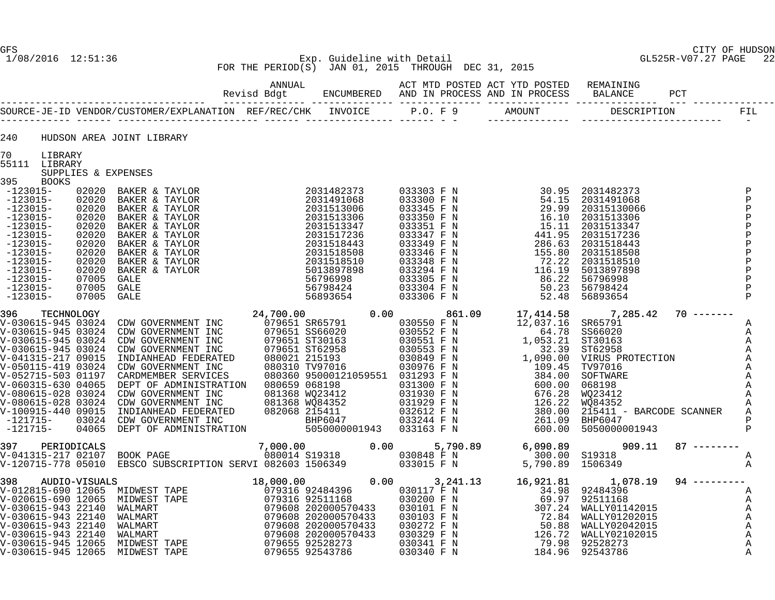GFS CITY OF HUDSON

#### 1/08/2016 12:51:36 Exp. Guideline with Detail GL525R-V07.27 PAGE 22 FOR THE PERIOD(S) JAN 01, 2015 THROUGH DEC 31, 2015

----------------------------------- -------------- -------------- -------------- -------------- -------------- --- --------------

 ANNUAL ACT MTD POSTED ACT YTD POSTED REMAINING Revisd Bdgt ENCUMBERED AND IN PROCESS AND IN PROCESS BALANCE PCT

|                                   |                     | SOURCE-JE-ID VENDOR/CUSTOMER/EXPLANATION REF/REC/CHK | INVOICE    | P.O. F.9   | AMOUNT | DESCRIPTION | FIL |
|-----------------------------------|---------------------|------------------------------------------------------|------------|------------|--------|-------------|-----|
| 240                               |                     | HUDSON AREA JOINT LIBRARY                            |            |            |        |             |     |
| 70<br>LIBRARY<br>55111<br>LIBRARY | SUPPLIES & EXPENSES |                                                      |            |            |        |             |     |
| 395<br><b>BOOKS</b>               |                     |                                                      |            |            |        |             |     |
| $-123015-$                        | 02020               | BAKER & TAYLOR                                       | 2031482373 | 033303 F N | 30.95  | 2031482373  |     |
| $-123015-$                        | 02020               | BAKER & TAYLOR                                       | 2031491068 | 033300 F N | 54.15  | 2031491068  |     |
| $-123015-$                        | 02020               | BAKER & TAYLOR                                       | 2031513006 | 033345 F N | 29.99  | 20315130066 |     |
| $-123015-$                        | 02020               | BAKER & TAYLOR                                       | 2031513306 | 033350 F N | 16.10  | 2031513306  |     |
| $-123015-$                        | 02020               | BAKER & TAYLOR                                       | 2031513347 | 033351 F N | 15.11  | 2031513347  |     |
| $-123015-$                        | 02020               | BAKER & TAYLOR                                       | 2031517236 | 033347 F N | 441.95 | 2031517236  |     |
| $-123015-$                        | 02020               | BAKER & TAYLOR                                       | 2031518443 | 033349 F N | 286.63 | 2031518443  |     |
|                                   |                     |                                                      |            |            |        |             |     |

| 395                                                                                                                                                                                | <b>BOOKS</b> |                                                                                                                                                                                                                                                             |                                                                                                                                                                              |  |                                                                                                                                                                                                                                                                                                              |                                                                                                                                                                                                                                                        |  |
|------------------------------------------------------------------------------------------------------------------------------------------------------------------------------------|--------------|-------------------------------------------------------------------------------------------------------------------------------------------------------------------------------------------------------------------------------------------------------------|------------------------------------------------------------------------------------------------------------------------------------------------------------------------------|--|--------------------------------------------------------------------------------------------------------------------------------------------------------------------------------------------------------------------------------------------------------------------------------------------------------------|--------------------------------------------------------------------------------------------------------------------------------------------------------------------------------------------------------------------------------------------------------|--|
| $-123015-$<br>$-123015-$<br>$-123015-$<br>$-123015-$<br>$-123015-$<br>$-123015-$<br>$-123015-$<br>$-123015-$<br>$-123015-$<br>$-123015-$<br>$-123015-$<br>$-123015-$<br>$-123015-$ |              | 302020 BAKER & TAYLOR<br>02020 BAKER & TAYLOR<br>02020 BAKER & TAYLOR<br>02020 BAKER & TAYLOR<br>02020 BAKER & TAYLOR<br>02020 BAKER & TAYLOR<br>02020 BAKER & TAYLOR<br>02020 BAKER & TAYLOR<br>02020 BAKER & TAYLOR<br>02020 BAKER & TAYLOR<br>07005 GALE | 2031482373<br>2031491068<br>2031513006<br>2031513306<br>2031513347<br>2031517236<br>2031518443<br>2031518508<br>2031518510<br>5013897898<br>56796998<br>56798424<br>56893654 |  | $\begin{array}{cccc} 033303 \text{ F N} & 30.95 & 203148237; \\ 033300 \text{ F N} & 54.15 & 2031491068 \\ 033345 \text{ F N} & 29.99 & 2031513006 \\ 033351 \text{ F N} & 15.11 & 203151334' \\ 033347 \text{ F N} & 441.95 & 203151334' \\ 033348 \text{ F N} & 286.63 & 203151844' \\ 033348 \text{ F N}$ | 30.95 2031482373<br>54.15 2031491068<br>29.99 20315130066<br>15.11 2031513347<br>441.95 2031513347<br>286.63 2031517236<br>286.63 2031518443<br>155.80 2031518508<br>72.22 2031518510<br>116.19 5013897898<br>86.22 56796998<br>50.23 56798424<br>52.4 |  |
|                                                                                                                                                                                    |              |                                                                                                                                                                                                                                                             |                                                                                                                                                                              |  |                                                                                                                                                                                                                                                                                                              |                                                                                                                                                                                                                                                        |  |
|                                                                                                                                                                                    |              |                                                                                                                                                                                                                                                             |                                                                                                                                                                              |  |                                                                                                                                                                                                                                                                                                              |                                                                                                                                                                                                                                                        |  |
|                                                                                                                                                                                    |              |                                                                                                                                                                                                                                                             |                                                                                                                                                                              |  |                                                                                                                                                                                                                                                                                                              |                                                                                                                                                                                                                                                        |  |

V-030615-945 12065 MIDWEST TAPE 079655 92543786 030340 F N 184.96 92543786 A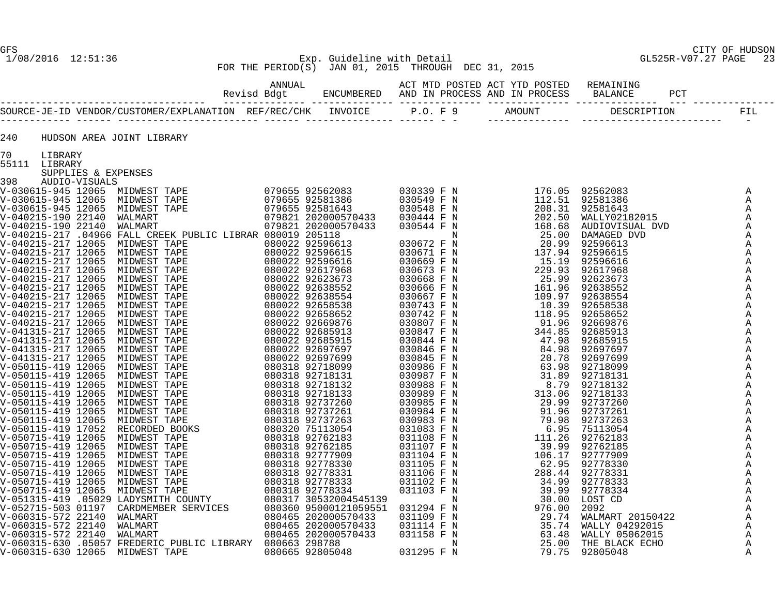# GFS CITY OF HUDSON 1/08/2016 12:51:36 Exp. Guideline with Detail GL525R-V07.27 PAGE 23 FOR THE PERIOD(S) JAN 01, 2015 THROUGH DEC 31, 2015

| 240           |                     | HUDSON AREA JOINT LIBRARY                                                                                                                                                                                                                                                                                                                                                                                    |  |  |  |                                |
|---------------|---------------------|--------------------------------------------------------------------------------------------------------------------------------------------------------------------------------------------------------------------------------------------------------------------------------------------------------------------------------------------------------------------------------------------------------------|--|--|--|--------------------------------|
| 70<br>LIBRARY |                     |                                                                                                                                                                                                                                                                                                                                                                                                              |  |  |  |                                |
| 55111 LIBRARY | SUPPLIES & EXPENSES |                                                                                                                                                                                                                                                                                                                                                                                                              |  |  |  |                                |
|               |                     |                                                                                                                                                                                                                                                                                                                                                                                                              |  |  |  |                                |
|               |                     |                                                                                                                                                                                                                                                                                                                                                                                                              |  |  |  | A                              |
|               |                     |                                                                                                                                                                                                                                                                                                                                                                                                              |  |  |  | A<br>$\mathbb{A}$              |
|               |                     |                                                                                                                                                                                                                                                                                                                                                                                                              |  |  |  | A                              |
|               |                     |                                                                                                                                                                                                                                                                                                                                                                                                              |  |  |  | $\mathbb{A}$                   |
|               |                     |                                                                                                                                                                                                                                                                                                                                                                                                              |  |  |  | A                              |
|               |                     |                                                                                                                                                                                                                                                                                                                                                                                                              |  |  |  | A                              |
|               |                     |                                                                                                                                                                                                                                                                                                                                                                                                              |  |  |  | Α                              |
|               |                     |                                                                                                                                                                                                                                                                                                                                                                                                              |  |  |  | Α                              |
|               |                     |                                                                                                                                                                                                                                                                                                                                                                                                              |  |  |  | Α<br>$\mathbb{A}$              |
|               |                     |                                                                                                                                                                                                                                                                                                                                                                                                              |  |  |  | Α                              |
|               |                     |                                                                                                                                                                                                                                                                                                                                                                                                              |  |  |  | A                              |
|               |                     |                                                                                                                                                                                                                                                                                                                                                                                                              |  |  |  | A                              |
|               |                     |                                                                                                                                                                                                                                                                                                                                                                                                              |  |  |  | $\mathbb{A}$                   |
|               |                     |                                                                                                                                                                                                                                                                                                                                                                                                              |  |  |  | A                              |
|               |                     |                                                                                                                                                                                                                                                                                                                                                                                                              |  |  |  | Α                              |
|               |                     |                                                                                                                                                                                                                                                                                                                                                                                                              |  |  |  | A                              |
|               |                     |                                                                                                                                                                                                                                                                                                                                                                                                              |  |  |  | Α<br>A                         |
|               |                     |                                                                                                                                                                                                                                                                                                                                                                                                              |  |  |  | A                              |
|               |                     |                                                                                                                                                                                                                                                                                                                                                                                                              |  |  |  | A                              |
|               |                     |                                                                                                                                                                                                                                                                                                                                                                                                              |  |  |  | Α                              |
|               |                     |                                                                                                                                                                                                                                                                                                                                                                                                              |  |  |  | Α                              |
|               |                     |                                                                                                                                                                                                                                                                                                                                                                                                              |  |  |  | A                              |
|               |                     |                                                                                                                                                                                                                                                                                                                                                                                                              |  |  |  | $\mathbb{A}$<br>Α              |
|               |                     |                                                                                                                                                                                                                                                                                                                                                                                                              |  |  |  | A                              |
|               |                     |                                                                                                                                                                                                                                                                                                                                                                                                              |  |  |  | A                              |
|               |                     |                                                                                                                                                                                                                                                                                                                                                                                                              |  |  |  | A                              |
|               |                     |                                                                                                                                                                                                                                                                                                                                                                                                              |  |  |  | $\mathbb{A}$                   |
|               |                     |                                                                                                                                                                                                                                                                                                                                                                                                              |  |  |  | A                              |
|               |                     |                                                                                                                                                                                                                                                                                                                                                                                                              |  |  |  | $\mathbb{A}$                   |
|               |                     |                                                                                                                                                                                                                                                                                                                                                                                                              |  |  |  | A<br>$\boldsymbol{\mathsf{A}}$ |
|               |                     |                                                                                                                                                                                                                                                                                                                                                                                                              |  |  |  | $\mathbb A$                    |
|               |                     |                                                                                                                                                                                                                                                                                                                                                                                                              |  |  |  | $\mathbb A$                    |
|               |                     |                                                                                                                                                                                                                                                                                                                                                                                                              |  |  |  | $\mathbb A$                    |
|               |                     |                                                                                                                                                                                                                                                                                                                                                                                                              |  |  |  | $\mathbb A$                    |
|               |                     |                                                                                                                                                                                                                                                                                                                                                                                                              |  |  |  | Α                              |
|               |                     | $\begin{smallmatrix} \textbf{11} & \textbf{10} & \textbf{11} & \textbf{10} & \textbf{10} & \textbf{10} & \textbf{10} & \textbf{10} & \textbf{10} & \textbf{10} & \textbf{10} & \textbf{10} & \textbf{10} & \textbf{10} & \textbf{10} & \textbf{10} & \textbf{10} & \textbf{10} & \textbf{10} & \textbf{10} & \textbf{10} & \textbf{10} & \textbf{10} & \textbf{10} & \textbf{10} & \textbf{10} & \textbf{10$ |  |  |  | A<br>A                         |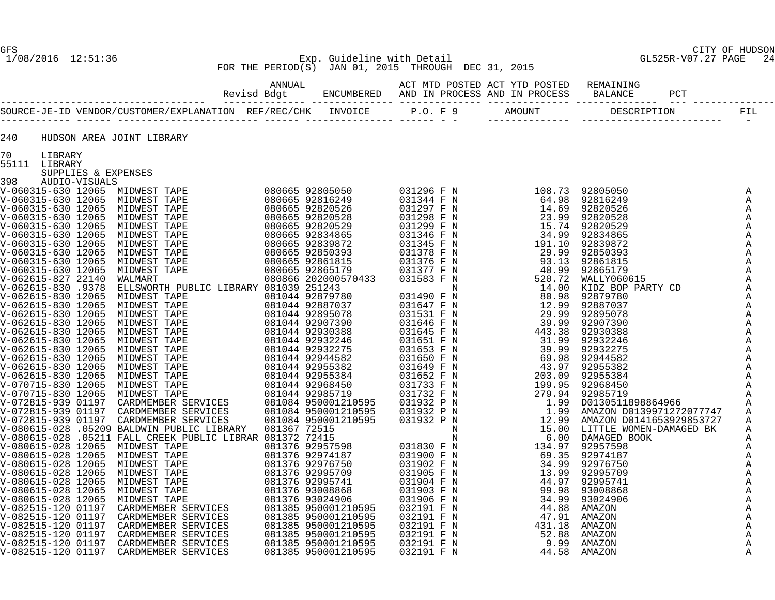# GFS CITY OF HUDSON 1/08/2016 12:51:36 Exp. Guideline with Detail GL525R-V07.27 PAGE 24 FOR THE PERIOD(S) JAN 01, 2015 THROUGH DEC 31, 2015

| 240 |                     | HUDSON AREA JOINT LIBRARY |  |  |  |                              |
|-----|---------------------|---------------------------|--|--|--|------------------------------|
|     | 70 LIBRARY          |                           |  |  |  |                              |
|     | 55111 LIBRARY       |                           |  |  |  |                              |
|     | SUPPLIES & EXPENSES |                           |  |  |  |                              |
|     |                     |                           |  |  |  | Α                            |
|     |                     |                           |  |  |  | Α                            |
|     |                     |                           |  |  |  | A                            |
|     |                     |                           |  |  |  | A                            |
|     |                     |                           |  |  |  | Α                            |
|     |                     |                           |  |  |  | A                            |
|     |                     |                           |  |  |  | Α                            |
|     |                     |                           |  |  |  | $\mathbb{A}$                 |
|     |                     |                           |  |  |  | Α                            |
|     |                     |                           |  |  |  | A                            |
|     |                     |                           |  |  |  | Α                            |
|     |                     |                           |  |  |  | $\mathbb{A}$<br>$\mathbb{A}$ |
|     |                     |                           |  |  |  | A                            |
|     |                     |                           |  |  |  | Α                            |
|     |                     |                           |  |  |  | Α                            |
|     |                     |                           |  |  |  | Α                            |
|     |                     |                           |  |  |  | $\mathbb{A}$                 |
|     |                     |                           |  |  |  | A                            |
|     |                     |                           |  |  |  | $\mathbb{A}$                 |
|     |                     |                           |  |  |  | A                            |
|     |                     |                           |  |  |  | A                            |
|     |                     |                           |  |  |  | A                            |
|     |                     |                           |  |  |  | $\mathbb A$<br>A             |
|     |                     |                           |  |  |  | A                            |
|     |                     |                           |  |  |  | Α                            |
|     |                     |                           |  |  |  | Α                            |
|     |                     |                           |  |  |  | A                            |
|     |                     |                           |  |  |  | Α                            |
|     |                     |                           |  |  |  | A                            |
|     |                     |                           |  |  |  | Α                            |
|     |                     |                           |  |  |  | A                            |
|     |                     |                           |  |  |  | Α                            |
|     |                     |                           |  |  |  | A                            |
|     |                     |                           |  |  |  | Α                            |
|     |                     |                           |  |  |  | Α<br>A                       |
|     |                     |                           |  |  |  | Α                            |
|     |                     |                           |  |  |  | Α                            |
|     |                     |                           |  |  |  | Α                            |
|     |                     |                           |  |  |  | A                            |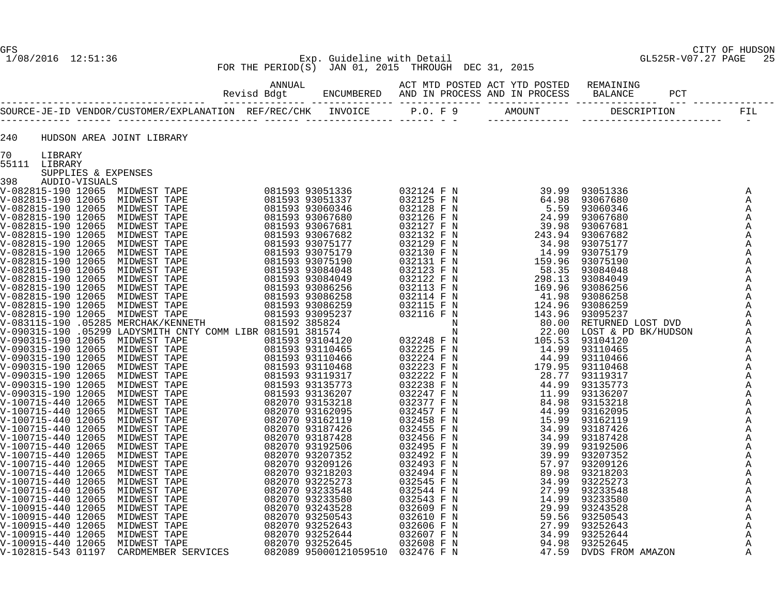# GFS CITY OF HUDSON 1/08/2016 12:51:36 Exp. Guideline with Detail GL525R-V07.27 PAGE 25 FOR THE PERIOD(S) JAN 01, 2015 THROUGH DEC 31, 2015

| 240 |                     | HUDSON AREA JOINT LIBRARY                                                                                                                                                                                                                                                                                                                                                                                                            |  |  |  |  |
|-----|---------------------|--------------------------------------------------------------------------------------------------------------------------------------------------------------------------------------------------------------------------------------------------------------------------------------------------------------------------------------------------------------------------------------------------------------------------------------|--|--|--|--|
| 70  | LIBRARY             |                                                                                                                                                                                                                                                                                                                                                                                                                                      |  |  |  |  |
|     | 55111 LIBRARY       |                                                                                                                                                                                                                                                                                                                                                                                                                                      |  |  |  |  |
|     | SUPPLIES & EXPENSES |                                                                                                                                                                                                                                                                                                                                                                                                                                      |  |  |  |  |
|     |                     |                                                                                                                                                                                                                                                                                                                                                                                                                                      |  |  |  |  |
|     |                     |                                                                                                                                                                                                                                                                                                                                                                                                                                      |  |  |  |  |
|     |                     |                                                                                                                                                                                                                                                                                                                                                                                                                                      |  |  |  |  |
|     |                     |                                                                                                                                                                                                                                                                                                                                                                                                                                      |  |  |  |  |
|     |                     |                                                                                                                                                                                                                                                                                                                                                                                                                                      |  |  |  |  |
|     |                     |                                                                                                                                                                                                                                                                                                                                                                                                                                      |  |  |  |  |
|     |                     |                                                                                                                                                                                                                                                                                                                                                                                                                                      |  |  |  |  |
|     |                     |                                                                                                                                                                                                                                                                                                                                                                                                                                      |  |  |  |  |
|     |                     |                                                                                                                                                                                                                                                                                                                                                                                                                                      |  |  |  |  |
|     |                     |                                                                                                                                                                                                                                                                                                                                                                                                                                      |  |  |  |  |
|     |                     |                                                                                                                                                                                                                                                                                                                                                                                                                                      |  |  |  |  |
|     |                     |                                                                                                                                                                                                                                                                                                                                                                                                                                      |  |  |  |  |
|     |                     |                                                                                                                                                                                                                                                                                                                                                                                                                                      |  |  |  |  |
|     |                     |                                                                                                                                                                                                                                                                                                                                                                                                                                      |  |  |  |  |
|     |                     |                                                                                                                                                                                                                                                                                                                                                                                                                                      |  |  |  |  |
|     |                     |                                                                                                                                                                                                                                                                                                                                                                                                                                      |  |  |  |  |
|     |                     |                                                                                                                                                                                                                                                                                                                                                                                                                                      |  |  |  |  |
|     |                     |                                                                                                                                                                                                                                                                                                                                                                                                                                      |  |  |  |  |
|     |                     |                                                                                                                                                                                                                                                                                                                                                                                                                                      |  |  |  |  |
|     |                     |                                                                                                                                                                                                                                                                                                                                                                                                                                      |  |  |  |  |
|     |                     |                                                                                                                                                                                                                                                                                                                                                                                                                                      |  |  |  |  |
|     |                     |                                                                                                                                                                                                                                                                                                                                                                                                                                      |  |  |  |  |
|     |                     |                                                                                                                                                                                                                                                                                                                                                                                                                                      |  |  |  |  |
|     |                     |                                                                                                                                                                                                                                                                                                                                                                                                                                      |  |  |  |  |
|     |                     |                                                                                                                                                                                                                                                                                                                                                                                                                                      |  |  |  |  |
|     |                     |                                                                                                                                                                                                                                                                                                                                                                                                                                      |  |  |  |  |
|     |                     |                                                                                                                                                                                                                                                                                                                                                                                                                                      |  |  |  |  |
|     |                     |                                                                                                                                                                                                                                                                                                                                                                                                                                      |  |  |  |  |
|     |                     |                                                                                                                                                                                                                                                                                                                                                                                                                                      |  |  |  |  |
|     |                     |                                                                                                                                                                                                                                                                                                                                                                                                                                      |  |  |  |  |
|     |                     |                                                                                                                                                                                                                                                                                                                                                                                                                                      |  |  |  |  |
|     |                     |                                                                                                                                                                                                                                                                                                                                                                                                                                      |  |  |  |  |
|     |                     |                                                                                                                                                                                                                                                                                                                                                                                                                                      |  |  |  |  |
|     |                     |                                                                                                                                                                                                                                                                                                                                                                                                                                      |  |  |  |  |
|     |                     |                                                                                                                                                                                                                                                                                                                                                                                                                                      |  |  |  |  |
|     |                     | $\begin{smallmatrix} \textbf{11} & \textbf{0} & \textbf{0} & \textbf{0} & \textbf{0} & \textbf{0} & \textbf{0} & \textbf{0} & \textbf{0} & \textbf{0} & \textbf{0} & \textbf{0} & \textbf{0} & \textbf{0} & \textbf{0} & \textbf{0} & \textbf{0} & \textbf{0} & \textbf{0} & \textbf{0} & \textbf{0} & \textbf{0} & \textbf{0} & \textbf{0} & \textbf{0} & \textbf{0} & \textbf{0} & \textbf{0} & \textbf{0} & \textbf{0} & \textbf$ |  |  |  |  |
|     |                     |                                                                                                                                                                                                                                                                                                                                                                                                                                      |  |  |  |  |
|     |                     |                                                                                                                                                                                                                                                                                                                                                                                                                                      |  |  |  |  |
|     |                     |                                                                                                                                                                                                                                                                                                                                                                                                                                      |  |  |  |  |
|     |                     |                                                                                                                                                                                                                                                                                                                                                                                                                                      |  |  |  |  |
|     |                     |                                                                                                                                                                                                                                                                                                                                                                                                                                      |  |  |  |  |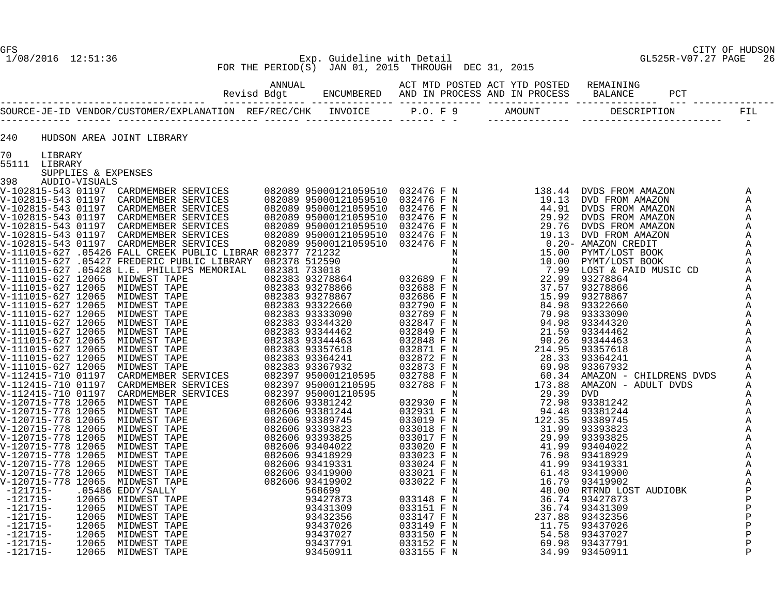## GFS CITY OF HUDSON 1/08/2016 12:51:36 Exp. Guideline with Detail GL525R-V07.27 PAGE 26 FOR THE PERIOD(S) JAN 01, 2015 THROUGH DEC 31, 2015

| 240           |                     | HUDSON AREA JOINT LIBRARY |  |  |                   |
|---------------|---------------------|---------------------------|--|--|-------------------|
| 70            | LIBRARY             |                           |  |  |                   |
| 55111 LIBRARY |                     |                           |  |  |                   |
|               | SUPPLIES & EXPENSES |                           |  |  |                   |
| 398           | AUDIO-VISUALS       |                           |  |  |                   |
|               |                     |                           |  |  | A                 |
|               |                     |                           |  |  | A<br>Α            |
|               |                     |                           |  |  | Α                 |
|               |                     |                           |  |  | Α                 |
|               |                     |                           |  |  | Α                 |
|               |                     |                           |  |  | Α                 |
|               |                     |                           |  |  | $\mathbb{A}$      |
|               |                     |                           |  |  | Α                 |
|               |                     |                           |  |  | $\mathbb A$       |
|               |                     |                           |  |  | Α<br>Α            |
|               |                     |                           |  |  | A                 |
|               |                     |                           |  |  | A                 |
|               |                     |                           |  |  | A                 |
|               |                     |                           |  |  | A                 |
|               |                     |                           |  |  | A                 |
|               |                     |                           |  |  | A                 |
|               |                     |                           |  |  | A                 |
|               |                     |                           |  |  | A                 |
|               |                     |                           |  |  | $\mathbb{A}$<br>Α |
|               |                     |                           |  |  | Α                 |
|               |                     |                           |  |  | Α                 |
|               |                     |                           |  |  | Α                 |
|               |                     |                           |  |  | A                 |
|               |                     |                           |  |  | Α                 |
|               |                     |                           |  |  | Α                 |
|               |                     |                           |  |  | A                 |
|               |                     |                           |  |  | Α<br>A            |
|               |                     |                           |  |  | Α                 |
|               |                     |                           |  |  | A                 |
|               |                     |                           |  |  | A                 |
|               |                     |                           |  |  | $\, {\bf P}$      |
|               |                     |                           |  |  | $\, {\bf P}$      |
|               |                     |                           |  |  | $\, {\bf P}$      |
|               |                     |                           |  |  | Ρ                 |
|               |                     |                           |  |  | Ρ<br>$\mathbf{P}$ |
|               |                     |                           |  |  | $\mathbf{P}$      |
|               |                     |                           |  |  | $\mathbf{P}$      |
|               |                     |                           |  |  |                   |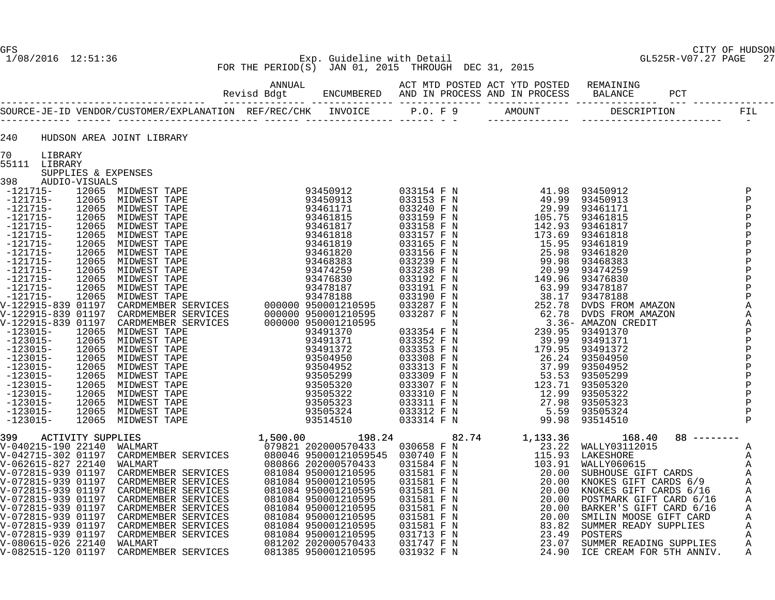# GFS CITY OF HUDSON 1/08/2016 12:51:36 Exp. Guideline with Detail GL525R-V07.27 PAGE 27 FOR THE PERIOD(S) JAN 01, 2015 THROUGH DEC 31, 2015

| 240           |                     | HUDSON AREA JOINT LIBRARY                                                                                                                                                                                                         |  |  |  |  |  |
|---------------|---------------------|-----------------------------------------------------------------------------------------------------------------------------------------------------------------------------------------------------------------------------------|--|--|--|--|--|
| 70 LIBRARY    |                     |                                                                                                                                                                                                                                   |  |  |  |  |  |
| 55111 LIBRARY |                     |                                                                                                                                                                                                                                   |  |  |  |  |  |
|               | SUPPLIES & EXPENSES |                                                                                                                                                                                                                                   |  |  |  |  |  |
|               |                     |                                                                                                                                                                                                                                   |  |  |  |  |  |
|               |                     |                                                                                                                                                                                                                                   |  |  |  |  |  |
|               |                     |                                                                                                                                                                                                                                   |  |  |  |  |  |
|               |                     |                                                                                                                                                                                                                                   |  |  |  |  |  |
|               |                     |                                                                                                                                                                                                                                   |  |  |  |  |  |
|               |                     |                                                                                                                                                                                                                                   |  |  |  |  |  |
|               |                     |                                                                                                                                                                                                                                   |  |  |  |  |  |
|               |                     |                                                                                                                                                                                                                                   |  |  |  |  |  |
|               |                     |                                                                                                                                                                                                                                   |  |  |  |  |  |
|               |                     |                                                                                                                                                                                                                                   |  |  |  |  |  |
|               |                     |                                                                                                                                                                                                                                   |  |  |  |  |  |
|               |                     |                                                                                                                                                                                                                                   |  |  |  |  |  |
|               |                     |                                                                                                                                                                                                                                   |  |  |  |  |  |
|               |                     |                                                                                                                                                                                                                                   |  |  |  |  |  |
|               |                     |                                                                                                                                                                                                                                   |  |  |  |  |  |
|               |                     |                                                                                                                                                                                                                                   |  |  |  |  |  |
|               |                     |                                                                                                                                                                                                                                   |  |  |  |  |  |
|               |                     |                                                                                                                                                                                                                                   |  |  |  |  |  |
|               |                     |                                                                                                                                                                                                                                   |  |  |  |  |  |
|               |                     |                                                                                                                                                                                                                                   |  |  |  |  |  |
|               |                     |                                                                                                                                                                                                                                   |  |  |  |  |  |
|               |                     |                                                                                                                                                                                                                                   |  |  |  |  |  |
|               |                     |                                                                                                                                                                                                                                   |  |  |  |  |  |
|               |                     | 5311 LIBRAY<br>1918 - 1920 - 1920 - 1920 - 1934 - 1935 - 1935 - 1936 - 1937 - 1938 - 1936 - 1937 - 1938 - 1938 - 1938 - 1938<br>1921 - 1936 - 1936 - 1936 - 1937 - 1938 - 1938 - 1938 - 1938 - 1938 - 1938 - 1938 - 1938 - 1938 - |  |  |  |  |  |
|               |                     |                                                                                                                                                                                                                                   |  |  |  |  |  |
|               |                     |                                                                                                                                                                                                                                   |  |  |  |  |  |
|               |                     |                                                                                                                                                                                                                                   |  |  |  |  |  |
|               |                     |                                                                                                                                                                                                                                   |  |  |  |  |  |
|               |                     |                                                                                                                                                                                                                                   |  |  |  |  |  |
|               |                     |                                                                                                                                                                                                                                   |  |  |  |  |  |
|               |                     |                                                                                                                                                                                                                                   |  |  |  |  |  |
|               |                     |                                                                                                                                                                                                                                   |  |  |  |  |  |
|               |                     |                                                                                                                                                                                                                                   |  |  |  |  |  |
|               |                     |                                                                                                                                                                                                                                   |  |  |  |  |  |
|               |                     |                                                                                                                                                                                                                                   |  |  |  |  |  |
|               |                     |                                                                                                                                                                                                                                   |  |  |  |  |  |
|               |                     |                                                                                                                                                                                                                                   |  |  |  |  |  |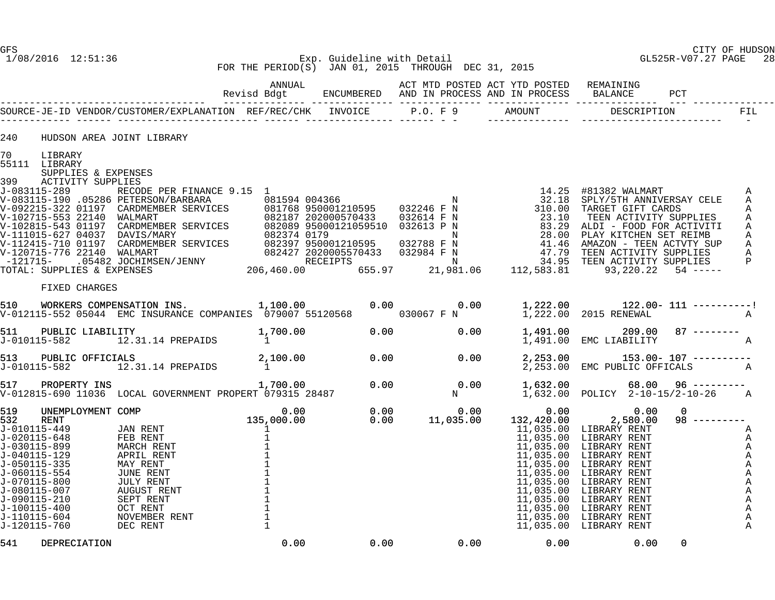GFS CITY OF HUDSON

#### 1/08/2016 12:51:36 Exp. Guideline with Detail GL525R-V07.27 PAGE 28 FOR THE PERIOD(S) JAN 01, 2015 THROUGH DEC 31, 2015

|                                                                                                            |                                                                             |                                                                                                                                                                                       | ANNUAL | ACT MTD POSTED ACT YTD POSTED REMAINING |          |                                                                                                                                                                                    |                            |                                   |  |
|------------------------------------------------------------------------------------------------------------|-----------------------------------------------------------------------------|---------------------------------------------------------------------------------------------------------------------------------------------------------------------------------------|--------|-----------------------------------------|----------|------------------------------------------------------------------------------------------------------------------------------------------------------------------------------------|----------------------------|-----------------------------------|--|
|                                                                                                            |                                                                             |                                                                                                                                                                                       |        |                                         |          |                                                                                                                                                                                    |                            | <b>FIL</b><br>$\sim$ $-$          |  |
| 240                                                                                                        |                                                                             | HUDSON AREA JOINT LIBRARY                                                                                                                                                             |        |                                         |          |                                                                                                                                                                                    |                            |                                   |  |
| 70<br>399                                                                                                  | LIBRARY<br>55111 LIBRARY<br>SUPPLIES & EXPENSES<br><b>ACTIVITY SUPPLIES</b> |                                                                                                                                                                                       |        |                                         |          |                                                                                                                                                                                    |                            | Α<br>A<br>Α<br>Α<br>A             |  |
|                                                                                                            |                                                                             |                                                                                                                                                                                       |        |                                         |          |                                                                                                                                                                                    |                            | $\mathbf{A}$<br>$\mathbf{A}$<br>P |  |
|                                                                                                            | FIXED CHARGES                                                               |                                                                                                                                                                                       |        |                                         |          |                                                                                                                                                                                    |                            |                                   |  |
|                                                                                                            |                                                                             | 910 WORKERS COMPENSATION INS. [1,100.00 0.00 0.00 0.00 1,222.00 122.00 111 ----------!<br>V-012115-552 05044 EMC INSURANCE COMPANIES 079007 55120568 030067 F N 1,222.00 2015 RENEWAL |        |                                         |          |                                                                                                                                                                                    |                            |                                   |  |
| 511                                                                                                        | PUBLIC LIABILITY                                                            | 1,700.00<br>31.14 PREPAIDS 1<br>J-010115-582 12.31.14 PREPAIDS                                                                                                                        |        | 0.00<br>0.00                            | 1,491.00 | 1,491.00  209.00  87 --------<br>1,491.00  EMC LIABILITY                                                                                                                           |                            |                                   |  |
|                                                                                                            |                                                                             | 513 PUBLIC OFFICIALS 2,100.00 0.00 0.00<br>J-010115-582 12.31.14 PREPAIDS 1                                                                                                           |        |                                         |          | $2,253.00$ $153.00 - 107$ ----------<br>2,253.00 EMC PUBLIC OFFICALS A                                                                                                             |                            |                                   |  |
|                                                                                                            |                                                                             | 517 PROPERTY INS<br>V-012815-690 11036 LOCAL GOVERNMENT PROPERT 079315 28487                                                                                                          |        |                                         |          | 1,632.00 POLICY 2-10-15/2-10-26 A                                                                                                                                                  |                            |                                   |  |
| 519<br>532<br>J-010115-449<br>J-020115-648<br>J-030115-899<br>J-040115-129<br>J-050115-335<br>J-060115-554 |                                                                             |                                                                                                                                                                                       |        |                                         |          | 132,420.00 2,580.00 98<br>11,035.00 LIBRARY RENT<br>11,035.00 LIBRARY RENT<br>11,035.00 LIBRARY RENT<br>11,035.00 LIBRARY RENT<br>11,035.00 LIBRARY RENT<br>11,035.00 LIBRARY RENT | $\Omega$<br>$98$ --------- | A<br>Α<br>A<br>Α<br>Α             |  |

J-060115-554 JUNE RENT 1<br>J-070115-800 JULY RENT 1 J-070115-800 JULY RENT 1 11,035.00 LIBRARY RENT A J-080115-007 AUGUST RENT 1 11 ,035 .00 LIBRARY RENT A<br>J-090115-210 SEPT RENT 1 11 ,035 .00 LIBRARY RENT A J-090115-210 SEPT RENT 1 11,035.00 LIBRARY RENT A J-100115-400 OCT RENT 1 11,035.00 LIBRARY RENT A J-110115-604 NOVEMBER RENT 1 11,035.00 LIBRARY RENT A

541 DEPRECIATION 0.00 0.00 0.00 0.00 0.00 0

11,035.00 LIBRARY RENT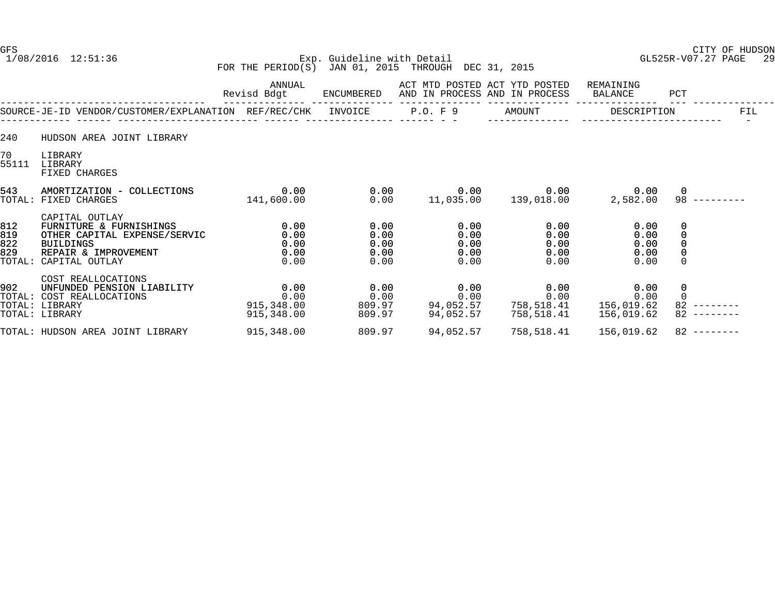# GFS CITY OF HUDSON 1/08/2016 12:51:36 Exp. Guideline with Detail GL525R-V07.27 PAGE 29 FOR THE PERIOD(S) JAN 01, 2015 THROUGH DEC 31, 2015

|                                    |                                                                                                                                         | ANNUAL<br>Revisd Bdgt                    | ENCUMBERED                           | ACT MTD POSTED ACT YTD POSTED<br>AND IN PROCESS AND IN PROCESS |                                      | REMAINING<br>BALANCE                 | PCT                       |
|------------------------------------|-----------------------------------------------------------------------------------------------------------------------------------------|------------------------------------------|--------------------------------------|----------------------------------------------------------------|--------------------------------------|--------------------------------------|---------------------------|
|                                    | SOURCE-JE-ID VENDOR/CUSTOMER/EXPLANATION REF/REC/CHK                                                                                    |                                          | INVOICE                              | P.O. F 9                                                       | AMOUNT                               | DESCRIPTION                          | FIL                       |
| 240                                | HUDSON AREA JOINT LIBRARY                                                                                                               |                                          |                                      |                                                                |                                      |                                      |                           |
| 70 <sub>o</sub><br>55111           | LIBRARY<br>LIBRARY<br>FIXED CHARGES                                                                                                     |                                          |                                      |                                                                |                                      |                                      |                           |
| 543<br>TOTAL:                      | AMORTIZATION - COLLECTIONS<br>FIXED CHARGES                                                                                             | 0.00<br>141,600.00                       | 0.00<br>0.00                         | 0.00<br>11,035.00                                              | 0.00<br>139,018.00                   | 0.00<br>2,582.00                     | $\mathbf 0$<br>98         |
| 812<br>819<br>822<br>829<br>TOTAL: | CAPITAL OUTLAY<br>FURNITURE & FURNISHINGS<br>OTHER CAPITAL EXPENSE/SERVIC<br><b>BUILDINGS</b><br>REPAIR & IMPROVEMENT<br>CAPITAL OUTLAY | 0.00<br>0.00<br>0.00<br>0.00<br>0.00     | 0.00<br>0.00<br>0.00<br>0.00<br>0.00 | 0.00<br>0.00<br>0.00<br>0.00<br>0.00                           | 0.00<br>0.00<br>0.00<br>0.00<br>0.00 | 0.00<br>0.00<br>0.00<br>0.00<br>0.00 | 0<br>0<br>0<br>$\Omega$   |
| 902<br>TOTAL:                      | COST REALLOCATIONS<br>UNFUNDED PENSION LIABILITY<br>COST REALLOCATIONS<br>TOTAL: LIBRARY<br>TOTAL: LIBRARY                              | 0.00<br>0.00<br>915,348.00<br>915,348.00 | 0.00<br>0.00<br>809.97<br>809.97     | 0.00<br>0.00<br>94,052.57<br>94,052.57                         | 0.00<br>0.00<br>758,518.41           | 0.00<br>0.00<br>156,019.62           | 0<br>$\Omega$<br>82<br>82 |
|                                    | TOTAL: HUDSON AREA JOINT LIBRARY                                                                                                        | 915,348.00                               | 809.97                               | 94,052.57                                                      | 758,518.41                           | 156,019.62                           | $82$ --------             |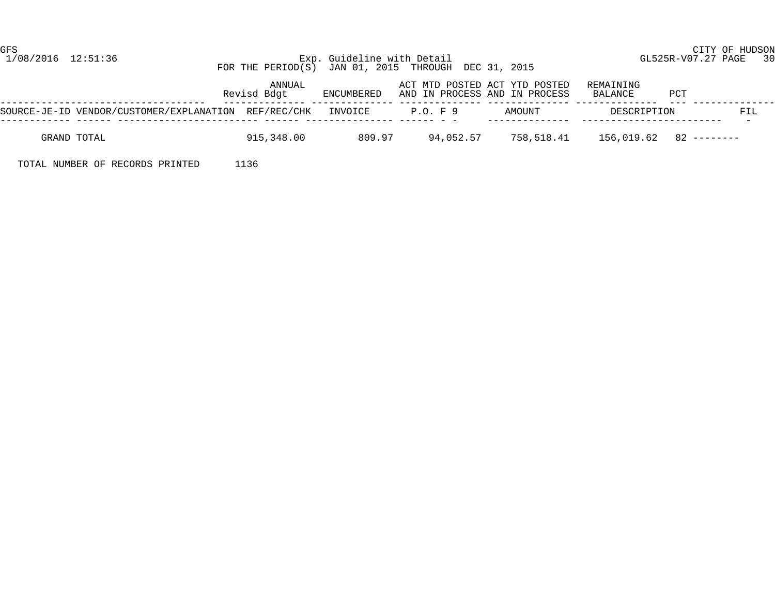#### 1/08/2016 12:51:36 Exp. Guideline with Detail GL525R-V07.27 PAGE 30 FOR THE PERIOD(S) JAN 01, 2015 THROUGH DEC 31, 2015

|                                                              | ANNUAL<br>Revisd Bdgt | ENCUMBERED |           | ACT MTD POSTED ACT YTD POSTED<br>AND IN PROCESS AND IN PROCESS | REMAINING<br>BALANCE | PCT                             |
|--------------------------------------------------------------|-----------------------|------------|-----------|----------------------------------------------------------------|----------------------|---------------------------------|
| SOURCE-JE-ID VENDOR/CUSTOMER/EXPLANATION REF/REC/CHK INVOICE |                       |            | P.O. F 9  | AMOUNT                                                         | DESCRIPTION          | FIL<br>$\overline{\phantom{0}}$ |
| GRAND TOTAL                                                  | 915,348.00            | 809.97     | 94,052.57 | 758,518.41                                                     |                      | $156.019.62$ $82$ --------      |

TOTAL NUMBER OF RECORDS PRINTED 1136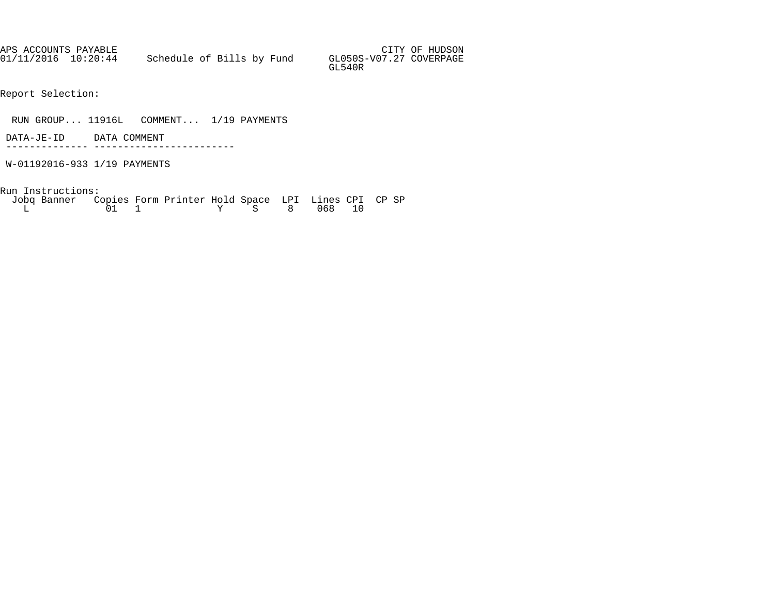APS ACCOUNTS PAYABLE AND SUMMAN SERVICES OF HUDSON AND SUMMAN SERVICES OF HUDSON 01/11/2016 10:20:44 Schedule of Bills by Fund GL050S-V07.27 COVERPAGE GL540R

Report Selection:

RUN GROUP... 11916L COMMENT... 1/19 PAYMENTS

 DATA-JE-ID DATA COMMENT -------------- ------------------------

W-01192016-933 1/19 PAYMENTS

Run Instructions:

| Jobg Banner Copies Form Printer Hold Space LPI Lines CPI CP SP |  |  |              |  |  |  |
|----------------------------------------------------------------|--|--|--------------|--|--|--|
|                                                                |  |  | Y S 8 068 10 |  |  |  |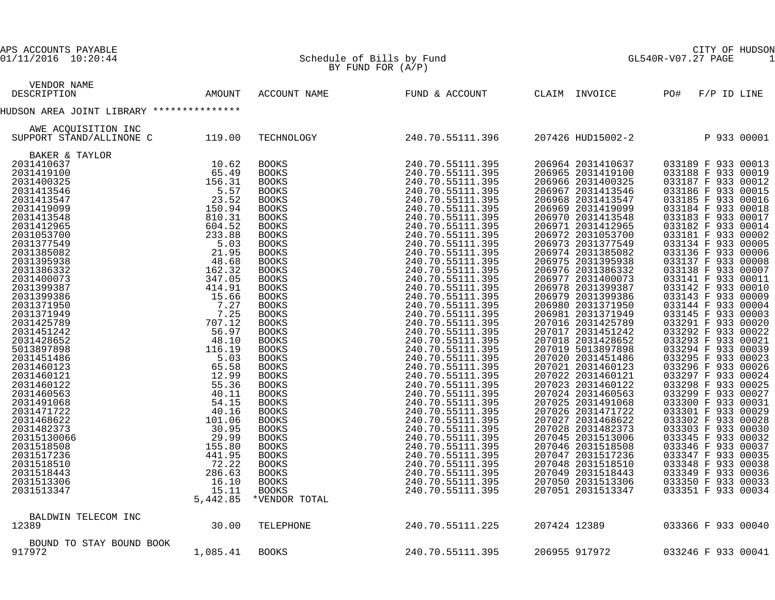| APS ACCOUNTS PAYABLE<br>01/11/2016 10:20:44                                                                                                                                                                                                                                                                  |          | Schedule of Bills by Fund<br>BY FUND FOR $(A/P)$ | GL5<br>CITY OF HUDSON<br>GL540R-V07.27 PAGE<br>1                                                                                                                                                                                           |  |                                        |                                          |               |  |  |
|--------------------------------------------------------------------------------------------------------------------------------------------------------------------------------------------------------------------------------------------------------------------------------------------------------------|----------|--------------------------------------------------|--------------------------------------------------------------------------------------------------------------------------------------------------------------------------------------------------------------------------------------------|--|----------------------------------------|------------------------------------------|---------------|--|--|
| VENDOR NAME<br>DESCRIPTION                                                                                                                                                                                                                                                                                   | AMOUNT   |                                                  | ACCOUNT NAME FUND & ACCOUNT                                                                                                                                                                                                                |  | CLAIM INVOICE                          | PO#                                      | $F/P$ ID LINE |  |  |
| HUDSON AREA JOINT LIBRARY ***************                                                                                                                                                                                                                                                                    |          |                                                  |                                                                                                                                                                                                                                            |  |                                        |                                          |               |  |  |
|                                                                                                                                                                                                                                                                                                              |          |                                                  |                                                                                                                                                                                                                                            |  |                                        |                                          |               |  |  |
| AWE ACQUISITION INC<br>SUPPORT STAND/ALLINONE C                                                                                                                                                                                                                                                              | 119.00   | TECHNOLOGY                                       | 240.70.55111.396                                                                                                                                                                                                                           |  | 207426 HUD15002-2                      | P 933 00001                              |               |  |  |
| BAKER & TAYLOR<br>TAYLOR<br>10.62<br>65.491<br>15.57<br>23.52<br>15.57<br>23.52<br>15.57<br>23.52<br>15.57<br>23.52<br>48.03<br>23.52<br>23.52<br>23.52<br>23.58<br>23.38<br>44.95<br>441.91<br>15.666<br>7.225<br>707.12<br>707.12<br>707.12<br>707.12<br>707.12<br>707.12<br>707.12<br>56.9<br>48.66<br>41 |          |                                                  | $240.70.55111.395\\ 240.70.55111.395\\ 240.70.55111.395\\ 240.70.55111.395\\ 240.70.55111.395\\ 240.70.55111.395\\ 240.70.55111.395\\ 240.70.55111.395\\ 240.70.55111.395\\ 240.70.55111.395\\ 240.70.55111.395\\ 240.70.55111.395\\ 240.$ |  |                                        |                                          |               |  |  |
| 2031410637<br>2031419100                                                                                                                                                                                                                                                                                     |          | <b>BOOKS</b><br><b>BOOKS</b>                     |                                                                                                                                                                                                                                            |  | 206964 2031410637<br>206965 2031419100 | 033189 F 933 00013<br>033188 F 933 00019 |               |  |  |
| 2031400325                                                                                                                                                                                                                                                                                                   |          | BOOKS                                            |                                                                                                                                                                                                                                            |  | 206966 2031400325                      | 033187 F 933 00012                       |               |  |  |
| 2031413546                                                                                                                                                                                                                                                                                                   |          | <b>BOOKS</b>                                     |                                                                                                                                                                                                                                            |  | 206967 2031413546                      | 033186 F 933 00015                       |               |  |  |
| 2031413547                                                                                                                                                                                                                                                                                                   |          | BOOKS                                            |                                                                                                                                                                                                                                            |  | 206968 2031413547                      | 033185 F 933 00016                       |               |  |  |
| 2031419099                                                                                                                                                                                                                                                                                                   |          | <b>BOOKS</b>                                     |                                                                                                                                                                                                                                            |  | 206969 2031419099                      | 033184 F 933 00018                       |               |  |  |
| 2031413548                                                                                                                                                                                                                                                                                                   |          | BOOKS                                            |                                                                                                                                                                                                                                            |  | 206970 2031413548                      | 033183 F 933 00017                       |               |  |  |
| 2031412965                                                                                                                                                                                                                                                                                                   |          | <b>BOOKS</b>                                     |                                                                                                                                                                                                                                            |  | 206971 2031412965                      | 033182 F 933 00014                       |               |  |  |
| 2031053700                                                                                                                                                                                                                                                                                                   |          | BOOKS                                            |                                                                                                                                                                                                                                            |  | 206972 2031053700                      | 033181 F 933 00002                       |               |  |  |
| 2031377549                                                                                                                                                                                                                                                                                                   |          | <b>BOOKS</b>                                     |                                                                                                                                                                                                                                            |  | 206973 2031377549                      | 033134 F 933 00005                       |               |  |  |
| 2031385082                                                                                                                                                                                                                                                                                                   |          | BOOKS                                            |                                                                                                                                                                                                                                            |  | 206974 2031385082                      | 033136 F 933 00006                       |               |  |  |
| 2031395938<br>2031386332                                                                                                                                                                                                                                                                                     |          | <b>BOOKS</b>                                     |                                                                                                                                                                                                                                            |  | 206975 2031395938<br>206976 2031386332 | 033137 F 933 00008<br>033138 F 933 00007 |               |  |  |
| 2031400073                                                                                                                                                                                                                                                                                                   |          | BOOKS<br><b>BOOKS</b>                            |                                                                                                                                                                                                                                            |  | 206977 2031400073                      | 033141 F 933 00011                       |               |  |  |
| 2031399387                                                                                                                                                                                                                                                                                                   |          | BOOKS                                            |                                                                                                                                                                                                                                            |  | 206978 2031399387                      | 033142 F 933 00010                       |               |  |  |
| 2031399386                                                                                                                                                                                                                                                                                                   |          | <b>BOOKS</b>                                     |                                                                                                                                                                                                                                            |  | 206979 2031399386                      | 033143 F 933 00009                       |               |  |  |
| 2031371950                                                                                                                                                                                                                                                                                                   |          | BOOKS                                            |                                                                                                                                                                                                                                            |  | 206980 2031371950                      | 033144 F 933 00004                       |               |  |  |
| 2031371949                                                                                                                                                                                                                                                                                                   |          | <b>BOOKS</b>                                     |                                                                                                                                                                                                                                            |  | 206981 2031371949                      | 033145 F 933 00003                       |               |  |  |
| 2031425789                                                                                                                                                                                                                                                                                                   |          | BOOKS                                            |                                                                                                                                                                                                                                            |  | 207016 2031425789                      | 033291 F 933 00020                       |               |  |  |
| 2031451242                                                                                                                                                                                                                                                                                                   |          | BOOKS                                            |                                                                                                                                                                                                                                            |  | 207017 2031451242                      | 033292 F 933 00022<br>033293 F 933 00021 |               |  |  |
| 2031428652                                                                                                                                                                                                                                                                                                   |          | BOOKS                                            |                                                                                                                                                                                                                                            |  | 207018 2031428652                      |                                          |               |  |  |
| 5013897898                                                                                                                                                                                                                                                                                                   |          | <b>BOOKS</b>                                     |                                                                                                                                                                                                                                            |  | 207019 5013897898                      | 033294 F 933 00039                       |               |  |  |
| 2031451486                                                                                                                                                                                                                                                                                                   |          | BOOKS                                            |                                                                                                                                                                                                                                            |  | 207020 2031451486<br>207021 2031460123 | 033295 F 933 00023<br>033296 F 933 00026 |               |  |  |
| 2031460123<br>2031460121                                                                                                                                                                                                                                                                                     |          | BOOKS<br>BOOKS                                   |                                                                                                                                                                                                                                            |  | 207022 2031460121                      | 033297 F 933 00024                       |               |  |  |
| 2031460122                                                                                                                                                                                                                                                                                                   |          | <b>BOOKS</b>                                     |                                                                                                                                                                                                                                            |  | 207023 2031460122                      | 033298 F 933 00025                       |               |  |  |
| 2031460563                                                                                                                                                                                                                                                                                                   |          | BOOKS                                            |                                                                                                                                                                                                                                            |  | 207024 2031460563                      | 033299 F 933 00027                       |               |  |  |
| 2031491068                                                                                                                                                                                                                                                                                                   |          | <b>BOOKS</b>                                     |                                                                                                                                                                                                                                            |  | 207025 2031491068                      |                                          |               |  |  |
| 2031471722                                                                                                                                                                                                                                                                                                   |          | BOOKS                                            |                                                                                                                                                                                                                                            |  | 207026 2031471722                      | 033300 F 933 00031<br>033301 F 933 00029 |               |  |  |
| 2031468622                                                                                                                                                                                                                                                                                                   |          | <b>BOOKS</b>                                     |                                                                                                                                                                                                                                            |  | 207027 2031468622                      | 033302 F 933 00028                       |               |  |  |
| 2031482373                                                                                                                                                                                                                                                                                                   |          | BOOKS                                            |                                                                                                                                                                                                                                            |  | 207028 2031482373                      | 033303 F 933 00030                       |               |  |  |
| 20315130066                                                                                                                                                                                                                                                                                                  |          | <b>BOOKS</b>                                     |                                                                                                                                                                                                                                            |  | 207045 2031513006                      | 033345 F 933 00032                       |               |  |  |
| 2031518508                                                                                                                                                                                                                                                                                                   |          | BOOKS                                            |                                                                                                                                                                                                                                            |  | 207046 2031518508                      | 033346 F 933 00037                       |               |  |  |
| 2031517236<br>2031518510                                                                                                                                                                                                                                                                                     |          | BOOKS                                            |                                                                                                                                                                                                                                            |  | 207047 2031517236<br>207048 2031518510 | 033347 F 933 00035<br>033348 F 933 00038 |               |  |  |
| 2031518443                                                                                                                                                                                                                                                                                                   |          | BOOKS<br><b>BOOKS</b>                            |                                                                                                                                                                                                                                            |  | 207049 2031518443                      | 033349 F 933 00036                       |               |  |  |
| 2031513306                                                                                                                                                                                                                                                                                                   |          | BOOKS                                            |                                                                                                                                                                                                                                            |  | 207050 2031513306                      | 033350 F 933 00033                       |               |  |  |
| 2031513347                                                                                                                                                                                                                                                                                                   | 15.11    | <b>BOOKS</b>                                     | 240.70.55111.395                                                                                                                                                                                                                           |  | 207051 2031513347                      | 033351 F 933 00034                       |               |  |  |
|                                                                                                                                                                                                                                                                                                              | 5,442.85 | *VENDOR TOTAL                                    |                                                                                                                                                                                                                                            |  |                                        |                                          |               |  |  |
| BALDWIN TELECOM INC                                                                                                                                                                                                                                                                                          |          |                                                  |                                                                                                                                                                                                                                            |  |                                        |                                          |               |  |  |
| 12389                                                                                                                                                                                                                                                                                                        | 30.00    | TELEPHONE                                        | 240.70.55111.225                                                                                                                                                                                                                           |  | 207424 12389                           | 033366 F 933 00040                       |               |  |  |
| BOUND TO STAY BOUND BOOK                                                                                                                                                                                                                                                                                     |          |                                                  |                                                                                                                                                                                                                                            |  |                                        |                                          |               |  |  |
| 917972                                                                                                                                                                                                                                                                                                       | 1,085.41 | <b>BOOKS</b>                                     | 240.70.55111.395                                                                                                                                                                                                                           |  | 206955 917972                          | 033246 F 933 00041                       |               |  |  |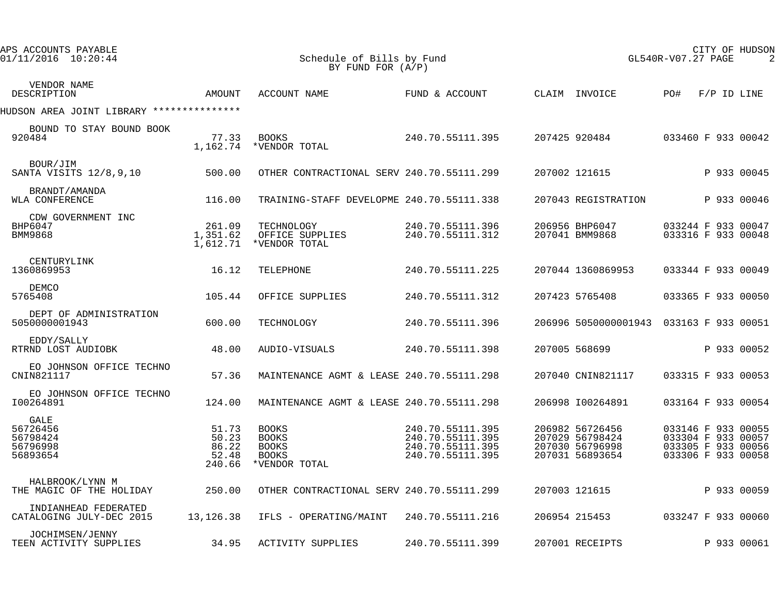| APS ACCOUNTS PAYABLE<br>01/11/2016 10:20:44          |                                            | Schedule of Bills by Fund<br>BY FUND FOR $(A/P)$                              |                                                                              | CITY OF HUDSON<br>GL540R-V07.27 PAGE<br>$\overline{2}$                   |                                                                                      |
|------------------------------------------------------|--------------------------------------------|-------------------------------------------------------------------------------|------------------------------------------------------------------------------|--------------------------------------------------------------------------|--------------------------------------------------------------------------------------|
| VENDOR NAME<br>DESCRIPTION                           | AMOUNT                                     | ACCOUNT NAME                                                                  | FUND & ACCOUNT                                                               | CLAIM INVOICE                                                            | PO#<br>F/P ID LINE                                                                   |
| HUDSON AREA JOINT LIBRARY ***************            |                                            |                                                                               |                                                                              |                                                                          |                                                                                      |
| BOUND TO STAY BOUND BOOK<br>920484                   | 77.33<br>1,162.74                          | <b>BOOKS</b><br>*VENDOR TOTAL                                                 | 240.70.55111.395                                                             | 207425 920484                                                            | 033460 F 933 00042                                                                   |
| BOUR/JIM<br>SANTA VISITS 12/8,9,10                   | 500.00                                     | OTHER CONTRACTIONAL SERV 240.70.55111.299                                     |                                                                              | 207002 121615                                                            | P 933 00045                                                                          |
| BRANDT/AMANDA<br>WLA CONFERENCE                      | 116.00                                     | TRAINING-STAFF DEVELOPME 240.70.55111.338                                     |                                                                              | 207043 REGISTRATION                                                      | P 933 00046                                                                          |
| CDW GOVERNMENT INC<br>BHP6047<br><b>BMM9868</b>      | 261.09<br>1,351.62<br>1,612.71             | TECHNOLOGY<br>OFFICE SUPPLIES<br>*VENDOR TOTAL                                | 240.70.55111.396<br>240.70.55111.312                                         | 206956 BHP6047<br>207041 BMM9868                                         | 033244 F 933 00047<br>033316 F 933 00048                                             |
| CENTURYLINK<br>1360869953                            | 16.12                                      | TELEPHONE                                                                     | 240.70.55111.225                                                             | 207044 1360869953                                                        | 033344 F 933 00049                                                                   |
| DEMCO<br>5765408                                     | 105.44                                     | OFFICE SUPPLIES                                                               | 240.70.55111.312                                                             | 207423 5765408                                                           | 033365 F 933 00050                                                                   |
| DEPT OF ADMINISTRATION<br>5050000001943              | 600.00                                     | TECHNOLOGY                                                                    | 240.70.55111.396                                                             | 206996 5050000001943 033163 F 933 00051                                  |                                                                                      |
| EDDY/SALLY<br>RTRND LOST AUDIOBK                     | 48.00                                      | AUDIO-VISUALS                                                                 | 240.70.55111.398                                                             | 207005 568699                                                            | P 933 00052                                                                          |
| EO JOHNSON OFFICE TECHNO<br>CNIN821117               | 57.36                                      | MAINTENANCE AGMT & LEASE 240.70.55111.298                                     |                                                                              | 207040 CNIN821117                                                        | 033315 F 933 00053                                                                   |
| EO JOHNSON OFFICE TECHNO<br>I00264891                | 124.00                                     | MAINTENANCE AGMT & LEASE 240.70.55111.298                                     |                                                                              | 206998 100264891                                                         | 033164 F 933 00054                                                                   |
| GALE<br>56726456<br>56798424<br>56796998<br>56893654 | 51.73<br>50.23<br>86.22<br>52.48<br>240.66 | <b>BOOKS</b><br><b>BOOKS</b><br><b>BOOKS</b><br><b>BOOKS</b><br>*VENDOR TOTAL | 240.70.55111.395<br>240.70.55111.395<br>240.70.55111.395<br>240.70.55111.395 | 206982 56726456<br>207029 56798424<br>207030 56796998<br>207031 56893654 | 033146 F 933 00055<br>033304 F 933 00057<br>033305 F 933 00056<br>033306 F 933 00058 |
| HALBROOK/LYNN M<br>THE MAGIC OF THE HOLIDAY          | 250.00                                     | OTHER CONTRACTIONAL SERV 240.70.55111.299                                     |                                                                              | 207003 121615                                                            | P 933 00059                                                                          |
| INDIANHEAD FEDERATED<br>CATALOGING JULY-DEC 2015     | 13,126.38                                  | IFLS - OPERATING/MAINT                                                        | 240.70.55111.216                                                             | 206954 215453                                                            | 033247 F 933 00060                                                                   |
| JOCHIMSEN/JENNY<br>TEEN ACTIVITY SUPPLIES            | 34.95                                      | <b>ACTIVITY SUPPLIES</b>                                                      | 240.70.55111.399                                                             | 207001 RECEIPTS                                                          | P 933 00061                                                                          |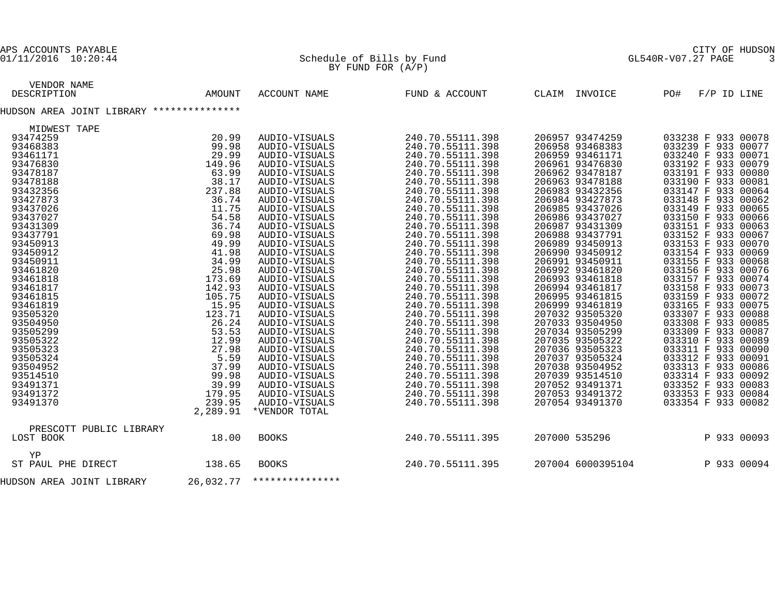#### 01/11/2016 10:20:44 Schedule of Bills by Fund GL540R-V07.27 PAGE 3  $\mathbb{B}Y$  FUND FOR  $(A/P)$

| VENDOR NAME                                                                                                                                                                                                                                                                                                   |           |                 |                  |                   |                    |
|---------------------------------------------------------------------------------------------------------------------------------------------------------------------------------------------------------------------------------------------------------------------------------------------------------------|-----------|-----------------|------------------|-------------------|--------------------|
| DESCRIPTION                                                                                                                                                                                                                                                                                                   | AMOUNT    | ACCOUNT NAME    | FUND & ACCOUNT   | CLAIM INVOICE     | PO#<br>F/P ID LINE |
| HUDSON AREA JOINT LIBRARY ***************                                                                                                                                                                                                                                                                     |           |                 |                  |                   |                    |
| MIDWEST TAPE<br>TAPE<br>20.99<br>29.98<br>29.98<br>29.98<br>29.98<br>142.99<br>38.178<br>38.178<br>38.178<br>38.178<br>36.74<br>11.758<br>36.74<br>11.758<br>49.99<br>49.99<br>49.99<br>49.99<br>49.99<br>49.99<br>49.99<br>49.99<br>49.99<br>49.99<br>49.99<br>49.99<br>49.99<br>49.99<br>49.99<br>44.99<br> |           |                 |                  |                   |                    |
| 93474259                                                                                                                                                                                                                                                                                                      |           | AUDIO-VISUALS   | 240.70.55111.398 | 206957 93474259   | 033238 F 933 00078 |
| 93468383                                                                                                                                                                                                                                                                                                      |           | AUDIO-VISUALS   | 240.70.55111.398 | 206958 93468383   | 033239 F 933 00077 |
| 93461171                                                                                                                                                                                                                                                                                                      |           | AUDIO-VISUALS   | 240.70.55111.398 | 206959 93461171   | 033240 F 933 00071 |
| 93476830                                                                                                                                                                                                                                                                                                      |           | AUDIO-VISUALS   | 240.70.55111.398 | 206961 93476830   | 033192 F 933 00079 |
| 93478187                                                                                                                                                                                                                                                                                                      |           | AUDIO-VISUALS   | 240.70.55111.398 | 206962 93478187   | 033191 F 933 00080 |
| 93478188                                                                                                                                                                                                                                                                                                      |           | AUDIO-VISUALS   | 240.70.55111.398 | 206963 93478188   | 033190 F 933 00081 |
| 93432356                                                                                                                                                                                                                                                                                                      |           | AUDIO-VISUALS   | 240.70.55111.398 | 206983 93432356   | 033147 F 933 00064 |
| 93427873                                                                                                                                                                                                                                                                                                      |           | AUDIO-VISUALS   | 240.70.55111.398 | 206984 93427873   | 033148 F 933 00062 |
| 93437026                                                                                                                                                                                                                                                                                                      |           | AUDIO-VISUALS   | 240.70.55111.398 | 206985 93437026   | 033149 F 933 00065 |
| 93437027                                                                                                                                                                                                                                                                                                      |           | AUDIO-VISUALS   | 240.70.55111.398 | 206986 93437027   | 033150 F 933 00066 |
|                                                                                                                                                                                                                                                                                                               |           |                 |                  |                   |                    |
| 93431309                                                                                                                                                                                                                                                                                                      |           | AUDIO-VISUALS   | 240.70.55111.398 | 206987 93431309   | 033151 F 933 00063 |
| 93437791                                                                                                                                                                                                                                                                                                      |           | AUDIO-VISUALS   | 240.70.55111.398 | 206988 93437791   | 033152 F 933 00067 |
| 93450913                                                                                                                                                                                                                                                                                                      |           | AUDIO-VISUALS   | 240.70.55111.398 | 206989 93450913   | 033153 F 933 00070 |
| 93450912                                                                                                                                                                                                                                                                                                      |           | AUDIO-VISUALS   | 240.70.55111.398 | 206990 93450912   | 033154 F 933 00069 |
| 93450911                                                                                                                                                                                                                                                                                                      |           | AUDIO-VISUALS   | 240.70.55111.398 | 206991 93450911   | 033155 F 933 00068 |
| 93461820                                                                                                                                                                                                                                                                                                      |           | AUDIO-VISUALS   | 240.70.55111.398 | 206992 93461820   | 033156 F 933 00076 |
| 93461818                                                                                                                                                                                                                                                                                                      |           | AUDIO-VISUALS   | 240.70.55111.398 | 206993 93461818   | 033157 F 933 00074 |
| 93461817                                                                                                                                                                                                                                                                                                      |           | AUDIO-VISUALS   | 240.70.55111.398 | 206994 93461817   | 033158 F 933 00073 |
| 93461815                                                                                                                                                                                                                                                                                                      |           | AUDIO-VISUALS   | 240.70.55111.398 | 206995 93461815   | 033159 F 933 00072 |
| 93461819                                                                                                                                                                                                                                                                                                      |           | AUDIO-VISUALS   | 240.70.55111.398 | 206999 93461819   | 033165 F 933 00075 |
| 93505320                                                                                                                                                                                                                                                                                                      |           | AUDIO-VISUALS   | 240.70.55111.398 | 207032 93505320   | 033307 F 933 00088 |
| 93504950                                                                                                                                                                                                                                                                                                      |           | AUDIO-VISUALS   | 240.70.55111.398 | 207033 93504950   | 033308 F 933 00085 |
| 93505299                                                                                                                                                                                                                                                                                                      |           | AUDIO-VISUALS   | 240.70.55111.398 | 207034 93505299   | 033309 F 933 00087 |
| 93505322                                                                                                                                                                                                                                                                                                      |           | AUDIO-VISUALS   | 240.70.55111.398 | 207035 93505322   | 033310 F 933 00089 |
| 93505323                                                                                                                                                                                                                                                                                                      |           | AUDIO-VISUALS   | 240.70.55111.398 | 207036 93505323   | 033311 F 933 00090 |
| 93505324                                                                                                                                                                                                                                                                                                      |           | AUDIO-VISUALS   | 240.70.55111.398 | 207037 93505324   | 033312 F 933 00091 |
| 93504952                                                                                                                                                                                                                                                                                                      |           | AUDIO-VISUALS   | 240.70.55111.398 | 207038 93504952   | 033313 F 933 00086 |
| 93514510                                                                                                                                                                                                                                                                                                      |           | AUDIO-VISUALS   | 240.70.55111.398 | 207039 93514510   | 033314 F 933 00092 |
| 93491371                                                                                                                                                                                                                                                                                                      |           | AUDIO-VISUALS   | 240.70.55111.398 | 207052 93491371   | 033352 F 933 00083 |
| 93491372                                                                                                                                                                                                                                                                                                      |           | AUDIO-VISUALS   | 240.70.55111.398 | 207053 93491372   | 033353 F 933 00084 |
| 93491370                                                                                                                                                                                                                                                                                                      |           | AUDIO-VISUALS   | 240.70.55111.398 | 207054 93491370   | 033354 F 933 00082 |
|                                                                                                                                                                                                                                                                                                               | 2,289.91  | *VENDOR TOTAL   |                  |                   |                    |
| PRESCOTT PUBLIC LIBRARY                                                                                                                                                                                                                                                                                       |           |                 |                  |                   |                    |
|                                                                                                                                                                                                                                                                                                               |           |                 |                  |                   |                    |
| LOST BOOK                                                                                                                                                                                                                                                                                                     | 18.00     | <b>BOOKS</b>    | 240.70.55111.395 | 207000 535296     | P 933 00093        |
| ΥP                                                                                                                                                                                                                                                                                                            |           |                 |                  |                   |                    |
| ST PAUL PHE DIRECT                                                                                                                                                                                                                                                                                            | 138.65    | <b>BOOKS</b>    | 240.70.55111.395 | 207004 6000395104 | P 933 00094        |
| HUDSON AREA JOINT LIBRARY                                                                                                                                                                                                                                                                                     | 26,032.77 | *************** |                  |                   |                    |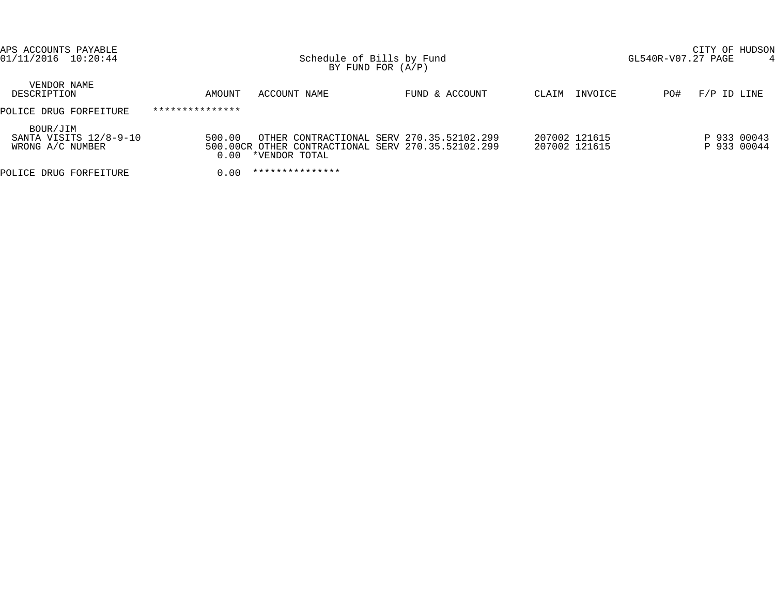| APS ACCOUNTS PAYABLE<br>01/11/2016 10:20:44            |                 | Schedule of Bills by Fund<br>BY FUND FOR $(A/P)$ |                                                                                                 | CITY OF HUDSON<br>GL540R-V07.27 PAGE<br>4 |                            |  |  |
|--------------------------------------------------------|-----------------|--------------------------------------------------|-------------------------------------------------------------------------------------------------|-------------------------------------------|----------------------------|--|--|
| VENDOR NAME<br>DESCRIPTION                             | AMOUNT          | ACCOUNT NAME                                     | FUND & ACCOUNT                                                                                  | INVOICE<br>CLAIM                          | $F/P$ ID LINE<br>PO#       |  |  |
| POLICE DRUG FORFEITURE                                 | *************** |                                                  |                                                                                                 |                                           |                            |  |  |
| BOUR/JIM<br>SANTA VISITS 12/8-9-10<br>WRONG A/C NUMBER | 500.00<br>0.00  | *VENDOR TOTAL                                    | OTHER CONTRACTIONAL SERV 270.35.52102.299<br>500.00CR OTHER CONTRACTIONAL SERV 270.35.52102.299 | 207002 121615<br>207002 121615            | P 933 00043<br>P 933 00044 |  |  |
| POLICE DRUG FORFEITURE                                 | 0.00            | ***************                                  |                                                                                                 |                                           |                            |  |  |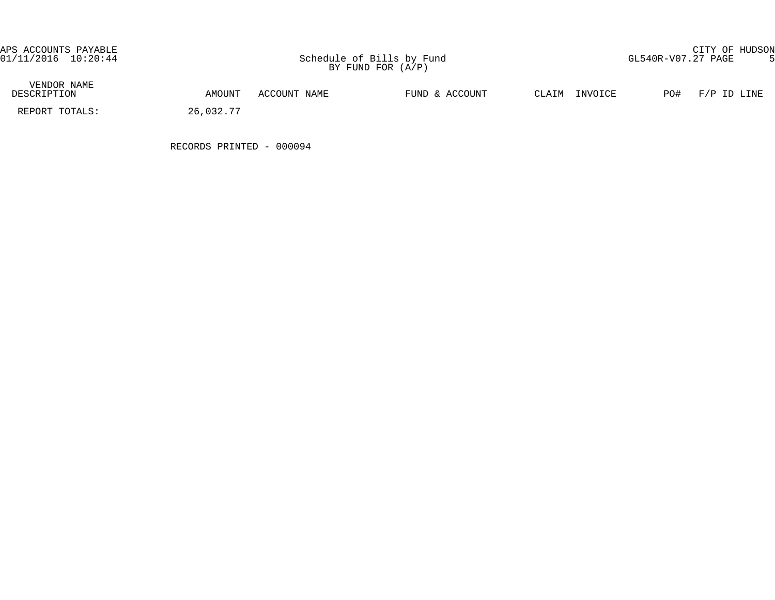APS ACCOUNTS PAYABLE CITY OF HUDSON

| VENDOR NAME<br>DESCRIPTION | AMOUNT    | ACCOUNT NAME | FUND & ACCOUNT | INVOICE<br>CLAIM | PO#<br>F/P ID LINE |
|----------------------------|-----------|--------------|----------------|------------------|--------------------|
| REPORT TOTALS:             | 26,032.77 |              |                |                  |                    |

RECORDS PRINTED - 000094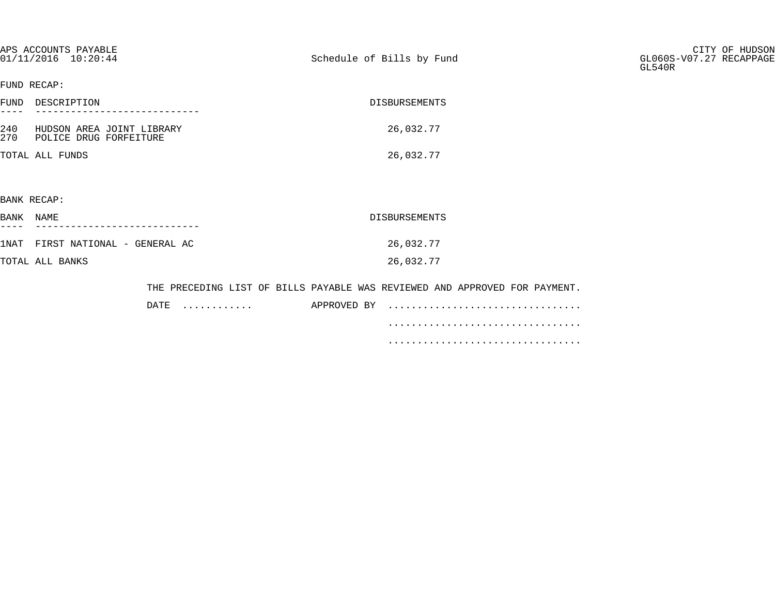|            | APS ACCOUNTS PAYABLE<br>01/11/2016 10:20:44         | Schedule of Bills by Fund                                                  | CITY OF HUDSON<br>GL060S-V07.27 RECAPPAGE<br>GL540R |
|------------|-----------------------------------------------------|----------------------------------------------------------------------------|-----------------------------------------------------|
|            | FUND RECAP:                                         |                                                                            |                                                     |
|            | FUND DESCRIPTION                                    | DISBURSEMENTS                                                              |                                                     |
| 240<br>270 | HUDSON AREA JOINT LIBRARY<br>POLICE DRUG FORFEITURE | 26,032.77                                                                  |                                                     |
|            | TOTAL ALL FUNDS                                     | 26,032.77                                                                  |                                                     |
|            |                                                     |                                                                            |                                                     |
|            | BANK RECAP:                                         |                                                                            |                                                     |
| BANK NAME  |                                                     | <b>DISBURSEMENTS</b>                                                       |                                                     |
|            | 1NAT FIRST NATIONAL - GENERAL AC                    | 26,032.77                                                                  |                                                     |
|            | TOTAL ALL BANKS                                     | 26,032.77                                                                  |                                                     |
|            |                                                     | THE PRECEDING LIST OF BILLS PAYABLE WAS REVIEWED AND APPROVED FOR PAYMENT. |                                                     |
|            | DATE                                                | APPROVED BY<br>.                                                           |                                                     |
|            |                                                     |                                                                            |                                                     |

 ................................. .................................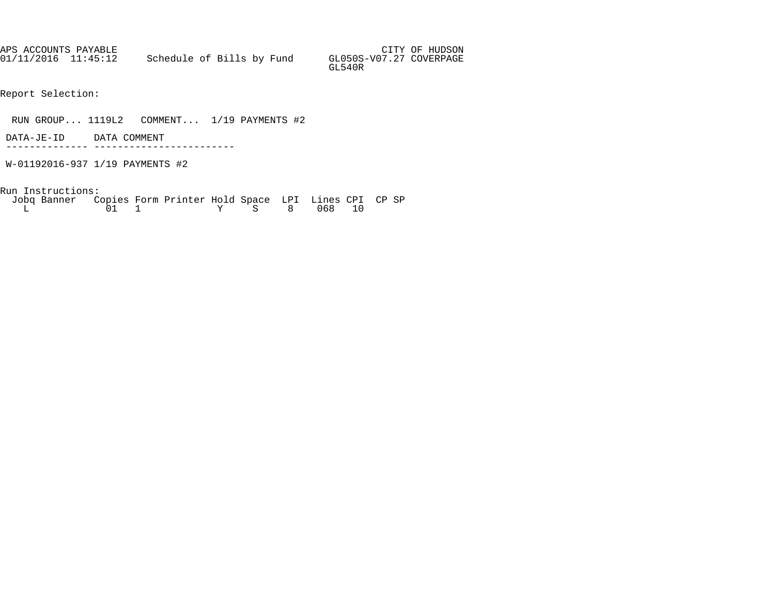| APS ACCOUNTS PAYABLE |                           |  |  |                                   | CITY OF HUDSON |
|----------------------|---------------------------|--|--|-----------------------------------|----------------|
| 01/11/2016 11:45:12  | Schedule of Bills by Fund |  |  | GL050S-V07.27 COVERPAGE<br>GL540R |                |

Report Selection:

RUN GROUP... 1119L2 COMMENT... 1/19 PAYMENTS #2

 DATA-JE-ID DATA COMMENT -------------- ------------------------

W-01192016-937 1/19 PAYMENTS #2

Run Instructions:

| Jobq Banner Copies Form Printer Hold Space LPI Lines CPI CP SP |  |  |  |              |  |  |
|----------------------------------------------------------------|--|--|--|--------------|--|--|
|                                                                |  |  |  | Y S 8 068 10 |  |  |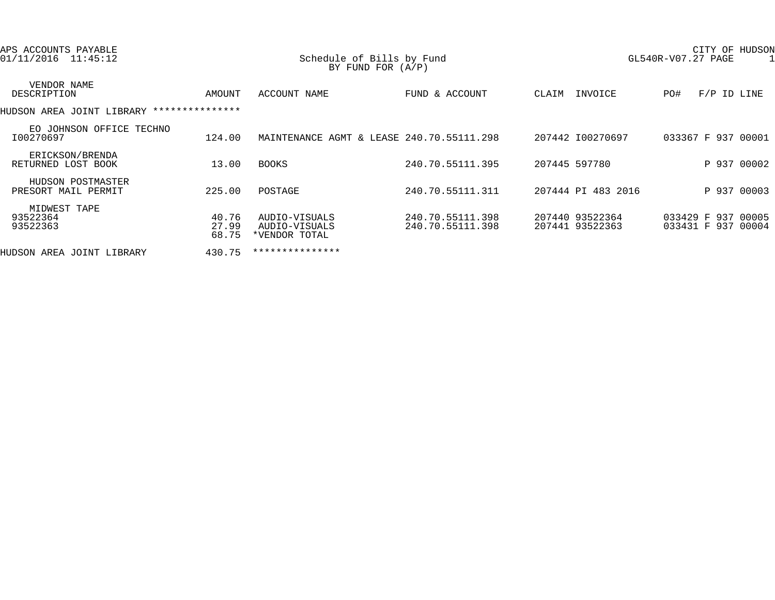| APS ACCOUNTS PAYABLE<br>01/11/2016 11:45:12 |                         | Schedule of Bills by Fund<br>BY FUND FOR $(A/P)$ |                                      |                                    | GL540R-V07.27 PAGE |     | CITY OF HUDSON                           |  |
|---------------------------------------------|-------------------------|--------------------------------------------------|--------------------------------------|------------------------------------|--------------------|-----|------------------------------------------|--|
| VENDOR NAME<br>DESCRIPTION                  | AMOUNT                  | ACCOUNT NAME                                     | FUND & ACCOUNT                       | CLAIM                              | INVOICE            | PO# | $F/P$ ID LINE                            |  |
| HUDSON AREA JOINT LIBRARY ***************   |                         |                                                  |                                      |                                    |                    |     |                                          |  |
| EO JOHNSON OFFICE TECHNO<br>I00270697       | 124.00                  | MAINTENANCE AGMT & LEASE 240.70.55111.298        |                                      | 207442 I00270697                   |                    |     | 033367 F 937 00001                       |  |
| ERICKSON/BRENDA<br>RETURNED LOST BOOK       | 13.00                   | <b>BOOKS</b>                                     | 240.70.55111.395                     | 207445 597780                      |                    |     | P 937 00002                              |  |
| HUDSON POSTMASTER<br>PRESORT MAIL PERMIT    | 225.00                  | POSTAGE                                          | 240.70.55111.311                     | 207444 PI 483 2016                 |                    |     | P 937 00003                              |  |
| MIDWEST TAPE<br>93522364<br>93522363        | 40.76<br>27.99<br>68.75 | AUDIO-VISUALS<br>AUDIO-VISUALS<br>*VENDOR TOTAL  | 240.70.55111.398<br>240.70.55111.398 | 207440 93522364<br>207441 93522363 |                    |     | 033429 F 937 00005<br>033431 F 937 00004 |  |
| HUDSON AREA JOINT LIBRARY                   | 430.75                  | ***************                                  |                                      |                                    |                    |     |                                          |  |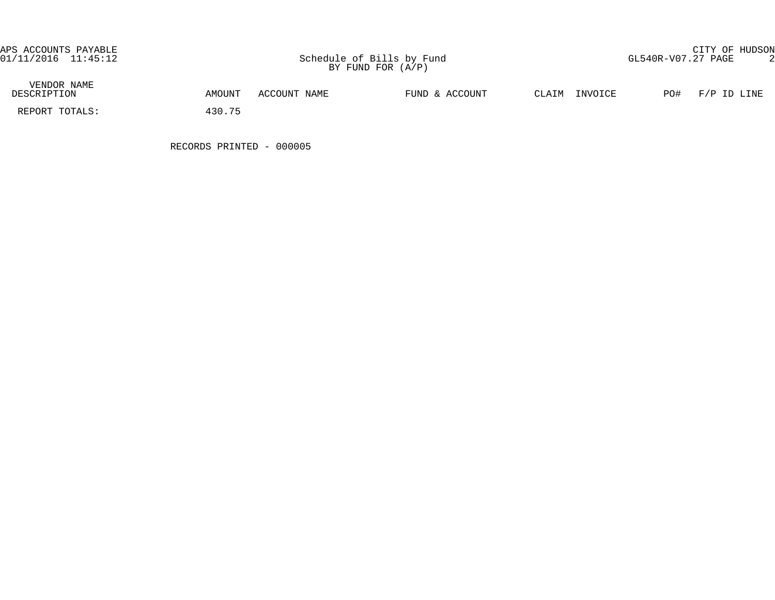APS ACCOUNTS PAYABLE CITY OF HUDSON

| VENDOR NAME<br>DESCRIPTION | AMOUNT | ACCOUNT NAME | FUND & ACCOUNT | CLAIM | INVOICE | PO# | F/P ID LINE |
|----------------------------|--------|--------------|----------------|-------|---------|-----|-------------|
| REPORT TOTALS:             | 430.75 |              |                |       |         |     |             |

RECORDS PRINTED - 000005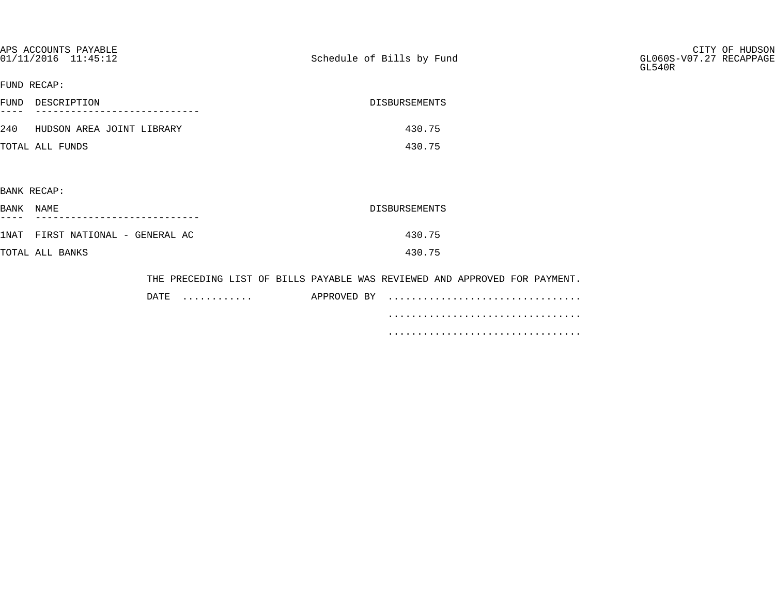| APS ACCOUNTS PAYABLE<br>01/11/2016 11:45:12 |                 | Schedule of Bills by Fund                                                  | CITY OF HUDSON<br>GL060S-V07.27 RECAPPAGE<br>GL540R |
|---------------------------------------------|-----------------|----------------------------------------------------------------------------|-----------------------------------------------------|
| FUND RECAP:                                 |                 |                                                                            |                                                     |
| FUND DESCRIPTION                            |                 | DISBURSEMENTS                                                              |                                                     |
| 240 HUDSON AREA JOINT LIBRARY               |                 | 430.75                                                                     |                                                     |
| TOTAL ALL FUNDS                             |                 | 430.75                                                                     |                                                     |
|                                             |                 |                                                                            |                                                     |
| BANK RECAP:                                 |                 |                                                                            |                                                     |
| BANK NAME                                   |                 | DISBURSEMENTS                                                              |                                                     |
| 1NAT FIRST NATIONAL - GENERAL AC            |                 | 430.75                                                                     |                                                     |
| TOTAL ALL BANKS                             |                 | 430.75                                                                     |                                                     |
|                                             |                 | THE PRECEDING LIST OF BILLS PAYABLE WAS REVIEWED AND APPROVED FOR PAYMENT. |                                                     |
|                                             | $\texttt{DATE}$ | APPROVED BY                                                                |                                                     |

.................................

.................................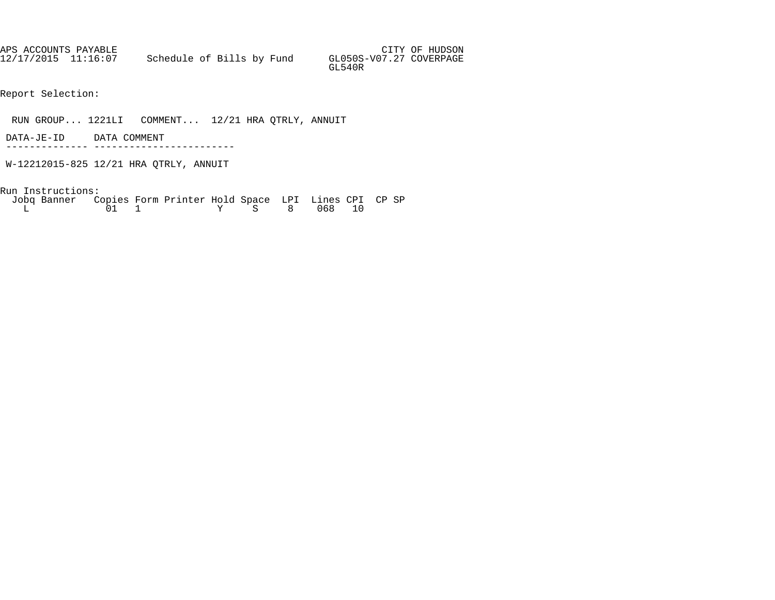| APS ACCOUNTS PAYABLE |                           |  |  |                                   | CITY OF HUDSON |
|----------------------|---------------------------|--|--|-----------------------------------|----------------|
| 12/17/2015 11:16:07  | Schedule of Bills by Fund |  |  | GL050S-V07.27 COVERPAGE<br>GL540R |                |

Report Selection:

RUN GROUP... 1221LI COMMENT... 12/21 HRA QTRLY, ANNUIT

- DATA-JE-ID DATA COMMENT -------------- ------------------------
- W-12212015-825 12/21 HRA QTRLY, ANNUIT

| Jobq Banner Copies Form Printer Hold Space LPI Lines CPI CP SP |  |  |  |              |  |  |
|----------------------------------------------------------------|--|--|--|--------------|--|--|
|                                                                |  |  |  | Y S 8 068 10 |  |  |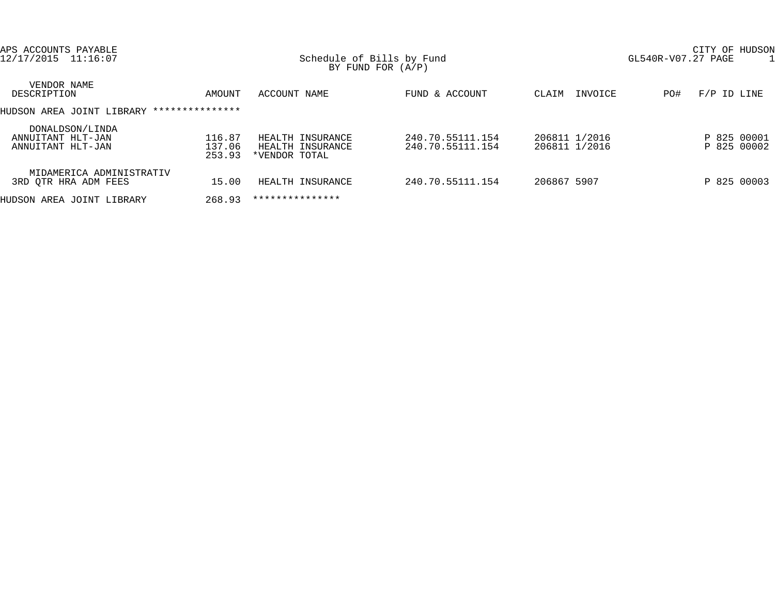| APS ACCOUNTS PAYABLE<br>12/17/2015 11:16:07               |                            | Schedule of Bills by Fund<br>BY FUND FOR $(A/P)$      |                                      |                                | CITY OF HUDSON<br>GL540R-V07.27 PAGE |
|-----------------------------------------------------------|----------------------------|-------------------------------------------------------|--------------------------------------|--------------------------------|--------------------------------------|
| VENDOR NAME<br>DESCRIPTION                                | AMOUNT                     | ACCOUNT NAME                                          | FUND & ACCOUNT                       | INVOICE<br>CLAIM               | $F/P$ ID LINE<br>PO#                 |
| HUDSON AREA JOINT LIBRARY                                 | ***************            |                                                       |                                      |                                |                                      |
| DONALDSON/LINDA<br>ANNUITANT HLT-JAN<br>ANNUITANT HLT-JAN | 116.87<br>137.06<br>253.93 | HEALTH INSURANCE<br>HEALTH INSURANCE<br>*VENDOR TOTAL | 240.70.55111.154<br>240.70.55111.154 | 206811 1/2016<br>206811 1/2016 | P 825 00001<br>P 825 00002           |
| MIDAMERICA ADMINISTRATIV<br>3RD OTR HRA ADM FEES          | 15.00                      | HEALTH INSURANCE                                      | 240.70.55111.154                     | 206867 5907                    | P 825 00003                          |
| HUDSON AREA JOINT LIBRARY                                 | 268.93                     | ***************                                       |                                      |                                |                                      |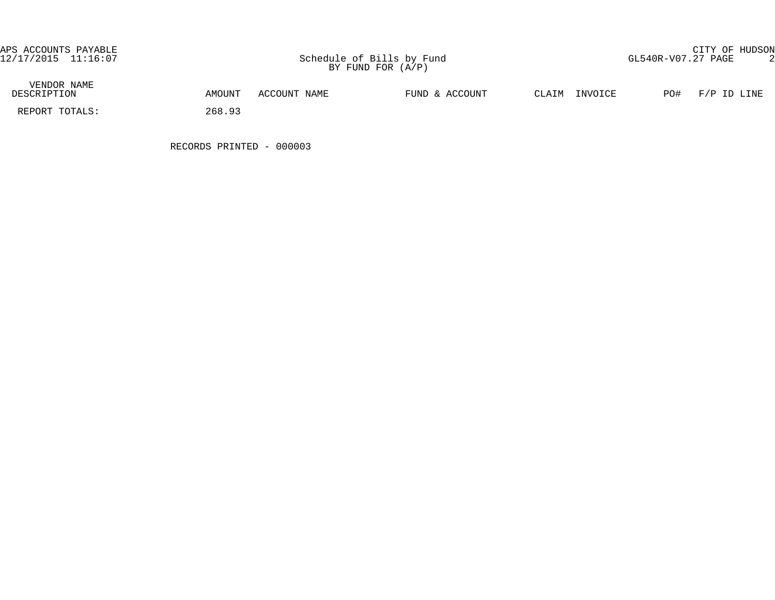| VENDOR NAME<br>DESCRIPTION | AMOUNT | ACCOUNT NAME | FUND & ACCOUNT | $\gamma$ T.ATM | INVOICE | PO# | F/P ID LINE |
|----------------------------|--------|--------------|----------------|----------------|---------|-----|-------------|
| REPORT TOTALS:             | 268.93 |              |                |                |         |     |             |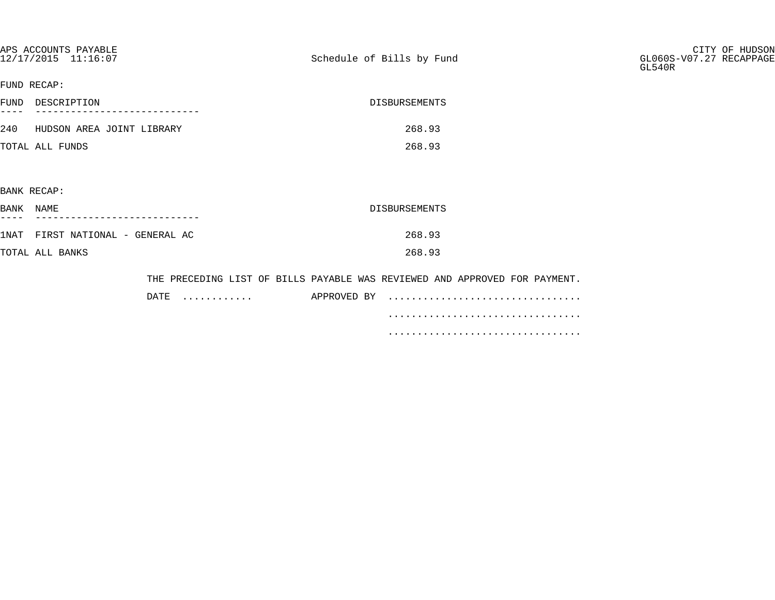| APS ACCOUNTS PAYABLE<br>12/17/2015 11:16:07 |           | Schedule of Bills by Fund |                                                                            | CITY OF HUDSON<br>GL060S-V07.27 RECAPPAGE<br>GL540R |
|---------------------------------------------|-----------|---------------------------|----------------------------------------------------------------------------|-----------------------------------------------------|
| FUND RECAP:                                 |           |                           |                                                                            |                                                     |
| FUND DESCRIPTION<br>$---$                   |           |                           | DISBURSEMENTS                                                              |                                                     |
| 240 HUDSON AREA JOINT LIBRARY               |           |                           | 268.93                                                                     |                                                     |
| TOTAL ALL FUNDS                             |           |                           | 268.93                                                                     |                                                     |
|                                             |           |                           |                                                                            |                                                     |
| BANK RECAP:                                 |           |                           |                                                                            |                                                     |
| BANK NAME                                   |           |                           | DISBURSEMENTS                                                              |                                                     |
| 1NAT FIRST NATIONAL - GENERAL AC            |           |                           | 268.93                                                                     |                                                     |
| TOTAL ALL BANKS                             |           |                           | 268.93                                                                     |                                                     |
|                                             |           |                           | THE PRECEDING LIST OF BILLS PAYABLE WAS REVIEWED AND APPROVED FOR PAYMENT. |                                                     |
|                                             | DATE<br>. | APPROVED BY               |                                                                            |                                                     |

.................................

.................................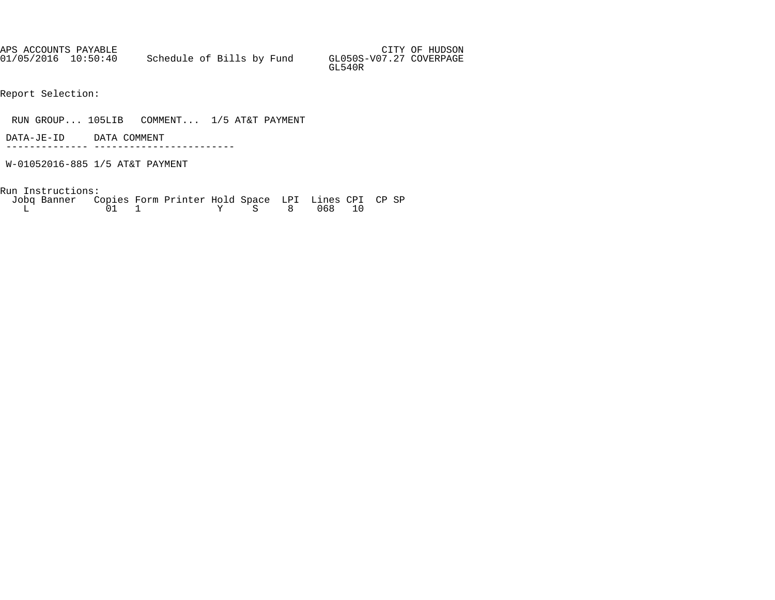APS ACCOUNTS PAYABLE AND SUMMAN SERVICES OF HUDSON AND SUMMAN SERVICES OF HUDSON 01/05/2016 10:50:40 Schedule of Bills by Fund GL050S-V07.27 COVERPAGE GL540R

Report Selection:

RUN GROUP... 105LIB COMMENT... 1/5 AT&T PAYMENT

 DATA-JE-ID DATA COMMENT -------------- ------------------------

W-01052016-885 1/5 AT&T PAYMENT

Run Instructions:

 Jobq Banner Copies Form Printer Hold Space LPI Lines CPI CP SP  $\begin{array}{ccccccc} \tilde{0}1 & 1 & \quad & \quad \text{Y} & \text{S} & 8 & 068 & 10 \end{array}$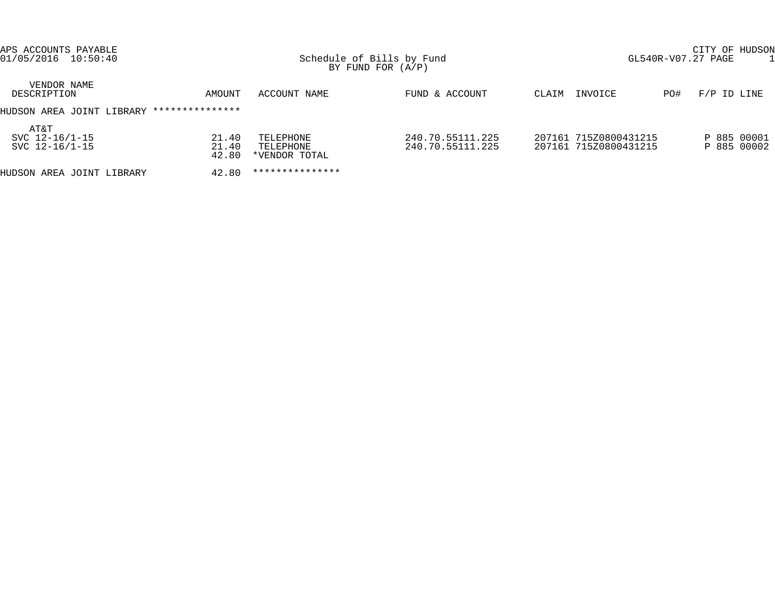| APS ACCOUNTS PAYABLE<br>$01/05/2016$ 10:50:40 |                         | Schedule of Bills by Fund<br>BY FUND FOR $(A/P)$ |                                      | CITY OF HUDSON<br>GL540R-V07.27 PAGE |                                                |     |                            |
|-----------------------------------------------|-------------------------|--------------------------------------------------|--------------------------------------|--------------------------------------|------------------------------------------------|-----|----------------------------|
| VENDOR NAME<br>DESCRIPTION                    | AMOUNT                  | ACCOUNT NAME                                     | FUND & ACCOUNT                       | CLAIM                                | INVOICE                                        | PO# | $F/P$ ID LINE              |
| HUDSON AREA JOINT LIBRARY                     | ***************         |                                                  |                                      |                                      |                                                |     |                            |
| AT&T<br>SVC 12-16/1-15<br>SVC 12-16/1-15      | 21.40<br>21.40<br>42.80 | TELEPHONE<br>TELEPHONE<br>*VENDOR TOTAL          | 240.70.55111.225<br>240.70.55111.225 |                                      | 207161 715Z0800431215<br>207161 715Z0800431215 |     | P 885 00001<br>P 885 00002 |
| HUDSON AREA JOINT LIBRARY                     | 42.80                   | ***************                                  |                                      |                                      |                                                |     |                            |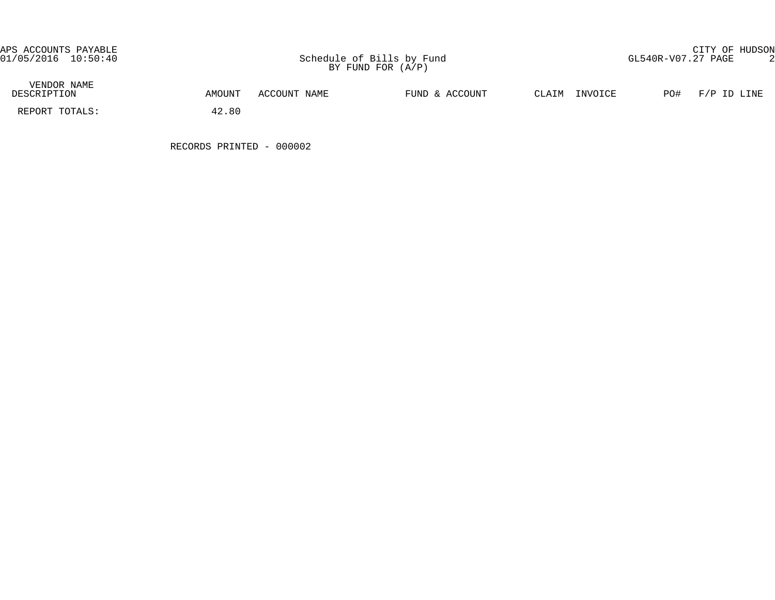| VENDOR NAME<br>DESCRIPTION | AMOUNT | ACCOUNT NAME | FUND & ACCOUNT | CLAIM<br>INVOICE | PO# | F/P ID LINE |
|----------------------------|--------|--------------|----------------|------------------|-----|-------------|
| REPORT TOTALS:             | 42.80  |              |                |                  |     |             |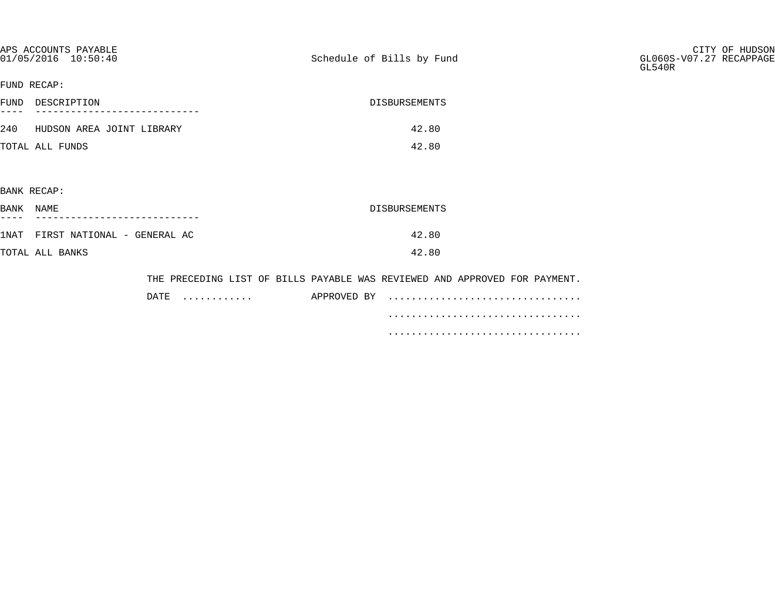| APS ACCOUNTS PAYABLE<br>$01/05/2016$ $10:50:40$ |           | Schedule of Bills by Fund |                                                                            | CITY OF HUDSON<br>GL060S-V07.27 RECAPPAGE<br>GL540R |
|-------------------------------------------------|-----------|---------------------------|----------------------------------------------------------------------------|-----------------------------------------------------|
| FUND RECAP:                                     |           |                           |                                                                            |                                                     |
| FUND DESCRIPTION                                |           | DISBURSEMENTS             |                                                                            |                                                     |
| 240 HUDSON AREA JOINT LIBRARY                   |           |                           | 42.80                                                                      |                                                     |
| TOTAL ALL FUNDS                                 |           |                           | 42.80                                                                      |                                                     |
|                                                 |           |                           |                                                                            |                                                     |
| BANK RECAP:                                     |           |                           |                                                                            |                                                     |
| BANK NAME                                       |           | DISBURSEMENTS             |                                                                            |                                                     |
| 1NAT FIRST NATIONAL - GENERAL AC                |           |                           | 42.80                                                                      |                                                     |
| TOTAL ALL BANKS                                 |           |                           | 42.80                                                                      |                                                     |
|                                                 |           |                           | THE PRECEDING LIST OF BILLS PAYABLE WAS REVIEWED AND APPROVED FOR PAYMENT. |                                                     |
|                                                 | DATE<br>. | APPROVED BY               |                                                                            |                                                     |
|                                                 |           |                           |                                                                            |                                                     |

 ................................. .................................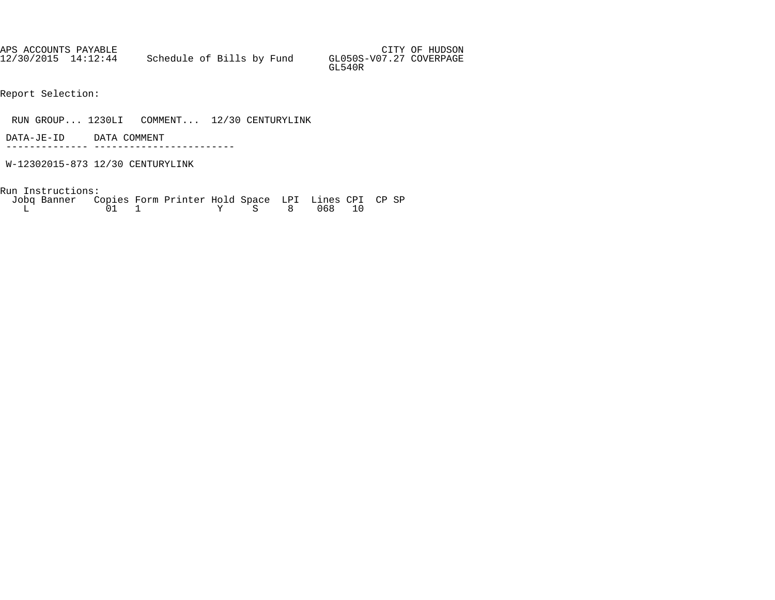APS ACCOUNTS PAYABLE AND SUMMAN SERVICES OF HUDSON AND SUMMAN SERVICES OF HUDSON 12/30/2015 14:12:44 Schedule of Bills by Fund GL050S-V07.27 COVERPAGE GL540R

Report Selection:

RUN GROUP... 1230LI COMMENT... 12/30 CENTURYLINK

 DATA-JE-ID DATA COMMENT -------------- ------------------------

W-12302015-873 12/30 CENTURYLINK

| Jobg Banner Copies Form Printer Hold Space LPI Lines CPI CP SP |  |  |              |  |  |  |
|----------------------------------------------------------------|--|--|--------------|--|--|--|
|                                                                |  |  | Y S 8 068 10 |  |  |  |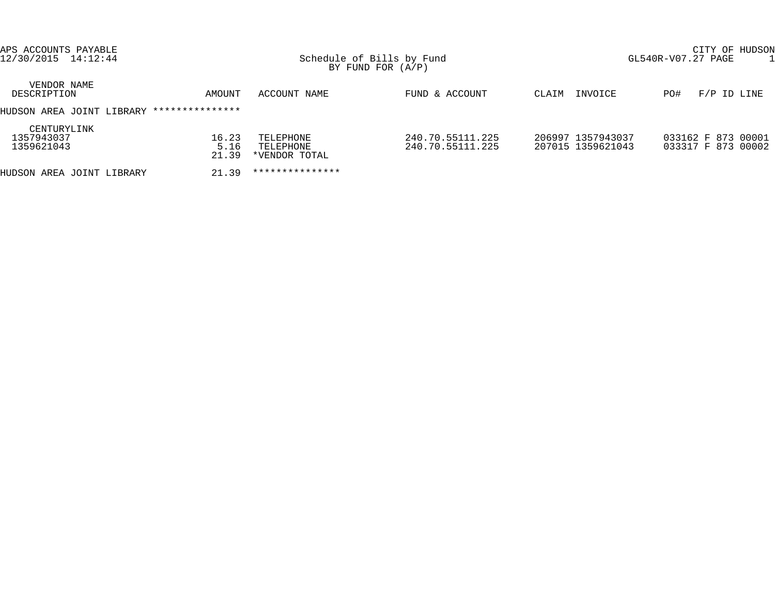| APS ACCOUNTS PAYABLE<br>12/30/2015 14:12:44 |                        |                                         | Schedule of Bills by Fund<br>BY FUND FOR $(A/P)$ |                                        | CITY OF HUDSON<br>GL540R-V07.27 PAGE     |  |  |
|---------------------------------------------|------------------------|-----------------------------------------|--------------------------------------------------|----------------------------------------|------------------------------------------|--|--|
| VENDOR NAME<br>DESCRIPTION                  | AMOUNT                 | ACCOUNT NAME                            | FUND & ACCOUNT                                   | INVOICE<br>CLAIM                       | $F/P$ ID LINE<br>PO#                     |  |  |
| HUDSON AREA JOINT LIBRARY                   | ***************        |                                         |                                                  |                                        |                                          |  |  |
| CENTURYLINK<br>1357943037<br>1359621043     | 16.23<br>5.16<br>21.39 | TELEPHONE<br>TELEPHONE<br>*VENDOR TOTAL | 240.70.55111.225<br>240.70.55111.225             | 206997 1357943037<br>207015 1359621043 | 033162 F 873 00001<br>033317 F 873 00002 |  |  |
| HUDSON AREA JOINT LIBRARY                   | 21.39                  | ***************                         |                                                  |                                        |                                          |  |  |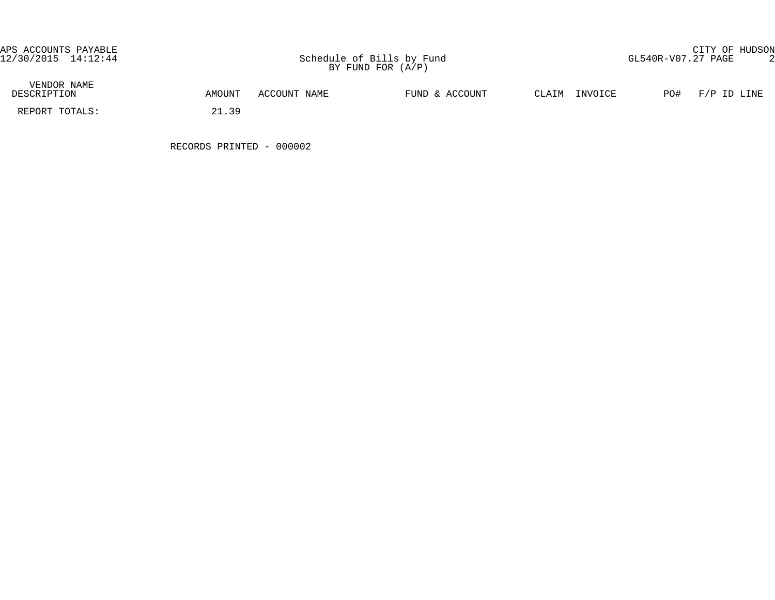| VENDOR NAME<br>DESCRIPTION | AMOUNT      | ACCOUNT NAME | FUND & ACCOUNT | CLAIM<br>INVOICE | PO#<br>F/P ID LINE |
|----------------------------|-------------|--------------|----------------|------------------|--------------------|
| REPORT TOTALS:             | 2 Q<br>ົາ 1 |              |                |                  |                    |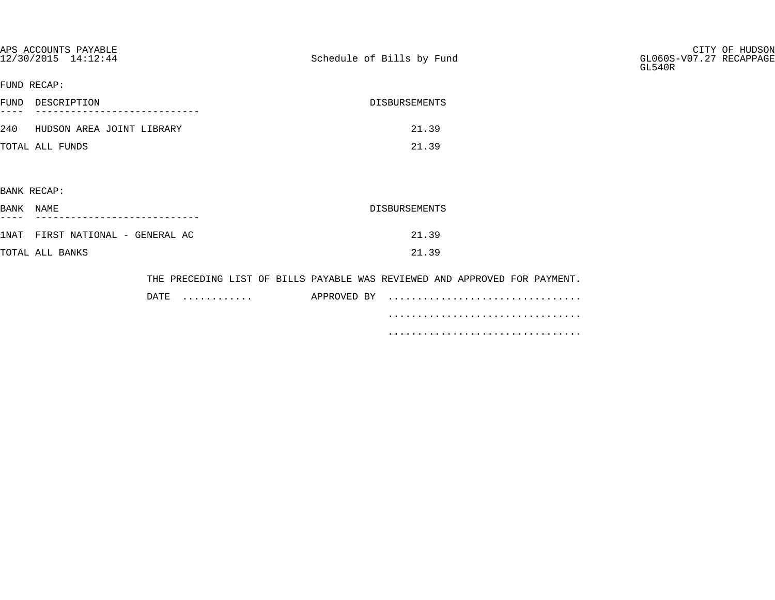| APS ACCOUNTS PAYABLE<br>12/30/2015 14:12:44 | Schedule of Bills by Fund                                                  | CITY OF HUDSON<br>GL060S-V07.27 RECAPPAGE<br>GL540R |
|---------------------------------------------|----------------------------------------------------------------------------|-----------------------------------------------------|
| FUND RECAP:                                 |                                                                            |                                                     |
| FUND DESCRIPTION                            | <b>DISBURSEMENTS</b>                                                       |                                                     |
| 240 HUDSON AREA JOINT LIBRARY               | 21.39                                                                      |                                                     |
| TOTAL ALL FUNDS                             | 21.39                                                                      |                                                     |
|                                             |                                                                            |                                                     |
| BANK RECAP:                                 |                                                                            |                                                     |
| BANK NAME                                   | DISBURSEMENTS                                                              |                                                     |
| 1NAT FIRST NATIONAL - GENERAL AC            | 21.39                                                                      |                                                     |
| TOTAL ALL BANKS                             | 21.39                                                                      |                                                     |
|                                             | THE PRECEDING LIST OF BILLS PAYABLE WAS REVIEWED AND APPROVED FOR PAYMENT. |                                                     |
| DATE<br>.                                   |                                                                            |                                                     |
|                                             |                                                                            |                                                     |

.................................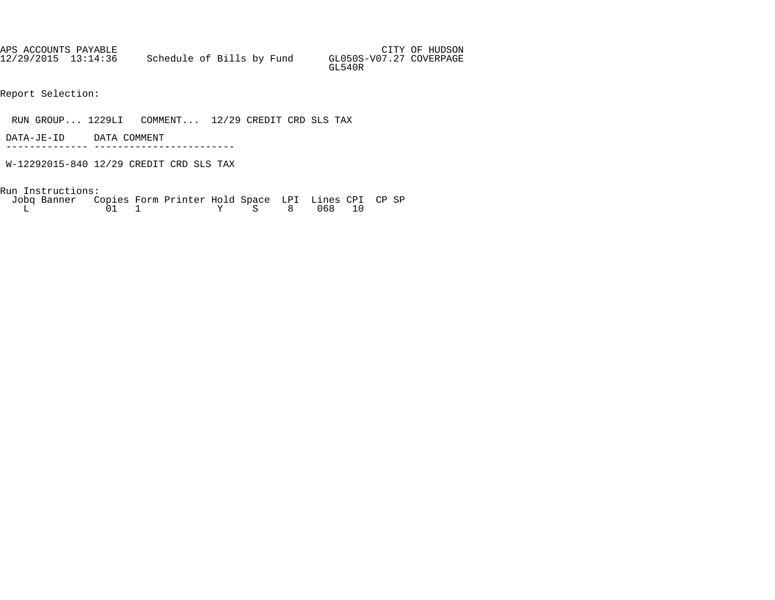APS ACCOUNTS PAYABLE AND SUMMAN SERVICES OF HUDSON AND SUMMAN SERVICES OF HUDSON 12/29/2015 13:14:36 Schedule of Bills by Fund GL050S-V07.27 COVERPAGE GL540R

Report Selection:

RUN GROUP... 1229LI COMMENT... 12/29 CREDIT CRD SLS TAX

 DATA-JE-ID DATA COMMENT -------------- ------------------------

W-12292015-840 12/29 CREDIT CRD SLS TAX

| Jobq Banner Copies Form Printer Hold Space LPI Lines CPI CP SP |  |  |  |              |  |  |
|----------------------------------------------------------------|--|--|--|--------------|--|--|
|                                                                |  |  |  | Y S 8 068 10 |  |  |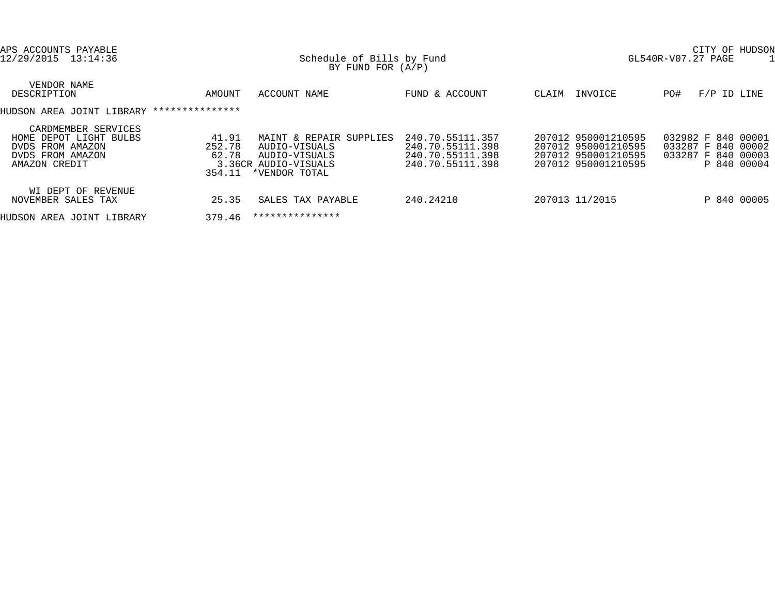| APS ACCOUNTS PAYABLE<br>12/29/2015 13:14:36                                                            |                                    | Schedule of Bills by Fund<br>BY FUND FOR $(A/P)$                                                   | CITY OF HUDSON<br>GL540R-V07.27 PAGE                                         |       |                                                                                          |     |                                                                               |  |  |  |
|--------------------------------------------------------------------------------------------------------|------------------------------------|----------------------------------------------------------------------------------------------------|------------------------------------------------------------------------------|-------|------------------------------------------------------------------------------------------|-----|-------------------------------------------------------------------------------|--|--|--|
| VENDOR NAME<br>DESCRIPTION                                                                             | AMOUNT                             | ACCOUNT NAME                                                                                       | FUND & ACCOUNT                                                               | CLAIM | INVOICE                                                                                  | PO# | $F/P$ ID LINE                                                                 |  |  |  |
| HUDSON AREA JOINT LIBRARY                                                                              | ***************                    |                                                                                                    |                                                                              |       |                                                                                          |     |                                                                               |  |  |  |
| CARDMEMBER SERVICES<br>HOME DEPOT LIGHT BULBS<br>DVDS FROM AMAZON<br>DVDS FROM AMAZON<br>AMAZON CREDIT | 41.91<br>252.78<br>62.78<br>354.11 | MAINT & REPAIR SUPPLIES<br>AUDIO-VISUALS<br>AUDIO-VISUALS<br>3.36CR AUDIO-VISUALS<br>*VENDOR TOTAL | 240.70.55111.357<br>240.70.55111.398<br>240.70.55111.398<br>240.70.55111.398 |       | 207012 950001210595<br>207012 950001210595<br>207012 950001210595<br>207012 950001210595 |     | 032982 F 840 00001<br>033287 F 840 00002<br>033287 F 840 00003<br>P 840 00004 |  |  |  |
| WI DEPT OF REVENUE<br>NOVEMBER SALES TAX                                                               | 25.35                              | SALES TAX PAYABLE                                                                                  | 240.24210                                                                    |       | 207013 11/2015                                                                           |     | P 840 00005                                                                   |  |  |  |
| HUDSON AREA JOINT LIBRARY                                                                              | 379.46                             | ***************                                                                                    |                                                                              |       |                                                                                          |     |                                                                               |  |  |  |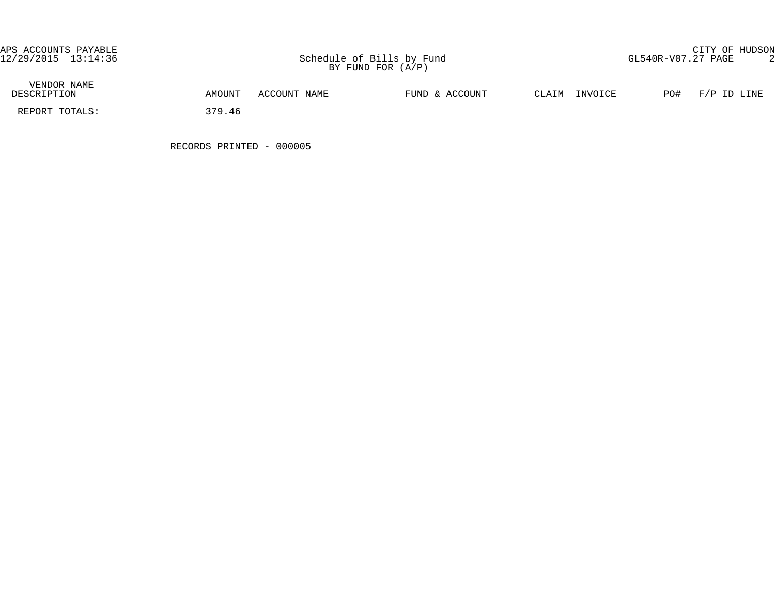| VENDOR NAME<br>DESCRIPTION | AMOUNT | ACCOUNT NAME | FUND & ACCOUNT | $\gamma$ T.ATM | INVOICE | PO# | F/P ID LINE |
|----------------------------|--------|--------------|----------------|----------------|---------|-----|-------------|
| REPORT TOTALS:             | 379.46 |              |                |                |         |     |             |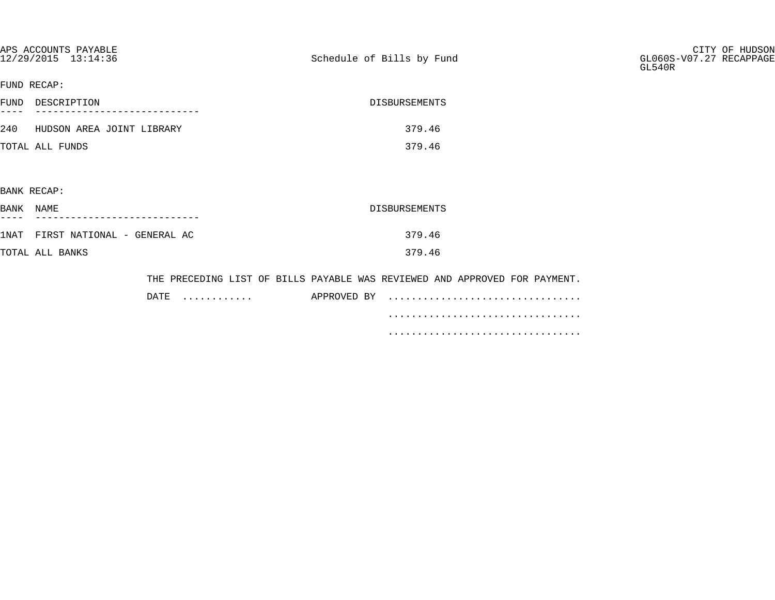| APS ACCOUNTS PAYABLE<br>12/29/2015 13:14:36 |           | Schedule of Bills by Fund                                                  | CITY OF HUDSON<br>GL060S-V07.27 RECAPPAGE<br>GL540R |
|---------------------------------------------|-----------|----------------------------------------------------------------------------|-----------------------------------------------------|
| FUND RECAP:                                 |           |                                                                            |                                                     |
| FUND DESCRIPTION                            |           | DISBURSEMENTS                                                              |                                                     |
| 240 HUDSON AREA JOINT LIBRARY               |           | 379.46                                                                     |                                                     |
| TOTAL ALL FUNDS                             |           | 379.46                                                                     |                                                     |
|                                             |           |                                                                            |                                                     |
| BANK RECAP:                                 |           |                                                                            |                                                     |
| BANK NAME                                   |           | DISBURSEMENTS                                                              |                                                     |
| 1NAT FIRST NATIONAL - GENERAL AC            |           | 379.46                                                                     |                                                     |
| TOTAL ALL BANKS                             |           | 379.46                                                                     |                                                     |
|                                             |           | THE PRECEDING LIST OF BILLS PAYABLE WAS REVIEWED AND APPROVED FOR PAYMENT. |                                                     |
|                                             | DATE<br>. |                                                                            |                                                     |

.................................

.................................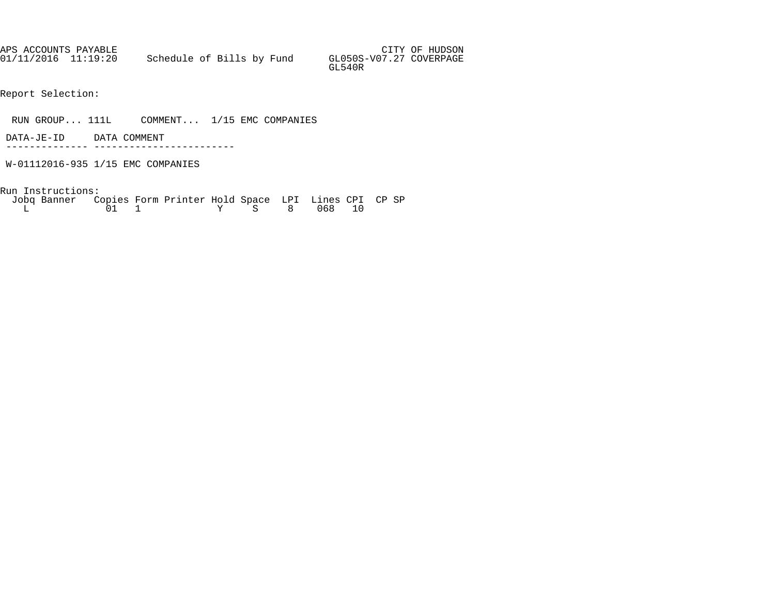| APS ACCOUNTS PAYABLE |                           |  |  |                                   | CITY OF HUDSON |
|----------------------|---------------------------|--|--|-----------------------------------|----------------|
| 01/11/2016 11:19:20  | Schedule of Bills by Fund |  |  | GL050S-V07.27 COVERPAGE<br>GL540R |                |

- Report Selection:
- RUN GROUP... 111L COMMENT... 1/15 EMC COMPANIES
- DATA-JE-ID DATA COMMENT -------------- ------------------------
- W-01112016-935 1/15 EMC COMPANIES
- Run Instructions:

| Jobq Banner Copies Form Printer Hold Space LPI Lines CPI CP SP |  |  |  |              |  |  |
|----------------------------------------------------------------|--|--|--|--------------|--|--|
|                                                                |  |  |  | Y S 8 068 10 |  |  |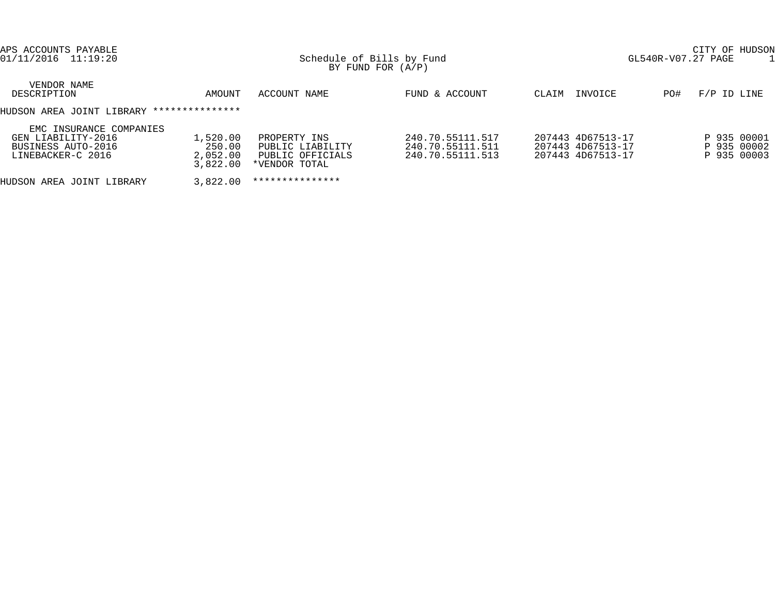| APS ACCOUNTS PAYABLE<br>01/11/2016 11:19:20                                              |                                            | Schedule of Bills by Fund<br>BY FUND FOR $(A/P)$                      | CITY OF HUDSON<br>GL540R-V07.27 PAGE                     |                                                             |     |                                           |  |  |  |
|------------------------------------------------------------------------------------------|--------------------------------------------|-----------------------------------------------------------------------|----------------------------------------------------------|-------------------------------------------------------------|-----|-------------------------------------------|--|--|--|
| VENDOR NAME<br>DESCRIPTION                                                               | AMOUNT                                     | ACCOUNT NAME                                                          | FUND & ACCOUNT                                           | INVOICE<br>CLAIM                                            | PO# | F/P ID LINE                               |  |  |  |
| HUDSON AREA JOINT LIBRARY ***************                                                |                                            |                                                                       |                                                          |                                                             |     |                                           |  |  |  |
| EMC INSURANCE COMPANIES<br>GEN LIABILITY-2016<br>BUSINESS AUTO-2016<br>LINEBACKER-C 2016 | 1,520.00<br>250.00<br>2,052.00<br>3,822.00 | PROPERTY INS<br>PUBLIC LIABILITY<br>PUBLIC OFFICIALS<br>*VENDOR TOTAL | 240.70.55111.517<br>240.70.55111.511<br>240.70.55111.513 | 207443 4D67513-17<br>207443 4D67513-17<br>207443 4D67513-17 |     | P 935 00001<br>P 935 00002<br>P 935 00003 |  |  |  |
| HUDSON AREA JOINT LIBRARY                                                                | 3,822.00                                   | ***************                                                       |                                                          |                                                             |     |                                           |  |  |  |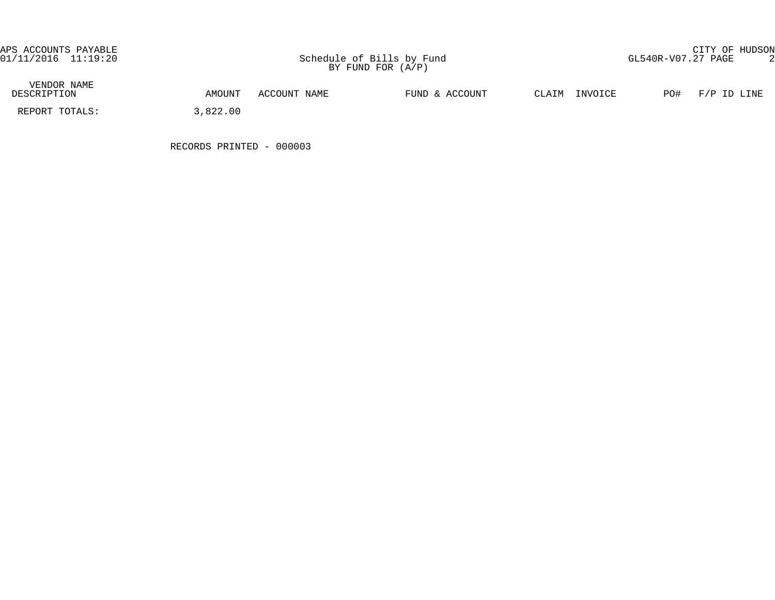| VENDOR NAME<br>DESCRIPTION | AMOUNT   | ACCOUNT NAME | FUND & ACCOUNT | INVOICE<br>CLAIM | PO#<br>F/P ID LINE |
|----------------------------|----------|--------------|----------------|------------------|--------------------|
| REPORT TOTALS:             | 3,822.00 |              |                |                  |                    |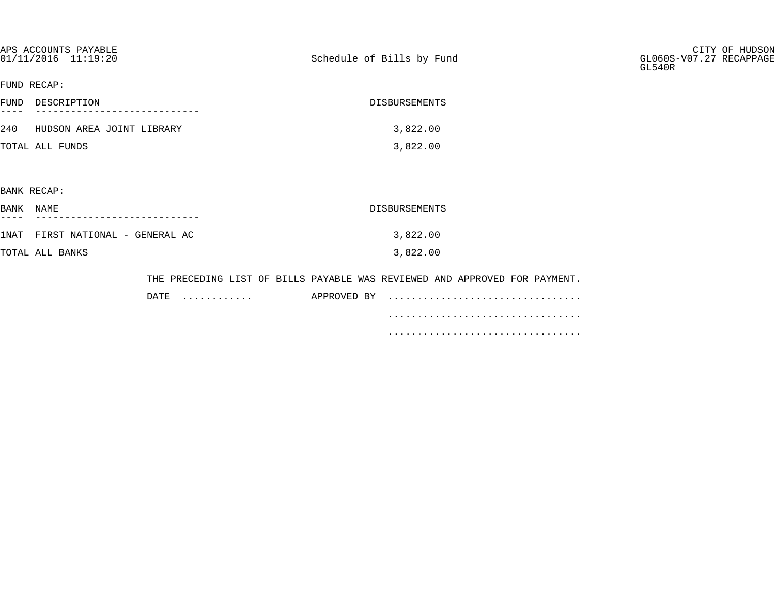|           | APS ACCOUNTS PAYABLE<br>01/11/2016 11:19:20 | Schedule of Bills by Fund                                                  | CITY OF HUDSON<br>GL060S-V07.27 RECAPPAGE<br>GL540R |
|-----------|---------------------------------------------|----------------------------------------------------------------------------|-----------------------------------------------------|
|           | FUND RECAP:                                 |                                                                            |                                                     |
|           | FUND DESCRIPTION                            | DISBURSEMENTS                                                              |                                                     |
|           | 240 HUDSON AREA JOINT LIBRARY               | 3,822.00                                                                   |                                                     |
|           | TOTAL ALL FUNDS                             | 3,822.00                                                                   |                                                     |
|           |                                             |                                                                            |                                                     |
|           | BANK RECAP:                                 |                                                                            |                                                     |
| BANK NAME |                                             | DISBURSEMENTS                                                              |                                                     |
|           | 1NAT FIRST NATIONAL - GENERAL AC            | 3,822.00                                                                   |                                                     |
|           | TOTAL ALL BANKS                             | 3,822.00                                                                   |                                                     |
|           |                                             | THE PRECEDING LIST OF BILLS PAYABLE WAS REVIEWED AND APPROVED FOR PAYMENT. |                                                     |

| DATE | . | APPROVED BY |  |  |  |  |  |  |  |  |
|------|---|-------------|--|--|--|--|--|--|--|--|
|      |   |             |  |  |  |  |  |  |  |  |
|      |   |             |  |  |  |  |  |  |  |  |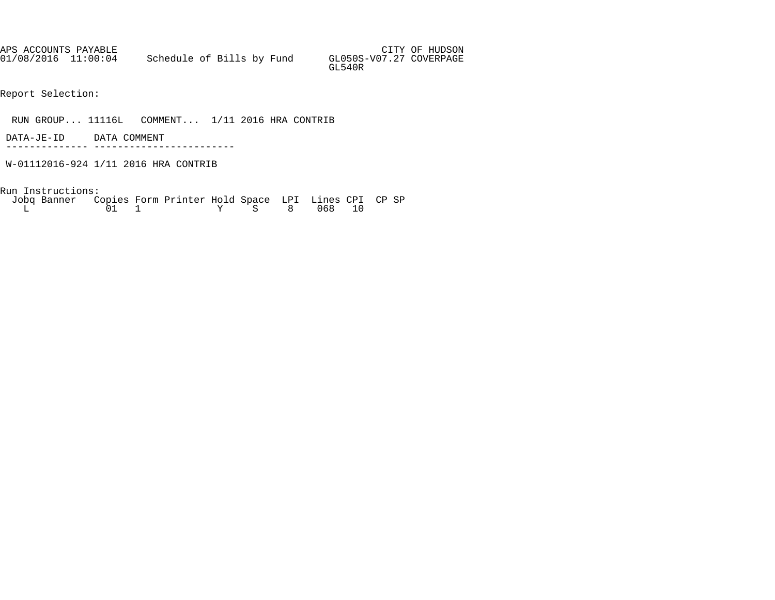APS ACCOUNTS PAYABLE AND SUMMAN SERVICES OF HUDSON AND SUMMAN SERVICES OF HUDSON 01/08/2016 11:00:04 Schedule of Bills by Fund GL050S-V07.27 COVERPAGE GL540R

Report Selection:

RUN GROUP... 11116L COMMENT... 1/11 2016 HRA CONTRIB

 DATA-JE-ID DATA COMMENT -------------- ------------------------

W-01112016-924 1/11 2016 HRA CONTRIB

| Jobg Banner Copies Form Printer Hold Space LPI Lines CPI CP SP |  |  |              |  |  |  |
|----------------------------------------------------------------|--|--|--------------|--|--|--|
|                                                                |  |  | Y S 8 068 10 |  |  |  |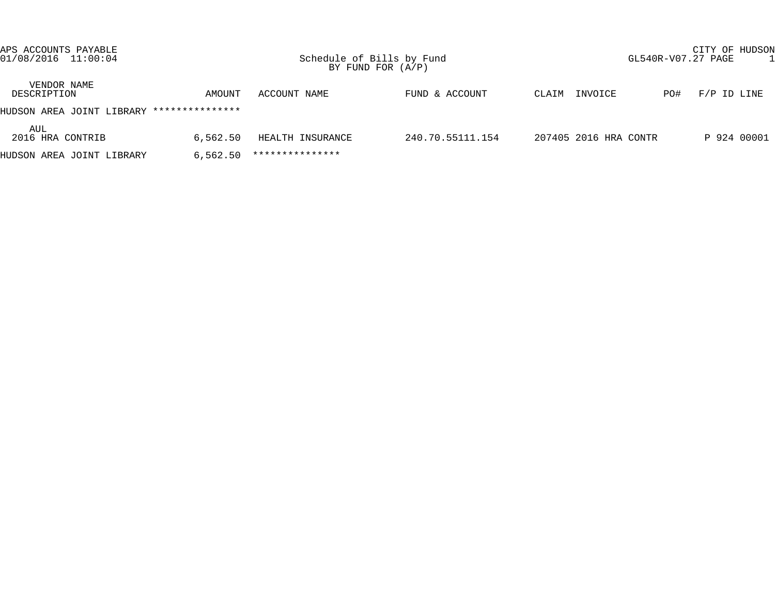| APS ACCOUNTS PAYABLE<br>$01/08/2016$ $11:00:04$ |                 | Schedule of Bills by Fund | BY FUND FOR $(A/P)$ |                       |     | CITY OF HUDSON<br>GL540R-V07.27 PAGE | P 924 00001 |  |  |
|-------------------------------------------------|-----------------|---------------------------|---------------------|-----------------------|-----|--------------------------------------|-------------|--|--|
| VENDOR NAME<br>DESCRIPTION                      | AMOUNT          | ACCOUNT NAME              | FUND & ACCOUNT      | INVOICE<br>CLAIM      | PO# | $F/P$ ID LINE                        |             |  |  |
| HUDSON AREA JOINT LIBRARY                       | *************** |                           |                     |                       |     |                                      |             |  |  |
| AUL<br>2016 HRA CONTRIB                         | 6,562.50        | HEALTH INSURANCE          | 240.70.55111.154    | 207405 2016 HRA CONTR |     |                                      |             |  |  |
| HUDSON AREA JOINT LIBRARY                       | 6.562.50        | ***************           |                     |                       |     |                                      |             |  |  |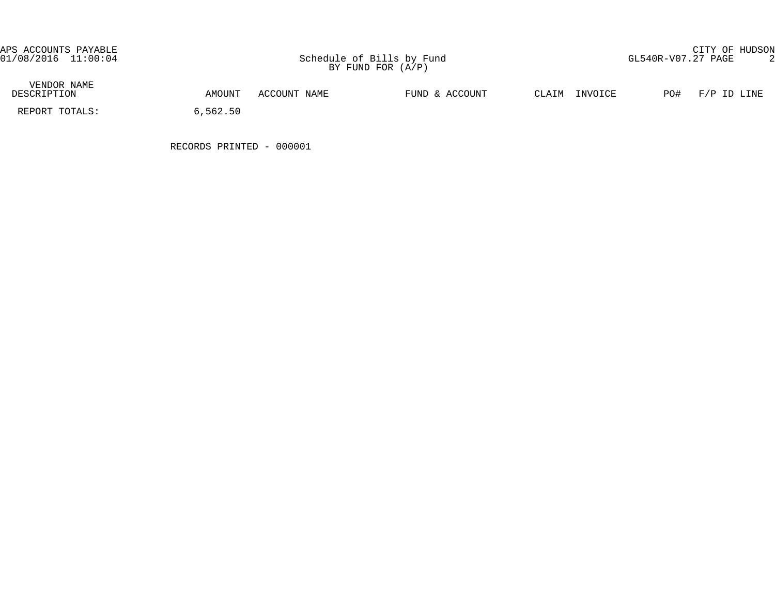| VENDOR NAME<br>DESCRIPTION | AMOUNT   | ACCOUNT NAME | FUND & ACCOUNT | CLAIM<br>INVOICE | PO#<br>F/P ID LINE |
|----------------------------|----------|--------------|----------------|------------------|--------------------|
| REPORT TOTALS:             | 6,562.50 |              |                |                  |                    |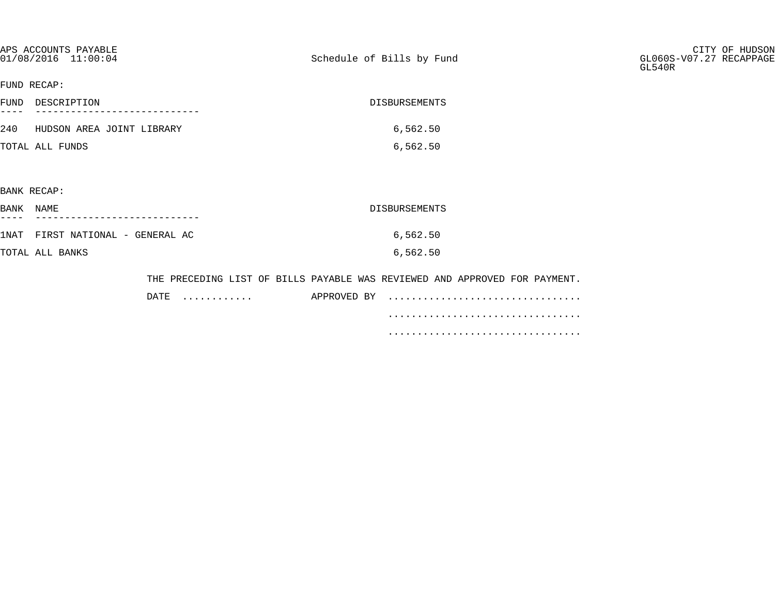| APS ACCOUNTS PAYABLE<br>01/08/2016 11:00:04 | Schedule of Bills by Fund                                                  | CITY OF HUDSON<br>GL060S-V07.27 RECAPPAGE<br>GL540R |
|---------------------------------------------|----------------------------------------------------------------------------|-----------------------------------------------------|
| FUND RECAP:                                 |                                                                            |                                                     |
| FUND DESCRIPTION                            | DISBURSEMENTS                                                              |                                                     |
| 240 HUDSON AREA JOINT LIBRARY               | 6,562.50                                                                   |                                                     |
| TOTAL ALL FUNDS                             | 6,562.50                                                                   |                                                     |
|                                             |                                                                            |                                                     |
| BANK RECAP:                                 |                                                                            |                                                     |
| BANK NAME                                   | DISBURSEMENTS                                                              |                                                     |
| 1NAT FIRST NATIONAL - GENERAL AC            | 6,562.50                                                                   |                                                     |
| TOTAL ALL BANKS                             | 6,562.50                                                                   |                                                     |
|                                             | THE PRECEDING LIST OF BILLS PAYABLE WAS REVIEWED AND APPROVED FOR PAYMENT. |                                                     |
|                                             |                                                                            |                                                     |

| DATE<br>. | APPROVED BY |  |
|-----------|-------------|--|
|           |             |  |
|           |             |  |